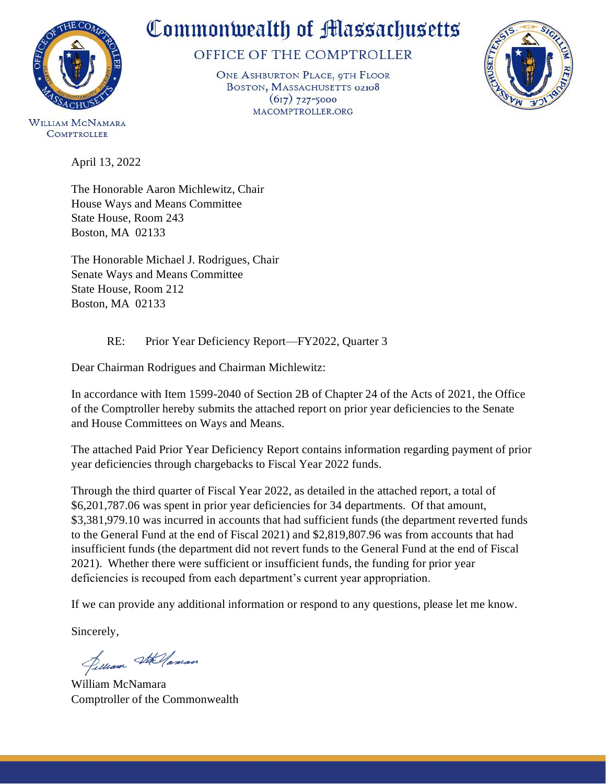

# Commonwealth of Massachusetts

### OFFICE OF THE COMPTROLLER

ONE ASHBURTON PLACE, 9TH FLOOR BOSTON, MASSACHUSETTS 02108  $(617)$  727-5000 MACOMPTROLLER.ORG



**WILLIAM MCNAMARA COMPTROLLER** 

April 13, 2022

The Honorable Aaron Michlewitz, Chair House Ways and Means Committee State House, Room 243 Boston, MA 02133

The Honorable Michael J. Rodrigues, Chair Senate Ways and Means Committee State House, Room 212 Boston, MA 02133

#### RE: Prior Year Deficiency Report—FY2022, Quarter 3

Dear Chairman Rodrigues and Chairman Michlewitz:

In accordance with Item 1599-2040 of Section 2B of Chapter 24 of the Acts of 2021, the Office of the Comptroller hereby submits the attached report on prior year deficiencies to the Senate and House Committees on Ways and Means.

The attached Paid Prior Year Deficiency Report contains information regarding payment of prior year deficiencies through chargebacks to Fiscal Year 2022 funds.

Through the third quarter of Fiscal Year 2022, as detailed in the attached report, a total of \$6,201,787.06 was spent in prior year deficiencies for 34 departments. Of that amount, \$3,381,979.10 was incurred in accounts that had sufficient funds (the department reverted funds to the General Fund at the end of Fiscal 2021) and \$2,819,807.96 was from accounts that had insufficient funds (the department did not revert funds to the General Fund at the end of Fiscal 2021). Whether there were sufficient or insufficient funds, the funding for prior year deficiencies is recouped from each department's current year appropriation.

If we can provide any additional information or respond to any questions, please let me know.

Sincerely,

Jelliam Stellaman

William McNamara Comptroller of the Commonwealth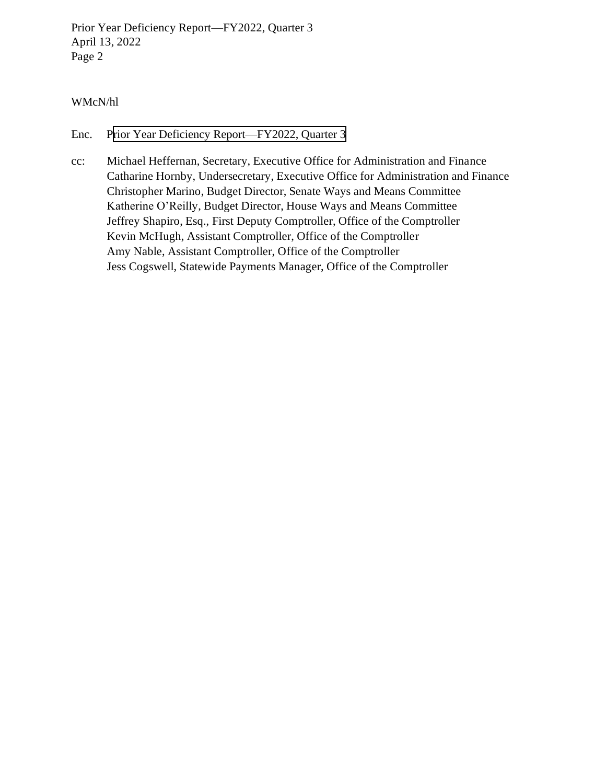Prior Year Deficiency Report—FY2022, Quarter 3 April 13, 2022 Page 2

#### WMcN/hl

Enc. [Prior Year Deficiency Report—FY2022, Quarter 3](#page-2-0)

cc: Michael Heffernan, Secretary, Executive Office for Administration and Finance Catharine Hornby, Undersecretary, Executive Office for Administration and Finance Christopher Marino, Budget Director, Senate Ways and Means Committee Katherine O'Reilly, Budget Director, House Ways and Means Committee Jeffrey Shapiro, Esq., First Deputy Comptroller, Office of the Comptroller Kevin McHugh, Assistant Comptroller, Office of the Comptroller Amy Nable, Assistant Comptroller, Office of the Comptroller Jess Cogswell, Statewide Payments Manager, Office of the Comptroller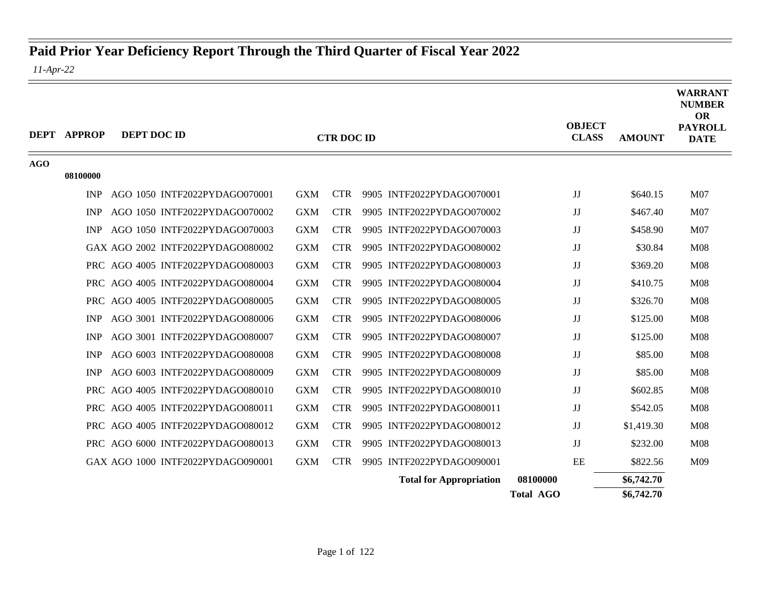## <span id="page-2-0"></span>**Paid Prior Year Deficiency Report Through the Third Quarter of Fiscal Year 2022**

*11-Apr-22*

|            | <b>DEPT APPROP</b> | <b>DEPT DOC ID</b>                |            | <b>CTR DOC ID</b> |                                | <b>OBJECT</b><br><b>CLASS</b> | <b>AMOUNT</b> | <b>WARRANT</b><br><b>NUMBER</b><br><b>OR</b><br><b>PAYROLL</b><br><b>DATE</b> |
|------------|--------------------|-----------------------------------|------------|-------------------|--------------------------------|-------------------------------|---------------|-------------------------------------------------------------------------------|
| <b>AGO</b> |                    |                                   |            |                   |                                |                               |               |                                                                               |
|            | 08100000           |                                   |            |                   |                                |                               |               |                                                                               |
|            | <b>INP</b>         | AGO 1050 INTF2022PYDAGO070001     | <b>GXM</b> | <b>CTR</b>        | 9905 INTF2022PYDAGO070001      | JJ                            | \$640.15      | M <sub>07</sub>                                                               |
|            | <b>INP</b>         | AGO 1050 INTF2022PYDAGO070002     | <b>GXM</b> | <b>CTR</b>        | 9905 INTF2022PYDAGO070002      | JJ                            | \$467.40      | M <sub>07</sub>                                                               |
|            | <b>INP</b>         | AGO 1050 INTF2022PYDAGO070003     | <b>GXM</b> | <b>CTR</b>        | 9905 INTF2022PYDAGO070003      | JJ                            | \$458.90      | M07                                                                           |
|            |                    | GAX AGO 2002 INTF2022PYDAGO080002 | <b>GXM</b> | <b>CTR</b>        | 9905 INTF2022PYDAGO080002      | JJ                            | \$30.84       | M <sub>08</sub>                                                               |
|            |                    | PRC AGO 4005 INTF2022PYDAGO080003 | <b>GXM</b> | <b>CTR</b>        | 9905 INTF2022PYDAGO080003      | JJ                            | \$369.20      | M08                                                                           |
|            |                    | PRC AGO 4005 INTF2022PYDAGO080004 | <b>GXM</b> | <b>CTR</b>        | 9905 INTF2022PYDAGO080004      | JJ                            | \$410.75      | M <sub>08</sub>                                                               |
|            |                    | PRC AGO 4005 INTF2022PYDAGO080005 | <b>GXM</b> | <b>CTR</b>        | 9905 INTF2022PYDAGO080005      | JJ                            | \$326.70      | M08                                                                           |
|            | <b>INP</b>         | AGO 3001 INTF2022PYDAGO080006     | <b>GXM</b> | <b>CTR</b>        | 9905 INTF2022PYDAGO080006      | JJ                            | \$125.00      | M <sub>08</sub>                                                               |
|            | <b>INP</b>         | AGO 3001 INTF2022PYDAGO080007     | <b>GXM</b> | <b>CTR</b>        | 9905 INTF2022PYDAGO080007      | JJ                            | \$125.00      | M <sub>08</sub>                                                               |
|            | <b>INP</b>         | AGO 6003 INTF2022PYDAGO080008     | <b>GXM</b> | <b>CTR</b>        | 9905 INTF2022PYDAGO080008      | JJ                            | \$85.00       | <b>M08</b>                                                                    |
|            | <b>INP</b>         | AGO 6003 INTF2022PYDAGO080009     | <b>GXM</b> | <b>CTR</b>        | 9905 INTF2022PYDAGO080009      | JJ                            | \$85.00       | M <sub>08</sub>                                                               |
|            |                    | PRC AGO 4005 INTF2022PYDAGO080010 | <b>GXM</b> | <b>CTR</b>        | 9905 INTF2022PYDAGO080010      | JJ                            | \$602.85      | M08                                                                           |
|            |                    | PRC AGO 4005 INTF2022PYDAGO080011 | <b>GXM</b> | <b>CTR</b>        | 9905 INTF2022PYDAGO080011      | JJ                            | \$542.05      | M <sub>08</sub>                                                               |
|            |                    | PRC AGO 4005 INTF2022PYDAGO080012 | <b>GXM</b> | <b>CTR</b>        | 9905 INTF2022PYDAGO080012      | JJ                            | \$1,419.30    | M <sub>08</sub>                                                               |
|            |                    | PRC AGO 6000 INTF2022PYDAGO080013 | <b>GXM</b> | <b>CTR</b>        | 9905 INTF2022PYDAGO080013      | JJ                            | \$232.00      | M <sub>08</sub>                                                               |
|            |                    | GAX AGO 1000 INTF2022PYDAGO090001 | <b>GXM</b> | <b>CTR</b>        | 9905 INTF2022PYDAGO090001      | EE                            | \$822.56      | M09                                                                           |
|            |                    |                                   |            |                   | <b>Total for Appropriation</b> | 08100000                      | \$6,742.70    |                                                                               |
|            |                    |                                   |            |                   |                                | <b>Total AGO</b>              | \$6,742.70    |                                                                               |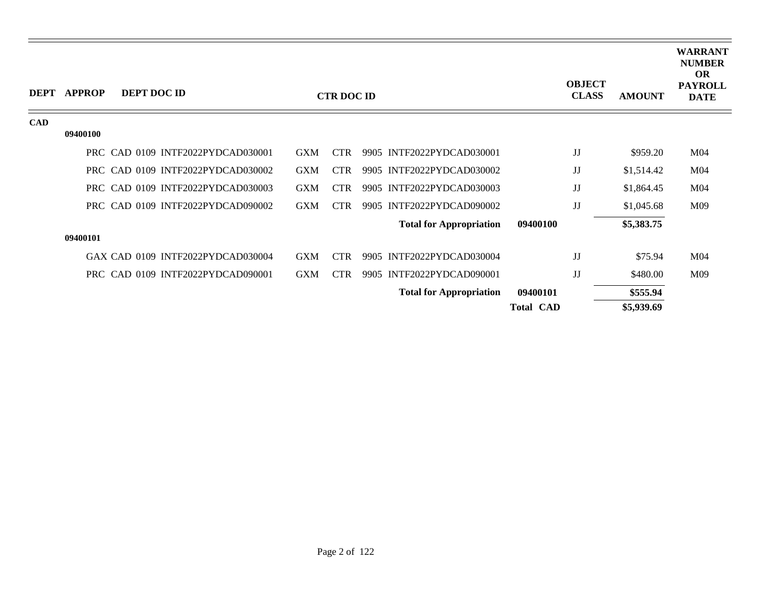| <b>DEPT</b> | <b>APPROP</b> | DEPT DOC ID |                                   |            | <b>CTR DOC ID</b> |                                |                  | <b>OBJECT</b><br><b>CLASS</b> | <b>AMOUNT</b> | <b>WARRANT</b><br><b>NUMBER</b><br><b>OR</b><br><b>PAYROLL</b><br><b>DATE</b> |
|-------------|---------------|-------------|-----------------------------------|------------|-------------------|--------------------------------|------------------|-------------------------------|---------------|-------------------------------------------------------------------------------|
| CAD         | 09400100      |             |                                   |            |                   |                                |                  |                               |               |                                                                               |
|             |               |             | PRC CAD 0109 INTF2022PYDCAD030001 | <b>GXM</b> | <b>CTR</b>        | 9905 INTF2022PYDCAD030001      |                  | JJ                            | \$959.20      | M <sub>04</sub>                                                               |
|             |               |             | PRC CAD 0109 INTF2022PYDCAD030002 | <b>GXM</b> | <b>CTR</b>        | 9905 INTF2022PYDCAD030002      |                  | JJ                            | \$1,514.42    | M <sub>04</sub>                                                               |
|             |               |             | PRC CAD 0109 INTF2022PYDCAD030003 | <b>GXM</b> | <b>CTR</b>        | 9905 INTF2022PYDCAD030003      |                  | JJ                            | \$1,864.45    | M <sub>04</sub>                                                               |
|             |               |             | PRC CAD 0109 INTF2022PYDCAD090002 | <b>GXM</b> | <b>CTR</b>        | 9905 INTF2022PYDCAD090002      |                  | JJ                            | \$1,045.68    | M09                                                                           |
|             |               |             |                                   |            |                   | <b>Total for Appropriation</b> | 09400100         |                               | \$5,383.75    |                                                                               |
|             | 09400101      |             |                                   |            |                   |                                |                  |                               |               |                                                                               |
|             |               |             | GAX CAD 0109 INTF2022PYDCAD030004 | <b>GXM</b> | <b>CTR</b>        | 9905 INTF2022PYDCAD030004      |                  | JJ                            | \$75.94       | M <sub>04</sub>                                                               |
|             |               |             | PRC CAD 0109 INTF2022PYDCAD090001 | <b>GXM</b> | <b>CTR</b>        | 9905 INTF2022PYDCAD090001      |                  | JJ                            | \$480.00      | M09                                                                           |
|             |               |             |                                   |            |                   | <b>Total for Appropriation</b> | 09400101         |                               | \$555.94      |                                                                               |
|             |               |             |                                   |            |                   |                                | <b>Total CAD</b> |                               | \$5,939.69    |                                                                               |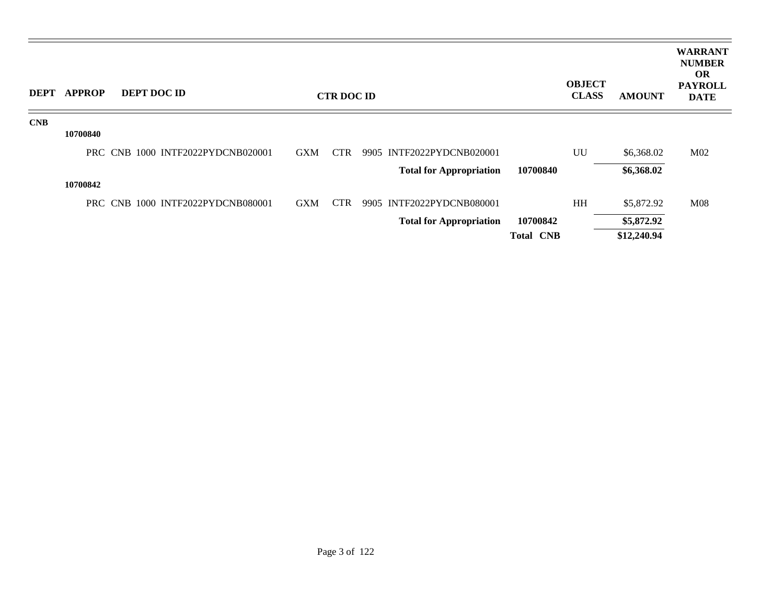| <b>DEPT</b> | <b>APPROP</b> | <b>DEPT DOC ID</b>                |            | <b>CTR DOC ID</b> |                                |                  | <b>OBJECT</b><br><b>CLASS</b> | <b>AMOUNT</b> | <b>WARRANT</b><br><b>NUMBER</b><br><b>OR</b><br><b>PAYROLL</b><br><b>DATE</b> |
|-------------|---------------|-----------------------------------|------------|-------------------|--------------------------------|------------------|-------------------------------|---------------|-------------------------------------------------------------------------------|
| CNB         |               |                                   |            |                   |                                |                  |                               |               |                                                                               |
|             | 10700840      |                                   |            |                   |                                |                  |                               |               |                                                                               |
|             |               | PRC CNB 1000 INTF2022PYDCNB020001 | <b>GXM</b> | <b>CTR</b>        | 9905 INTF2022PYDCNB020001      |                  | UU                            | \$6,368.02    | M <sub>02</sub>                                                               |
|             |               |                                   |            |                   | <b>Total for Appropriation</b> | 10700840         |                               | \$6,368.02    |                                                                               |
|             | 10700842      |                                   |            |                   |                                |                  |                               |               |                                                                               |
|             |               | PRC CNB 1000 INTF2022PYDCNB080001 | <b>GXM</b> | <b>CTR</b>        | 9905 INTF2022PYDCNB080001      |                  | HH                            | \$5,872.92    | <b>M08</b>                                                                    |
|             |               |                                   |            |                   | <b>Total for Appropriation</b> | 10700842         |                               | \$5,872.92    |                                                                               |
|             |               |                                   |            |                   |                                | <b>Total CNB</b> |                               | \$12,240.94   |                                                                               |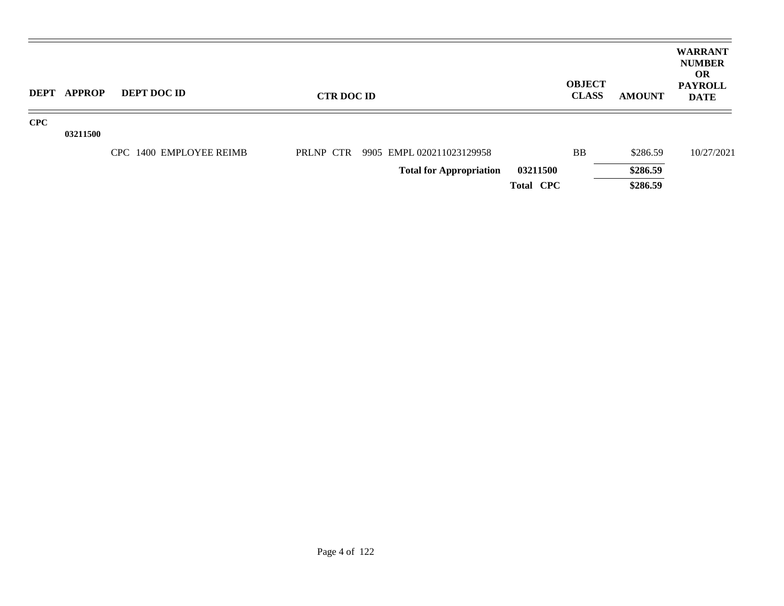| DEPT       | APPROP   | <b>DEPT DOC ID</b>      | <b>CTR DOC ID</b> |                                |                  | <b>OBJECT</b><br><b>CLASS</b> | <b>AMOUNT</b> | <b>WARRANT</b><br><b>NUMBER</b><br>OR.<br><b>PAYROLL</b><br><b>DATE</b> |
|------------|----------|-------------------------|-------------------|--------------------------------|------------------|-------------------------------|---------------|-------------------------------------------------------------------------|
| <b>CPC</b> |          |                         |                   |                                |                  |                               |               |                                                                         |
|            | 03211500 |                         |                   |                                |                  |                               |               |                                                                         |
|            |          | CPC 1400 EMPLOYEE REIMB | PRLNP CTR         | 9905 EMPL 020211023129958      |                  | <b>BB</b>                     | \$286.59      | 10/27/2021                                                              |
|            |          |                         |                   | <b>Total for Appropriation</b> | 03211500         |                               | \$286.59      |                                                                         |
|            |          |                         |                   |                                | <b>Total CPC</b> |                               | \$286.59      |                                                                         |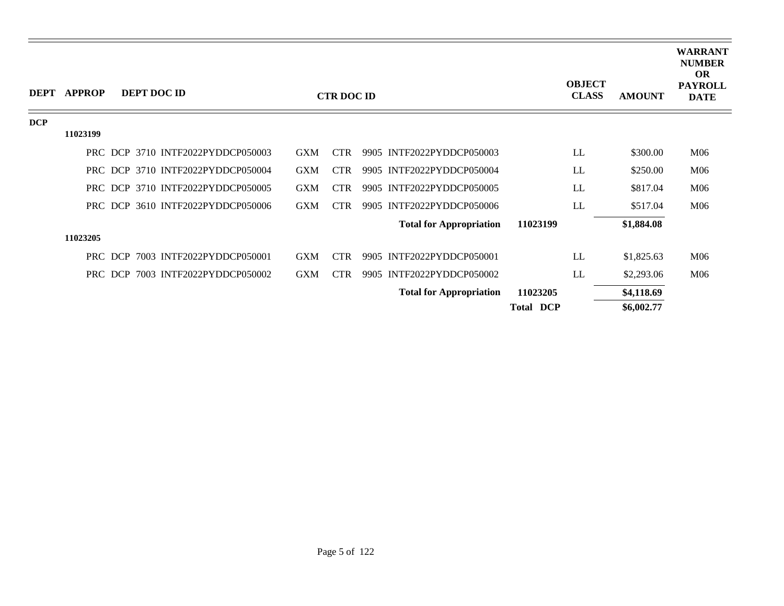| <b>DEPT</b> | <b>APPROP</b> |         | <b>DEPT DOC ID</b>                |            | <b>CTR DOC ID</b> |                                |                  | <b>OBJECT</b><br><b>CLASS</b> | <b>AMOUNT</b> | <b>WARRANT</b><br><b>NUMBER</b><br><b>OR</b><br><b>PAYROLL</b><br><b>DATE</b> |
|-------------|---------------|---------|-----------------------------------|------------|-------------------|--------------------------------|------------------|-------------------------------|---------------|-------------------------------------------------------------------------------|
| <b>DCP</b>  |               |         |                                   |            |                   |                                |                  |                               |               |                                                                               |
|             | 11023199      |         |                                   |            |                   |                                |                  |                               |               |                                                                               |
|             |               |         | PRC DCP 3710 INTF2022PYDDCP050003 | <b>GXM</b> | <b>CTR</b>        | 9905 INTF2022PYDDCP050003      |                  | LL                            | \$300.00      | M06                                                                           |
|             |               |         | PRC DCP 3710 INTF2022PYDDCP050004 | <b>GXM</b> | <b>CTR</b>        | 9905 INTF2022PYDDCP050004      |                  | LL                            | \$250.00      | M06                                                                           |
|             |               |         | PRC DCP 3710 INTF2022PYDDCP050005 | <b>GXM</b> | <b>CTR</b>        | 9905 INTF2022PYDDCP050005      |                  | LL                            | \$817.04      | M06                                                                           |
|             |               |         | PRC DCP 3610 INTF2022PYDDCP050006 | <b>GXM</b> | <b>CTR</b>        | 9905 INTF2022PYDDCP050006      |                  | LL                            | \$517.04      | M06                                                                           |
|             |               |         |                                   |            |                   | <b>Total for Appropriation</b> | 11023199         |                               | \$1,884.08    |                                                                               |
|             | 11023205      |         |                                   |            |                   |                                |                  |                               |               |                                                                               |
|             |               | PRC DCP | 7003 INTF2022PYDDCP050001         | <b>GXM</b> | <b>CTR</b>        | 9905 INTF2022PYDDCP050001      |                  | LL                            | \$1,825.63    | M06                                                                           |
|             |               | PRC DCP | 7003 INTF2022PYDDCP050002         | <b>GXM</b> | <b>CTR</b>        | 9905 INTF2022PYDDCP050002      |                  | LL                            | \$2,293.06    | M06                                                                           |
|             |               |         |                                   |            |                   | <b>Total for Appropriation</b> | 11023205         |                               | \$4,118.69    |                                                                               |
|             |               |         |                                   |            |                   |                                | <b>Total DCP</b> |                               | \$6,002.77    |                                                                               |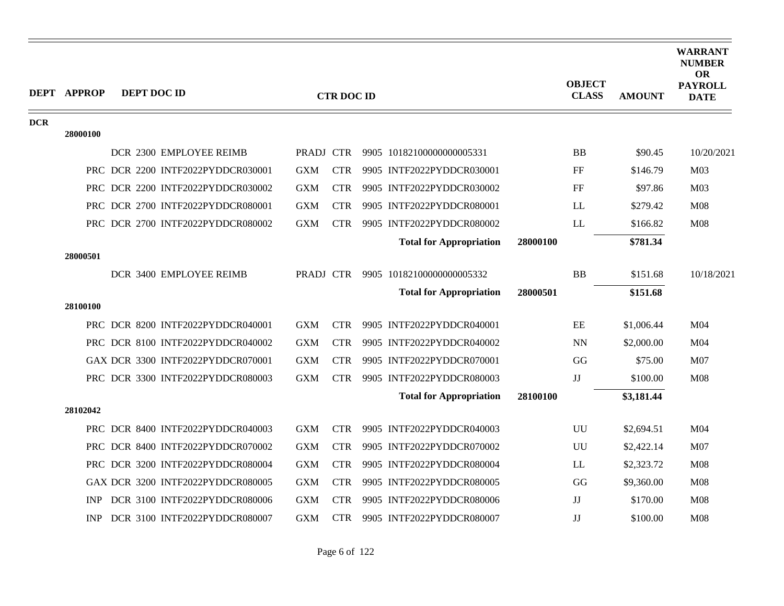|            | <b>DEPT APPROP</b> | DEPT DOC ID                       |            | <b>CTR DOC ID</b> |                                |          | <b>OBJECT</b><br><b>CLASS</b> | <b>AMOUNT</b> | <b>WARRANT</b><br><b>NUMBER</b><br><b>OR</b><br><b>PAYROLL</b><br><b>DATE</b> |
|------------|--------------------|-----------------------------------|------------|-------------------|--------------------------------|----------|-------------------------------|---------------|-------------------------------------------------------------------------------|
| <b>DCR</b> | 28000100           |                                   |            |                   |                                |          |                               |               |                                                                               |
|            |                    | DCR 2300 EMPLOYEE REIMB           | PRADJ CTR  |                   | 9905 10182100000000005331      |          | <b>BB</b>                     | \$90.45       | 10/20/2021                                                                    |
|            |                    | PRC DCR 2200 INTF2022PYDDCR030001 | <b>GXM</b> | <b>CTR</b>        | 9905 INTF2022PYDDCR030001      |          | FF                            | \$146.79      | M <sub>03</sub>                                                               |
|            |                    | PRC DCR 2200 INTF2022PYDDCR030002 | <b>GXM</b> | <b>CTR</b>        | 9905 INTF2022PYDDCR030002      |          | FF                            | \$97.86       | M <sub>03</sub>                                                               |
|            |                    | PRC DCR 2700 INTF2022PYDDCR080001 | <b>GXM</b> | <b>CTR</b>        | 9905 INTF2022PYDDCR080001      |          | LL                            | \$279.42      | <b>M08</b>                                                                    |
|            |                    | PRC DCR 2700 INTF2022PYDDCR080002 | <b>GXM</b> | <b>CTR</b>        | 9905 INTF2022PYDDCR080002      |          | LL                            | \$166.82      | <b>M08</b>                                                                    |
|            |                    |                                   |            |                   | <b>Total for Appropriation</b> | 28000100 |                               | \$781.34      |                                                                               |
|            | 28000501           |                                   |            |                   |                                |          |                               |               |                                                                               |
|            |                    | DCR 3400 EMPLOYEE REIMB           | PRADJ CTR  |                   | 9905 10182100000000005332      |          | <b>BB</b>                     | \$151.68      | 10/18/2021                                                                    |
|            |                    |                                   |            |                   | <b>Total for Appropriation</b> | 28000501 |                               | \$151.68      |                                                                               |
|            | 28100100           |                                   |            |                   |                                |          |                               |               |                                                                               |
|            |                    | PRC DCR 8200 INTF2022PYDDCR040001 | <b>GXM</b> | <b>CTR</b>        | 9905 INTF2022PYDDCR040001      |          | EE                            | \$1,006.44    | M <sub>04</sub>                                                               |
|            |                    | PRC DCR 8100 INTF2022PYDDCR040002 | <b>GXM</b> | <b>CTR</b>        | 9905 INTF2022PYDDCR040002      |          | <b>NN</b>                     | \$2,000.00    | M <sub>04</sub>                                                               |
|            |                    | GAX DCR 3300 INTF2022PYDDCR070001 | <b>GXM</b> | <b>CTR</b>        | 9905 INTF2022PYDDCR070001      |          | GG                            | \$75.00       | M07                                                                           |
|            |                    | PRC DCR 3300 INTF2022PYDDCR080003 | <b>GXM</b> | <b>CTR</b>        | 9905 INTF2022PYDDCR080003      |          | $\mathbf{J}\mathbf{J}$        | \$100.00      | <b>M08</b>                                                                    |
|            |                    |                                   |            |                   | <b>Total for Appropriation</b> | 28100100 |                               | \$3,181.44    |                                                                               |
|            | 28102042           |                                   |            |                   |                                |          |                               |               |                                                                               |
|            |                    | PRC DCR 8400 INTF2022PYDDCR040003 | <b>GXM</b> | <b>CTR</b>        | 9905 INTF2022PYDDCR040003      |          | <b>UU</b>                     | \$2,694.51    | M <sub>04</sub>                                                               |
|            |                    | PRC DCR 8400 INTF2022PYDDCR070002 | <b>GXM</b> | <b>CTR</b>        | 9905 INTF2022PYDDCR070002      |          | UU                            | \$2,422.14    | M07                                                                           |
|            |                    | PRC DCR 3200 INTF2022PYDDCR080004 | <b>GXM</b> | <b>CTR</b>        | 9905 INTF2022PYDDCR080004      |          | LL                            | \$2,323.72    | <b>M08</b>                                                                    |
|            |                    | GAX DCR 3200 INTF2022PYDDCR080005 | <b>GXM</b> | <b>CTR</b>        | 9905 INTF2022PYDDCR080005      |          | GG                            | \$9,360.00    | <b>M08</b>                                                                    |
|            | <b>INP</b>         | DCR 3100 INTF2022PYDDCR080006     | <b>GXM</b> | <b>CTR</b>        | 9905 INTF2022PYDDCR080006      |          | JJ                            | \$170.00      | <b>M08</b>                                                                    |
|            | INP                | DCR 3100 INTF2022PYDDCR080007     | <b>GXM</b> | <b>CTR</b>        | 9905 INTF2022PYDDCR080007      |          | $\mathbf{J}\mathbf{J}$        | \$100.00      | <b>M08</b>                                                                    |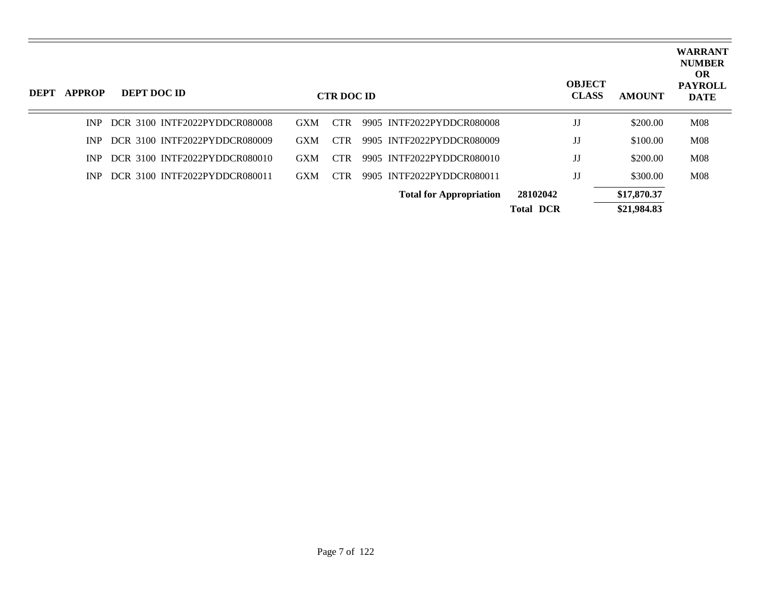| DEPT | <b>APPROP</b> | DEPT DOC ID                   |            | <b>CTR DOC ID</b> |                                |                  | <b>OBJECT</b><br><b>CLASS</b> | <b>AMOUNT</b> | <b>WARRANT</b><br><b>NUMBER</b><br><b>OR</b><br><b>PAYROLL</b><br><b>DATE</b> |
|------|---------------|-------------------------------|------------|-------------------|--------------------------------|------------------|-------------------------------|---------------|-------------------------------------------------------------------------------|
|      | INP.          | DCR 3100 INTF2022PYDDCR080008 | <b>GXM</b> | <b>CTR</b>        | 9905 INTF2022PYDDCR080008      |                  | $_{\rm JJ}$                   | \$200.00      | M <sub>08</sub>                                                               |
|      | INP.          | DCR 3100 INTF2022PYDDCR080009 | <b>GXM</b> | <b>CTR</b>        | 9905 INTF2022PYDDCR080009      |                  | JJ                            | \$100.00      | M <sub>08</sub>                                                               |
|      | INP.          | DCR 3100 INTF2022PYDDCR080010 | <b>GXM</b> | CTR.              | 9905 INTF2022PYDDCR080010      |                  | JJ                            | \$200.00      | M08                                                                           |
|      | INP.          | DCR 3100 INTF2022PYDDCR080011 | <b>GXM</b> | <b>CTR</b>        | 9905 INTF2022PYDDCR080011      |                  | JJ                            | \$300.00      | M <sub>08</sub>                                                               |
|      |               |                               |            |                   | <b>Total for Appropriation</b> | 28102042         |                               | \$17,870.37   |                                                                               |
|      |               |                               |            |                   |                                | <b>Total DCR</b> |                               | \$21,984.83   |                                                                               |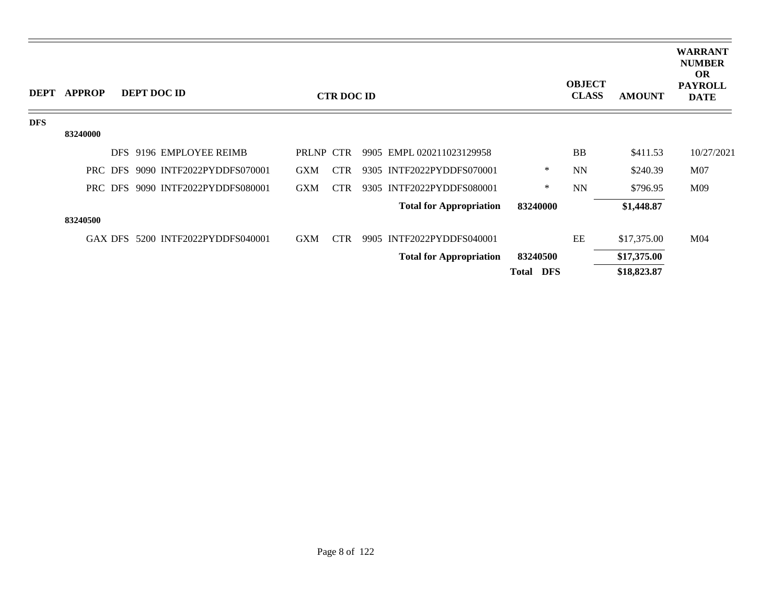| <b>DEPT</b> | <b>APPROP</b> |         | DEPT DOC ID                       |            | <b>CTR DOC ID</b> |                                |              | <b>OBJECT</b><br><b>CLASS</b> | <b>AMOUNT</b> | <b>WARRANT</b><br><b>NUMBER</b><br><b>OR</b><br><b>PAYROLL</b><br><b>DATE</b> |
|-------------|---------------|---------|-----------------------------------|------------|-------------------|--------------------------------|--------------|-------------------------------|---------------|-------------------------------------------------------------------------------|
| <b>DFS</b>  |               |         |                                   |            |                   |                                |              |                               |               |                                                                               |
|             | 83240000      |         |                                   |            |                   |                                |              |                               |               |                                                                               |
|             |               |         | DFS 9196 EMPLOYEE REIMB           | PRLNP CTR  |                   | 9905 EMPL 020211023129958      |              | <b>BB</b>                     | \$411.53      | 10/27/2021                                                                    |
|             |               |         | PRC DFS 9090 INTF2022PYDDFS070001 | <b>GXM</b> | <b>CTR</b>        | 9305 INTF2022PYDDFS070001      | ∗            | <b>NN</b>                     | \$240.39      | M07                                                                           |
|             |               |         | PRC DFS 9090 INTF2022PYDDFS080001 | <b>GXM</b> | <b>CTR</b>        | 9305 INTF2022PYDDFS080001      | $\ast$       | <b>NN</b>                     | \$796.95      | M09                                                                           |
|             |               |         |                                   |            |                   | <b>Total for Appropriation</b> | 83240000     |                               | \$1,448.87    |                                                                               |
|             | 83240500      |         |                                   |            |                   |                                |              |                               |               |                                                                               |
|             |               | GAX DFS | 5200 INTF2022PYDDFS040001         | <b>GXM</b> | <b>CTR</b>        | 9905 INTF2022PYDDFS040001      |              | EE                            | \$17,375.00   | M <sub>04</sub>                                                               |
|             |               |         |                                   |            |                   | <b>Total for Appropriation</b> | 83240500     |                               | \$17,375.00   |                                                                               |
|             |               |         |                                   |            |                   |                                | DFS<br>Total |                               | \$18,823.87   |                                                                               |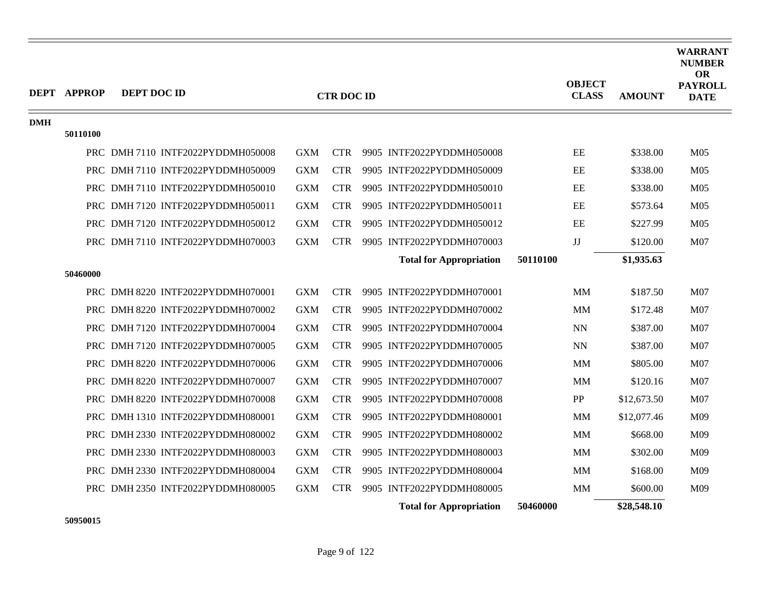|            | <b>DEPT APPROP</b> | DEPT DOC ID                       |            | <b>CTR DOC ID</b> |                                |          | <b>OBJECT</b><br><b>CLASS</b> | <b>AMOUNT</b> | <b>WARRANT</b><br><b>NUMBER</b><br><b>OR</b><br><b>PAYROLL</b><br><b>DATE</b> |
|------------|--------------------|-----------------------------------|------------|-------------------|--------------------------------|----------|-------------------------------|---------------|-------------------------------------------------------------------------------|
| <b>DMH</b> |                    |                                   |            |                   |                                |          |                               |               |                                                                               |
|            | 50110100           |                                   |            |                   |                                |          |                               |               |                                                                               |
|            |                    | PRC DMH 7110 INTF2022PYDDMH050008 | <b>GXM</b> | <b>CTR</b>        | 9905 INTF2022PYDDMH050008      |          | $\rm EE$                      | \$338.00      | M <sub>05</sub>                                                               |
|            |                    | PRC DMH 7110 INTF2022PYDDMH050009 | <b>GXM</b> | <b>CTR</b>        | 9905 INTF2022PYDDMH050009      |          | EE                            | \$338.00      | M <sub>05</sub>                                                               |
|            |                    | PRC DMH 7110 INTF2022PYDDMH050010 | <b>GXM</b> | <b>CTR</b>        | 9905 INTF2022PYDDMH050010      |          | $\rm EE$                      | \$338.00      | M <sub>05</sub>                                                               |
|            |                    | PRC DMH 7120 INTF2022PYDDMH050011 | <b>GXM</b> | <b>CTR</b>        | 9905 INTF2022PYDDMH050011      |          | EE                            | \$573.64      | M <sub>05</sub>                                                               |
|            |                    | PRC DMH 7120 INTF2022PYDDMH050012 | <b>GXM</b> | <b>CTR</b>        | 9905 INTF2022PYDDMH050012      |          | $\rm EE$                      | \$227.99      | M <sub>05</sub>                                                               |
|            |                    | PRC DMH 7110 INTF2022PYDDMH070003 | <b>GXM</b> | <b>CTR</b>        | 9905 INTF2022PYDDMH070003      |          | JJ                            | \$120.00      | M07                                                                           |
|            |                    |                                   |            |                   | <b>Total for Appropriation</b> | 50110100 |                               | \$1,935.63    |                                                                               |
|            | 50460000           |                                   |            |                   |                                |          |                               |               |                                                                               |
|            |                    | PRC DMH 8220 INTF2022PYDDMH070001 | <b>GXM</b> | <b>CTR</b>        | 9905 INTF2022PYDDMH070001      |          | MM                            | \$187.50      | M07                                                                           |
|            |                    | PRC DMH 8220 INTF2022PYDDMH070002 | <b>GXM</b> | <b>CTR</b>        | 9905 INTF2022PYDDMH070002      |          | MМ                            | \$172.48      | M <sub>07</sub>                                                               |
|            |                    | PRC DMH 7120 INTF2022PYDDMH070004 | <b>GXM</b> | <b>CTR</b>        | 9905 INTF2022PYDDMH070004      |          | <b>NN</b>                     | \$387.00      | M07                                                                           |
|            |                    | PRC DMH 7120 INTF2022PYDDMH070005 | <b>GXM</b> | <b>CTR</b>        | 9905 INTF2022PYDDMH070005      |          | <b>NN</b>                     | \$387.00      | M <sub>07</sub>                                                               |
|            |                    | PRC DMH 8220 INTF2022PYDDMH070006 | <b>GXM</b> | <b>CTR</b>        | 9905 INTF2022PYDDMH070006      |          | MM                            | \$805.00      | M <sub>07</sub>                                                               |
|            |                    | PRC DMH 8220 INTF2022PYDDMH070007 | <b>GXM</b> | <b>CTR</b>        | 9905 INTF2022PYDDMH070007      |          | MМ                            | \$120.16      | M07                                                                           |
|            |                    | PRC DMH 8220 INTF2022PYDDMH070008 | <b>GXM</b> | <b>CTR</b>        | 9905 INTF2022PYDDMH070008      |          | PP                            | \$12,673.50   | M <sub>07</sub>                                                               |
|            |                    | PRC DMH 1310 INTF2022PYDDMH080001 | <b>GXM</b> | <b>CTR</b>        | 9905 INTF2022PYDDMH080001      |          | <b>MM</b>                     | \$12,077.46   | M09                                                                           |
|            |                    | PRC DMH 2330 INTF2022PYDDMH080002 | <b>GXM</b> | <b>CTR</b>        | 9905 INTF2022PYDDMH080002      |          | MM                            | \$668.00      | M09                                                                           |
|            |                    | PRC DMH 2330 INTF2022PYDDMH080003 | <b>GXM</b> | <b>CTR</b>        | 9905 INTF2022PYDDMH080003      |          | <b>MM</b>                     | \$302.00      | M09                                                                           |
|            |                    | PRC DMH 2330 INTF2022PYDDMH080004 | <b>GXM</b> | <b>CTR</b>        | 9905 INTF2022PYDDMH080004      |          | MM                            | \$168.00      | M09                                                                           |
|            |                    | PRC DMH 2350 INTF2022PYDDMH080005 | <b>GXM</b> | <b>CTR</b>        | 9905 INTF2022PYDDMH080005      |          | MM                            | \$600.00      | M09                                                                           |
|            |                    |                                   |            |                   | <b>Total for Appropriation</b> | 50460000 |                               | \$28,548.10   |                                                                               |

**50950015**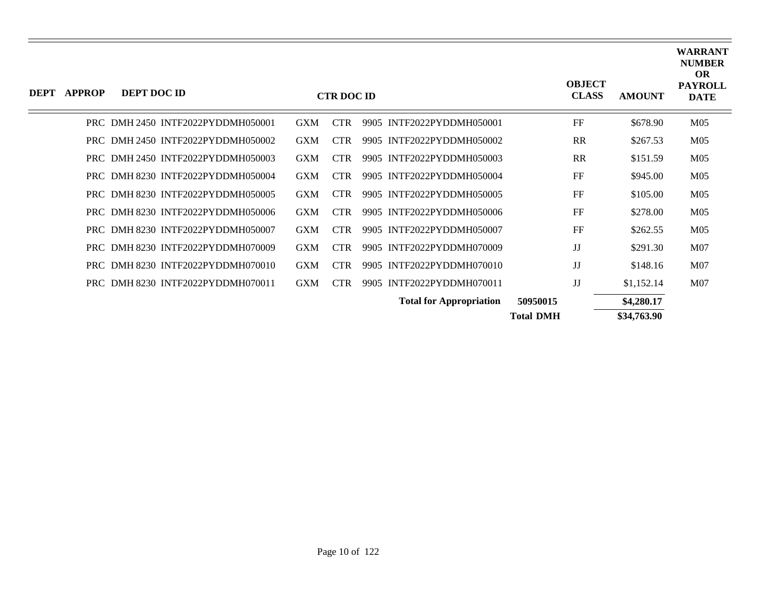| DEPT | <b>APPROP</b> | DEPT DOC ID                       |            | <b>CTR DOC ID</b> |                                |                  | <b>OBJECT</b><br><b>CLASS</b> | <b>AMOUNT</b> | <b>WARRANT</b><br><b>NUMBER</b><br><b>OR</b><br><b>PAYROLL</b><br><b>DATE</b> |
|------|---------------|-----------------------------------|------------|-------------------|--------------------------------|------------------|-------------------------------|---------------|-------------------------------------------------------------------------------|
|      |               | PRC DMH 2450 INTF2022PYDDMH050001 | <b>GXM</b> | <b>CTR</b>        | 9905 INTF2022PYDDMH050001      |                  | FF                            | \$678.90      | M <sub>05</sub>                                                               |
|      |               | PRC DMH 2450 INTF2022PYDDMH050002 | <b>GXM</b> | <b>CTR</b>        | 9905 INTF2022PYDDMH050002      |                  | <b>RR</b>                     | \$267.53      | M <sub>05</sub>                                                               |
|      |               | PRC DMH 2450 INTF2022PYDDMH050003 | <b>GXM</b> | <b>CTR</b>        | 9905 INTF2022PYDDMH050003      |                  | <b>RR</b>                     | \$151.59      | M <sub>05</sub>                                                               |
|      |               | PRC DMH 8230 INTF2022PYDDMH050004 | <b>GXM</b> | <b>CTR</b>        | 9905 INTF2022PYDDMH050004      |                  | FF                            | \$945.00      | M <sub>05</sub>                                                               |
|      |               | PRC DMH 8230 INTF2022PYDDMH050005 | <b>GXM</b> | <b>CTR</b>        | 9905 INTF2022PYDDMH050005      |                  | FF                            | \$105.00      | M <sub>05</sub>                                                               |
|      |               | PRC DMH8230 INTF2022PYDDMH050006  | <b>GXM</b> | <b>CTR</b>        | 9905 INTF2022PYDDMH050006      |                  | FF                            | \$278.00      | M <sub>05</sub>                                                               |
|      |               | PRC DMH8230 INTF2022PYDDMH050007  | <b>GXM</b> | <b>CTR</b>        | 9905 INTF2022PYDDMH050007      |                  | FF                            | \$262.55      | M <sub>05</sub>                                                               |
|      |               | PRC DMH8230 INTF2022PYDDMH070009  | <b>GXM</b> | <b>CTR</b>        | 9905 INTF2022PYDDMH070009      |                  | JJ                            | \$291.30      | M07                                                                           |
|      |               | PRC DMH8230 INTF2022PYDDMH070010  | <b>GXM</b> | <b>CTR</b>        | 9905 INTF2022PYDDMH070010      |                  | JJ                            | \$148.16      | M07                                                                           |
|      |               | PRC DMH 8230 INTF2022PYDDMH070011 | <b>GXM</b> | <b>CTR</b>        | 9905 INTF2022PYDDMH070011      |                  | JJ                            | \$1,152.14    | M07                                                                           |
|      |               |                                   |            |                   | <b>Total for Appropriation</b> | 50950015         |                               | \$4,280.17    |                                                                               |
|      |               |                                   |            |                   |                                | <b>Total DMH</b> |                               | \$34,763.90   |                                                                               |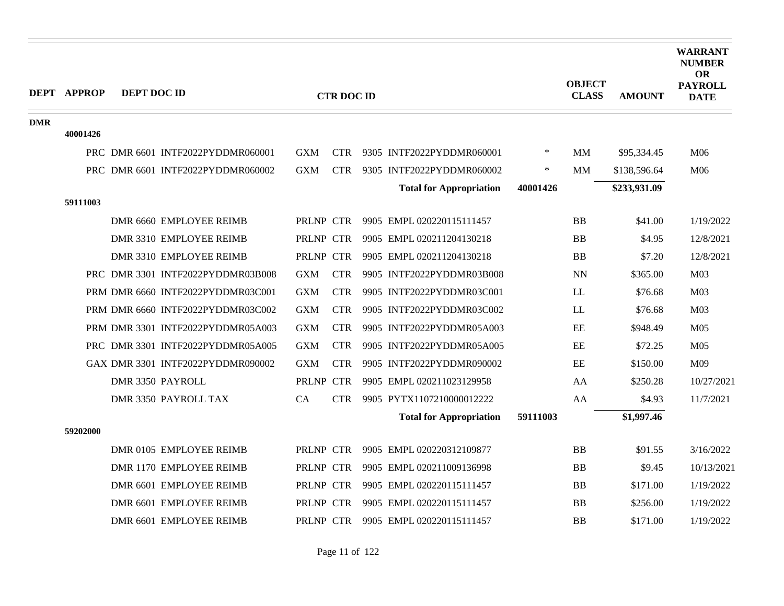|            | <b>DEPT APPROP</b> | DEPT DOC ID |                                   |            |                   |                                |          | <b>OBJECT</b> |               | <b>WARRANT</b><br><b>NUMBER</b><br><b>OR</b><br><b>PAYROLL</b> |
|------------|--------------------|-------------|-----------------------------------|------------|-------------------|--------------------------------|----------|---------------|---------------|----------------------------------------------------------------|
|            |                    |             |                                   |            | <b>CTR DOC ID</b> |                                |          | <b>CLASS</b>  | <b>AMOUNT</b> | <b>DATE</b>                                                    |
| <b>DMR</b> |                    |             |                                   |            |                   |                                |          |               |               |                                                                |
|            | 40001426           |             |                                   |            |                   |                                |          |               |               |                                                                |
|            |                    |             | PRC DMR 6601 INTF2022PYDDMR060001 | <b>GXM</b> | <b>CTR</b>        | 9305 INTF2022PYDDMR060001      | $\ast$   | <b>MM</b>     | \$95,334.45   | M06                                                            |
|            |                    |             | PRC DMR 6601 INTF2022PYDDMR060002 | <b>GXM</b> | <b>CTR</b>        | 9305 INTF2022PYDDMR060002      | $\ast$   | <b>MM</b>     | \$138,596.64  | M06                                                            |
|            |                    |             |                                   |            |                   | <b>Total for Appropriation</b> | 40001426 |               | \$233,931.09  |                                                                |
|            | 59111003           |             |                                   |            |                   |                                |          |               |               |                                                                |
|            |                    |             | DMR 6660 EMPLOYEE REIMB           | PRLNP CTR  |                   | 9905 EMPL 020220115111457      |          | <b>BB</b>     | \$41.00       | 1/19/2022                                                      |
|            |                    |             | DMR 3310 EMPLOYEE REIMB           | PRLNP CTR  |                   | 9905 EMPL 020211204130218      |          | <b>BB</b>     | \$4.95        | 12/8/2021                                                      |
|            |                    |             | DMR 3310 EMPLOYEE REIMB           | PRLNP CTR  |                   | 9905 EMPL 020211204130218      |          | <b>BB</b>     | \$7.20        | 12/8/2021                                                      |
|            |                    |             | PRC DMR 3301 INTF2022PYDDMR03B008 | <b>GXM</b> | <b>CTR</b>        | 9905 INTF2022PYDDMR03B008      |          | <b>NN</b>     | \$365.00      | M <sub>03</sub>                                                |
|            |                    |             | PRM DMR 6660 INTF2022PYDDMR03C001 | <b>GXM</b> | <b>CTR</b>        | 9905 INTF2022PYDDMR03C001      |          | LL            | \$76.68       | M <sub>03</sub>                                                |
|            |                    |             | PRM DMR 6660 INTF2022PYDDMR03C002 | <b>GXM</b> | <b>CTR</b>        | 9905 INTF2022PYDDMR03C002      |          | LL            | \$76.68       | M <sub>03</sub>                                                |
|            |                    |             | PRM DMR 3301 INTF2022PYDDMR05A003 | <b>GXM</b> | <b>CTR</b>        | 9905 INTF2022PYDDMR05A003      |          | EE            | \$948.49      | M <sub>05</sub>                                                |
|            |                    |             | PRC DMR 3301 INTF2022PYDDMR05A005 | <b>GXM</b> | <b>CTR</b>        | 9905 INTF2022PYDDMR05A005      |          | EE            | \$72.25       | M <sub>05</sub>                                                |
|            |                    |             | GAX DMR 3301 INTF2022PYDDMR090002 | <b>GXM</b> | <b>CTR</b>        | 9905 INTF2022PYDDMR090002      |          | EE            | \$150.00      | M09                                                            |
|            |                    |             | DMR 3350 PAYROLL                  | PRLNP CTR  |                   | 9905 EMPL 020211023129958      |          | AA            | \$250.28      | 10/27/2021                                                     |
|            |                    |             | DMR 3350 PAYROLL TAX              | CA         | <b>CTR</b>        | 9905 PYTX1107210000012222      |          | AA            | \$4.93        | 11/7/2021                                                      |
|            |                    |             |                                   |            |                   | <b>Total for Appropriation</b> | 59111003 |               | \$1,997.46    |                                                                |
|            | 59202000           |             |                                   |            |                   |                                |          |               |               |                                                                |
|            |                    |             | DMR 0105 EMPLOYEE REIMB           | PRLNP CTR  |                   | 9905 EMPL 020220312109877      |          | <b>BB</b>     | \$91.55       | 3/16/2022                                                      |
|            |                    |             | DMR 1170 EMPLOYEE REIMB           | PRLNP CTR  |                   | 9905 EMPL 020211009136998      |          | <b>BB</b>     | \$9.45        | 10/13/2021                                                     |
|            |                    |             | DMR 6601 EMPLOYEE REIMB           | PRLNP CTR  |                   | 9905 EMPL 020220115111457      |          | <b>BB</b>     | \$171.00      | 1/19/2022                                                      |
|            |                    |             | DMR 6601 EMPLOYEE REIMB           | PRLNP CTR  |                   | 9905 EMPL 020220115111457      |          | <b>BB</b>     | \$256.00      | 1/19/2022                                                      |
|            |                    |             | DMR 6601 EMPLOYEE REIMB           | PRLNP CTR  |                   | 9905 EMPL 020220115111457      |          | <b>BB</b>     | \$171.00      | 1/19/2022                                                      |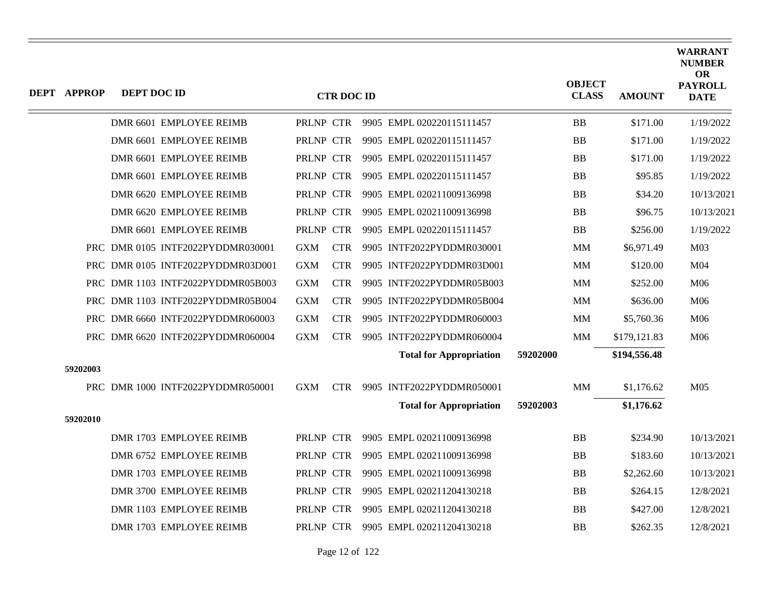| <b>DEPT APPROP</b> | DEPT DOC ID |                                   |            | <b>CTR DOC ID</b> |                                |          | <b>OBJECT</b><br><b>CLASS</b> | <b>AMOUNT</b> | <b>WARRANT</b><br><b>NUMBER</b><br><b>OR</b><br><b>PAYROLL</b><br><b>DATE</b> |
|--------------------|-------------|-----------------------------------|------------|-------------------|--------------------------------|----------|-------------------------------|---------------|-------------------------------------------------------------------------------|
|                    |             | DMR 6601 EMPLOYEE REIMB           | PRLNP CTR  |                   | 9905 EMPL 020220115111457      |          | <b>BB</b>                     | \$171.00      | 1/19/2022                                                                     |
|                    |             | DMR 6601 EMPLOYEE REIMB           | PRLNP CTR  |                   | 9905 EMPL 020220115111457      |          | <b>BB</b>                     | \$171.00      | 1/19/2022                                                                     |
|                    |             | DMR 6601 EMPLOYEE REIMB           | PRLNP CTR  |                   | 9905 EMPL 020220115111457      |          | <b>BB</b>                     | \$171.00      | 1/19/2022                                                                     |
|                    |             | DMR 6601 EMPLOYEE REIMB           | PRLNP CTR  |                   | 9905 EMPL 020220115111457      |          | <b>BB</b>                     | \$95.85       | 1/19/2022                                                                     |
|                    |             | DMR 6620 EMPLOYEE REIMB           | PRLNP CTR  |                   | 9905 EMPL 020211009136998      |          | <b>BB</b>                     | \$34.20       | 10/13/2021                                                                    |
|                    |             | DMR 6620 EMPLOYEE REIMB           | PRLNP CTR  |                   | 9905 EMPL 020211009136998      |          | <b>BB</b>                     | \$96.75       | 10/13/2021                                                                    |
|                    |             | DMR 6601 EMPLOYEE REIMB           | PRLNP CTR  |                   | 9905 EMPL 020220115111457      |          | <b>BB</b>                     | \$256.00      | 1/19/2022                                                                     |
|                    |             | PRC DMR 0105 INTF2022PYDDMR030001 | GXM        | <b>CTR</b>        | 9905 INTF2022PYDDMR030001      |          | MМ                            | \$6,971.49    | M <sub>03</sub>                                                               |
|                    |             | PRC DMR 0105 INTF2022PYDDMR03D001 | <b>GXM</b> | <b>CTR</b>        | 9905 INTF2022PYDDMR03D001      |          | <b>MM</b>                     | \$120.00      | M04                                                                           |
|                    |             | PRC DMR 1103 INTF2022PYDDMR05B003 | <b>GXM</b> | <b>CTR</b>        | 9905 INTF2022PYDDMR05B003      |          | <b>MM</b>                     | \$252.00      | M06                                                                           |
|                    |             | PRC DMR 1103 INTF2022PYDDMR05B004 | <b>GXM</b> | <b>CTR</b>        | 9905 INTF2022PYDDMR05B004      |          | $\text{MM}$                   | \$636.00      | M06                                                                           |
|                    |             | PRC DMR 6660 INTF2022PYDDMR060003 | <b>GXM</b> | <b>CTR</b>        | 9905 INTF2022PYDDMR060003      |          | <b>MM</b>                     | \$5,760.36    | M06                                                                           |
|                    |             | PRC DMR 6620 INTF2022PYDDMR060004 | <b>GXM</b> | <b>CTR</b>        | 9905 INTF2022PYDDMR060004      |          | <b>MM</b>                     | \$179,121.83  | M06                                                                           |
|                    |             |                                   |            |                   | <b>Total for Appropriation</b> | 59202000 |                               | \$194,556.48  |                                                                               |
| 59202003           |             |                                   |            |                   |                                |          |                               |               |                                                                               |
|                    |             | PRC DMR 1000 INTF2022PYDDMR050001 | <b>GXM</b> | <b>CTR</b>        | 9905 INTF2022PYDDMR050001      |          | <b>MM</b>                     | \$1,176.62    | M <sub>05</sub>                                                               |
|                    |             |                                   |            |                   | <b>Total for Appropriation</b> | 59202003 |                               | \$1,176.62    |                                                                               |
| 59202010           |             |                                   |            |                   |                                |          |                               |               |                                                                               |
|                    |             | DMR 1703 EMPLOYEE REIMB           | PRLNP CTR  |                   | 9905 EMPL 020211009136998      |          | <b>BB</b>                     | \$234.90      | 10/13/2021                                                                    |
|                    |             | DMR 6752 EMPLOYEE REIMB           | PRLNP CTR  |                   | 9905 EMPL 020211009136998      |          | <b>BB</b>                     | \$183.60      | 10/13/2021                                                                    |
|                    |             | DMR 1703 EMPLOYEE REIMB           | PRLNP CTR  |                   | 9905 EMPL 020211009136998      |          | <b>BB</b>                     | \$2,262.60    | 10/13/2021                                                                    |
|                    |             | DMR 3700 EMPLOYEE REIMB           | PRLNP CTR  |                   | 9905 EMPL 020211204130218      |          | <b>BB</b>                     | \$264.15      | 12/8/2021                                                                     |
|                    |             | DMR 1103 EMPLOYEE REIMB           | PRLNP CTR  |                   | 9905 EMPL 020211204130218      |          | <b>BB</b>                     | \$427.00      | 12/8/2021                                                                     |
|                    |             | DMR 1703 EMPLOYEE REIMB           | PRLNP CTR  |                   | 9905 EMPL 020211204130218      |          | <b>BB</b>                     | \$262.35      | 12/8/2021                                                                     |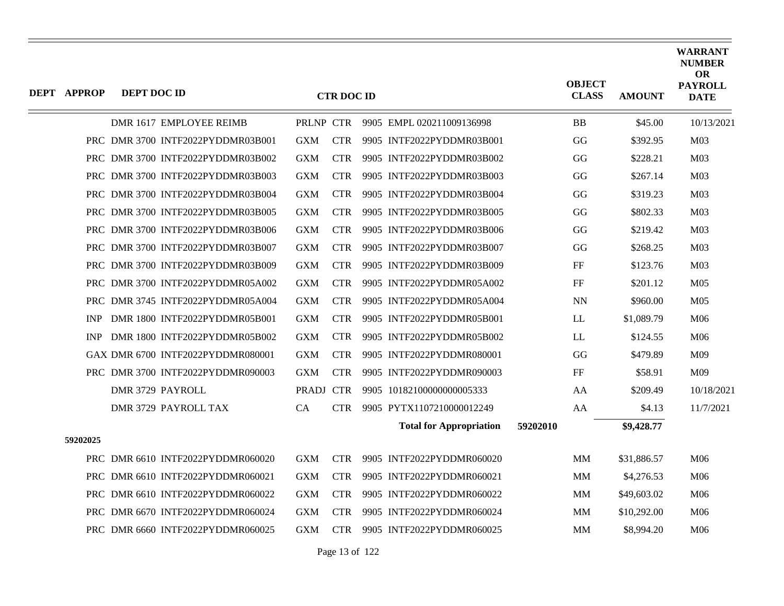| <b>DEPT APPROP</b> | <b>DEPT DOC ID</b> |                                   |            | <b>CTR DOC ID</b> |                                |          | <b>OBJECT</b><br><b>CLASS</b> | <b>AMOUNT</b> | <b>WARRANT</b><br><b>NUMBER</b><br><b>OR</b><br><b>PAYROLL</b><br><b>DATE</b> |
|--------------------|--------------------|-----------------------------------|------------|-------------------|--------------------------------|----------|-------------------------------|---------------|-------------------------------------------------------------------------------|
|                    |                    | DMR 1617 EMPLOYEE REIMB           | PRLNP CTR  |                   | 9905 EMPL 020211009136998      |          | <b>BB</b>                     | \$45.00       | 10/13/2021                                                                    |
|                    |                    | PRC DMR 3700 INTF2022PYDDMR03B001 | <b>GXM</b> | <b>CTR</b>        | 9905 INTF2022PYDDMR03B001      |          | GG                            | \$392.95      | M <sub>03</sub>                                                               |
|                    |                    | PRC DMR 3700 INTF2022PYDDMR03B002 | <b>GXM</b> | <b>CTR</b>        | 9905 INTF2022PYDDMR03B002      |          | GG                            | \$228.21      | M <sub>03</sub>                                                               |
|                    |                    | PRC DMR 3700 INTF2022PYDDMR03B003 | <b>GXM</b> | <b>CTR</b>        | 9905 INTF2022PYDDMR03B003      |          | GG                            | \$267.14      | M <sub>03</sub>                                                               |
|                    |                    | PRC DMR 3700 INTF2022PYDDMR03B004 | <b>GXM</b> | <b>CTR</b>        | 9905 INTF2022PYDDMR03B004      |          | GG                            | \$319.23      | M <sub>03</sub>                                                               |
|                    |                    | PRC DMR 3700 INTF2022PYDDMR03B005 | <b>GXM</b> | <b>CTR</b>        | 9905 INTF2022PYDDMR03B005      |          | GG                            | \$802.33      | M <sub>03</sub>                                                               |
|                    |                    | PRC DMR 3700 INTF2022PYDDMR03B006 | <b>GXM</b> | <b>CTR</b>        | 9905 INTF2022PYDDMR03B006      |          | GG                            | \$219.42      | M <sub>03</sub>                                                               |
|                    |                    | PRC DMR 3700 INTF2022PYDDMR03B007 | <b>GXM</b> | <b>CTR</b>        | 9905 INTF2022PYDDMR03B007      |          | GG                            | \$268.25      | M <sub>03</sub>                                                               |
|                    |                    | PRC DMR 3700 INTF2022PYDDMR03B009 | <b>GXM</b> | <b>CTR</b>        | 9905 INTF2022PYDDMR03B009      |          | $\rm FF$                      | \$123.76      | M <sub>03</sub>                                                               |
|                    |                    | PRC DMR 3700 INTF2022PYDDMR05A002 | <b>GXM</b> | <b>CTR</b>        | 9905 INTF2022PYDDMR05A002      |          | FF                            | \$201.12      | M <sub>05</sub>                                                               |
|                    |                    | PRC DMR 3745 INTF2022PYDDMR05A004 | <b>GXM</b> | <b>CTR</b>        | 9905 INTF2022PYDDMR05A004      |          | <b>NN</b>                     | \$960.00      | M <sub>05</sub>                                                               |
| <b>INP</b>         |                    | DMR 1800 INTF2022PYDDMR05B001     | <b>GXM</b> | <b>CTR</b>        | 9905 INTF2022PYDDMR05B001      |          | LL                            | \$1,089.79    | M06                                                                           |
| <b>INP</b>         |                    | DMR 1800 INTF2022PYDDMR05B002     | <b>GXM</b> | <b>CTR</b>        | 9905 INTF2022PYDDMR05B002      |          | LL                            | \$124.55      | M06                                                                           |
|                    |                    | GAX DMR 6700 INTF2022PYDDMR080001 | <b>GXM</b> | <b>CTR</b>        | 9905 INTF2022PYDDMR080001      |          | GG                            | \$479.89      | M09                                                                           |
|                    |                    | PRC DMR 3700 INTF2022PYDDMR090003 | <b>GXM</b> | <b>CTR</b>        | 9905 INTF2022PYDDMR090003      |          | $\rm FF$                      | \$58.91       | M09                                                                           |
|                    | DMR 3729 PAYROLL   |                                   | PRADJ CTR  |                   | 9905 10182100000000005333      |          | AA                            | \$209.49      | 10/18/2021                                                                    |
|                    |                    | DMR 3729 PAYROLL TAX              | CA         | <b>CTR</b>        | 9905 PYTX1107210000012249      |          | AA                            | \$4.13        | 11/7/2021                                                                     |
|                    |                    |                                   |            |                   | <b>Total for Appropriation</b> | 59202010 |                               | \$9,428.77    |                                                                               |
| 59202025           |                    |                                   |            |                   |                                |          |                               |               |                                                                               |
|                    |                    | PRC DMR 6610 INTF2022PYDDMR060020 | <b>GXM</b> | <b>CTR</b>        | 9905 INTF2022PYDDMR060020      |          | <b>MM</b>                     | \$31,886.57   | M06                                                                           |
|                    |                    | PRC DMR 6610 INTF2022PYDDMR060021 | <b>GXM</b> | <b>CTR</b>        | 9905 INTF2022PYDDMR060021      |          | MМ                            | \$4,276.53    | M06                                                                           |
|                    |                    | PRC DMR 6610 INTF2022PYDDMR060022 | <b>GXM</b> | <b>CTR</b>        | 9905 INTF2022PYDDMR060022      |          | <b>MM</b>                     | \$49,603.02   | M06                                                                           |
|                    |                    | PRC DMR 6670 INTF2022PYDDMR060024 | <b>GXM</b> | <b>CTR</b>        | 9905 INTF2022PYDDMR060024      |          | MМ                            | \$10,292.00   | M <sub>06</sub>                                                               |
|                    |                    | PRC DMR 6660 INTF2022PYDDMR060025 | <b>GXM</b> | <b>CTR</b>        | 9905 INTF2022PYDDMR060025      |          | MМ                            | \$8,994.20    | M06                                                                           |

Page 13 of 122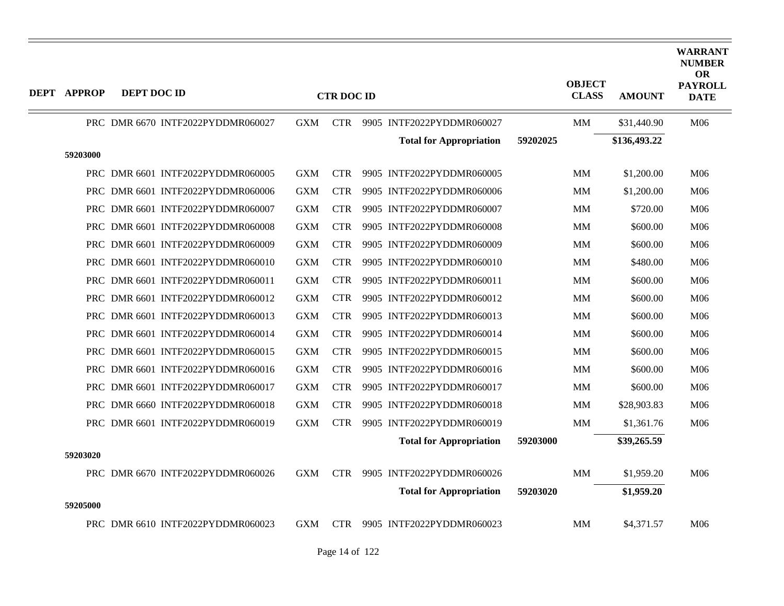| <b>DEPT APPROP</b> | DEPT DOC ID |                                   |            | <b>CTR DOC ID</b> |                                |          | <b>OBJECT</b><br><b>CLASS</b> | <b>AMOUNT</b> | <b>WARRANT</b><br><b>NUMBER</b><br><b>OR</b><br><b>PAYROLL</b><br><b>DATE</b> |
|--------------------|-------------|-----------------------------------|------------|-------------------|--------------------------------|----------|-------------------------------|---------------|-------------------------------------------------------------------------------|
|                    |             | PRC DMR 6670 INTF2022PYDDMR060027 | <b>GXM</b> |                   | CTR 9905 INTF2022PYDDMR060027  |          | MМ                            | \$31,440.90   | M06                                                                           |
|                    |             |                                   |            |                   | <b>Total for Appropriation</b> | 59202025 |                               | \$136,493.22  |                                                                               |
| 59203000           |             |                                   |            |                   |                                |          |                               |               |                                                                               |
|                    |             | PRC DMR 6601 INTF2022PYDDMR060005 | <b>GXM</b> | <b>CTR</b>        | 9905 INTF2022PYDDMR060005      |          | <b>MM</b>                     | \$1,200.00    | M06                                                                           |
|                    |             | PRC DMR 6601 INTF2022PYDDMR060006 | <b>GXM</b> | <b>CTR</b>        | 9905 INTF2022PYDDMR060006      |          | <b>MM</b>                     | \$1,200.00    | M06                                                                           |
|                    |             | PRC DMR 6601 INTF2022PYDDMR060007 | <b>GXM</b> | <b>CTR</b>        | 9905 INTF2022PYDDMR060007      |          | MM                            | \$720.00      | M06                                                                           |
|                    |             | PRC DMR 6601 INTF2022PYDDMR060008 | <b>GXM</b> | <b>CTR</b>        | 9905 INTF2022PYDDMR060008      |          | <b>MM</b>                     | \$600.00      | M06                                                                           |
|                    |             | PRC DMR 6601 INTF2022PYDDMR060009 | <b>GXM</b> | <b>CTR</b>        | 9905 INTF2022PYDDMR060009      |          | MM                            | \$600.00      | M06                                                                           |
|                    |             | PRC DMR 6601 INTF2022PYDDMR060010 | <b>GXM</b> | <b>CTR</b>        | 9905 INTF2022PYDDMR060010      |          | <b>MM</b>                     | \$480.00      | M <sub>06</sub>                                                               |
|                    |             | PRC DMR 6601 INTF2022PYDDMR060011 | <b>GXM</b> | <b>CTR</b>        | 9905 INTF2022PYDDMR060011      |          | MМ                            | \$600.00      | M06                                                                           |
|                    |             | PRC DMR 6601 INTF2022PYDDMR060012 | <b>GXM</b> | <b>CTR</b>        | 9905 INTF2022PYDDMR060012      |          | <b>MM</b>                     | \$600.00      | M06                                                                           |
|                    |             | PRC DMR 6601 INTF2022PYDDMR060013 | <b>GXM</b> | <b>CTR</b>        | 9905 INTF2022PYDDMR060013      |          | <b>MM</b>                     | \$600.00      | M06                                                                           |
| PRC                |             | DMR 6601 INTF2022PYDDMR060014     | <b>GXM</b> | <b>CTR</b>        | 9905 INTF2022PYDDMR060014      |          | <b>MM</b>                     | \$600.00      | M <sub>06</sub>                                                               |
|                    |             | PRC DMR 6601 INTF2022PYDDMR060015 | <b>GXM</b> | <b>CTR</b>        | 9905 INTF2022PYDDMR060015      |          | <b>MM</b>                     | \$600.00      | M06                                                                           |
|                    |             | PRC DMR 6601 INTF2022PYDDMR060016 | <b>GXM</b> | <b>CTR</b>        | 9905 INTF2022PYDDMR060016      |          | MM                            | \$600.00      | M06                                                                           |
|                    |             | PRC DMR 6601 INTF2022PYDDMR060017 | <b>GXM</b> | <b>CTR</b>        | 9905 INTF2022PYDDMR060017      |          | <b>MM</b>                     | \$600.00      | M06                                                                           |
|                    |             | PRC DMR 6660 INTF2022PYDDMR060018 | <b>GXM</b> | <b>CTR</b>        | 9905 INTF2022PYDDMR060018      |          | MМ                            | \$28,903.83   | M06                                                                           |
|                    |             | PRC DMR 6601 INTF2022PYDDMR060019 | <b>GXM</b> | <b>CTR</b>        | 9905 INTF2022PYDDMR060019      |          | MM                            | \$1,361.76    | M06                                                                           |
|                    |             |                                   |            |                   | <b>Total for Appropriation</b> | 59203000 |                               | \$39,265.59   |                                                                               |
| 59203020           |             |                                   |            |                   |                                |          |                               |               |                                                                               |
|                    |             | PRC DMR 6670 INTF2022PYDDMR060026 | <b>GXM</b> | <b>CTR</b>        | 9905 INTF2022PYDDMR060026      |          | MM                            | \$1,959.20    | M <sub>06</sub>                                                               |
|                    |             |                                   |            |                   | <b>Total for Appropriation</b> | 59203020 |                               | \$1,959.20    |                                                                               |
| 59205000           |             |                                   |            |                   |                                |          |                               |               |                                                                               |
|                    |             | PRC DMR 6610 INTF2022PYDDMR060023 | GXM        | <b>CTR</b>        | 9905 INTF2022PYDDMR060023      |          | MМ                            | \$4,371.57    | M06                                                                           |

 $\equiv$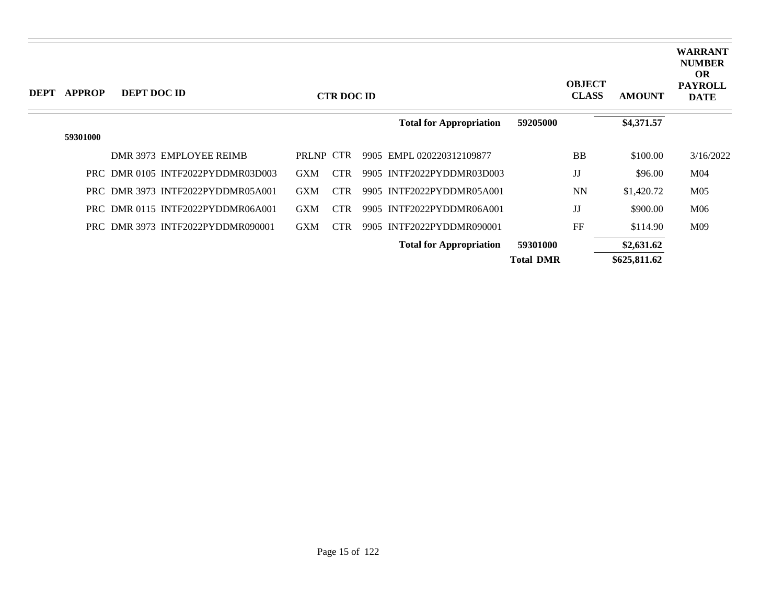| <b>DEPT</b> | <b>APPROP</b> | DEPT DOC ID |                                   |            | <b>CTR DOC ID</b> |                                |                  | <b>OBJECT</b><br><b>CLASS</b> | <b>AMOUNT</b> | <b>WARRANT</b><br><b>NUMBER</b><br><b>OR</b><br><b>PAYROLL</b><br><b>DATE</b> |
|-------------|---------------|-------------|-----------------------------------|------------|-------------------|--------------------------------|------------------|-------------------------------|---------------|-------------------------------------------------------------------------------|
|             |               |             |                                   |            |                   | <b>Total for Appropriation</b> | 59205000         |                               | \$4,371.57    |                                                                               |
|             | 59301000      |             |                                   |            |                   |                                |                  |                               |               |                                                                               |
|             |               |             | DMR 3973 EMPLOYEE REIMB           | PRLNP CTR  |                   | 9905 EMPL 020220312109877      |                  | <b>BB</b>                     | \$100.00      | 3/16/2022                                                                     |
|             |               |             | PRC DMR 0105 INTF2022PYDDMR03D003 | <b>GXM</b> | <b>CTR</b>        | 9905 INTF2022PYDDMR03D003      |                  | JJ                            | \$96.00       | M <sub>04</sub>                                                               |
|             |               |             | PRC DMR 3973 INTF2022PYDDMR05A001 | <b>GXM</b> | <b>CTR</b>        | 9905 INTF2022PYDDMR05A001      |                  | <b>NN</b>                     | \$1,420.72    | M <sub>05</sub>                                                               |
|             |               |             | PRC DMR 0115 INTF2022PYDDMR06A001 | <b>GXM</b> | <b>CTR</b>        | 9905 INTF2022PYDDMR06A001      |                  | JJ                            | \$900.00      | M06                                                                           |
|             |               |             | PRC DMR 3973 INTF2022PYDDMR090001 | <b>GXM</b> | <b>CTR</b>        | 9905 INTF2022PYDDMR090001      |                  | FF                            | \$114.90      | M09                                                                           |
|             |               |             |                                   |            |                   | <b>Total for Appropriation</b> | 59301000         |                               | \$2,631.62    |                                                                               |
|             |               |             |                                   |            |                   |                                | <b>Total DMR</b> |                               | \$625,811.62  |                                                                               |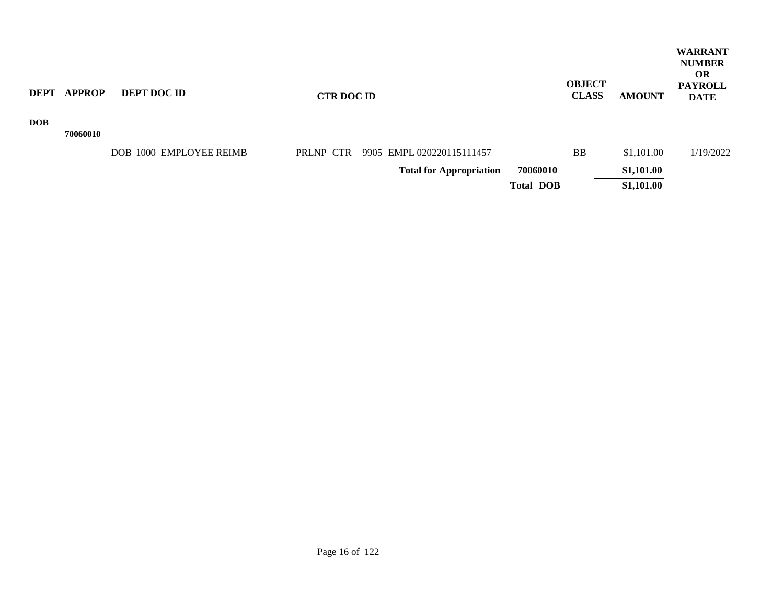|            | DEPT APPROP | <b>DEPT DOC ID</b>      | <b>CTR DOC ID</b> |                                     |                  | <b>OBJECT</b><br><b>CLASS</b> | <b>AMOUNT</b> | <b>WARRANT</b><br><b>NUMBER</b><br><b>OR</b><br><b>PAYROLL</b><br><b>DATE</b> |
|------------|-------------|-------------------------|-------------------|-------------------------------------|------------------|-------------------------------|---------------|-------------------------------------------------------------------------------|
| <b>DOB</b> |             |                         |                   |                                     |                  |                               |               |                                                                               |
|            | 70060010    |                         |                   |                                     |                  |                               |               |                                                                               |
|            |             | DOB 1000 EMPLOYEE REIMB |                   | PRLNP CTR 9905 EMPL 020220115111457 |                  | <b>BB</b>                     | \$1,101.00    | 1/19/2022                                                                     |
|            |             |                         |                   | <b>Total for Appropriation</b>      | 70060010         |                               | \$1,101.00    |                                                                               |
|            |             |                         |                   |                                     | <b>Total DOB</b> |                               | \$1,101.00    |                                                                               |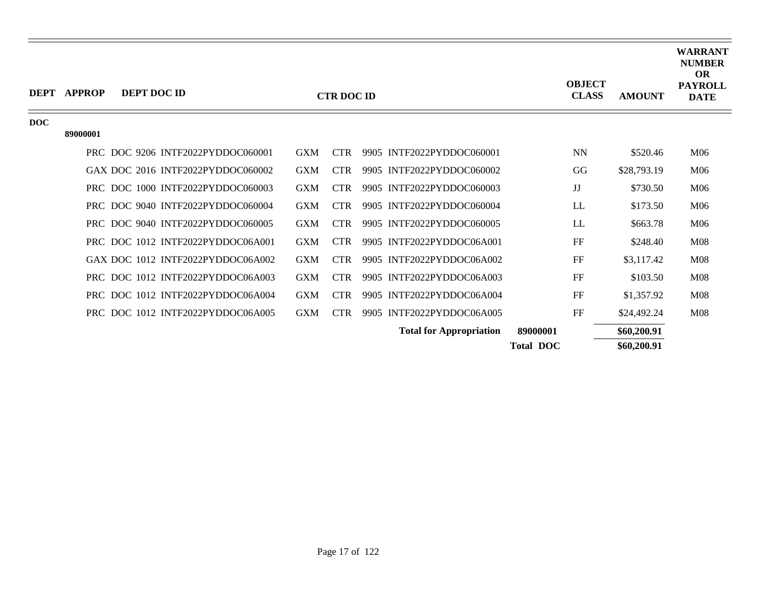| <b>DEPT</b> | <b>APPROP</b> | DEPT DOC ID |                                   |            | <b>CTR DOC ID</b> |                                | <b>OBJECT</b><br><b>CLASS</b> | <b>AMOUNT</b> | <b>WARRANT</b><br><b>NUMBER</b><br><b>OR</b><br><b>PAYROLL</b><br><b>DATE</b> |
|-------------|---------------|-------------|-----------------------------------|------------|-------------------|--------------------------------|-------------------------------|---------------|-------------------------------------------------------------------------------|
| DOC         | 89000001      |             |                                   |            |                   |                                |                               |               |                                                                               |
|             |               |             | PRC DOC 9206 INTF2022PYDDOC060001 | <b>GXM</b> | <b>CTR</b>        | 9905 INTF2022PYDDOC060001      | <b>NN</b>                     | \$520.46      | M <sub>06</sub>                                                               |
|             |               |             | GAX DOC 2016 INTF2022PYDDOC060002 | <b>GXM</b> | <b>CTR</b>        | 9905 INTF2022PYDDOC060002      | GG                            | \$28,793.19   | M <sub>06</sub>                                                               |
|             |               |             | PRC DOC 1000 INTF2022PYDDOC060003 | <b>GXM</b> | <b>CTR</b>        | 9905 INTF2022PYDDOC060003      | JJ                            | \$730.50      | M06                                                                           |
|             |               |             | PRC DOC 9040 INTF2022PYDDOC060004 | <b>GXM</b> | <b>CTR</b>        | 9905 INTF2022PYDDOC060004      | LL                            | \$173.50      | M06                                                                           |
|             |               |             | PRC DOC 9040 INTF2022PYDDOC060005 | <b>GXM</b> | <b>CTR</b>        | 9905 INTF2022PYDDOC060005      | LL                            | \$663.78      | M <sub>06</sub>                                                               |
|             |               |             | PRC DOC 1012 INTF2022PYDDOC06A001 | <b>GXM</b> | CTR.              | 9905 INTF2022PYDDOC06A001      | FF                            | \$248.40      | M <sub>08</sub>                                                               |
|             |               |             | GAX DOC 1012 INTF2022PYDDOC06A002 | <b>GXM</b> | <b>CTR</b>        | 9905 INTF2022PYDDOC06A002      | FF                            | \$3,117.42    | M <sub>08</sub>                                                               |
|             |               |             | PRC DOC 1012 INTF2022PYDDOC06A003 | <b>GXM</b> | <b>CTR</b>        | 9905 INTF2022PYDDOC06A003      | FF                            | \$103.50      | M <sub>08</sub>                                                               |
|             |               |             | PRC DOC 1012 INTF2022PYDDOC06A004 | <b>GXM</b> | <b>CTR</b>        | 9905 INTF2022PYDDOC06A004      | FF                            | \$1,357.92    | M <sub>08</sub>                                                               |
|             |               |             | PRC DOC 1012 INTF2022PYDDOC06A005 | <b>GXM</b> | <b>CTR</b>        | 9905 INTF2022PYDDOC06A005      | FF                            | \$24,492.24   | <b>M08</b>                                                                    |
|             |               |             |                                   |            |                   | <b>Total for Appropriation</b> | 89000001                      | \$60,200.91   |                                                                               |
|             |               |             |                                   |            |                   |                                | <b>Total DOC</b>              | \$60,200.91   |                                                                               |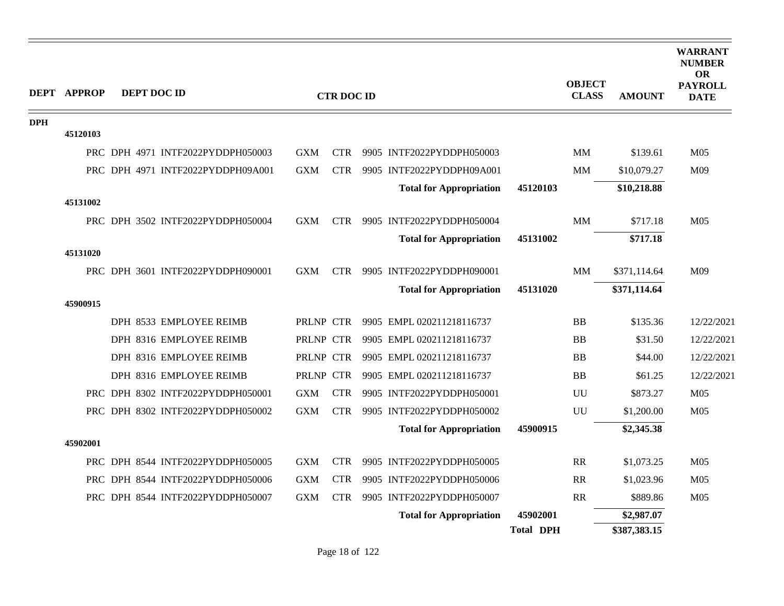|            | <b>DEPT APPROP</b> | DEPT DOC ID |                                   |            | <b>CTR DOC ID</b> |                                |                  | <b>OBJECT</b><br><b>CLASS</b> | <b>AMOUNT</b> | <b>WARRANT</b><br><b>NUMBER</b><br><b>OR</b><br><b>PAYROLL</b><br><b>DATE</b> |
|------------|--------------------|-------------|-----------------------------------|------------|-------------------|--------------------------------|------------------|-------------------------------|---------------|-------------------------------------------------------------------------------|
| <b>DPH</b> |                    |             |                                   |            |                   |                                |                  |                               |               |                                                                               |
|            | 45120103           |             |                                   |            |                   |                                |                  |                               |               |                                                                               |
|            |                    |             | PRC DPH 4971 INTF2022PYDDPH050003 | <b>GXM</b> | <b>CTR</b>        | 9905 INTF2022PYDDPH050003      |                  | <b>MM</b>                     | \$139.61      | M <sub>05</sub>                                                               |
|            |                    |             | PRC DPH 4971 INTF2022PYDDPH09A001 | <b>GXM</b> | <b>CTR</b>        | 9905 INTF2022PYDDPH09A001      |                  | MM                            | \$10,079.27   | M09                                                                           |
|            |                    |             |                                   |            |                   | <b>Total for Appropriation</b> | 45120103         |                               | \$10,218.88   |                                                                               |
|            | 45131002           |             |                                   |            |                   |                                |                  |                               |               |                                                                               |
|            |                    |             | PRC DPH 3502 INTF2022PYDDPH050004 | <b>GXM</b> | <b>CTR</b>        | 9905 INTF2022PYDDPH050004      |                  | MM                            | \$717.18      | M <sub>05</sub>                                                               |
|            |                    |             |                                   |            |                   | <b>Total for Appropriation</b> | 45131002         |                               | \$717.18      |                                                                               |
|            | 45131020           |             |                                   |            |                   |                                |                  |                               |               |                                                                               |
|            |                    |             | PRC DPH 3601 INTF2022PYDDPH090001 | <b>GXM</b> | <b>CTR</b>        | 9905 INTF2022PYDDPH090001      |                  | MM                            | \$371,114.64  | M09                                                                           |
|            | 45900915           |             |                                   |            |                   | <b>Total for Appropriation</b> | 45131020         |                               | \$371,114.64  |                                                                               |
|            |                    |             | DPH 8533 EMPLOYEE REIMB           | PRLNP CTR  |                   | 9905 EMPL 020211218116737      |                  | <b>BB</b>                     | \$135.36      | 12/22/2021                                                                    |
|            |                    |             | DPH 8316 EMPLOYEE REIMB           | PRLNP CTR  |                   | 9905 EMPL 020211218116737      |                  | <b>BB</b>                     | \$31.50       | 12/22/2021                                                                    |
|            |                    |             | DPH 8316 EMPLOYEE REIMB           | PRLNP CTR  |                   | 9905 EMPL 020211218116737      |                  | <b>BB</b>                     | \$44.00       | 12/22/2021                                                                    |
|            |                    |             | DPH 8316 EMPLOYEE REIMB           | PRLNP CTR  |                   | 9905 EMPL 020211218116737      |                  | <b>BB</b>                     | \$61.25       | 12/22/2021                                                                    |
|            |                    |             | PRC DPH 8302 INTF2022PYDDPH050001 | <b>GXM</b> | <b>CTR</b>        | 9905 INTF2022PYDDPH050001      |                  | UU                            | \$873.27      | M <sub>05</sub>                                                               |
|            |                    |             | PRC DPH 8302 INTF2022PYDDPH050002 | <b>GXM</b> | <b>CTR</b>        | 9905 INTF2022PYDDPH050002      |                  | UU                            | \$1,200.00    | M <sub>05</sub>                                                               |
|            |                    |             |                                   |            |                   | <b>Total for Appropriation</b> | 45900915         |                               | \$2,345.38    |                                                                               |
|            | 45902001           |             |                                   |            |                   |                                |                  |                               |               |                                                                               |
|            |                    |             | PRC DPH 8544 INTF2022PYDDPH050005 | <b>GXM</b> | <b>CTR</b>        | 9905 INTF2022PYDDPH050005      |                  | <b>RR</b>                     | \$1,073.25    | M <sub>05</sub>                                                               |
|            |                    |             | PRC DPH 8544 INTF2022PYDDPH050006 | <b>GXM</b> | <b>CTR</b>        | 9905 INTF2022PYDDPH050006      |                  | RR                            | \$1,023.96    | M <sub>05</sub>                                                               |
|            |                    |             | PRC DPH 8544 INTF2022PYDDPH050007 | <b>GXM</b> | <b>CTR</b>        | 9905 INTF2022PYDDPH050007      |                  | <b>RR</b>                     | \$889.86      | M <sub>05</sub>                                                               |
|            |                    |             |                                   |            |                   | <b>Total for Appropriation</b> | 45902001         |                               | \$2,987.07    |                                                                               |
|            |                    |             |                                   |            |                   |                                | <b>Total DPH</b> |                               | \$387,383.15  |                                                                               |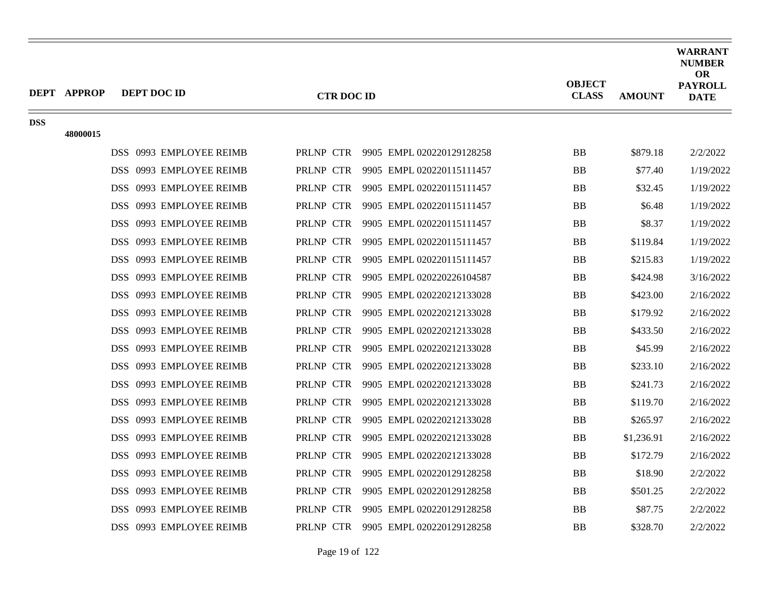|            | <b>DEPT APPROP</b> | DEPT DOC ID                       | <b>CTR DOC ID</b> |                           | <b>OBJECT</b><br><b>CLASS</b> | <b>AMOUNT</b> | <b>WARRANT</b><br><b>NUMBER</b><br><b>OR</b><br><b>PAYROLL</b><br><b>DATE</b> |
|------------|--------------------|-----------------------------------|-------------------|---------------------------|-------------------------------|---------------|-------------------------------------------------------------------------------|
| <b>DSS</b> | 48000015           |                                   |                   |                           |                               |               |                                                                               |
|            |                    | DSS 0993 EMPLOYEE REIMB           | PRLNP CTR         | 9905 EMPL 020220129128258 | ${\bf BB}$                    | \$879.18      | 2/2/2022                                                                      |
|            |                    | DSS 0993 EMPLOYEE REIMB           | PRLNP CTR         | 9905 EMPL 020220115111457 | <b>BB</b>                     | \$77.40       | 1/19/2022                                                                     |
|            |                    | DSS 0993 EMPLOYEE REIMB           | PRLNP CTR         | 9905 EMPL 020220115111457 | <b>BB</b>                     | \$32.45       | 1/19/2022                                                                     |
|            |                    | 0993 EMPLOYEE REIMB<br>DSS.       | PRLNP CTR         | 9905 EMPL 020220115111457 | ${\bf BB}$                    | \$6.48        | 1/19/2022                                                                     |
|            |                    | 0993 EMPLOYEE REIMB<br>DSS.       | PRLNP CTR         | 9905 EMPL 020220115111457 | <b>BB</b>                     | \$8.37        | 1/19/2022                                                                     |
|            |                    | DSS 0993 EMPLOYEE REIMB           | PRLNP CTR         | 9905 EMPL 020220115111457 | BB                            | \$119.84      | 1/19/2022                                                                     |
|            |                    | DSS.<br>0993 EMPLOYEE REIMB       | PRLNP CTR         | 9905 EMPL 020220115111457 | BB                            | \$215.83      | 1/19/2022                                                                     |
|            |                    | 0993 EMPLOYEE REIMB<br>DSS.       | PRLNP CTR         | 9905 EMPL 020220226104587 | <b>BB</b>                     | \$424.98      | 3/16/2022                                                                     |
|            |                    | DSS 0993 EMPLOYEE REIMB           | PRLNP CTR         | 9905 EMPL 020220212133028 | BB                            | \$423.00      | 2/16/2022                                                                     |
|            |                    | DSS.<br>0993 EMPLOYEE REIMB       | PRLNP CTR         | 9905 EMPL 020220212133028 | <b>BB</b>                     | \$179.92      | 2/16/2022                                                                     |
|            |                    | 0993 EMPLOYEE REIMB<br>DSS.       | PRLNP CTR         | 9905 EMPL 020220212133028 | ${\bf BB}$                    | \$433.50      | 2/16/2022                                                                     |
|            |                    | DSS.<br>0993 EMPLOYEE REIMB       | PRLNP CTR         | 9905 EMPL 020220212133028 | <b>BB</b>                     | \$45.99       | 2/16/2022                                                                     |
|            |                    | DSS.<br>0993 EMPLOYEE REIMB       | PRLNP CTR         | 9905 EMPL 020220212133028 | <b>BB</b>                     | \$233.10      | 2/16/2022                                                                     |
|            |                    | DSS 0993 EMPLOYEE REIMB           | PRLNP CTR         | 9905 EMPL 020220212133028 | BB                            | \$241.73      | 2/16/2022                                                                     |
|            |                    | DSS.<br>0993 EMPLOYEE REIMB       | PRLNP CTR         | 9905 EMPL 020220212133028 | <b>BB</b>                     | \$119.70      | 2/16/2022                                                                     |
|            |                    | <b>DSS</b><br>0993 EMPLOYEE REIMB | PRLNP CTR         | 9905 EMPL 020220212133028 | ${\bf BB}$                    | \$265.97      | 2/16/2022                                                                     |
|            |                    | 0993 EMPLOYEE REIMB<br>DSS.       | PRLNP CTR         | 9905 EMPL 020220212133028 | <b>BB</b>                     | \$1,236.91    | 2/16/2022                                                                     |
|            |                    | DSS 0993 EMPLOYEE REIMB           | PRLNP CTR         | 9905 EMPL 020220212133028 | <b>BB</b>                     | \$172.79      | 2/16/2022                                                                     |
|            |                    | 0993 EMPLOYEE REIMB<br>DSS.       | PRLNP CTR         | 9905 EMPL 020220129128258 | ${\bf BB}$                    | \$18.90       | 2/2/2022                                                                      |
|            |                    | 0993 EMPLOYEE REIMB<br>DSS.       | PRLNP CTR         | 9905 EMPL 020220129128258 | <b>BB</b>                     | \$501.25      | 2/2/2022                                                                      |
|            |                    | 0993 EMPLOYEE REIMB<br>DSS.       | PRLNP CTR         | 9905 EMPL 020220129128258 | ${\bf BB}$                    | \$87.75       | 2/2/2022                                                                      |
|            |                    | DSS 0993 EMPLOYEE REIMB           | PRLNP CTR         | 9905 EMPL 020220129128258 | <b>BB</b>                     | \$328.70      | 2/2/2022                                                                      |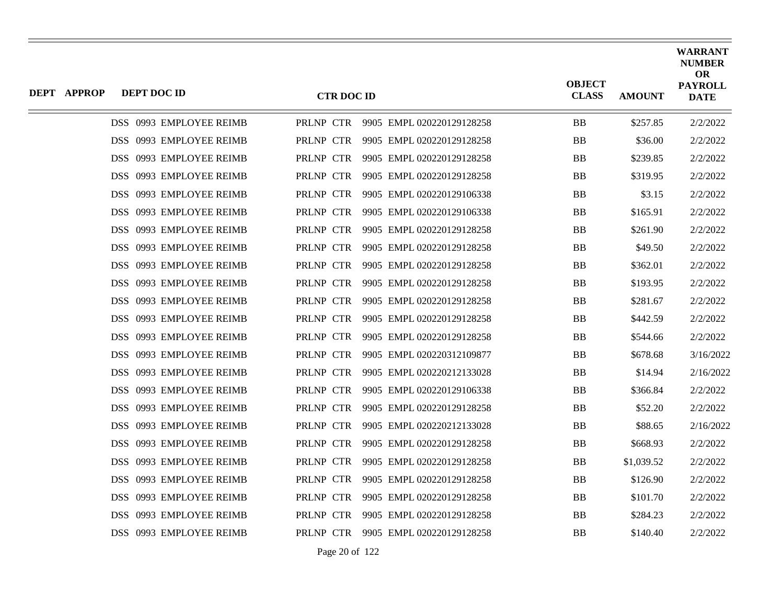| <b>DEPT APPROP</b> | DEPT DOC ID             | <b>CTR DOC ID</b> |                                     | <b>OBJECT</b><br><b>CLASS</b> | <b>AMOUNT</b> | <b>WARRANT</b><br><b>NUMBER</b><br><b>OR</b><br><b>PAYROLL</b><br><b>DATE</b> |
|--------------------|-------------------------|-------------------|-------------------------------------|-------------------------------|---------------|-------------------------------------------------------------------------------|
|                    | DSS 0993 EMPLOYEE REIMB |                   | PRLNP CTR 9905 EMPL 020220129128258 | <b>BB</b>                     | \$257.85      | 2/2/2022                                                                      |
|                    | DSS 0993 EMPLOYEE REIMB | PRLNP CTR         | 9905 EMPL 020220129128258           | <b>BB</b>                     | \$36.00       | 2/2/2022                                                                      |
|                    | DSS 0993 EMPLOYEE REIMB | PRLNP CTR         | 9905 EMPL 020220129128258           | <b>BB</b>                     | \$239.85      | 2/2/2022                                                                      |
|                    | DSS 0993 EMPLOYEE REIMB | PRLNP CTR         | 9905 EMPL 020220129128258           | <b>BB</b>                     | \$319.95      | 2/2/2022                                                                      |
|                    | DSS 0993 EMPLOYEE REIMB | PRLNP CTR         | 9905 EMPL 020220129106338           | <b>BB</b>                     | \$3.15        | 2/2/2022                                                                      |
|                    | DSS 0993 EMPLOYEE REIMB | PRLNP CTR         | 9905 EMPL 020220129106338           | <b>BB</b>                     | \$165.91      | 2/2/2022                                                                      |
|                    | DSS 0993 EMPLOYEE REIMB | PRLNP CTR         | 9905 EMPL 020220129128258           | <b>BB</b>                     | \$261.90      | 2/2/2022                                                                      |
|                    | DSS 0993 EMPLOYEE REIMB | PRLNP CTR         | 9905 EMPL 020220129128258           | <b>BB</b>                     | \$49.50       | 2/2/2022                                                                      |
|                    | DSS 0993 EMPLOYEE REIMB | PRLNP CTR         | 9905 EMPL 020220129128258           | <b>BB</b>                     | \$362.01      | 2/2/2022                                                                      |
|                    | DSS 0993 EMPLOYEE REIMB | PRLNP CTR         | 9905 EMPL 020220129128258           | <b>BB</b>                     | \$193.95      | 2/2/2022                                                                      |
|                    | DSS 0993 EMPLOYEE REIMB | PRLNP CTR         | 9905 EMPL 020220129128258           | <b>BB</b>                     | \$281.67      | 2/2/2022                                                                      |
|                    | DSS 0993 EMPLOYEE REIMB | PRLNP CTR         | 9905 EMPL 020220129128258           | <b>BB</b>                     | \$442.59      | 2/2/2022                                                                      |
|                    | DSS 0993 EMPLOYEE REIMB | PRLNP CTR         | 9905 EMPL 020220129128258           | <b>BB</b>                     | \$544.66      | 2/2/2022                                                                      |
|                    | DSS 0993 EMPLOYEE REIMB | PRLNP CTR         | 9905 EMPL 020220312109877           | <b>BB</b>                     | \$678.68      | 3/16/2022                                                                     |
|                    | DSS 0993 EMPLOYEE REIMB | PRLNP CTR         | 9905 EMPL 020220212133028           | <b>BB</b>                     | \$14.94       | 2/16/2022                                                                     |
|                    | DSS 0993 EMPLOYEE REIMB | PRLNP CTR         | 9905 EMPL 020220129106338           | <b>BB</b>                     | \$366.84      | 2/2/2022                                                                      |
|                    | DSS 0993 EMPLOYEE REIMB | PRLNP CTR         | 9905 EMPL 020220129128258           | <b>BB</b>                     | \$52.20       | 2/2/2022                                                                      |
|                    | DSS 0993 EMPLOYEE REIMB | PRLNP CTR         | 9905 EMPL 020220212133028           | <b>BB</b>                     | \$88.65       | 2/16/2022                                                                     |
|                    | DSS 0993 EMPLOYEE REIMB | PRLNP CTR         | 9905 EMPL 020220129128258           | <b>BB</b>                     | \$668.93      | 2/2/2022                                                                      |
|                    | DSS 0993 EMPLOYEE REIMB | PRLNP CTR         | 9905 EMPL 020220129128258           | <b>BB</b>                     | \$1,039.52    | 2/2/2022                                                                      |
|                    | DSS 0993 EMPLOYEE REIMB | PRLNP CTR         | 9905 EMPL 020220129128258           | <b>BB</b>                     | \$126.90      | 2/2/2022                                                                      |
|                    | DSS 0993 EMPLOYEE REIMB | PRLNP CTR         | 9905 EMPL 020220129128258           | <b>BB</b>                     | \$101.70      | 2/2/2022                                                                      |
|                    | DSS 0993 EMPLOYEE REIMB | PRLNP CTR         | 9905 EMPL 020220129128258           | <b>BB</b>                     | \$284.23      | 2/2/2022                                                                      |
|                    | DSS 0993 EMPLOYEE REIMB | PRLNP CTR         | 9905 EMPL 020220129128258           | <b>BB</b>                     | \$140.40      | 2/2/2022                                                                      |
|                    |                         |                   |                                     |                               |               |                                                                               |

Page 20 of 122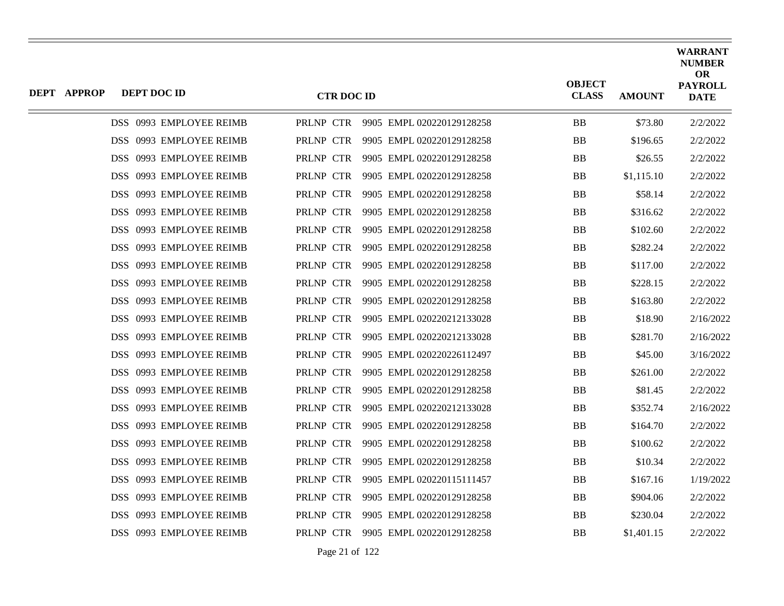| <b>DEPT APPROP</b> | DEPT DOC ID             | <b>CTR DOC ID</b> |                                     | <b>OBJECT</b><br><b>CLASS</b> | <b>AMOUNT</b> | <b>WARRANT</b><br><b>NUMBER</b><br><b>OR</b><br><b>PAYROLL</b><br><b>DATE</b> |
|--------------------|-------------------------|-------------------|-------------------------------------|-------------------------------|---------------|-------------------------------------------------------------------------------|
|                    | DSS 0993 EMPLOYEE REIMB |                   | PRLNP CTR 9905 EMPL 020220129128258 | <b>BB</b>                     | \$73.80       | 2/2/2022                                                                      |
|                    | DSS 0993 EMPLOYEE REIMB | PRLNP CTR         | 9905 EMPL 020220129128258           | <b>BB</b>                     | \$196.65      | 2/2/2022                                                                      |
|                    | DSS 0993 EMPLOYEE REIMB | PRLNP CTR         | 9905 EMPL 020220129128258           | <b>BB</b>                     | \$26.55       | 2/2/2022                                                                      |
|                    | DSS 0993 EMPLOYEE REIMB | PRLNP CTR         | 9905 EMPL 020220129128258           | BB                            | \$1,115.10    | 2/2/2022                                                                      |
|                    | DSS 0993 EMPLOYEE REIMB | PRLNP CTR         | 9905 EMPL 020220129128258           | <b>BB</b>                     | \$58.14       | 2/2/2022                                                                      |
|                    | DSS 0993 EMPLOYEE REIMB | PRLNP CTR         | 9905 EMPL 020220129128258           | <b>BB</b>                     | \$316.62      | 2/2/2022                                                                      |
|                    | DSS 0993 EMPLOYEE REIMB | PRLNP CTR         | 9905 EMPL 020220129128258           | <b>BB</b>                     | \$102.60      | 2/2/2022                                                                      |
|                    | DSS 0993 EMPLOYEE REIMB | PRLNP CTR         | 9905 EMPL 020220129128258           | <b>BB</b>                     | \$282.24      | 2/2/2022                                                                      |
|                    | DSS 0993 EMPLOYEE REIMB | PRLNP CTR         | 9905 EMPL 020220129128258           | <b>BB</b>                     | \$117.00      | 2/2/2022                                                                      |
|                    | DSS 0993 EMPLOYEE REIMB | PRLNP CTR         | 9905 EMPL 020220129128258           | <b>BB</b>                     | \$228.15      | 2/2/2022                                                                      |
|                    | DSS 0993 EMPLOYEE REIMB | PRLNP CTR         | 9905 EMPL 020220129128258           | BB                            | \$163.80      | 2/2/2022                                                                      |
|                    | DSS 0993 EMPLOYEE REIMB | PRLNP CTR         | 9905 EMPL 020220212133028           | <b>BB</b>                     | \$18.90       | 2/16/2022                                                                     |
|                    | DSS 0993 EMPLOYEE REIMB | PRLNP CTR         | 9905 EMPL 020220212133028           | <b>BB</b>                     | \$281.70      | 2/16/2022                                                                     |
|                    | DSS 0993 EMPLOYEE REIMB | PRLNP CTR         | 9905 EMPL 020220226112497           | BB                            | \$45.00       | 3/16/2022                                                                     |
|                    | DSS 0993 EMPLOYEE REIMB | PRLNP CTR         | 9905 EMPL 020220129128258           | <b>BB</b>                     | \$261.00      | 2/2/2022                                                                      |
|                    | DSS 0993 EMPLOYEE REIMB | PRLNP CTR         | 9905 EMPL 020220129128258           | BB                            | \$81.45       | 2/2/2022                                                                      |
|                    | DSS 0993 EMPLOYEE REIMB | PRLNP CTR         | 9905 EMPL 020220212133028           | <b>BB</b>                     | \$352.74      | 2/16/2022                                                                     |
|                    | DSS 0993 EMPLOYEE REIMB | PRLNP CTR         | 9905 EMPL 020220129128258           | <b>BB</b>                     | \$164.70      | 2/2/2022                                                                      |
|                    | DSS 0993 EMPLOYEE REIMB | PRLNP CTR         | 9905 EMPL 020220129128258           | <b>BB</b>                     | \$100.62      | 2/2/2022                                                                      |
|                    | DSS 0993 EMPLOYEE REIMB | PRLNP CTR         | 9905 EMPL 020220129128258           | <b>BB</b>                     | \$10.34       | 2/2/2022                                                                      |
|                    | DSS 0993 EMPLOYEE REIMB | PRLNP CTR         | 9905 EMPL 020220115111457           | <b>BB</b>                     | \$167.16      | 1/19/2022                                                                     |
|                    | DSS 0993 EMPLOYEE REIMB | PRLNP CTR         | 9905 EMPL 020220129128258           | <b>BB</b>                     | \$904.06      | 2/2/2022                                                                      |
|                    | DSS 0993 EMPLOYEE REIMB | PRLNP CTR         | 9905 EMPL 020220129128258           | <b>BB</b>                     | \$230.04      | 2/2/2022                                                                      |
|                    | DSS 0993 EMPLOYEE REIMB | PRLNP CTR         | 9905 EMPL 020220129128258           | <b>BB</b>                     | \$1,401.15    | 2/2/2022                                                                      |
|                    |                         |                   |                                     |                               |               |                                                                               |

Page 21 of 122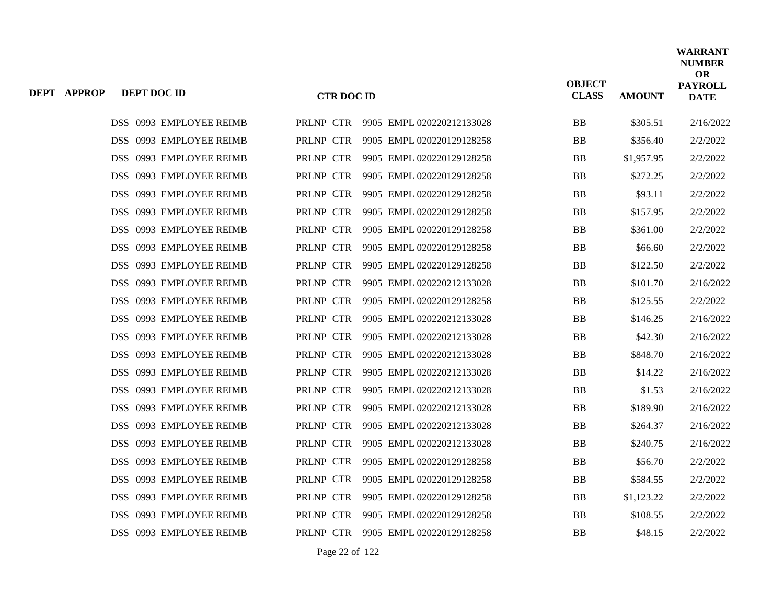| <b>DEPT APPROP</b> | DEPT DOC ID             | <b>CTR DOC ID</b> |                                     | <b>OBJECT</b><br><b>CLASS</b> | <b>AMOUNT</b> | <b>WARRANT</b><br><b>NUMBER</b><br><b>OR</b><br><b>PAYROLL</b><br><b>DATE</b> |
|--------------------|-------------------------|-------------------|-------------------------------------|-------------------------------|---------------|-------------------------------------------------------------------------------|
|                    | DSS 0993 EMPLOYEE REIMB |                   | PRLNP CTR 9905 EMPL 020220212133028 | BB                            | \$305.51      | 2/16/2022                                                                     |
|                    | DSS 0993 EMPLOYEE REIMB | PRLNP CTR         | 9905 EMPL 020220129128258           | <b>BB</b>                     | \$356.40      | 2/2/2022                                                                      |
|                    | DSS 0993 EMPLOYEE REIMB | PRLNP CTR         | 9905 EMPL 020220129128258           | BB                            | \$1,957.95    | 2/2/2022                                                                      |
|                    | DSS 0993 EMPLOYEE REIMB | PRLNP CTR         | 9905 EMPL 020220129128258           | <b>BB</b>                     | \$272.25      | 2/2/2022                                                                      |
|                    | DSS 0993 EMPLOYEE REIMB | PRLNP CTR         | 9905 EMPL 020220129128258           | BB                            | \$93.11       | 2/2/2022                                                                      |
|                    | DSS 0993 EMPLOYEE REIMB | PRLNP CTR         | 9905 EMPL 020220129128258           | <b>BB</b>                     | \$157.95      | 2/2/2022                                                                      |
|                    | DSS 0993 EMPLOYEE REIMB | PRLNP CTR         | 9905 EMPL 020220129128258           | BB                            | \$361.00      | 2/2/2022                                                                      |
|                    | DSS 0993 EMPLOYEE REIMB | PRLNP CTR         | 9905 EMPL 020220129128258           | BB                            | \$66.60       | 2/2/2022                                                                      |
|                    | DSS 0993 EMPLOYEE REIMB | PRLNP CTR         | 9905 EMPL 020220129128258           | <b>BB</b>                     | \$122.50      | 2/2/2022                                                                      |
|                    | DSS 0993 EMPLOYEE REIMB | PRLNP CTR         | 9905 EMPL 020220212133028           | BB                            | \$101.70      | 2/16/2022                                                                     |
|                    | DSS 0993 EMPLOYEE REIMB | PRLNP CTR         | 9905 EMPL 020220129128258           | <b>BB</b>                     | \$125.55      | 2/2/2022                                                                      |
|                    | DSS 0993 EMPLOYEE REIMB | PRLNP CTR         | 9905 EMPL 020220212133028           | BB                            | \$146.25      | 2/16/2022                                                                     |
|                    | DSS 0993 EMPLOYEE REIMB | PRLNP CTR         | 9905 EMPL 020220212133028           | BB                            | \$42.30       | 2/16/2022                                                                     |
|                    | DSS 0993 EMPLOYEE REIMB | PRLNP CTR         | 9905 EMPL 020220212133028           | BB                            | \$848.70      | 2/16/2022                                                                     |
|                    | DSS 0993 EMPLOYEE REIMB | PRLNP CTR         | 9905 EMPL 020220212133028           | <b>BB</b>                     | \$14.22       | 2/16/2022                                                                     |
|                    | DSS 0993 EMPLOYEE REIMB | PRLNP CTR         | 9905 EMPL 020220212133028           | BB                            | \$1.53        | 2/16/2022                                                                     |
|                    | DSS 0993 EMPLOYEE REIMB | PRLNP CTR         | 9905 EMPL 020220212133028           | BB                            | \$189.90      | 2/16/2022                                                                     |
|                    | DSS 0993 EMPLOYEE REIMB | PRLNP CTR         | 9905 EMPL 020220212133028           | <b>BB</b>                     | \$264.37      | 2/16/2022                                                                     |
|                    | DSS 0993 EMPLOYEE REIMB | PRLNP CTR         | 9905 EMPL 020220212133028           | BB                            | \$240.75      | 2/16/2022                                                                     |
|                    | DSS 0993 EMPLOYEE REIMB | PRLNP CTR         | 9905 EMPL 020220129128258           | <b>BB</b>                     | \$56.70       | 2/2/2022                                                                      |
|                    | DSS 0993 EMPLOYEE REIMB | PRLNP CTR         | 9905 EMPL 020220129128258           | <b>BB</b>                     | \$584.55      | 2/2/2022                                                                      |
|                    | DSS 0993 EMPLOYEE REIMB | PRLNP CTR         | 9905 EMPL 020220129128258           | BB                            | \$1,123.22    | 2/2/2022                                                                      |
|                    | DSS 0993 EMPLOYEE REIMB | PRLNP CTR         | 9905 EMPL 020220129128258           | <b>BB</b>                     | \$108.55      | 2/2/2022                                                                      |
|                    | DSS 0993 EMPLOYEE REIMB | PRLNP CTR         | 9905 EMPL 020220129128258           | <b>BB</b>                     | \$48.15       | 2/2/2022                                                                      |
|                    |                         |                   |                                     |                               |               |                                                                               |

Page 22 of 122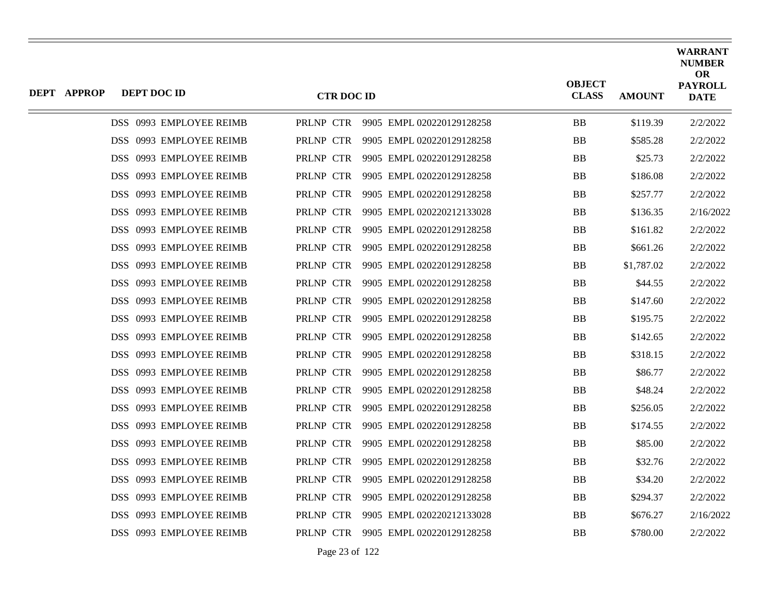| <b>DEPT APPROP</b> | DEPT DOC ID             | <b>CTR DOC ID</b> |                                     | <b>OBJECT</b><br><b>CLASS</b> | <b>AMOUNT</b> | <b>WARRANT</b><br><b>NUMBER</b><br><b>OR</b><br><b>PAYROLL</b><br><b>DATE</b> |
|--------------------|-------------------------|-------------------|-------------------------------------|-------------------------------|---------------|-------------------------------------------------------------------------------|
|                    | DSS 0993 EMPLOYEE REIMB |                   | PRLNP CTR 9905 EMPL 020220129128258 | ${\bf BB}$                    | \$119.39      | 2/2/2022                                                                      |
|                    | DSS 0993 EMPLOYEE REIMB | PRLNP CTR         | 9905 EMPL 020220129128258           | <b>BB</b>                     | \$585.28      | 2/2/2022                                                                      |
|                    | DSS 0993 EMPLOYEE REIMB | PRLNP CTR         | 9905 EMPL 020220129128258           | <b>BB</b>                     | \$25.73       | 2/2/2022                                                                      |
|                    | DSS 0993 EMPLOYEE REIMB | PRLNP CTR         | 9905 EMPL 020220129128258           | BB                            | \$186.08      | 2/2/2022                                                                      |
|                    | DSS 0993 EMPLOYEE REIMB | PRLNP CTR         | 9905 EMPL 020220129128258           | <b>BB</b>                     | \$257.77      | 2/2/2022                                                                      |
|                    | DSS 0993 EMPLOYEE REIMB | PRLNP CTR         | 9905 EMPL 020220212133028           | <b>BB</b>                     | \$136.35      | 2/16/2022                                                                     |
|                    | DSS 0993 EMPLOYEE REIMB | PRLNP CTR         | 9905 EMPL 020220129128258           | <b>BB</b>                     | \$161.82      | 2/2/2022                                                                      |
|                    | DSS 0993 EMPLOYEE REIMB | PRLNP CTR         | 9905 EMPL 020220129128258           | <b>BB</b>                     | \$661.26      | 2/2/2022                                                                      |
|                    | DSS 0993 EMPLOYEE REIMB | PRLNP CTR         | 9905 EMPL 020220129128258           | <b>BB</b>                     | \$1,787.02    | 2/2/2022                                                                      |
|                    | DSS 0993 EMPLOYEE REIMB | PRLNP CTR         | 9905 EMPL 020220129128258           | <b>BB</b>                     | \$44.55       | 2/2/2022                                                                      |
|                    | DSS 0993 EMPLOYEE REIMB | PRLNP CTR         | 9905 EMPL 020220129128258           | BB                            | \$147.60      | 2/2/2022                                                                      |
|                    | DSS 0993 EMPLOYEE REIMB | PRLNP CTR         | 9905 EMPL 020220129128258           | <b>BB</b>                     | \$195.75      | 2/2/2022                                                                      |
|                    | DSS 0993 EMPLOYEE REIMB | PRLNP CTR         | 9905 EMPL 020220129128258           | <b>BB</b>                     | \$142.65      | 2/2/2022                                                                      |
|                    | DSS 0993 EMPLOYEE REIMB | PRLNP CTR         | 9905 EMPL 020220129128258           | BB                            | \$318.15      | 2/2/2022                                                                      |
|                    | DSS 0993 EMPLOYEE REIMB | PRLNP CTR         | 9905 EMPL 020220129128258           | <b>BB</b>                     | \$86.77       | 2/2/2022                                                                      |
|                    | DSS 0993 EMPLOYEE REIMB | PRLNP CTR         | 9905 EMPL 020220129128258           | BB                            | \$48.24       | 2/2/2022                                                                      |
|                    | DSS 0993 EMPLOYEE REIMB | PRLNP CTR         | 9905 EMPL 020220129128258           | BB                            | \$256.05      | 2/2/2022                                                                      |
|                    | DSS 0993 EMPLOYEE REIMB | PRLNP CTR         | 9905 EMPL 020220129128258           | <b>BB</b>                     | \$174.55      | 2/2/2022                                                                      |
|                    | DSS 0993 EMPLOYEE REIMB | PRLNP CTR         | 9905 EMPL 020220129128258           | <b>BB</b>                     | \$85.00       | 2/2/2022                                                                      |
|                    | DSS 0993 EMPLOYEE REIMB | PRLNP CTR         | 9905 EMPL 020220129128258           | <b>BB</b>                     | \$32.76       | 2/2/2022                                                                      |
|                    | DSS 0993 EMPLOYEE REIMB | PRLNP CTR         | 9905 EMPL 020220129128258           | <b>BB</b>                     | \$34.20       | 2/2/2022                                                                      |
|                    | DSS 0993 EMPLOYEE REIMB | PRLNP CTR         | 9905 EMPL 020220129128258           | <b>BB</b>                     | \$294.37      | 2/2/2022                                                                      |
|                    | DSS 0993 EMPLOYEE REIMB | PRLNP CTR         | 9905 EMPL 020220212133028           | <b>BB</b>                     | \$676.27      | 2/16/2022                                                                     |
|                    | DSS 0993 EMPLOYEE REIMB | PRLNP CTR         | 9905 EMPL 020220129128258           | <b>BB</b>                     | \$780.00      | 2/2/2022                                                                      |
|                    |                         |                   |                                     |                               |               |                                                                               |

Page 23 of 122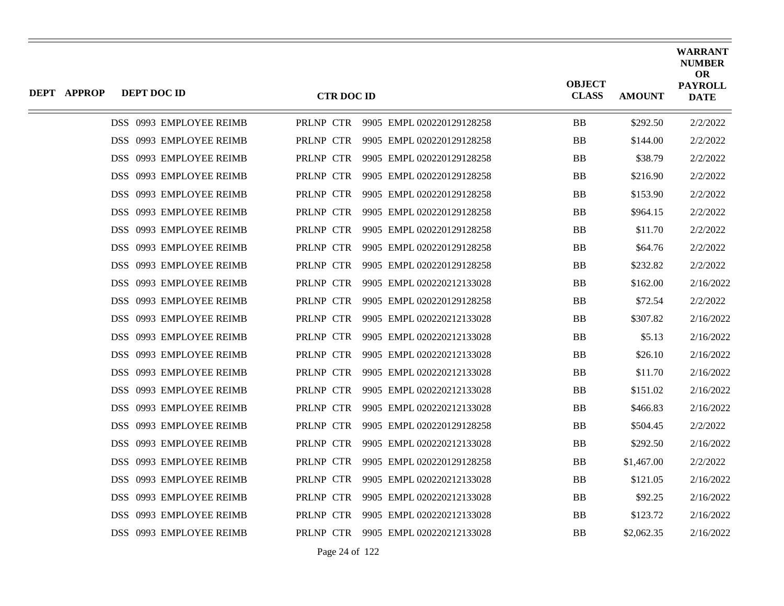| DEPT APPROP | DEPT DOC ID             | <b>CTR DOC ID</b> |                           | <b>OBJECT</b><br><b>CLASS</b> | <b>AMOUNT</b> | <b>WARRANT</b><br><b>NUMBER</b><br><b>OR</b><br><b>PAYROLL</b><br><b>DATE</b> |
|-------------|-------------------------|-------------------|---------------------------|-------------------------------|---------------|-------------------------------------------------------------------------------|
|             | DSS 0993 EMPLOYEE REIMB | PRLNP CTR         | 9905 EMPL 020220129128258 | <b>BB</b>                     | \$292.50      | 2/2/2022                                                                      |
|             | DSS 0993 EMPLOYEE REIMB | PRLNP CTR         | 9905 EMPL 020220129128258 | <b>BB</b>                     | \$144.00      | 2/2/2022                                                                      |
|             | DSS 0993 EMPLOYEE REIMB | PRLNP CTR         | 9905 EMPL 020220129128258 | BB                            | \$38.79       | 2/2/2022                                                                      |
|             | DSS 0993 EMPLOYEE REIMB | PRLNP CTR         | 9905 EMPL 020220129128258 | <b>BB</b>                     | \$216.90      | 2/2/2022                                                                      |
|             | DSS 0993 EMPLOYEE REIMB | PRLNP CTR         | 9905 EMPL 020220129128258 | BB                            | \$153.90      | 2/2/2022                                                                      |
|             | DSS 0993 EMPLOYEE REIMB | PRLNP CTR         | 9905 EMPL 020220129128258 | <b>BB</b>                     | \$964.15      | 2/2/2022                                                                      |
|             | DSS 0993 EMPLOYEE REIMB | PRLNP CTR         | 9905 EMPL 020220129128258 | BB                            | \$11.70       | 2/2/2022                                                                      |
|             | DSS 0993 EMPLOYEE REIMB | PRLNP CTR         | 9905 EMPL 020220129128258 | <b>BB</b>                     | \$64.76       | 2/2/2022                                                                      |
|             | DSS 0993 EMPLOYEE REIMB | PRLNP CTR         | 9905 EMPL 020220129128258 | <b>BB</b>                     | \$232.82      | 2/2/2022                                                                      |
|             | DSS 0993 EMPLOYEE REIMB | PRLNP CTR         | 9905 EMPL 020220212133028 | BB                            | \$162.00      | 2/16/2022                                                                     |
|             | DSS 0993 EMPLOYEE REIMB | PRLNP CTR         | 9905 EMPL 020220129128258 | <b>BB</b>                     | \$72.54       | 2/2/2022                                                                      |
|             | DSS 0993 EMPLOYEE REIMB | PRLNP CTR         | 9905 EMPL 020220212133028 | BB                            | \$307.82      | 2/16/2022                                                                     |
|             | DSS 0993 EMPLOYEE REIMB | PRLNP CTR         | 9905 EMPL 020220212133028 | <b>BB</b>                     | \$5.13        | 2/16/2022                                                                     |
|             | DSS 0993 EMPLOYEE REIMB | PRLNP CTR         | 9905 EMPL 020220212133028 | BB                            | \$26.10       | 2/16/2022                                                                     |
|             | DSS 0993 EMPLOYEE REIMB | PRLNP CTR         | 9905 EMPL 020220212133028 | <b>BB</b>                     | \$11.70       | 2/16/2022                                                                     |
|             | DSS 0993 EMPLOYEE REIMB | PRLNP CTR         | 9905 EMPL 020220212133028 | <b>BB</b>                     | \$151.02      | 2/16/2022                                                                     |
|             | DSS 0993 EMPLOYEE REIMB | PRLNP CTR         | 9905 EMPL 020220212133028 | BB                            | \$466.83      | 2/16/2022                                                                     |
|             | DSS 0993 EMPLOYEE REIMB | PRLNP CTR         | 9905 EMPL 020220129128258 | <b>BB</b>                     | \$504.45      | 2/2/2022                                                                      |
|             | DSS 0993 EMPLOYEE REIMB | PRLNP CTR         | 9905 EMPL 020220212133028 | BB                            | \$292.50      | 2/16/2022                                                                     |
|             | DSS 0993 EMPLOYEE REIMB | PRLNP CTR         | 9905 EMPL 020220129128258 | <b>BB</b>                     | \$1,467.00    | 2/2/2022                                                                      |
|             | DSS 0993 EMPLOYEE REIMB | PRLNP CTR         | 9905 EMPL 020220212133028 | BB                            | \$121.05      | 2/16/2022                                                                     |
|             | DSS 0993 EMPLOYEE REIMB | PRLNP CTR         | 9905 EMPL 020220212133028 | <b>BB</b>                     | \$92.25       | 2/16/2022                                                                     |
|             | DSS 0993 EMPLOYEE REIMB | PRLNP CTR         | 9905 EMPL 020220212133028 | BB                            | \$123.72      | 2/16/2022                                                                     |
|             | DSS 0993 EMPLOYEE REIMB | PRLNP CTR         | 9905 EMPL 020220212133028 | <b>BB</b>                     | \$2,062.35    | 2/16/2022                                                                     |
|             |                         |                   |                           |                               |               |                                                                               |

Page 24 of 122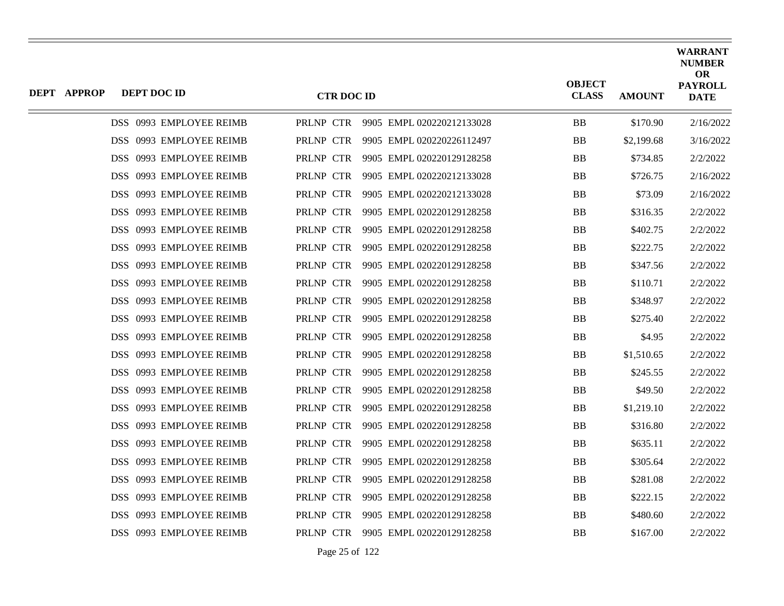| <b>DEPT APPROP</b> | DEPT DOC ID             | <b>CTR DOC ID</b> |                                     | <b>OBJECT</b><br><b>CLASS</b> | <b>AMOUNT</b> | <b>WARRANT</b><br><b>NUMBER</b><br><b>OR</b><br><b>PAYROLL</b><br><b>DATE</b> |
|--------------------|-------------------------|-------------------|-------------------------------------|-------------------------------|---------------|-------------------------------------------------------------------------------|
|                    | DSS 0993 EMPLOYEE REIMB |                   | PRLNP CTR 9905 EMPL 020220212133028 | <b>BB</b>                     | \$170.90      | 2/16/2022                                                                     |
|                    | DSS 0993 EMPLOYEE REIMB | PRLNP CTR         | 9905 EMPL 020220226112497           | <b>BB</b>                     | \$2,199.68    | 3/16/2022                                                                     |
|                    | DSS 0993 EMPLOYEE REIMB | PRLNP CTR         | 9905 EMPL 020220129128258           | <b>BB</b>                     | \$734.85      | 2/2/2022                                                                      |
|                    | DSS 0993 EMPLOYEE REIMB | PRLNP CTR         | 9905 EMPL 020220212133028           | <b>BB</b>                     | \$726.75      | 2/16/2022                                                                     |
|                    | DSS 0993 EMPLOYEE REIMB | PRLNP CTR         | 9905 EMPL 020220212133028           | <b>BB</b>                     | \$73.09       | 2/16/2022                                                                     |
|                    | DSS 0993 EMPLOYEE REIMB | PRLNP CTR         | 9905 EMPL 020220129128258           | <b>BB</b>                     | \$316.35      | 2/2/2022                                                                      |
|                    | DSS 0993 EMPLOYEE REIMB | PRLNP CTR         | 9905 EMPL 020220129128258           | <b>BB</b>                     | \$402.75      | 2/2/2022                                                                      |
|                    | DSS 0993 EMPLOYEE REIMB | PRLNP CTR         | 9905 EMPL 020220129128258           | <b>BB</b>                     | \$222.75      | 2/2/2022                                                                      |
|                    | DSS 0993 EMPLOYEE REIMB | PRLNP CTR         | 9905 EMPL 020220129128258           | <b>BB</b>                     | \$347.56      | 2/2/2022                                                                      |
|                    | DSS 0993 EMPLOYEE REIMB | PRLNP CTR         | 9905 EMPL 020220129128258           | <b>BB</b>                     | \$110.71      | 2/2/2022                                                                      |
|                    | DSS 0993 EMPLOYEE REIMB | PRLNP CTR         | 9905 EMPL 020220129128258           | <b>BB</b>                     | \$348.97      | 2/2/2022                                                                      |
|                    | DSS 0993 EMPLOYEE REIMB | PRLNP CTR         | 9905 EMPL 020220129128258           | <b>BB</b>                     | \$275.40      | 2/2/2022                                                                      |
|                    | DSS 0993 EMPLOYEE REIMB | PRLNP CTR         | 9905 EMPL 020220129128258           | <b>BB</b>                     | \$4.95        | 2/2/2022                                                                      |
|                    | DSS 0993 EMPLOYEE REIMB | PRLNP CTR         | 9905 EMPL 020220129128258           | <b>BB</b>                     | \$1,510.65    | 2/2/2022                                                                      |
|                    | DSS 0993 EMPLOYEE REIMB | PRLNP CTR         | 9905 EMPL 020220129128258           | <b>BB</b>                     | \$245.55      | 2/2/2022                                                                      |
|                    | DSS 0993 EMPLOYEE REIMB | PRLNP CTR         | 9905 EMPL 020220129128258           | <b>BB</b>                     | \$49.50       | 2/2/2022                                                                      |
|                    | DSS 0993 EMPLOYEE REIMB | PRLNP CTR         | 9905 EMPL 020220129128258           | <b>BB</b>                     | \$1,219.10    | 2/2/2022                                                                      |
|                    | DSS 0993 EMPLOYEE REIMB | PRLNP CTR         | 9905 EMPL 020220129128258           | <b>BB</b>                     | \$316.80      | 2/2/2022                                                                      |
|                    | DSS 0993 EMPLOYEE REIMB | PRLNP CTR         | 9905 EMPL 020220129128258           | <b>BB</b>                     | \$635.11      | 2/2/2022                                                                      |
|                    | DSS 0993 EMPLOYEE REIMB | PRLNP CTR         | 9905 EMPL 020220129128258           | <b>BB</b>                     | \$305.64      | 2/2/2022                                                                      |
|                    | DSS 0993 EMPLOYEE REIMB | PRLNP CTR         | 9905 EMPL 020220129128258           | <b>BB</b>                     | \$281.08      | 2/2/2022                                                                      |
|                    | DSS 0993 EMPLOYEE REIMB | PRLNP CTR         | 9905 EMPL 020220129128258           | <b>BB</b>                     | \$222.15      | 2/2/2022                                                                      |
|                    | DSS 0993 EMPLOYEE REIMB | PRLNP CTR         | 9905 EMPL 020220129128258           | <b>BB</b>                     | \$480.60      | 2/2/2022                                                                      |
|                    | DSS 0993 EMPLOYEE REIMB | PRLNP CTR         | 9905 EMPL 020220129128258           | <b>BB</b>                     | \$167.00      | 2/2/2022                                                                      |
|                    |                         |                   |                                     |                               |               |                                                                               |

Page 25 of 122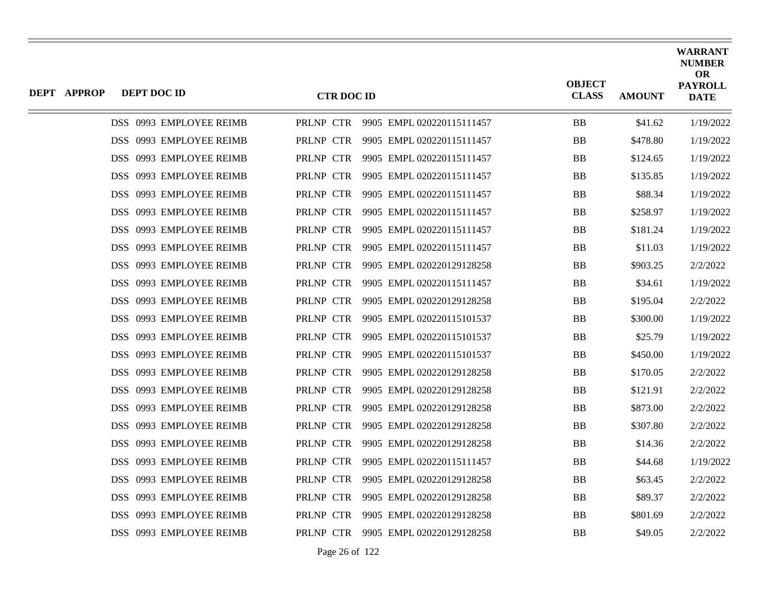| DEPT APPROP | DEPT DOC ID             | <b>CTR DOC ID</b> |                                     | <b>OBJECT</b><br><b>CLASS</b> | <b>AMOUNT</b> | <b>WARRANT</b><br><b>NUMBER</b><br><b>OR</b><br><b>PAYROLL</b><br><b>DATE</b> |
|-------------|-------------------------|-------------------|-------------------------------------|-------------------------------|---------------|-------------------------------------------------------------------------------|
|             | DSS 0993 EMPLOYEE REIMB |                   | PRLNP CTR 9905 EMPL 020220115111457 | <b>BB</b>                     | \$41.62       | 1/19/2022                                                                     |
|             | DSS 0993 EMPLOYEE REIMB | PRLNP CTR         | 9905 EMPL 020220115111457           | <b>BB</b>                     | \$478.80      | 1/19/2022                                                                     |
|             | DSS 0993 EMPLOYEE REIMB | PRLNP CTR         | 9905 EMPL 020220115111457           | <b>BB</b>                     | \$124.65      | 1/19/2022                                                                     |
|             | DSS 0993 EMPLOYEE REIMB | PRLNP CTR         | 9905 EMPL 020220115111457           | BB                            | \$135.85      | 1/19/2022                                                                     |
|             | DSS 0993 EMPLOYEE REIMB | PRLNP CTR         | 9905 EMPL 020220115111457           | <b>BB</b>                     | \$88.34       | 1/19/2022                                                                     |
|             | DSS 0993 EMPLOYEE REIMB | PRLNP CTR         | 9905 EMPL 020220115111457           | <b>BB</b>                     | \$258.97      | 1/19/2022                                                                     |
|             | DSS 0993 EMPLOYEE REIMB | PRLNP CTR         | 9905 EMPL 020220115111457           | <b>BB</b>                     | \$181.24      | 1/19/2022                                                                     |
|             | DSS 0993 EMPLOYEE REIMB | PRLNP CTR         | 9905 EMPL 020220115111457           | BB                            | \$11.03       | 1/19/2022                                                                     |
|             | DSS 0993 EMPLOYEE REIMB | PRLNP CTR         | 9905 EMPL 020220129128258           | <b>BB</b>                     | \$903.25      | 2/2/2022                                                                      |
|             | DSS 0993 EMPLOYEE REIMB | PRLNP CTR         | 9905 EMPL 020220115111457           | <b>BB</b>                     | \$34.61       | 1/19/2022                                                                     |
|             | DSS 0993 EMPLOYEE REIMB | PRLNP CTR         | 9905 EMPL 020220129128258           | BB                            | \$195.04      | 2/2/2022                                                                      |
|             | DSS 0993 EMPLOYEE REIMB | PRLNP CTR         | 9905 EMPL 020220115101537           | <b>BB</b>                     | \$300.00      | 1/19/2022                                                                     |
|             | DSS 0993 EMPLOYEE REIMB | PRLNP CTR         | 9905 EMPL 020220115101537           | BB                            | \$25.79       | 1/19/2022                                                                     |
|             | DSS 0993 EMPLOYEE REIMB | PRLNP CTR         | 9905 EMPL 020220115101537           | BB                            | \$450.00      | 1/19/2022                                                                     |
|             | DSS 0993 EMPLOYEE REIMB | PRLNP CTR         | 9905 EMPL 020220129128258           | <b>BB</b>                     | \$170.05      | 2/2/2022                                                                      |
|             | DSS 0993 EMPLOYEE REIMB | PRLNP CTR         | 9905 EMPL 020220129128258           | BB                            | \$121.91      | 2/2/2022                                                                      |
|             | DSS 0993 EMPLOYEE REIMB | PRLNP CTR         | 9905 EMPL 020220129128258           | <b>BB</b>                     | \$873.00      | 2/2/2022                                                                      |
|             | DSS 0993 EMPLOYEE REIMB | PRLNP CTR         | 9905 EMPL 020220129128258           | <b>BB</b>                     | \$307.80      | 2/2/2022                                                                      |
|             | DSS 0993 EMPLOYEE REIMB | PRLNP CTR         | 9905 EMPL 020220129128258           | <b>BB</b>                     | \$14.36       | 2/2/2022                                                                      |
|             | DSS 0993 EMPLOYEE REIMB | PRLNP CTR         | 9905 EMPL 020220115111457           | <b>BB</b>                     | \$44.68       | 1/19/2022                                                                     |
|             | DSS 0993 EMPLOYEE REIMB | PRLNP CTR         | 9905 EMPL 020220129128258           | <b>BB</b>                     | \$63.45       | 2/2/2022                                                                      |
|             | DSS 0993 EMPLOYEE REIMB | PRLNP CTR         | 9905 EMPL 020220129128258           | <b>BB</b>                     | \$89.37       | 2/2/2022                                                                      |
|             | DSS 0993 EMPLOYEE REIMB | PRLNP CTR         | 9905 EMPL 020220129128258           | BB                            | \$801.69      | 2/2/2022                                                                      |
|             | DSS 0993 EMPLOYEE REIMB | PRLNP CTR         | 9905 EMPL 020220129128258           | <b>BB</b>                     | \$49.05       | 2/2/2022                                                                      |
|             |                         |                   |                                     |                               |               |                                                                               |

Page 26 of 122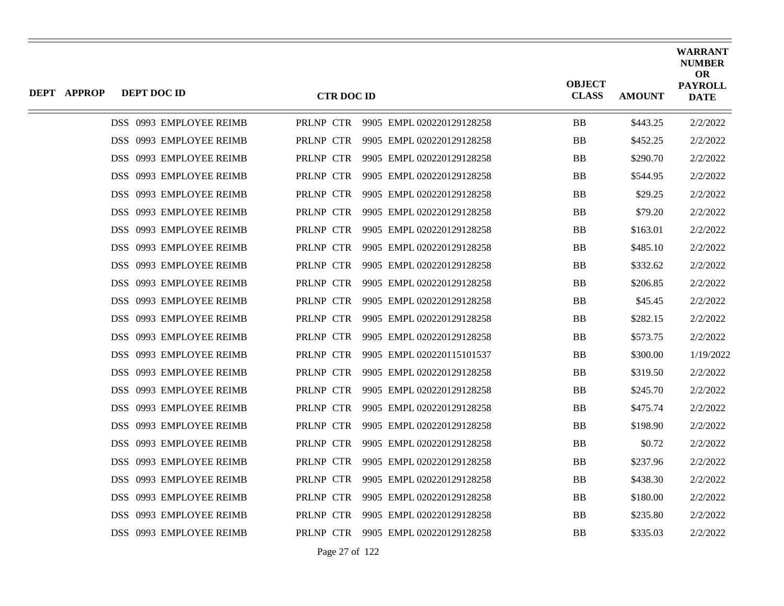| <b>DEPT APPROP</b> | DEPT DOC ID             | <b>CTR DOC ID</b> |                                     | <b>OBJECT</b><br><b>CLASS</b> | <b>AMOUNT</b> | <b>WARRANT</b><br><b>NUMBER</b><br><b>OR</b><br><b>PAYROLL</b><br><b>DATE</b> |
|--------------------|-------------------------|-------------------|-------------------------------------|-------------------------------|---------------|-------------------------------------------------------------------------------|
|                    | DSS 0993 EMPLOYEE REIMB |                   | PRLNP CTR 9905 EMPL 020220129128258 | <b>BB</b>                     | \$443.25      | 2/2/2022                                                                      |
|                    | DSS 0993 EMPLOYEE REIMB | PRLNP CTR         | 9905 EMPL 020220129128258           | <b>BB</b>                     | \$452.25      | 2/2/2022                                                                      |
|                    | DSS 0993 EMPLOYEE REIMB | PRLNP CTR         | 9905 EMPL 020220129128258           | <b>BB</b>                     | \$290.70      | 2/2/2022                                                                      |
|                    | DSS 0993 EMPLOYEE REIMB | PRLNP CTR         | 9905 EMPL 020220129128258           | <b>BB</b>                     | \$544.95      | 2/2/2022                                                                      |
|                    | DSS 0993 EMPLOYEE REIMB | PRLNP CTR         | 9905 EMPL 020220129128258           | <b>BB</b>                     | \$29.25       | 2/2/2022                                                                      |
|                    | DSS 0993 EMPLOYEE REIMB | PRLNP CTR         | 9905 EMPL 020220129128258           | <b>BB</b>                     | \$79.20       | 2/2/2022                                                                      |
|                    | DSS 0993 EMPLOYEE REIMB | PRLNP CTR         | 9905 EMPL 020220129128258           | <b>BB</b>                     | \$163.01      | 2/2/2022                                                                      |
|                    | DSS 0993 EMPLOYEE REIMB | PRLNP CTR         | 9905 EMPL 020220129128258           | <b>BB</b>                     | \$485.10      | 2/2/2022                                                                      |
|                    | DSS 0993 EMPLOYEE REIMB | PRLNP CTR         | 9905 EMPL 020220129128258           | <b>BB</b>                     | \$332.62      | 2/2/2022                                                                      |
|                    | DSS 0993 EMPLOYEE REIMB | PRLNP CTR         | 9905 EMPL 020220129128258           | <b>BB</b>                     | \$206.85      | 2/2/2022                                                                      |
|                    | DSS 0993 EMPLOYEE REIMB | PRLNP CTR         | 9905 EMPL 020220129128258           | <b>BB</b>                     | \$45.45       | 2/2/2022                                                                      |
|                    | DSS 0993 EMPLOYEE REIMB | PRLNP CTR         | 9905 EMPL 020220129128258           | <b>BB</b>                     | \$282.15      | 2/2/2022                                                                      |
|                    | DSS 0993 EMPLOYEE REIMB | PRLNP CTR         | 9905 EMPL 020220129128258           | <b>BB</b>                     | \$573.75      | 2/2/2022                                                                      |
|                    | DSS 0993 EMPLOYEE REIMB | PRLNP CTR         | 9905 EMPL 020220115101537           | <b>BB</b>                     | \$300.00      | 1/19/2022                                                                     |
|                    | DSS 0993 EMPLOYEE REIMB | PRLNP CTR         | 9905 EMPL 020220129128258           | <b>BB</b>                     | \$319.50      | 2/2/2022                                                                      |
|                    | DSS 0993 EMPLOYEE REIMB | PRLNP CTR         | 9905 EMPL 020220129128258           | <b>BB</b>                     | \$245.70      | 2/2/2022                                                                      |
|                    | DSS 0993 EMPLOYEE REIMB | PRLNP CTR         | 9905 EMPL 020220129128258           | <b>BB</b>                     | \$475.74      | 2/2/2022                                                                      |
|                    | DSS 0993 EMPLOYEE REIMB | PRLNP CTR         | 9905 EMPL 020220129128258           | <b>BB</b>                     | \$198.90      | 2/2/2022                                                                      |
|                    | DSS 0993 EMPLOYEE REIMB | PRLNP CTR         | 9905 EMPL 020220129128258           | <b>BB</b>                     | \$0.72        | 2/2/2022                                                                      |
|                    | DSS 0993 EMPLOYEE REIMB | PRLNP CTR         | 9905 EMPL 020220129128258           | <b>BB</b>                     | \$237.96      | 2/2/2022                                                                      |
|                    | DSS 0993 EMPLOYEE REIMB | PRLNP CTR         | 9905 EMPL 020220129128258           | <b>BB</b>                     | \$438.30      | 2/2/2022                                                                      |
|                    | DSS 0993 EMPLOYEE REIMB | PRLNP CTR         | 9905 EMPL 020220129128258           | <b>BB</b>                     | \$180.00      | 2/2/2022                                                                      |
|                    | DSS 0993 EMPLOYEE REIMB | PRLNP CTR         | 9905 EMPL 020220129128258           | <b>BB</b>                     | \$235.80      | 2/2/2022                                                                      |
|                    | DSS 0993 EMPLOYEE REIMB |                   | PRLNP CTR 9905 EMPL 020220129128258 | <b>BB</b>                     | \$335.03      | 2/2/2022                                                                      |
|                    |                         |                   |                                     |                               |               |                                                                               |

Page 27 of 122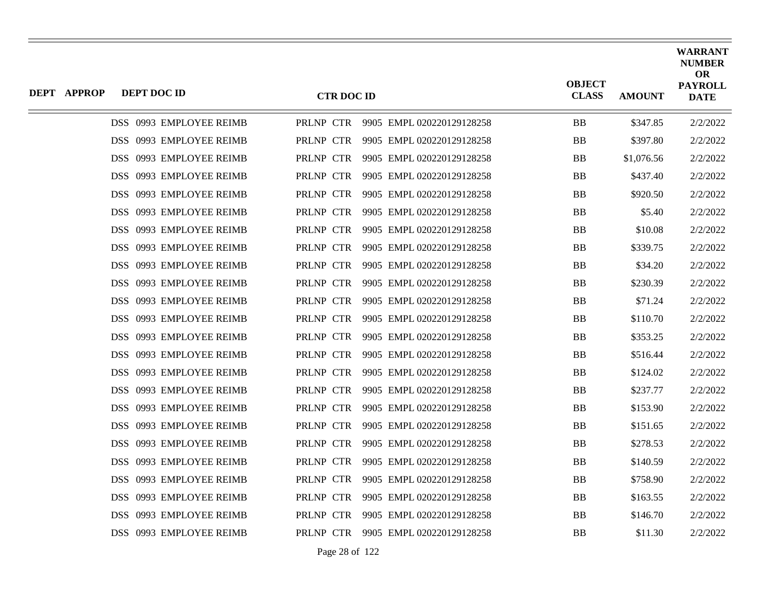| <b>DEPT APPROP</b> | DEPT DOC ID             | <b>CTR DOC ID</b> |                                     | <b>OBJECT</b><br><b>CLASS</b> | <b>AMOUNT</b> | <b>WARRANT</b><br><b>NUMBER</b><br><b>OR</b><br><b>PAYROLL</b><br><b>DATE</b> |
|--------------------|-------------------------|-------------------|-------------------------------------|-------------------------------|---------------|-------------------------------------------------------------------------------|
|                    | DSS 0993 EMPLOYEE REIMB |                   | PRLNP CTR 9905 EMPL 020220129128258 | <b>BB</b>                     | \$347.85      | 2/2/2022                                                                      |
|                    | DSS 0993 EMPLOYEE REIMB | PRLNP CTR         | 9905 EMPL 020220129128258           | <b>BB</b>                     | \$397.80      | 2/2/2022                                                                      |
|                    | DSS 0993 EMPLOYEE REIMB | PRLNP CTR         | 9905 EMPL 020220129128258           | <b>BB</b>                     | \$1,076.56    | 2/2/2022                                                                      |
|                    | DSS 0993 EMPLOYEE REIMB | PRLNP CTR         | 9905 EMPL 020220129128258           | <b>BB</b>                     | \$437.40      | 2/2/2022                                                                      |
|                    | DSS 0993 EMPLOYEE REIMB | PRLNP CTR         | 9905 EMPL 020220129128258           | <b>BB</b>                     | \$920.50      | 2/2/2022                                                                      |
|                    | DSS 0993 EMPLOYEE REIMB | PRLNP CTR         | 9905 EMPL 020220129128258           | <b>BB</b>                     | \$5.40        | 2/2/2022                                                                      |
|                    | DSS 0993 EMPLOYEE REIMB | PRLNP CTR         | 9905 EMPL 020220129128258           | <b>BB</b>                     | \$10.08       | 2/2/2022                                                                      |
|                    | DSS 0993 EMPLOYEE REIMB | PRLNP CTR         | 9905 EMPL 020220129128258           | <b>BB</b>                     | \$339.75      | 2/2/2022                                                                      |
|                    | DSS 0993 EMPLOYEE REIMB | PRLNP CTR         | 9905 EMPL 020220129128258           | <b>BB</b>                     | \$34.20       | 2/2/2022                                                                      |
|                    | DSS 0993 EMPLOYEE REIMB | PRLNP CTR         | 9905 EMPL 020220129128258           | <b>BB</b>                     | \$230.39      | 2/2/2022                                                                      |
|                    | DSS 0993 EMPLOYEE REIMB | PRLNP CTR         | 9905 EMPL 020220129128258           | <b>BB</b>                     | \$71.24       | 2/2/2022                                                                      |
|                    | DSS 0993 EMPLOYEE REIMB | PRLNP CTR         | 9905 EMPL 020220129128258           | <b>BB</b>                     | \$110.70      | 2/2/2022                                                                      |
|                    | DSS 0993 EMPLOYEE REIMB | PRLNP CTR         | 9905 EMPL 020220129128258           | <b>BB</b>                     | \$353.25      | 2/2/2022                                                                      |
|                    | DSS 0993 EMPLOYEE REIMB | PRLNP CTR         | 9905 EMPL 020220129128258           | <b>BB</b>                     | \$516.44      | 2/2/2022                                                                      |
|                    | DSS 0993 EMPLOYEE REIMB | PRLNP CTR         | 9905 EMPL 020220129128258           | <b>BB</b>                     | \$124.02      | 2/2/2022                                                                      |
|                    | DSS 0993 EMPLOYEE REIMB | PRLNP CTR         | 9905 EMPL 020220129128258           | <b>BB</b>                     | \$237.77      | 2/2/2022                                                                      |
|                    | DSS 0993 EMPLOYEE REIMB | PRLNP CTR         | 9905 EMPL 020220129128258           | <b>BB</b>                     | \$153.90      | 2/2/2022                                                                      |
|                    | DSS 0993 EMPLOYEE REIMB | PRLNP CTR         | 9905 EMPL 020220129128258           | <b>BB</b>                     | \$151.65      | 2/2/2022                                                                      |
|                    | DSS 0993 EMPLOYEE REIMB | PRLNP CTR         | 9905 EMPL 020220129128258           | <b>BB</b>                     | \$278.53      | 2/2/2022                                                                      |
|                    | DSS 0993 EMPLOYEE REIMB | PRLNP CTR         | 9905 EMPL 020220129128258           | <b>BB</b>                     | \$140.59      | 2/2/2022                                                                      |
|                    | DSS 0993 EMPLOYEE REIMB | PRLNP CTR         | 9905 EMPL 020220129128258           | <b>BB</b>                     | \$758.90      | 2/2/2022                                                                      |
|                    | DSS 0993 EMPLOYEE REIMB | PRLNP CTR         | 9905 EMPL 020220129128258           | <b>BB</b>                     | \$163.55      | 2/2/2022                                                                      |
|                    | DSS 0993 EMPLOYEE REIMB | PRLNP CTR         | 9905 EMPL 020220129128258           | <b>BB</b>                     | \$146.70      | 2/2/2022                                                                      |
|                    | DSS 0993 EMPLOYEE REIMB | PRLNP CTR         | 9905 EMPL 020220129128258           | <b>BB</b>                     | \$11.30       | 2/2/2022                                                                      |

Page 28 of 122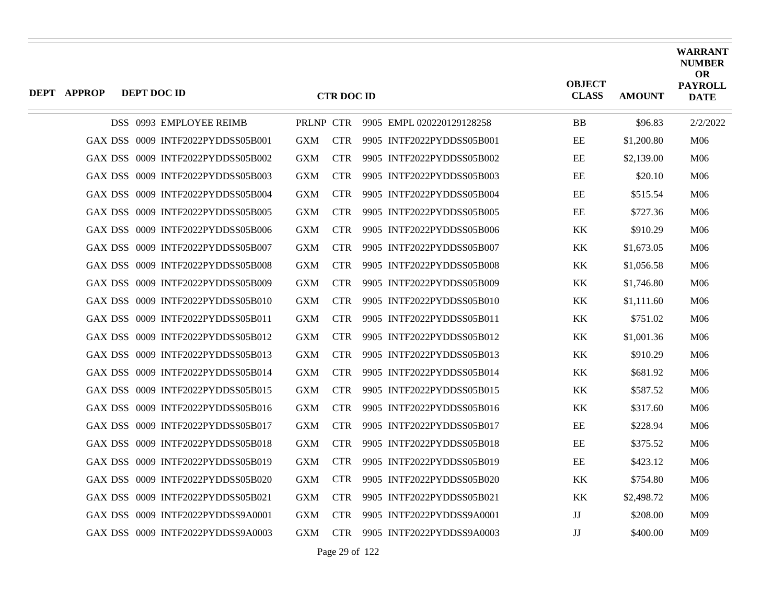| <b>DEPT APPROP</b> | DEPT DOC ID |                                   |            | <b>CTR DOC ID</b> |                           | <b>OBJECT</b><br><b>CLASS</b> | <b>AMOUNT</b> | <b>WARRANT</b><br><b>NUMBER</b><br><b>OR</b><br><b>PAYROLL</b><br><b>DATE</b> |
|--------------------|-------------|-----------------------------------|------------|-------------------|---------------------------|-------------------------------|---------------|-------------------------------------------------------------------------------|
|                    |             | DSS 0993 EMPLOYEE REIMB           | PRLNP CTR  |                   | 9905 EMPL 020220129128258 | <b>BB</b>                     | \$96.83       | 2/2/2022                                                                      |
|                    |             | GAX DSS 0009 INTF2022PYDDSS05B001 | <b>GXM</b> | <b>CTR</b>        | 9905 INTF2022PYDDSS05B001 | EE                            | \$1,200.80    | M06                                                                           |
|                    |             | GAX DSS 0009 INTF2022PYDDSS05B002 | <b>GXM</b> | <b>CTR</b>        | 9905 INTF2022PYDDSS05B002 | EE                            | \$2,139.00    | M <sub>06</sub>                                                               |
| GAX DSS            |             | 0009 INTF2022PYDDSS05B003         | <b>GXM</b> | <b>CTR</b>        | 9905 INTF2022PYDDSS05B003 | EE                            | \$20.10       | M06                                                                           |
|                    |             | GAX DSS 0009 INTF2022PYDDSS05B004 | <b>GXM</b> | <b>CTR</b>        | 9905 INTF2022PYDDSS05B004 | EE                            | \$515.54      | M06                                                                           |
|                    |             | GAX DSS 0009 INTF2022PYDDSS05B005 | <b>GXM</b> | <b>CTR</b>        | 9905 INTF2022PYDDSS05B005 | EE                            | \$727.36      | M06                                                                           |
|                    |             | GAX DSS 0009 INTF2022PYDDSS05B006 | <b>GXM</b> | <b>CTR</b>        | 9905 INTF2022PYDDSS05B006 | KK                            | \$910.29      | M06                                                                           |
|                    |             | GAX DSS 0009 INTF2022PYDDSS05B007 | <b>GXM</b> | <b>CTR</b>        | 9905 INTF2022PYDDSS05B007 | KK                            | \$1,673.05    | M06                                                                           |
|                    |             | GAX DSS 0009 INTF2022PYDDSS05B008 | <b>GXM</b> | <b>CTR</b>        | 9905 INTF2022PYDDSS05B008 | KK                            | \$1,056.58    | M06                                                                           |
| GAX DSS            |             | 0009 INTF2022PYDDSS05B009         | <b>GXM</b> | <b>CTR</b>        | 9905 INTF2022PYDDSS05B009 | KK                            | \$1,746.80    | M06                                                                           |
|                    |             | GAX DSS 0009 INTF2022PYDDSS05B010 | <b>GXM</b> | <b>CTR</b>        | 9905 INTF2022PYDDSS05B010 | KK                            | \$1,111.60    | M06                                                                           |
|                    |             | GAX DSS 0009 INTF2022PYDDSS05B011 | <b>GXM</b> | <b>CTR</b>        | 9905 INTF2022PYDDSS05B011 | <b>KK</b>                     | \$751.02      | M <sub>06</sub>                                                               |
| GAX DSS            |             | 0009 INTF2022PYDDSS05B012         | <b>GXM</b> | <b>CTR</b>        | 9905 INTF2022PYDDSS05B012 | KK                            | \$1,001.36    | M06                                                                           |
|                    |             | GAX DSS 0009 INTF2022PYDDSS05B013 | <b>GXM</b> | <b>CTR</b>        | 9905 INTF2022PYDDSS05B013 | $\mathbf{KK}$                 | \$910.29      | M06                                                                           |
|                    |             | GAX DSS 0009 INTF2022PYDDSS05B014 | <b>GXM</b> | <b>CTR</b>        | 9905 INTF2022PYDDSS05B014 | KK                            | \$681.92      | M <sub>06</sub>                                                               |
|                    |             | GAX DSS 0009 INTF2022PYDDSS05B015 | <b>GXM</b> | <b>CTR</b>        | 9905 INTF2022PYDDSS05B015 | KK                            | \$587.52      | M06                                                                           |
|                    |             | GAX DSS 0009 INTF2022PYDDSS05B016 | <b>GXM</b> | <b>CTR</b>        | 9905 INTF2022PYDDSS05B016 | KK                            | \$317.60      | M06                                                                           |
|                    |             | GAX DSS 0009 INTF2022PYDDSS05B017 | <b>GXM</b> | <b>CTR</b>        | 9905 INTF2022PYDDSS05B017 | EE                            | \$228.94      | M <sub>06</sub>                                                               |
| GAX DSS            |             | 0009 INTF2022PYDDSS05B018         | <b>GXM</b> | <b>CTR</b>        | 9905 INTF2022PYDDSS05B018 | EE                            | \$375.52      | M06                                                                           |
|                    |             | GAX DSS 0009 INTF2022PYDDSS05B019 | <b>GXM</b> | <b>CTR</b>        | 9905 INTF2022PYDDSS05B019 | EE                            | \$423.12      | M06                                                                           |
|                    |             | GAX DSS 0009 INTF2022PYDDSS05B020 | <b>GXM</b> | <b>CTR</b>        | 9905 INTF2022PYDDSS05B020 | <b>KK</b>                     | \$754.80      | M <sub>06</sub>                                                               |
| <b>GAX DSS</b>     |             | 0009 INTF2022PYDDSS05B021         | <b>GXM</b> | <b>CTR</b>        | 9905 INTF2022PYDDSS05B021 | KK                            | \$2,498.72    | M06                                                                           |
|                    |             | GAX DSS 0009 INTF2022PYDDSS9A0001 | <b>GXM</b> | <b>CTR</b>        | 9905 INTF2022PYDDSS9A0001 | $\mathbf{J}\mathbf{J}$        | \$208.00      | M09                                                                           |
|                    |             | GAX DSS 0009 INTF2022PYDDSS9A0003 | GXM        | <b>CTR</b>        | 9905 INTF2022PYDDSS9A0003 | JJ                            | \$400.00      | M09                                                                           |

Page 29 of 122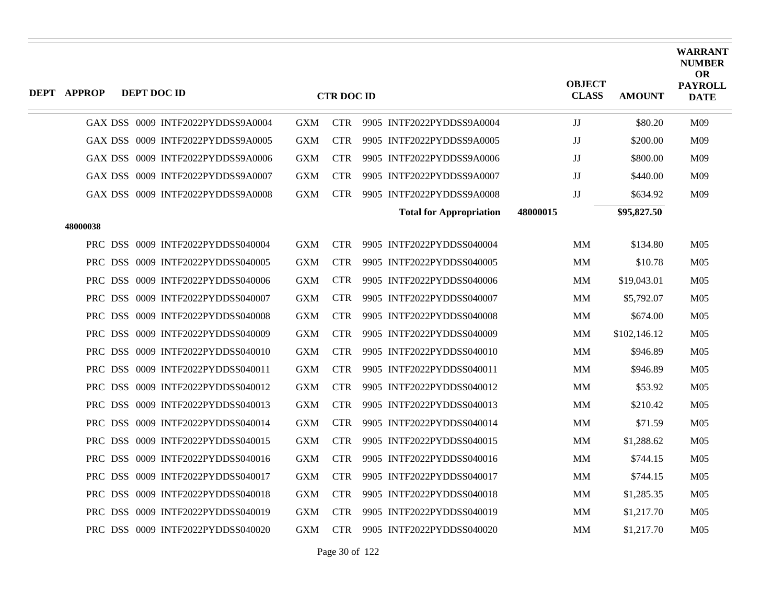| <b>DEPT APPROP</b> | <b>DEPT DOC ID</b>                |            | <b>CTR DOC ID</b> |                                |          | <b>OBJECT</b><br><b>CLASS</b> | <b>AMOUNT</b> | <b>WARRANT</b><br><b>NUMBER</b><br><b>OR</b><br><b>PAYROLL</b><br><b>DATE</b> |
|--------------------|-----------------------------------|------------|-------------------|--------------------------------|----------|-------------------------------|---------------|-------------------------------------------------------------------------------|
|                    | GAX DSS 0009 INTF2022PYDDSS9A0004 | <b>GXM</b> | <b>CTR</b>        | 9905 INTF2022PYDDSS9A0004      |          | JJ                            | \$80.20       | M09                                                                           |
|                    | GAX DSS 0009 INTF2022PYDDSS9A0005 | <b>GXM</b> | <b>CTR</b>        | 9905 INTF2022PYDDSS9A0005      |          | JJ                            | \$200.00      | M09                                                                           |
|                    | GAX DSS 0009 INTF2022PYDDSS9A0006 | <b>GXM</b> | <b>CTR</b>        | 9905 INTF2022PYDDSS9A0006      |          | JJ                            | \$800.00      | M09                                                                           |
|                    | GAX DSS 0009 INTF2022PYDDSS9A0007 | <b>GXM</b> | <b>CTR</b>        | 9905 INTF2022PYDDSS9A0007      |          | $\mathbf{J}\mathbf{J}$        | \$440.00      | M09                                                                           |
|                    | GAX DSS 0009 INTF2022PYDDSS9A0008 | <b>GXM</b> | <b>CTR</b>        | 9905 INTF2022PYDDSS9A0008      |          | $\rm JJ$                      | \$634.92      | M09                                                                           |
|                    |                                   |            |                   | <b>Total for Appropriation</b> | 48000015 |                               | \$95,827.50   |                                                                               |
| 48000038           |                                   |            |                   |                                |          |                               |               |                                                                               |
|                    | PRC DSS 0009 INTF2022PYDDSS040004 | <b>GXM</b> | <b>CTR</b>        | 9905 INTF2022PYDDSS040004      |          | MM                            | \$134.80      | M <sub>05</sub>                                                               |
|                    | PRC DSS 0009 INTF2022PYDDSS040005 | <b>GXM</b> | <b>CTR</b>        | 9905 INTF2022PYDDSS040005      |          | MM                            | \$10.78       | M <sub>05</sub>                                                               |
|                    | PRC DSS 0009 INTF2022PYDDSS040006 | <b>GXM</b> | <b>CTR</b>        | 9905 INTF2022PYDDSS040006      |          | MM                            | \$19,043.01   | M <sub>05</sub>                                                               |
|                    | PRC DSS 0009 INTF2022PYDDSS040007 | <b>GXM</b> | <b>CTR</b>        | 9905 INTF2022PYDDSS040007      |          | MM                            | \$5,792.07    | M <sub>05</sub>                                                               |
|                    | PRC DSS 0009 INTF2022PYDDSS040008 | <b>GXM</b> | <b>CTR</b>        | 9905 INTF2022PYDDSS040008      |          | MM                            | \$674.00      | M <sub>05</sub>                                                               |
|                    | PRC DSS 0009 INTF2022PYDDSS040009 | <b>GXM</b> | <b>CTR</b>        | 9905 INTF2022PYDDSS040009      |          | MM                            | \$102,146.12  | M <sub>05</sub>                                                               |
|                    | PRC DSS 0009 INTF2022PYDDSS040010 | <b>GXM</b> | <b>CTR</b>        | 9905 INTF2022PYDDSS040010      |          | MM                            | \$946.89      | M <sub>05</sub>                                                               |
|                    | PRC DSS 0009 INTF2022PYDDSS040011 | <b>GXM</b> | <b>CTR</b>        | 9905 INTF2022PYDDSS040011      |          | MM                            | \$946.89      | M <sub>05</sub>                                                               |
|                    | PRC DSS 0009 INTF2022PYDDSS040012 | <b>GXM</b> | <b>CTR</b>        | 9905 INTF2022PYDDSS040012      |          | MM                            | \$53.92       | M <sub>05</sub>                                                               |
|                    | PRC DSS 0009 INTF2022PYDDSS040013 | <b>GXM</b> | <b>CTR</b>        | 9905 INTF2022PYDDSS040013      |          | MM                            | \$210.42      | M <sub>05</sub>                                                               |
|                    | PRC DSS 0009 INTF2022PYDDSS040014 | <b>GXM</b> | <b>CTR</b>        | 9905 INTF2022PYDDSS040014      |          | MM                            | \$71.59       | M <sub>05</sub>                                                               |
|                    | PRC DSS 0009 INTF2022PYDDSS040015 | <b>GXM</b> | <b>CTR</b>        | 9905 INTF2022PYDDSS040015      |          | MM                            | \$1,288.62    | M <sub>05</sub>                                                               |
|                    | PRC DSS 0009 INTF2022PYDDSS040016 | <b>GXM</b> | <b>CTR</b>        | 9905 INTF2022PYDDSS040016      |          | MM                            | \$744.15      | M <sub>05</sub>                                                               |
|                    | PRC DSS 0009 INTF2022PYDDSS040017 | <b>GXM</b> | <b>CTR</b>        | 9905 INTF2022PYDDSS040017      |          | MM                            | \$744.15      | M <sub>05</sub>                                                               |
|                    | PRC DSS 0009 INTF2022PYDDSS040018 | <b>GXM</b> | <b>CTR</b>        | 9905 INTF2022PYDDSS040018      |          | MM                            | \$1,285.35    | M <sub>05</sub>                                                               |
|                    | PRC DSS 0009 INTF2022PYDDSS040019 | <b>GXM</b> | <b>CTR</b>        | 9905 INTF2022PYDDSS040019      |          | MM                            | \$1,217.70    | M <sub>05</sub>                                                               |
|                    | PRC DSS 0009 INTF2022PYDDSS040020 | <b>GXM</b> | <b>CTR</b>        | 9905 INTF2022PYDDSS040020      |          | MM                            | \$1,217.70    | M <sub>05</sub>                                                               |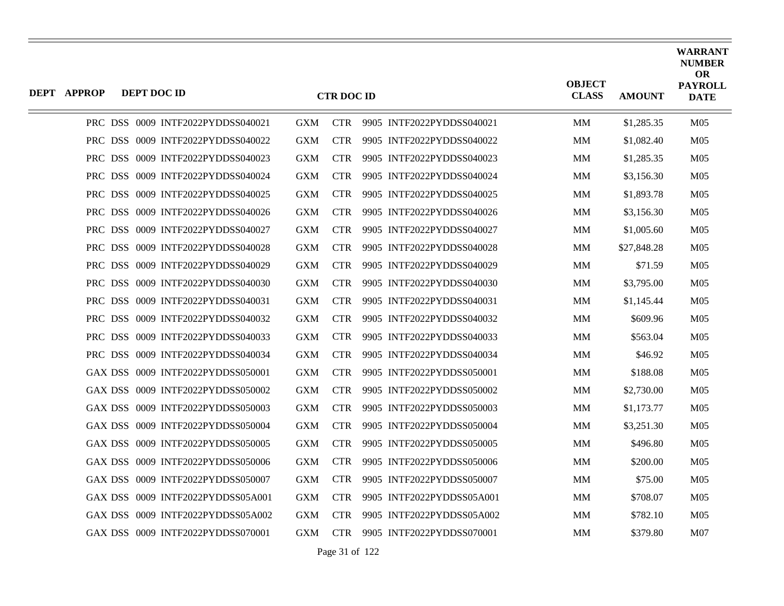| <b>DEPT APPROP</b> | DEPT DOC ID |                                   |            | <b>CTR DOC ID</b> |                           | <b>OBJECT</b><br><b>CLASS</b> | <b>AMOUNT</b> | <b>WARRANT</b><br><b>NUMBER</b><br><b>OR</b><br><b>PAYROLL</b><br><b>DATE</b> |
|--------------------|-------------|-----------------------------------|------------|-------------------|---------------------------|-------------------------------|---------------|-------------------------------------------------------------------------------|
|                    |             | PRC DSS 0009 INTF2022PYDDSS040021 | <b>GXM</b> | <b>CTR</b>        | 9905 INTF2022PYDDSS040021 | MM                            | \$1,285.35    | M <sub>05</sub>                                                               |
|                    |             | PRC DSS 0009 INTF2022PYDDSS040022 | <b>GXM</b> | <b>CTR</b>        | 9905 INTF2022PYDDSS040022 | MM                            | \$1,082.40    | M <sub>05</sub>                                                               |
|                    |             | PRC DSS 0009 INTF2022PYDDSS040023 | <b>GXM</b> | <b>CTR</b>        | 9905 INTF2022PYDDSS040023 | MМ                            | \$1,285.35    | M <sub>05</sub>                                                               |
|                    |             | PRC DSS 0009 INTF2022PYDDSS040024 | <b>GXM</b> | <b>CTR</b>        | 9905 INTF2022PYDDSS040024 | MМ                            | \$3,156.30    | M <sub>05</sub>                                                               |
|                    |             | PRC DSS 0009 INTF2022PYDDSS040025 | <b>GXM</b> | <b>CTR</b>        | 9905 INTF2022PYDDSS040025 | MМ                            | \$1,893.78    | M <sub>05</sub>                                                               |
|                    |             | PRC DSS 0009 INTF2022PYDDSS040026 | <b>GXM</b> | <b>CTR</b>        | 9905 INTF2022PYDDSS040026 | MМ                            | \$3,156.30    | M <sub>05</sub>                                                               |
|                    |             | PRC DSS 0009 INTF2022PYDDSS040027 | <b>GXM</b> | <b>CTR</b>        | 9905 INTF2022PYDDSS040027 | MM                            | \$1,005.60    | M <sub>05</sub>                                                               |
|                    |             | PRC DSS 0009 INTF2022PYDDSS040028 | <b>GXM</b> | <b>CTR</b>        | 9905 INTF2022PYDDSS040028 | MМ                            | \$27,848.28   | M <sub>05</sub>                                                               |
|                    |             | PRC DSS 0009 INTF2022PYDDSS040029 | <b>GXM</b> | <b>CTR</b>        | 9905 INTF2022PYDDSS040029 | <b>MM</b>                     | \$71.59       | M <sub>05</sub>                                                               |
|                    |             | PRC DSS 0009 INTF2022PYDDSS040030 | <b>GXM</b> | <b>CTR</b>        | 9905 INTF2022PYDDSS040030 | MМ                            | \$3,795.00    | M <sub>05</sub>                                                               |
|                    |             | PRC DSS 0009 INTF2022PYDDSS040031 | <b>GXM</b> | <b>CTR</b>        | 9905 INTF2022PYDDSS040031 | MМ                            | \$1,145.44    | M <sub>05</sub>                                                               |
|                    |             | PRC DSS 0009 INTF2022PYDDSS040032 | <b>GXM</b> | <b>CTR</b>        | 9905 INTF2022PYDDSS040032 | <b>MM</b>                     | \$609.96      | M <sub>05</sub>                                                               |
|                    |             | PRC DSS 0009 INTF2022PYDDSS040033 | <b>GXM</b> | <b>CTR</b>        | 9905 INTF2022PYDDSS040033 | MМ                            | \$563.04      | M <sub>05</sub>                                                               |
|                    |             | PRC DSS 0009 INTF2022PYDDSS040034 | <b>GXM</b> | <b>CTR</b>        | 9905 INTF2022PYDDSS040034 | <b>MM</b>                     | \$46.92       | M <sub>05</sub>                                                               |
|                    |             | GAX DSS 0009 INTF2022PYDDSS050001 | <b>GXM</b> | <b>CTR</b>        | 9905 INTF2022PYDDSS050001 | MМ                            | \$188.08      | M <sub>05</sub>                                                               |
|                    |             | GAX DSS 0009 INTF2022PYDDSS050002 | <b>GXM</b> | <b>CTR</b>        | 9905 INTF2022PYDDSS050002 | MМ                            | \$2,730.00    | M <sub>05</sub>                                                               |
|                    |             | GAX DSS 0009 INTF2022PYDDSS050003 | <b>GXM</b> | <b>CTR</b>        | 9905 INTF2022PYDDSS050003 | MM                            | \$1,173.77    | M <sub>05</sub>                                                               |
|                    |             | GAX DSS 0009 INTF2022PYDDSS050004 | <b>GXM</b> | <b>CTR</b>        | 9905 INTF2022PYDDSS050004 | MМ                            | \$3,251.30    | M <sub>05</sub>                                                               |
|                    |             | GAX DSS 0009 INTF2022PYDDSS050005 | <b>GXM</b> | <b>CTR</b>        | 9905 INTF2022PYDDSS050005 | <b>MM</b>                     | \$496.80      | M <sub>05</sub>                                                               |
|                    |             | GAX DSS 0009 INTF2022PYDDSS050006 | <b>GXM</b> | <b>CTR</b>        | 9905 INTF2022PYDDSS050006 | MM                            | \$200.00      | M <sub>05</sub>                                                               |
|                    |             | GAX DSS 0009 INTF2022PYDDSS050007 | <b>GXM</b> | <b>CTR</b>        | 9905 INTF2022PYDDSS050007 | MМ                            | \$75.00       | M <sub>05</sub>                                                               |
|                    |             | GAX DSS 0009 INTF2022PYDDSS05A001 | <b>GXM</b> | <b>CTR</b>        | 9905 INTF2022PYDDSS05A001 | MM                            | \$708.07      | M <sub>05</sub>                                                               |
|                    |             | GAX DSS 0009 INTF2022PYDDSS05A002 | <b>GXM</b> | <b>CTR</b>        | 9905 INTF2022PYDDSS05A002 | MМ                            | \$782.10      | M <sub>05</sub>                                                               |
|                    |             | GAX DSS 0009 INTF2022PYDDSS070001 | <b>GXM</b> | CTR -             | 9905 INTF2022PYDDSS070001 | <b>MM</b>                     | \$379.80      | M <sub>07</sub>                                                               |

Page 31 of 122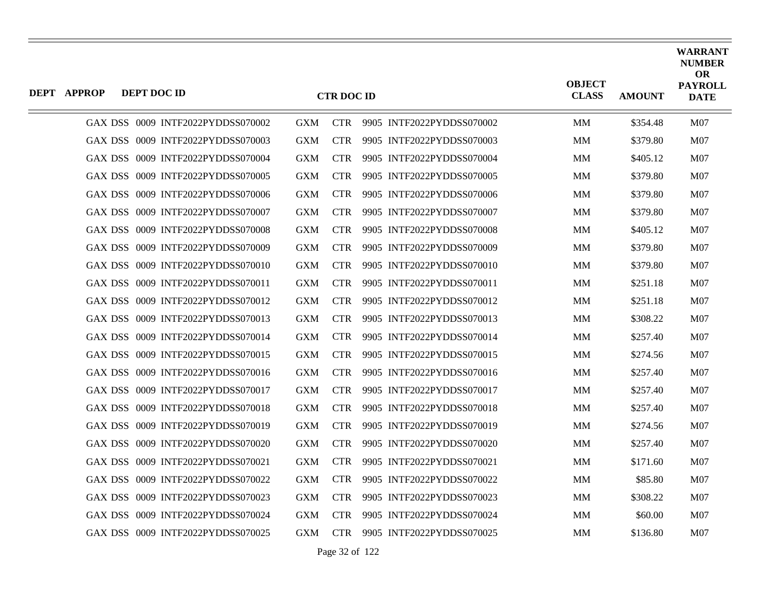| <b>DEPT APPROP</b> | DEPT DOC ID                       |            | <b>CTR DOC ID</b> |                           | <b>OBJECT</b><br><b>CLASS</b> | <b>AMOUNT</b> | <b>WARRANT</b><br><b>NUMBER</b><br><b>OR</b><br><b>PAYROLL</b><br><b>DATE</b> |
|--------------------|-----------------------------------|------------|-------------------|---------------------------|-------------------------------|---------------|-------------------------------------------------------------------------------|
|                    | GAX DSS 0009 INTF2022PYDDSS070002 | <b>GXM</b> | <b>CTR</b>        | 9905 INTF2022PYDDSS070002 | MM                            | \$354.48      | M07                                                                           |
|                    | GAX DSS 0009 INTF2022PYDDSS070003 | <b>GXM</b> | <b>CTR</b>        | 9905 INTF2022PYDDSS070003 | <b>MM</b>                     | \$379.80      | <b>M07</b>                                                                    |
|                    | GAX DSS 0009 INTF2022PYDDSS070004 | <b>GXM</b> | <b>CTR</b>        | 9905 INTF2022PYDDSS070004 | MМ                            | \$405.12      | M07                                                                           |
|                    | GAX DSS 0009 INTF2022PYDDSS070005 | <b>GXM</b> | <b>CTR</b>        | 9905 INTF2022PYDDSS070005 | <b>MM</b>                     | \$379.80      | <b>M07</b>                                                                    |
|                    | GAX DSS 0009 INTF2022PYDDSS070006 | <b>GXM</b> | <b>CTR</b>        | 9905 INTF2022PYDDSS070006 | MМ                            | \$379.80      | M07                                                                           |
|                    | GAX DSS 0009 INTF2022PYDDSS070007 | <b>GXM</b> | <b>CTR</b>        | 9905 INTF2022PYDDSS070007 | <b>MM</b>                     | \$379.80      | M07                                                                           |
|                    | GAX DSS 0009 INTF2022PYDDSS070008 | <b>GXM</b> | <b>CTR</b>        | 9905 INTF2022PYDDSS070008 | MM                            | \$405.12      | M07                                                                           |
|                    | GAX DSS 0009 INTF2022PYDDSS070009 | <b>GXM</b> | <b>CTR</b>        | 9905 INTF2022PYDDSS070009 | MM                            | \$379.80      | M07                                                                           |
|                    | GAX DSS 0009 INTF2022PYDDSS070010 | <b>GXM</b> | <b>CTR</b>        | 9905 INTF2022PYDDSS070010 | MM                            | \$379.80      | M <sub>07</sub>                                                               |
|                    | GAX DSS 0009 INTF2022PYDDSS070011 | <b>GXM</b> | <b>CTR</b>        | 9905 INTF2022PYDDSS070011 | MM                            | \$251.18      | M07                                                                           |
|                    | GAX DSS 0009 INTF2022PYDDSS070012 | <b>GXM</b> | <b>CTR</b>        | 9905 INTF2022PYDDSS070012 | MМ                            | \$251.18      | <b>M07</b>                                                                    |
|                    | GAX DSS 0009 INTF2022PYDDSS070013 | <b>GXM</b> | <b>CTR</b>        | 9905 INTF2022PYDDSS070013 | MM                            | \$308.22      | M <sub>07</sub>                                                               |
|                    | GAX DSS 0009 INTF2022PYDDSS070014 | <b>GXM</b> | <b>CTR</b>        | 9905 INTF2022PYDDSS070014 | MM                            | \$257.40      | M07                                                                           |
|                    | GAX DSS 0009 INTF2022PYDDSS070015 | <b>GXM</b> | <b>CTR</b>        | 9905 INTF2022PYDDSS070015 | <b>MM</b>                     | \$274.56      | <b>M07</b>                                                                    |
|                    | GAX DSS 0009 INTF2022PYDDSS070016 | <b>GXM</b> | <b>CTR</b>        | 9905 INTF2022PYDDSS070016 | MМ                            | \$257.40      | M07                                                                           |
|                    | GAX DSS 0009 INTF2022PYDDSS070017 | <b>GXM</b> | <b>CTR</b>        | 9905 INTF2022PYDDSS070017 | MM                            | \$257.40      | <b>M07</b>                                                                    |
|                    | GAX DSS 0009 INTF2022PYDDSS070018 | <b>GXM</b> | <b>CTR</b>        | 9905 INTF2022PYDDSS070018 | <b>MM</b>                     | \$257.40      | <b>M07</b>                                                                    |
|                    | GAX DSS 0009 INTF2022PYDDSS070019 | <b>GXM</b> | <b>CTR</b>        | 9905 INTF2022PYDDSS070019 | MМ                            | \$274.56      | M07                                                                           |
|                    | GAX DSS 0009 INTF2022PYDDSS070020 | <b>GXM</b> | <b>CTR</b>        | 9905 INTF2022PYDDSS070020 | <b>MM</b>                     | \$257.40      | M07                                                                           |
|                    | GAX DSS 0009 INTF2022PYDDSS070021 | <b>GXM</b> | <b>CTR</b>        | 9905 INTF2022PYDDSS070021 | MМ                            | \$171.60      | M07                                                                           |
|                    | GAX DSS 0009 INTF2022PYDDSS070022 | <b>GXM</b> | <b>CTR</b>        | 9905 INTF2022PYDDSS070022 | MМ                            | \$85.80       | M07                                                                           |
|                    | GAX DSS 0009 INTF2022PYDDSS070023 | <b>GXM</b> | <b>CTR</b>        | 9905 INTF2022PYDDSS070023 | MM                            | \$308.22      | M07                                                                           |
|                    | GAX DSS 0009 INTF2022PYDDSS070024 | <b>GXM</b> | <b>CTR</b>        | 9905 INTF2022PYDDSS070024 | MМ                            | \$60.00       | <b>M07</b>                                                                    |
|                    | GAX DSS 0009 INTF2022PYDDSS070025 | <b>GXM</b> | <b>CTR</b>        | 9905 INTF2022PYDDSS070025 | MM                            | \$136.80      | M <sub>07</sub>                                                               |

Page 32 of 122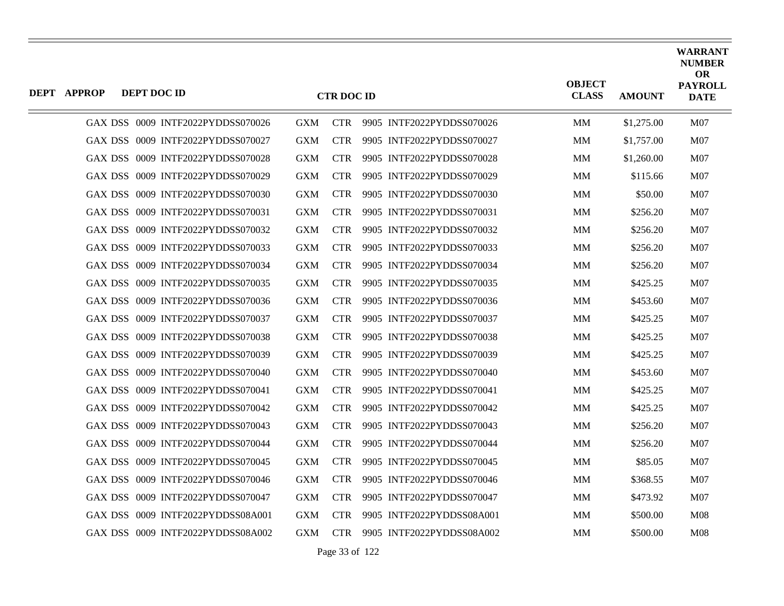| <b>DEPT APPROP</b> | DEPT DOC ID |                                   |            | <b>CTR DOC ID</b> |                           | <b>OBJECT</b><br><b>CLASS</b> | <b>AMOUNT</b> | <b>WARRANT</b><br><b>NUMBER</b><br><b>OR</b><br><b>PAYROLL</b><br><b>DATE</b> |
|--------------------|-------------|-----------------------------------|------------|-------------------|---------------------------|-------------------------------|---------------|-------------------------------------------------------------------------------|
|                    |             | GAX DSS 0009 INTF2022PYDDSS070026 | <b>GXM</b> | <b>CTR</b>        | 9905 INTF2022PYDDSS070026 | <b>MM</b>                     | \$1,275.00    | M07                                                                           |
|                    |             | GAX DSS 0009 INTF2022PYDDSS070027 | <b>GXM</b> | <b>CTR</b>        | 9905 INTF2022PYDDSS070027 | <b>MM</b>                     | \$1,757.00    | M07                                                                           |
|                    |             | GAX DSS 0009 INTF2022PYDDSS070028 | <b>GXM</b> | <b>CTR</b>        | 9905 INTF2022PYDDSS070028 | MМ                            | \$1,260.00    | M07                                                                           |
|                    |             | GAX DSS 0009 INTF2022PYDDSS070029 | <b>GXM</b> | <b>CTR</b>        | 9905 INTF2022PYDDSS070029 | <b>MM</b>                     | \$115.66      | M07                                                                           |
|                    |             | GAX DSS 0009 INTF2022PYDDSS070030 | <b>GXM</b> | <b>CTR</b>        | 9905 INTF2022PYDDSS070030 | MM                            | \$50.00       | M07                                                                           |
|                    |             | GAX DSS 0009 INTF2022PYDDSS070031 | <b>GXM</b> | <b>CTR</b>        | 9905 INTF2022PYDDSS070031 | <b>MM</b>                     | \$256.20      | M07                                                                           |
|                    |             | GAX DSS 0009 INTF2022PYDDSS070032 | <b>GXM</b> | <b>CTR</b>        | 9905 INTF2022PYDDSS070032 | <b>MM</b>                     | \$256.20      | M07                                                                           |
|                    |             | GAX DSS 0009 INTF2022PYDDSS070033 | <b>GXM</b> | <b>CTR</b>        | 9905 INTF2022PYDDSS070033 | <b>MM</b>                     | \$256.20      | M07                                                                           |
|                    |             | GAX DSS 0009 INTF2022PYDDSS070034 | <b>GXM</b> | <b>CTR</b>        | 9905 INTF2022PYDDSS070034 | <b>MM</b>                     | \$256.20      | M07                                                                           |
|                    |             | GAX DSS 0009 INTF2022PYDDSS070035 | <b>GXM</b> | <b>CTR</b>        | 9905 INTF2022PYDDSS070035 | MM                            | \$425.25      | M07                                                                           |
|                    |             | GAX DSS 0009 INTF2022PYDDSS070036 | <b>GXM</b> | <b>CTR</b>        | 9905 INTF2022PYDDSS070036 | <b>MM</b>                     | \$453.60      | M07                                                                           |
|                    |             | GAX DSS 0009 INTF2022PYDDSS070037 | <b>GXM</b> | <b>CTR</b>        | 9905 INTF2022PYDDSS070037 | <b>MM</b>                     | \$425.25      | M07                                                                           |
|                    |             | GAX DSS 0009 INTF2022PYDDSS070038 | <b>GXM</b> | <b>CTR</b>        | 9905 INTF2022PYDDSS070038 | <b>MM</b>                     | \$425.25      | M07                                                                           |
|                    |             | GAX DSS 0009 INTF2022PYDDSS070039 | <b>GXM</b> | <b>CTR</b>        | 9905 INTF2022PYDDSS070039 | <b>MM</b>                     | \$425.25      | M07                                                                           |
|                    |             | GAX DSS 0009 INTF2022PYDDSS070040 | <b>GXM</b> | <b>CTR</b>        | 9905 INTF2022PYDDSS070040 | MМ                            | \$453.60      | M07                                                                           |
|                    |             | GAX DSS 0009 INTF2022PYDDSS070041 | <b>GXM</b> | <b>CTR</b>        | 9905 INTF2022PYDDSS070041 | <b>MM</b>                     | \$425.25      | M07                                                                           |
|                    |             | GAX DSS 0009 INTF2022PYDDSS070042 | <b>GXM</b> | <b>CTR</b>        | 9905 INTF2022PYDDSS070042 | <b>MM</b>                     | \$425.25      | M07                                                                           |
|                    |             | GAX DSS 0009 INTF2022PYDDSS070043 | <b>GXM</b> | <b>CTR</b>        | 9905 INTF2022PYDDSS070043 | <b>MM</b>                     | \$256.20      | M07                                                                           |
|                    |             | GAX DSS 0009 INTF2022PYDDSS070044 | <b>GXM</b> | <b>CTR</b>        | 9905 INTF2022PYDDSS070044 | <b>MM</b>                     | \$256.20      | M07                                                                           |
|                    |             | GAX DSS 0009 INTF2022PYDDSS070045 | <b>GXM</b> | <b>CTR</b>        | 9905 INTF2022PYDDSS070045 | MM                            | \$85.05       | M07                                                                           |
|                    |             | GAX DSS 0009 INTF2022PYDDSS070046 | <b>GXM</b> | <b>CTR</b>        | 9905 INTF2022PYDDSS070046 | <b>MM</b>                     | \$368.55      | M07                                                                           |
|                    |             | GAX DSS 0009 INTF2022PYDDSS070047 | <b>GXM</b> | <b>CTR</b>        | 9905 INTF2022PYDDSS070047 | <b>MM</b>                     | \$473.92      | M07                                                                           |
|                    |             | GAX DSS 0009 INTF2022PYDDSS08A001 | <b>GXM</b> | <b>CTR</b>        | 9905 INTF2022PYDDSS08A001 | MМ                            | \$500.00      | M08                                                                           |
|                    |             | GAX DSS 0009 INTF2022PYDDSS08A002 | <b>GXM</b> | <b>CTR</b>        | 9905 INTF2022PYDDSS08A002 | <b>MM</b>                     | \$500.00      | M08                                                                           |

Page 33 of 122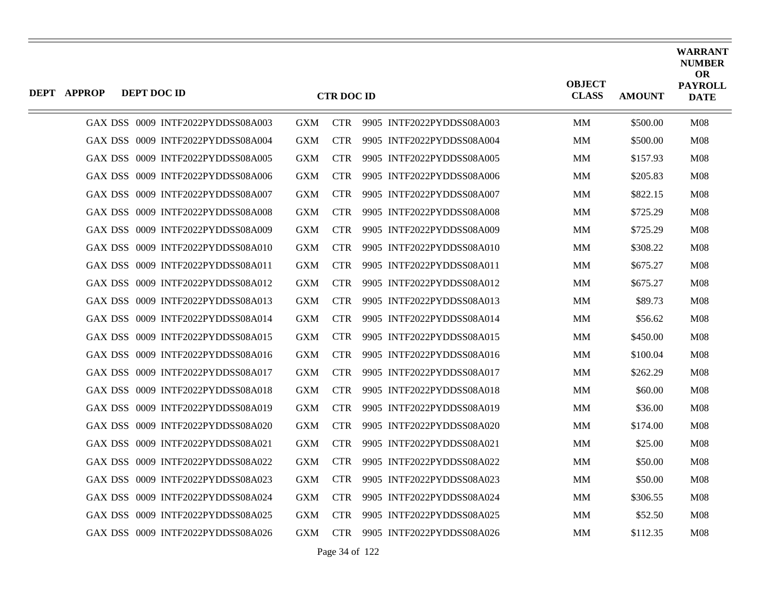| DEPT APPROP | DEPT DOC ID |                                   |            | <b>CTR DOC ID</b> |                           | <b>OBJECT</b><br><b>CLASS</b> | <b>AMOUNT</b> | <b>WARRANT</b><br><b>NUMBER</b><br><b>OR</b><br><b>PAYROLL</b><br><b>DATE</b> |
|-------------|-------------|-----------------------------------|------------|-------------------|---------------------------|-------------------------------|---------------|-------------------------------------------------------------------------------|
|             |             | GAX DSS 0009 INTF2022PYDDSS08A003 | <b>GXM</b> | <b>CTR</b>        | 9905 INTF2022PYDDSS08A003 | <b>MM</b>                     | \$500.00      | <b>M08</b>                                                                    |
|             |             | GAX DSS 0009 INTF2022PYDDSS08A004 | <b>GXM</b> | <b>CTR</b>        | 9905 INTF2022PYDDSS08A004 | <b>MM</b>                     | \$500.00      | M <sub>08</sub>                                                               |
|             |             | GAX DSS 0009 INTF2022PYDDSS08A005 | <b>GXM</b> | <b>CTR</b>        | 9905 INTF2022PYDDSS08A005 | MМ                            | \$157.93      | <b>M08</b>                                                                    |
|             |             | GAX DSS 0009 INTF2022PYDDSS08A006 | <b>GXM</b> | <b>CTR</b>        | 9905 INTF2022PYDDSS08A006 | MМ                            | \$205.83      | M08                                                                           |
|             |             | GAX DSS 0009 INTF2022PYDDSS08A007 | <b>GXM</b> | <b>CTR</b>        | 9905 INTF2022PYDDSS08A007 | MM                            | \$822.15      | <b>M08</b>                                                                    |
|             |             | GAX DSS 0009 INTF2022PYDDSS08A008 | <b>GXM</b> | <b>CTR</b>        | 9905 INTF2022PYDDSS08A008 | <b>MM</b>                     | \$725.29      | M08                                                                           |
|             |             | GAX DSS 0009 INTF2022PYDDSS08A009 | <b>GXM</b> | <b>CTR</b>        | 9905 INTF2022PYDDSS08A009 | MM                            | \$725.29      | <b>M08</b>                                                                    |
|             |             | GAX DSS 0009 INTF2022PYDDSS08A010 | <b>GXM</b> | <b>CTR</b>        | 9905 INTF2022PYDDSS08A010 | MМ                            | \$308.22      | M08                                                                           |
|             |             | GAX DSS 0009 INTF2022PYDDSS08A011 | <b>GXM</b> | <b>CTR</b>        | 9905 INTF2022PYDDSS08A011 | <b>MM</b>                     | \$675.27      | M08                                                                           |
|             |             | GAX DSS 0009 INTF2022PYDDSS08A012 | <b>GXM</b> | <b>CTR</b>        | 9905 INTF2022PYDDSS08A012 | MМ                            | \$675.27      | <b>M08</b>                                                                    |
|             |             | GAX DSS 0009 INTF2022PYDDSS08A013 | <b>GXM</b> | <b>CTR</b>        | 9905 INTF2022PYDDSS08A013 | <b>MM</b>                     | \$89.73       | M08                                                                           |
|             |             | GAX DSS 0009 INTF2022PYDDSS08A014 | <b>GXM</b> | <b>CTR</b>        | 9905 INTF2022PYDDSS08A014 | <b>MM</b>                     | \$56.62       | M08                                                                           |
|             |             | GAX DSS 0009 INTF2022PYDDSS08A015 | <b>GXM</b> | <b>CTR</b>        | 9905 INTF2022PYDDSS08A015 | MМ                            | \$450.00      | M08                                                                           |
|             |             | GAX DSS 0009 INTF2022PYDDSS08A016 | <b>GXM</b> | <b>CTR</b>        | 9905 INTF2022PYDDSS08A016 | <b>MM</b>                     | \$100.04      | M08                                                                           |
|             |             | GAX DSS 0009 INTF2022PYDDSS08A017 | <b>GXM</b> | <b>CTR</b>        | 9905 INTF2022PYDDSS08A017 | MМ                            | \$262.29      | M <sub>08</sub>                                                               |
|             |             | GAX DSS 0009 INTF2022PYDDSS08A018 | <b>GXM</b> | <b>CTR</b>        | 9905 INTF2022PYDDSS08A018 | MМ                            | \$60.00       | M08                                                                           |
|             |             | GAX DSS 0009 INTF2022PYDDSS08A019 | <b>GXM</b> | <b>CTR</b>        | 9905 INTF2022PYDDSS08A019 | <b>MM</b>                     | \$36.00       | <b>M08</b>                                                                    |
|             |             | GAX DSS 0009 INTF2022PYDDSS08A020 | <b>GXM</b> | <b>CTR</b>        | 9905 INTF2022PYDDSS08A020 | <b>MM</b>                     | \$174.00      | M08                                                                           |
|             |             | GAX DSS 0009 INTF2022PYDDSS08A021 | <b>GXM</b> | <b>CTR</b>        | 9905 INTF2022PYDDSS08A021 | <b>MM</b>                     | \$25.00       | <b>M08</b>                                                                    |
|             |             | GAX DSS 0009 INTF2022PYDDSS08A022 | <b>GXM</b> | <b>CTR</b>        | 9905 INTF2022PYDDSS08A022 | MМ                            | \$50.00       | <b>M08</b>                                                                    |
|             |             | GAX DSS 0009 INTF2022PYDDSS08A023 | <b>GXM</b> | <b>CTR</b>        | 9905 INTF2022PYDDSS08A023 | <b>MM</b>                     | \$50.00       | M08                                                                           |
|             |             | GAX DSS 0009 INTF2022PYDDSS08A024 | <b>GXM</b> | <b>CTR</b>        | 9905 INTF2022PYDDSS08A024 | MM                            | \$306.55      | <b>M08</b>                                                                    |
|             |             | GAX DSS 0009 INTF2022PYDDSS08A025 | <b>GXM</b> | <b>CTR</b>        | 9905 INTF2022PYDDSS08A025 | MМ                            | \$52.50       | M08                                                                           |
|             |             | GAX DSS 0009 INTF2022PYDDSS08A026 | <b>GXM</b> | <b>CTR</b>        | 9905 INTF2022PYDDSS08A026 | <b>MM</b>                     | \$112.35      | M08                                                                           |

Page 34 of 122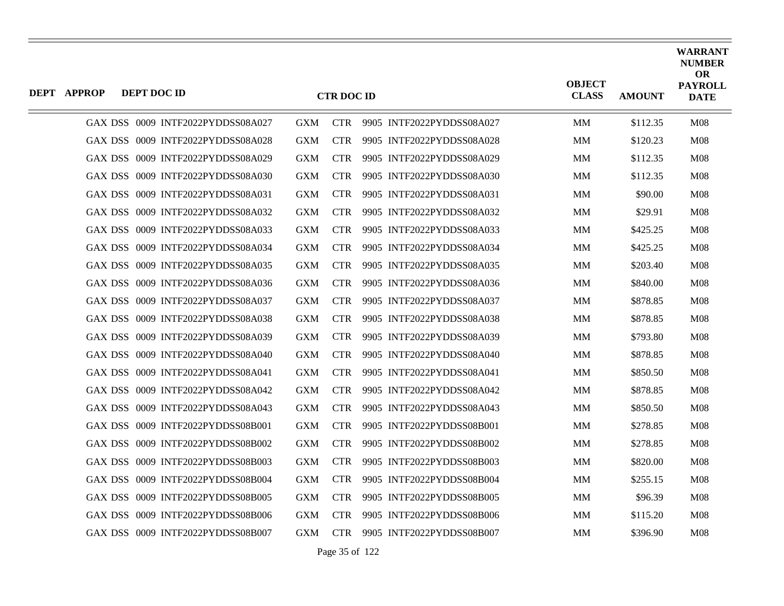| <b>DEPT APPROP</b> | DEPT DOC ID |                                   |            | <b>CTR DOC ID</b> |                               | <b>OBJECT</b><br><b>CLASS</b> | <b>AMOUNT</b> | <b>WARRANT</b><br><b>NUMBER</b><br><b>OR</b><br><b>PAYROLL</b><br><b>DATE</b> |
|--------------------|-------------|-----------------------------------|------------|-------------------|-------------------------------|-------------------------------|---------------|-------------------------------------------------------------------------------|
|                    |             | GAX DSS 0009 INTF2022PYDDSS08A027 | <b>GXM</b> |                   | CTR 9905 INTF2022PYDDSS08A027 | <b>MM</b>                     | \$112.35      | M08                                                                           |
|                    |             | GAX DSS 0009 INTF2022PYDDSS08A028 | <b>GXM</b> | <b>CTR</b>        | 9905 INTF2022PYDDSS08A028     | MM                            | \$120.23      | M <sub>08</sub>                                                               |
|                    |             | GAX DSS 0009 INTF2022PYDDSS08A029 | <b>GXM</b> | <b>CTR</b>        | 9905 INTF2022PYDDSS08A029     | MM                            | \$112.35      | M <sub>08</sub>                                                               |
|                    |             | GAX DSS 0009 INTF2022PYDDSS08A030 | <b>GXM</b> | <b>CTR</b>        | 9905 INTF2022PYDDSS08A030     | MМ                            | \$112.35      | <b>M08</b>                                                                    |
|                    |             | GAX DSS 0009 INTF2022PYDDSS08A031 | <b>GXM</b> | <b>CTR</b>        | 9905 INTF2022PYDDSS08A031     | MM                            | \$90.00       | M <sub>08</sub>                                                               |
|                    |             | GAX DSS 0009 INTF2022PYDDSS08A032 | <b>GXM</b> | <b>CTR</b>        | 9905 INTF2022PYDDSS08A032     | MM                            | \$29.91       | M08                                                                           |
|                    |             | GAX DSS 0009 INTF2022PYDDSS08A033 | <b>GXM</b> | <b>CTR</b>        | 9905 INTF2022PYDDSS08A033     | MМ                            | \$425.25      | M08                                                                           |
|                    |             | GAX DSS 0009 INTF2022PYDDSS08A034 | <b>GXM</b> | <b>CTR</b>        | 9905 INTF2022PYDDSS08A034     | MМ                            | \$425.25      | M <sub>08</sub>                                                               |
|                    |             | GAX DSS 0009 INTF2022PYDDSS08A035 | <b>GXM</b> | <b>CTR</b>        | 9905 INTF2022PYDDSS08A035     | MM                            | \$203.40      | M08                                                                           |
|                    |             | GAX DSS 0009 INTF2022PYDDSS08A036 | <b>GXM</b> | <b>CTR</b>        | 9905 INTF2022PYDDSS08A036     | MМ                            | \$840.00      | M08                                                                           |
|                    |             | GAX DSS 0009 INTF2022PYDDSS08A037 | <b>GXM</b> | <b>CTR</b>        | 9905 INTF2022PYDDSS08A037     | MМ                            | \$878.85      | M08                                                                           |
|                    |             | GAX DSS 0009 INTF2022PYDDSS08A038 | <b>GXM</b> | <b>CTR</b>        | 9905 INTF2022PYDDSS08A038     | MM                            | \$878.85      | M08                                                                           |
|                    |             | GAX DSS 0009 INTF2022PYDDSS08A039 | <b>GXM</b> | CTR.              | 9905 INTF2022PYDDSS08A039     | MМ                            | \$793.80      | M08                                                                           |
|                    |             | GAX DSS 0009 INTF2022PYDDSS08A040 | <b>GXM</b> | <b>CTR</b>        | 9905 INTF2022PYDDSS08A040     | MM                            | \$878.85      | M08                                                                           |
|                    |             | GAX DSS 0009 INTF2022PYDDSS08A041 | <b>GXM</b> | <b>CTR</b>        | 9905 INTF2022PYDDSS08A041     | MM                            | \$850.50      | M08                                                                           |
|                    |             | GAX DSS 0009 INTF2022PYDDSS08A042 | <b>GXM</b> | CTR.              | 9905 INTF2022PYDDSS08A042     | MМ                            | \$878.85      | M08                                                                           |
|                    |             | GAX DSS 0009 INTF2022PYDDSS08A043 | <b>GXM</b> | <b>CTR</b>        | 9905 INTF2022PYDDSS08A043     | MМ                            | \$850.50      | M <sub>08</sub>                                                               |
|                    |             | GAX DSS 0009 INTF2022PYDDSS08B001 | <b>GXM</b> | <b>CTR</b>        | 9905 INTF2022PYDDSS08B001     | MМ                            | \$278.85      | M08                                                                           |
|                    |             | GAX DSS 0009 INTF2022PYDDSS08B002 | <b>GXM</b> | <b>CTR</b>        | 9905 INTF2022PYDDSS08B002     | <b>MM</b>                     | \$278.85      | M08                                                                           |
|                    |             | GAX DSS 0009 INTF2022PYDDSS08B003 | <b>GXM</b> | <b>CTR</b>        | 9905 INTF2022PYDDSS08B003     | MM                            | \$820.00      | <b>M08</b>                                                                    |
|                    |             | GAX DSS 0009 INTF2022PYDDSS08B004 | <b>GXM</b> | <b>CTR</b>        | 9905 INTF2022PYDDSS08B004     | MМ                            | \$255.15      | <b>M08</b>                                                                    |
|                    |             | GAX DSS 0009 INTF2022PYDDSS08B005 | <b>GXM</b> | CTR.              | 9905 INTF2022PYDDSS08B005     | MM                            | \$96.39       | M <sub>08</sub>                                                               |
|                    |             | GAX DSS 0009 INTF2022PYDDSS08B006 | <b>GXM</b> | <b>CTR</b>        | 9905 INTF2022PYDDSS08B006     | MM                            | \$115.20      | M <sub>08</sub>                                                               |
|                    |             | GAX DSS 0009 INTF2022PYDDSS08B007 | <b>GXM</b> | <b>CTR</b>        | 9905 INTF2022PYDDSS08B007     | MМ                            | \$396.90      | M <sub>08</sub>                                                               |

Page 35 of 122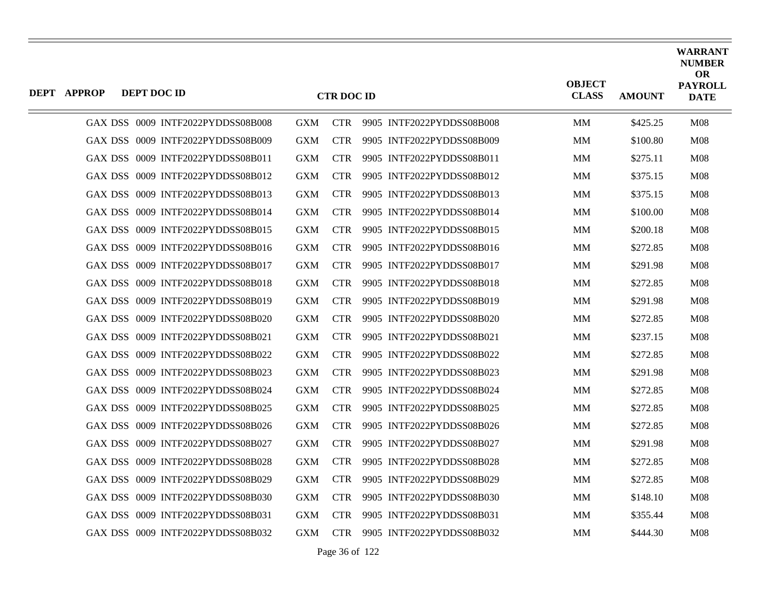| <b>DEPT APPROP</b> | DEPT DOC ID |                                   |            | <b>CTR DOC ID</b> |                           | <b>OBJECT</b><br><b>CLASS</b> | <b>AMOUNT</b> | <b>WARRANT</b><br><b>NUMBER</b><br><b>OR</b><br><b>PAYROLL</b><br><b>DATE</b> |
|--------------------|-------------|-----------------------------------|------------|-------------------|---------------------------|-------------------------------|---------------|-------------------------------------------------------------------------------|
|                    |             | GAX DSS 0009 INTF2022PYDDSS08B008 | <b>GXM</b> | <b>CTR</b>        | 9905 INTF2022PYDDSS08B008 | MМ                            | \$425.25      | M08                                                                           |
|                    |             | GAX DSS 0009 INTF2022PYDDSS08B009 | <b>GXM</b> | <b>CTR</b>        | 9905 INTF2022PYDDSS08B009 | <b>MM</b>                     | \$100.80      | M08                                                                           |
|                    |             | GAX DSS 0009 INTF2022PYDDSS08B011 | <b>GXM</b> | <b>CTR</b>        | 9905 INTF2022PYDDSS08B011 | MM                            | \$275.11      | M08                                                                           |
|                    |             | GAX DSS 0009 INTF2022PYDDSS08B012 | <b>GXM</b> | <b>CTR</b>        | 9905 INTF2022PYDDSS08B012 | MM                            | \$375.15      | M08                                                                           |
|                    |             | GAX DSS 0009 INTF2022PYDDSS08B013 | <b>GXM</b> | <b>CTR</b>        | 9905 INTF2022PYDDSS08B013 | <b>MM</b>                     | \$375.15      | M08                                                                           |
|                    |             | GAX DSS 0009 INTF2022PYDDSS08B014 | <b>GXM</b> | <b>CTR</b>        | 9905 INTF2022PYDDSS08B014 | MM                            | \$100.00      | M08                                                                           |
|                    |             | GAX DSS 0009 INTF2022PYDDSS08B015 | <b>GXM</b> | <b>CTR</b>        | 9905 INTF2022PYDDSS08B015 | MM                            | \$200.18      | M <sub>08</sub>                                                               |
|                    |             | GAX DSS 0009 INTF2022PYDDSS08B016 | <b>GXM</b> | <b>CTR</b>        | 9905 INTF2022PYDDSS08B016 | <b>MM</b>                     | \$272.85      | M08                                                                           |
|                    |             | GAX DSS 0009 INTF2022PYDDSS08B017 | <b>GXM</b> | <b>CTR</b>        | 9905 INTF2022PYDDSS08B017 | MM                            | \$291.98      | M08                                                                           |
|                    |             | GAX DSS 0009 INTF2022PYDDSS08B018 | <b>GXM</b> | <b>CTR</b>        | 9905 INTF2022PYDDSS08B018 | MM                            | \$272.85      | M <sub>08</sub>                                                               |
|                    |             | GAX DSS 0009 INTF2022PYDDSS08B019 | <b>GXM</b> | <b>CTR</b>        | 9905 INTF2022PYDDSS08B019 | <b>MM</b>                     | \$291.98      | <b>M08</b>                                                                    |
|                    |             | GAX DSS 0009 INTF2022PYDDSS08B020 | <b>GXM</b> | <b>CTR</b>        | 9905 INTF2022PYDDSS08B020 | MM                            | \$272.85      | M08                                                                           |
|                    |             | GAX DSS 0009 INTF2022PYDDSS08B021 | <b>GXM</b> | <b>CTR</b>        | 9905 INTF2022PYDDSS08B021 | MM                            | \$237.15      | M <sub>08</sub>                                                               |
|                    |             | GAX DSS 0009 INTF2022PYDDSS08B022 | <b>GXM</b> | <b>CTR</b>        | 9905 INTF2022PYDDSS08B022 | <b>MM</b>                     | \$272.85      | M08                                                                           |
|                    |             | GAX DSS 0009 INTF2022PYDDSS08B023 | <b>GXM</b> | <b>CTR</b>        | 9905 INTF2022PYDDSS08B023 | MM                            | \$291.98      | M08                                                                           |
|                    |             | GAX DSS 0009 INTF2022PYDDSS08B024 | <b>GXM</b> | <b>CTR</b>        | 9905 INTF2022PYDDSS08B024 | MM                            | \$272.85      | M <sub>08</sub>                                                               |
|                    |             | GAX DSS 0009 INTF2022PYDDSS08B025 | <b>GXM</b> | <b>CTR</b>        | 9905 INTF2022PYDDSS08B025 | MМ                            | \$272.85      | M <sub>08</sub>                                                               |
|                    |             | GAX DSS 0009 INTF2022PYDDSS08B026 | <b>GXM</b> | <b>CTR</b>        | 9905 INTF2022PYDDSS08B026 | MM                            | \$272.85      | M08                                                                           |
|                    |             | GAX DSS 0009 INTF2022PYDDSS08B027 | <b>GXM</b> | <b>CTR</b>        | 9905 INTF2022PYDDSS08B027 | MМ                            | \$291.98      | M <sub>08</sub>                                                               |
|                    |             | GAX DSS 0009 INTF2022PYDDSS08B028 | <b>GXM</b> | <b>CTR</b>        | 9905 INTF2022PYDDSS08B028 | MМ                            | \$272.85      | M <sub>08</sub>                                                               |
|                    |             | GAX DSS 0009 INTF2022PYDDSS08B029 | <b>GXM</b> | <b>CTR</b>        | 9905 INTF2022PYDDSS08B029 | MM                            | \$272.85      | M08                                                                           |
|                    |             | GAX DSS 0009 INTF2022PYDDSS08B030 | <b>GXM</b> | <b>CTR</b>        | 9905 INTF2022PYDDSS08B030 | MМ                            | \$148.10      | M <sub>08</sub>                                                               |
|                    |             | GAX DSS 0009 INTF2022PYDDSS08B031 | <b>GXM</b> | <b>CTR</b>        | 9905 INTF2022PYDDSS08B031 | MМ                            | \$355.44      | M <sub>08</sub>                                                               |
|                    |             | GAX DSS 0009 INTF2022PYDDSS08B032 | <b>GXM</b> | <b>CTR</b>        | 9905 INTF2022PYDDSS08B032 | MM                            | \$444.30      | <b>M08</b>                                                                    |

Page 36 of 122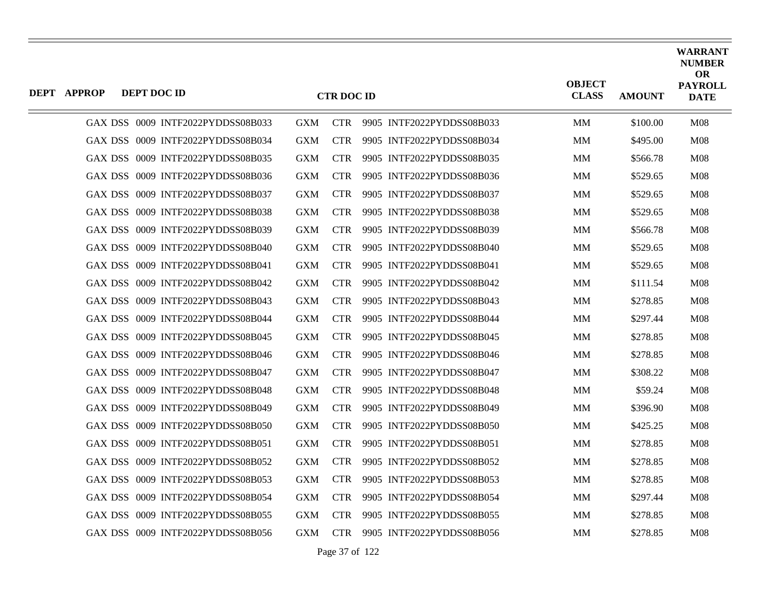| DEPT APPROP | DEPT DOC ID |                                   |            | <b>CTR DOC ID</b> |                           | <b>OBJECT</b><br><b>CLASS</b> | <b>AMOUNT</b> | <b>WARRANT</b><br><b>NUMBER</b><br><b>OR</b><br><b>PAYROLL</b><br><b>DATE</b> |
|-------------|-------------|-----------------------------------|------------|-------------------|---------------------------|-------------------------------|---------------|-------------------------------------------------------------------------------|
|             |             | GAX DSS 0009 INTF2022PYDDSS08B033 | <b>GXM</b> | <b>CTR</b>        | 9905 INTF2022PYDDSS08B033 | <b>MM</b>                     | \$100.00      | M <sub>08</sub>                                                               |
|             |             | GAX DSS 0009 INTF2022PYDDSS08B034 | <b>GXM</b> | <b>CTR</b>        | 9905 INTF2022PYDDSS08B034 | MM                            | \$495.00      | M08                                                                           |
|             |             | GAX DSS 0009 INTF2022PYDDSS08B035 | <b>GXM</b> | <b>CTR</b>        | 9905 INTF2022PYDDSS08B035 | MМ                            | \$566.78      | M <sub>08</sub>                                                               |
|             |             | GAX DSS 0009 INTF2022PYDDSS08B036 | <b>GXM</b> | <b>CTR</b>        | 9905 INTF2022PYDDSS08B036 | MМ                            | \$529.65      | <b>M08</b>                                                                    |
|             |             | GAX DSS 0009 INTF2022PYDDSS08B037 | <b>GXM</b> | <b>CTR</b>        | 9905 INTF2022PYDDSS08B037 | MМ                            | \$529.65      | <b>M08</b>                                                                    |
|             |             | GAX DSS 0009 INTF2022PYDDSS08B038 | <b>GXM</b> | <b>CTR</b>        | 9905 INTF2022PYDDSS08B038 | MM                            | \$529.65      | M08                                                                           |
|             |             | GAX DSS 0009 INTF2022PYDDSS08B039 | <b>GXM</b> | <b>CTR</b>        | 9905 INTF2022PYDDSS08B039 | MM                            | \$566.78      | <b>M08</b>                                                                    |
|             |             | GAX DSS 0009 INTF2022PYDDSS08B040 | <b>GXM</b> | <b>CTR</b>        | 9905 INTF2022PYDDSS08B040 | MМ                            | \$529.65      | <b>M08</b>                                                                    |
|             |             | GAX DSS 0009 INTF2022PYDDSS08B041 | <b>GXM</b> | <b>CTR</b>        | 9905 INTF2022PYDDSS08B041 | MM                            | \$529.65      | M08                                                                           |
|             |             | GAX DSS 0009 INTF2022PYDDSS08B042 | <b>GXM</b> | <b>CTR</b>        | 9905 INTF2022PYDDSS08B042 | MМ                            | \$111.54      | <b>M08</b>                                                                    |
|             |             | GAX DSS 0009 INTF2022PYDDSS08B043 | <b>GXM</b> | <b>CTR</b>        | 9905 INTF2022PYDDSS08B043 | MM                            | \$278.85      | <b>M08</b>                                                                    |
|             |             | GAX DSS 0009 INTF2022PYDDSS08B044 | <b>GXM</b> | <b>CTR</b>        | 9905 INTF2022PYDDSS08B044 | MM                            | \$297.44      | M08                                                                           |
|             |             | GAX DSS 0009 INTF2022PYDDSS08B045 | <b>GXM</b> | <b>CTR</b>        | 9905 INTF2022PYDDSS08B045 | MМ                            | \$278.85      | <b>M08</b>                                                                    |
|             |             | GAX DSS 0009 INTF2022PYDDSS08B046 | <b>GXM</b> | <b>CTR</b>        | 9905 INTF2022PYDDSS08B046 | MM                            | \$278.85      | M <sub>08</sub>                                                               |
|             |             | GAX DSS 0009 INTF2022PYDDSS08B047 | <b>GXM</b> | <b>CTR</b>        | 9905 INTF2022PYDDSS08B047 | MМ                            | \$308.22      | M <sub>08</sub>                                                               |
|             |             | GAX DSS 0009 INTF2022PYDDSS08B048 | <b>GXM</b> | <b>CTR</b>        | 9905 INTF2022PYDDSS08B048 | MМ                            | \$59.24       | <b>M08</b>                                                                    |
|             |             | GAX DSS 0009 INTF2022PYDDSS08B049 | <b>GXM</b> | <b>CTR</b>        | 9905 INTF2022PYDDSS08B049 | MM                            | \$396.90      | <b>M08</b>                                                                    |
|             |             | GAX DSS 0009 INTF2022PYDDSS08B050 | <b>GXM</b> | <b>CTR</b>        | 9905 INTF2022PYDDSS08B050 | MM                            | \$425.25      | M08                                                                           |
|             |             | GAX DSS 0009 INTF2022PYDDSS08B051 | <b>GXM</b> | <b>CTR</b>        | 9905 INTF2022PYDDSS08B051 | MM                            | \$278.85      | <b>M08</b>                                                                    |
|             |             | GAX DSS 0009 INTF2022PYDDSS08B052 | <b>GXM</b> | <b>CTR</b>        | 9905 INTF2022PYDDSS08B052 | MМ                            | \$278.85      | <b>M08</b>                                                                    |
|             |             | GAX DSS 0009 INTF2022PYDDSS08B053 | <b>GXM</b> | <b>CTR</b>        | 9905 INTF2022PYDDSS08B053 | MM                            | \$278.85      | M08                                                                           |
|             |             | GAX DSS 0009 INTF2022PYDDSS08B054 | <b>GXM</b> | <b>CTR</b>        | 9905 INTF2022PYDDSS08B054 | MM                            | \$297.44      | <b>M08</b>                                                                    |
|             |             | GAX DSS 0009 INTF2022PYDDSS08B055 | <b>GXM</b> | <b>CTR</b>        | 9905 INTF2022PYDDSS08B055 | MМ                            | \$278.85      | <b>M08</b>                                                                    |
|             |             | GAX DSS 0009 INTF2022PYDDSS08B056 | <b>GXM</b> | <b>CTR</b>        | 9905 INTF2022PYDDSS08B056 | MM                            | \$278.85      | M08                                                                           |

Page 37 of 122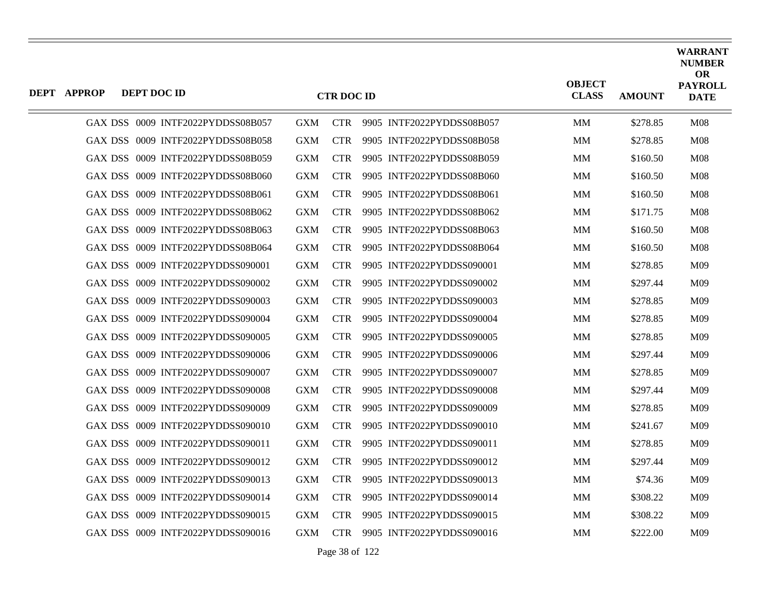| <b>DEPT APPROP</b> | DEPT DOC ID |                                   |            | <b>CTR DOC ID</b> |                           | <b>OBJECT</b><br><b>CLASS</b> | <b>AMOUNT</b> | <b>WARRANT</b><br><b>NUMBER</b><br><b>OR</b><br><b>PAYROLL</b><br><b>DATE</b> |
|--------------------|-------------|-----------------------------------|------------|-------------------|---------------------------|-------------------------------|---------------|-------------------------------------------------------------------------------|
|                    |             | GAX DSS 0009 INTF2022PYDDSS08B057 | <b>GXM</b> | <b>CTR</b>        | 9905 INTF2022PYDDSS08B057 | <b>MM</b>                     | \$278.85      | <b>M08</b>                                                                    |
|                    |             | GAX DSS 0009 INTF2022PYDDSS08B058 | <b>GXM</b> | <b>CTR</b>        | 9905 INTF2022PYDDSS08B058 | <b>MM</b>                     | \$278.85      | M08                                                                           |
|                    |             | GAX DSS 0009 INTF2022PYDDSS08B059 | <b>GXM</b> | <b>CTR</b>        | 9905 INTF2022PYDDSS08B059 | MМ                            | \$160.50      | M <sub>08</sub>                                                               |
|                    |             | GAX DSS 0009 INTF2022PYDDSS08B060 | <b>GXM</b> | <b>CTR</b>        | 9905 INTF2022PYDDSS08B060 | <b>MM</b>                     | \$160.50      | M08                                                                           |
|                    |             | GAX DSS 0009 INTF2022PYDDSS08B061 | <b>GXM</b> | <b>CTR</b>        | 9905 INTF2022PYDDSS08B061 | MМ                            | \$160.50      | <b>M08</b>                                                                    |
|                    |             | GAX DSS 0009 INTF2022PYDDSS08B062 | <b>GXM</b> | <b>CTR</b>        | 9905 INTF2022PYDDSS08B062 | <b>MM</b>                     | \$171.75      | M <sub>08</sub>                                                               |
|                    |             | GAX DSS 0009 INTF2022PYDDSS08B063 | <b>GXM</b> | <b>CTR</b>        | 9905 INTF2022PYDDSS08B063 | MM                            | \$160.50      | M08                                                                           |
|                    |             | GAX DSS 0009 INTF2022PYDDSS08B064 | <b>GXM</b> | <b>CTR</b>        | 9905 INTF2022PYDDSS08B064 | MМ                            | \$160.50      | M08                                                                           |
|                    |             | GAX DSS 0009 INTF2022PYDDSS090001 | <b>GXM</b> | <b>CTR</b>        | 9905 INTF2022PYDDSS090001 | <b>MM</b>                     | \$278.85      | M09                                                                           |
|                    |             | GAX DSS 0009 INTF2022PYDDSS090002 | <b>GXM</b> | <b>CTR</b>        | 9905 INTF2022PYDDSS090002 | MМ                            | \$297.44      | M09                                                                           |
|                    |             | GAX DSS 0009 INTF2022PYDDSS090003 | <b>GXM</b> | <b>CTR</b>        | 9905 INTF2022PYDDSS090003 | <b>MM</b>                     | \$278.85      | M09                                                                           |
|                    |             | GAX DSS 0009 INTF2022PYDDSS090004 | <b>GXM</b> | <b>CTR</b>        | 9905 INTF2022PYDDSS090004 | <b>MM</b>                     | \$278.85      | M09                                                                           |
|                    |             | GAX DSS 0009 INTF2022PYDDSS090005 | <b>GXM</b> | <b>CTR</b>        | 9905 INTF2022PYDDSS090005 | MМ                            | \$278.85      | M09                                                                           |
|                    |             | GAX DSS 0009 INTF2022PYDDSS090006 | <b>GXM</b> | <b>CTR</b>        | 9905 INTF2022PYDDSS090006 | <b>MM</b>                     | \$297.44      | M09                                                                           |
|                    |             | GAX DSS 0009 INTF2022PYDDSS090007 | <b>GXM</b> | <b>CTR</b>        | 9905 INTF2022PYDDSS090007 | MМ                            | \$278.85      | M09                                                                           |
|                    |             | GAX DSS 0009 INTF2022PYDDSS090008 | <b>GXM</b> | <b>CTR</b>        | 9905 INTF2022PYDDSS090008 | <b>MM</b>                     | \$297.44      | M09                                                                           |
|                    |             | GAX DSS 0009 INTF2022PYDDSS090009 | <b>GXM</b> | <b>CTR</b>        | 9905 INTF2022PYDDSS090009 | <b>MM</b>                     | \$278.85      | M09                                                                           |
|                    |             | GAX DSS 0009 INTF2022PYDDSS090010 | <b>GXM</b> | <b>CTR</b>        | 9905 INTF2022PYDDSS090010 | MМ                            | \$241.67      | M09                                                                           |
|                    |             | GAX DSS 0009 INTF2022PYDDSS090011 | <b>GXM</b> | <b>CTR</b>        | 9905 INTF2022PYDDSS090011 | <b>MM</b>                     | \$278.85      | M09                                                                           |
|                    |             | GAX DSS 0009 INTF2022PYDDSS090012 | <b>GXM</b> | <b>CTR</b>        | 9905 INTF2022PYDDSS090012 | MМ                            | \$297.44      | M09                                                                           |
|                    |             | GAX DSS 0009 INTF2022PYDDSS090013 | <b>GXM</b> | <b>CTR</b>        | 9905 INTF2022PYDDSS090013 | MМ                            | \$74.36       | M09                                                                           |
|                    |             | GAX DSS 0009 INTF2022PYDDSS090014 | <b>GXM</b> | <b>CTR</b>        | 9905 INTF2022PYDDSS090014 | MM                            | \$308.22      | M09                                                                           |
|                    |             | GAX DSS 0009 INTF2022PYDDSS090015 | <b>GXM</b> | <b>CTR</b>        | 9905 INTF2022PYDDSS090015 | MМ                            | \$308.22      | M09                                                                           |
|                    |             | GAX DSS 0009 INTF2022PYDDSS090016 | <b>GXM</b> | CTR -             | 9905 INTF2022PYDDSS090016 | <b>MM</b>                     | \$222.00      | M09                                                                           |

Page 38 of 122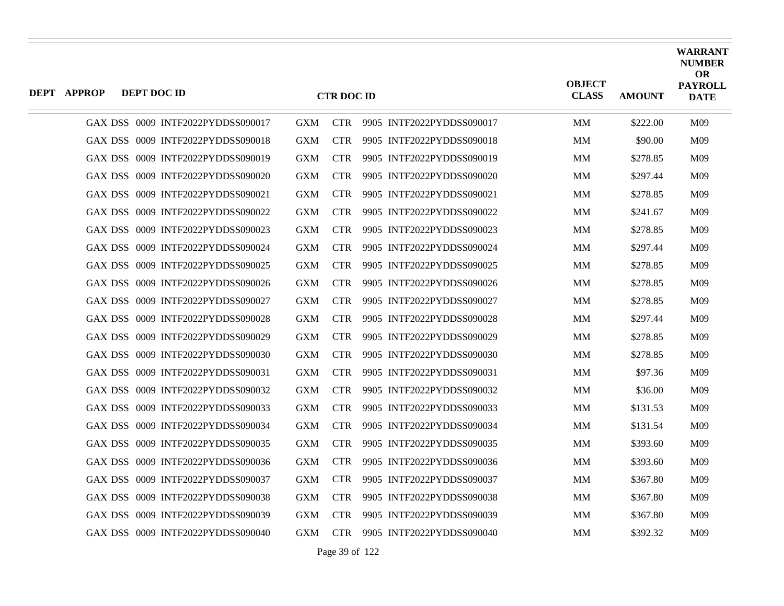| <b>DEPT APPROP</b> | DEPT DOC ID                       |            | <b>CTR DOC ID</b> |                           | <b>OBJECT</b><br><b>CLASS</b> | <b>AMOUNT</b> | <b>WARRANT</b><br><b>NUMBER</b><br><b>OR</b><br><b>PAYROLL</b><br><b>DATE</b> |
|--------------------|-----------------------------------|------------|-------------------|---------------------------|-------------------------------|---------------|-------------------------------------------------------------------------------|
|                    | GAX DSS 0009 INTF2022PYDDSS090017 | <b>GXM</b> | <b>CTR</b>        | 9905 INTF2022PYDDSS090017 | MM                            | \$222.00      | M09                                                                           |
|                    | GAX DSS 0009 INTF2022PYDDSS090018 | <b>GXM</b> | <b>CTR</b>        | 9905 INTF2022PYDDSS090018 | MM                            | \$90.00       | M09                                                                           |
|                    | GAX DSS 0009 INTF2022PYDDSS090019 | <b>GXM</b> | <b>CTR</b>        | 9905 INTF2022PYDDSS090019 | MМ                            | \$278.85      | M09                                                                           |
|                    | GAX DSS 0009 INTF2022PYDDSS090020 | <b>GXM</b> | <b>CTR</b>        | 9905 INTF2022PYDDSS090020 | MМ                            | \$297.44      | M09                                                                           |
|                    | GAX DSS 0009 INTF2022PYDDSS090021 | <b>GXM</b> | <b>CTR</b>        | 9905 INTF2022PYDDSS090021 | MМ                            | \$278.85      | M09                                                                           |
|                    | GAX DSS 0009 INTF2022PYDDSS090022 | <b>GXM</b> | <b>CTR</b>        | 9905 INTF2022PYDDSS090022 | <b>MM</b>                     | \$241.67      | M <sub>09</sub>                                                               |
|                    | GAX DSS 0009 INTF2022PYDDSS090023 | <b>GXM</b> | <b>CTR</b>        | 9905 INTF2022PYDDSS090023 | MM                            | \$278.85      | M09                                                                           |
|                    | GAX DSS 0009 INTF2022PYDDSS090024 | <b>GXM</b> | <b>CTR</b>        | 9905 INTF2022PYDDSS090024 | MM                            | \$297.44      | M09                                                                           |
|                    | GAX DSS 0009 INTF2022PYDDSS090025 | <b>GXM</b> | <b>CTR</b>        | 9905 INTF2022PYDDSS090025 | <b>MM</b>                     | \$278.85      | M <sub>09</sub>                                                               |
|                    | GAX DSS 0009 INTF2022PYDDSS090026 | <b>GXM</b> | <b>CTR</b>        | 9905 INTF2022PYDDSS090026 | MM                            | \$278.85      | M09                                                                           |
|                    | GAX DSS 0009 INTF2022PYDDSS090027 | <b>GXM</b> | <b>CTR</b>        | 9905 INTF2022PYDDSS090027 | MМ                            | \$278.85      | M09                                                                           |
|                    | GAX DSS 0009 INTF2022PYDDSS090028 | <b>GXM</b> | <b>CTR</b>        | 9905 INTF2022PYDDSS090028 | <b>MM</b>                     | \$297.44      | M <sub>09</sub>                                                               |
|                    | GAX DSS 0009 INTF2022PYDDSS090029 | <b>GXM</b> | <b>CTR</b>        | 9905 INTF2022PYDDSS090029 | MM                            | \$278.85      | M09                                                                           |
|                    | GAX DSS 0009 INTF2022PYDDSS090030 | <b>GXM</b> | <b>CTR</b>        | 9905 INTF2022PYDDSS090030 | MM                            | \$278.85      | M09                                                                           |
|                    | GAX DSS 0009 INTF2022PYDDSS090031 | <b>GXM</b> | <b>CTR</b>        | 9905 INTF2022PYDDSS090031 | MМ                            | \$97.36       | M09                                                                           |
|                    | GAX DSS 0009 INTF2022PYDDSS090032 | <b>GXM</b> | <b>CTR</b>        | 9905 INTF2022PYDDSS090032 | MМ                            | \$36.00       | M09                                                                           |
|                    | GAX DSS 0009 INTF2022PYDDSS090033 | <b>GXM</b> | <b>CTR</b>        | 9905 INTF2022PYDDSS090033 | <b>MM</b>                     | \$131.53      | M09                                                                           |
|                    | GAX DSS 0009 INTF2022PYDDSS090034 | <b>GXM</b> | <b>CTR</b>        | 9905 INTF2022PYDDSS090034 | MМ                            | \$131.54      | M09                                                                           |
|                    | GAX DSS 0009 INTF2022PYDDSS090035 | <b>GXM</b> | <b>CTR</b>        | 9905 INTF2022PYDDSS090035 | <b>MM</b>                     | \$393.60      | M <sub>09</sub>                                                               |
|                    | GAX DSS 0009 INTF2022PYDDSS090036 | <b>GXM</b> | <b>CTR</b>        | 9905 INTF2022PYDDSS090036 | MМ                            | \$393.60      | M09                                                                           |
|                    | GAX DSS 0009 INTF2022PYDDSS090037 | <b>GXM</b> | <b>CTR</b>        | 9905 INTF2022PYDDSS090037 | MМ                            | \$367.80      | M09                                                                           |
|                    | GAX DSS 0009 INTF2022PYDDSS090038 | <b>GXM</b> | <b>CTR</b>        | 9905 INTF2022PYDDSS090038 | MM                            | \$367.80      | M09                                                                           |
|                    | GAX DSS 0009 INTF2022PYDDSS090039 | <b>GXM</b> | <b>CTR</b>        | 9905 INTF2022PYDDSS090039 | MМ                            | \$367.80      | M09                                                                           |
|                    | GAX DSS 0009 INTF2022PYDDSS090040 | <b>GXM</b> | <b>CTR</b>        | 9905 INTF2022PYDDSS090040 | <b>MM</b>                     | \$392.32      | M <sub>09</sub>                                                               |

Page 39 of 122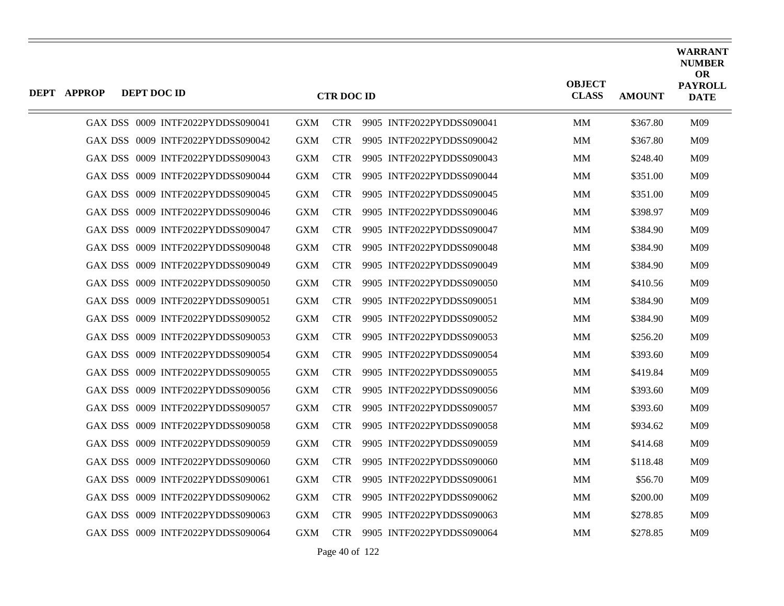| <b>DEPT APPROP</b> | DEPT DOC ID                       |            | <b>CTR DOC ID</b> |                           | <b>OBJECT</b><br><b>CLASS</b> | <b>AMOUNT</b> | <b>WARRANT</b><br><b>NUMBER</b><br><b>OR</b><br><b>PAYROLL</b><br><b>DATE</b> |
|--------------------|-----------------------------------|------------|-------------------|---------------------------|-------------------------------|---------------|-------------------------------------------------------------------------------|
|                    | GAX DSS 0009 INTF2022PYDDSS090041 | <b>GXM</b> | <b>CTR</b>        | 9905 INTF2022PYDDSS090041 | MM                            | \$367.80      | M09                                                                           |
|                    | GAX DSS 0009 INTF2022PYDDSS090042 | <b>GXM</b> | <b>CTR</b>        | 9905 INTF2022PYDDSS090042 | <b>MM</b>                     | \$367.80      | M <sub>09</sub>                                                               |
|                    | GAX DSS 0009 INTF2022PYDDSS090043 | <b>GXM</b> | <b>CTR</b>        | 9905 INTF2022PYDDSS090043 | MМ                            | \$248.40      | M09                                                                           |
|                    | GAX DSS 0009 INTF2022PYDDSS090044 | <b>GXM</b> | <b>CTR</b>        | 9905 INTF2022PYDDSS090044 | MМ                            | \$351.00      | M09                                                                           |
|                    | GAX DSS 0009 INTF2022PYDDSS090045 | <b>GXM</b> | <b>CTR</b>        | 9905 INTF2022PYDDSS090045 | MM                            | \$351.00      | M09                                                                           |
|                    | GAX DSS 0009 INTF2022PYDDSS090046 | <b>GXM</b> | <b>CTR</b>        | 9905 INTF2022PYDDSS090046 | <b>MM</b>                     | \$398.97      | M09                                                                           |
|                    | GAX DSS 0009 INTF2022PYDDSS090047 | <b>GXM</b> | <b>CTR</b>        | 9905 INTF2022PYDDSS090047 | MM                            | \$384.90      | M09                                                                           |
|                    | GAX DSS 0009 INTF2022PYDDSS090048 | <b>GXM</b> | <b>CTR</b>        | 9905 INTF2022PYDDSS090048 | MM                            | \$384.90      | M09                                                                           |
|                    | GAX DSS 0009 INTF2022PYDDSS090049 | <b>GXM</b> | <b>CTR</b>        | 9905 INTF2022PYDDSS090049 | <b>MM</b>                     | \$384.90      | M <sub>09</sub>                                                               |
|                    | GAX DSS 0009 INTF2022PYDDSS090050 | <b>GXM</b> | <b>CTR</b>        | 9905 INTF2022PYDDSS090050 | MM                            | \$410.56      | M09                                                                           |
|                    | GAX DSS 0009 INTF2022PYDDSS090051 | <b>GXM</b> | <b>CTR</b>        | 9905 INTF2022PYDDSS090051 | MМ                            | \$384.90      | M09                                                                           |
|                    | GAX DSS 0009 INTF2022PYDDSS090052 | <b>GXM</b> | <b>CTR</b>        | 9905 INTF2022PYDDSS090052 | <b>MM</b>                     | \$384.90      | M <sub>09</sub>                                                               |
|                    | GAX DSS 0009 INTF2022PYDDSS090053 | <b>GXM</b> | <b>CTR</b>        | 9905 INTF2022PYDDSS090053 | MM                            | \$256.20      | M09                                                                           |
|                    | GAX DSS 0009 INTF2022PYDDSS090054 | <b>GXM</b> | <b>CTR</b>        | 9905 INTF2022PYDDSS090054 | <b>MM</b>                     | \$393.60      | M <sub>09</sub>                                                               |
|                    | GAX DSS 0009 INTF2022PYDDSS090055 | <b>GXM</b> | <b>CTR</b>        | 9905 INTF2022PYDDSS090055 | MМ                            | \$419.84      | M09                                                                           |
|                    | GAX DSS 0009 INTF2022PYDDSS090056 | <b>GXM</b> | <b>CTR</b>        | 9905 INTF2022PYDDSS090056 | MМ                            | \$393.60      | M09                                                                           |
|                    | GAX DSS 0009 INTF2022PYDDSS090057 | <b>GXM</b> | <b>CTR</b>        | 9905 INTF2022PYDDSS090057 | <b>MM</b>                     | \$393.60      | M <sub>09</sub>                                                               |
|                    | GAX DSS 0009 INTF2022PYDDSS090058 | <b>GXM</b> | <b>CTR</b>        | 9905 INTF2022PYDDSS090058 | MМ                            | \$934.62      | M09                                                                           |
|                    | GAX DSS 0009 INTF2022PYDDSS090059 | <b>GXM</b> | <b>CTR</b>        | 9905 INTF2022PYDDSS090059 | MМ                            | \$414.68      | M09                                                                           |
|                    | GAX DSS 0009 INTF2022PYDDSS090060 | <b>GXM</b> | <b>CTR</b>        | 9905 INTF2022PYDDSS090060 | MМ                            | \$118.48      | M09                                                                           |
|                    | GAX DSS 0009 INTF2022PYDDSS090061 | <b>GXM</b> | <b>CTR</b>        | 9905 INTF2022PYDDSS090061 | MМ                            | \$56.70       | M09                                                                           |
|                    | GAX DSS 0009 INTF2022PYDDSS090062 | <b>GXM</b> | <b>CTR</b>        | 9905 INTF2022PYDDSS090062 | MM                            | \$200.00      | M09                                                                           |
|                    | GAX DSS 0009 INTF2022PYDDSS090063 | <b>GXM</b> | <b>CTR</b>        | 9905 INTF2022PYDDSS090063 | MМ                            | \$278.85      | M09                                                                           |
|                    | GAX DSS 0009 INTF2022PYDDSS090064 | <b>GXM</b> | <b>CTR</b>        | 9905 INTF2022PYDDSS090064 | <b>MM</b>                     | \$278.85      | M <sub>09</sub>                                                               |

Page 40 of 122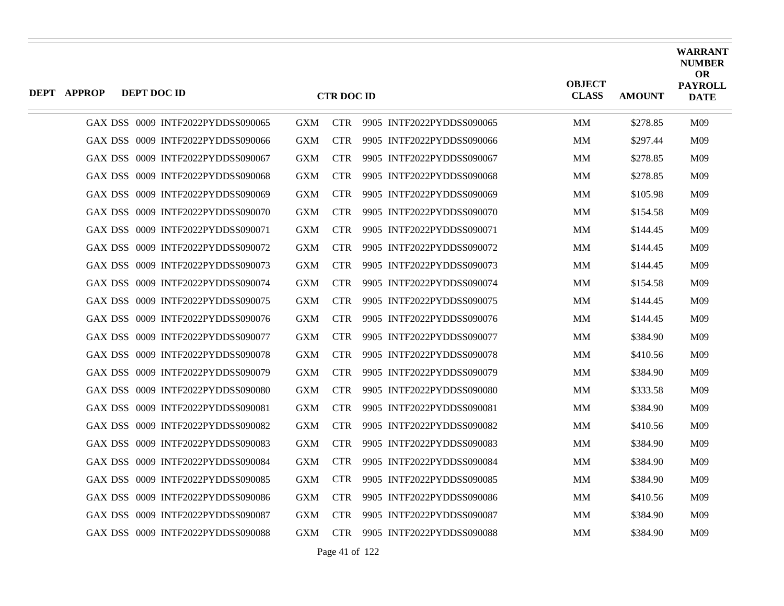| <b>DEPT APPROP</b> | DEPT DOC ID                       |            | <b>CTR DOC ID</b> |                           | <b>OBJECT</b><br><b>CLASS</b> | <b>AMOUNT</b> | <b>WARRANT</b><br><b>NUMBER</b><br><b>OR</b><br><b>PAYROLL</b><br><b>DATE</b> |
|--------------------|-----------------------------------|------------|-------------------|---------------------------|-------------------------------|---------------|-------------------------------------------------------------------------------|
|                    | GAX DSS 0009 INTF2022PYDDSS090065 | <b>GXM</b> | <b>CTR</b>        | 9905 INTF2022PYDDSS090065 | MM                            | \$278.85      | M09                                                                           |
|                    | GAX DSS 0009 INTF2022PYDDSS090066 | <b>GXM</b> | <b>CTR</b>        | 9905 INTF2022PYDDSS090066 | MM                            | \$297.44      | M09                                                                           |
|                    | GAX DSS 0009 INTF2022PYDDSS090067 | <b>GXM</b> | <b>CTR</b>        | 9905 INTF2022PYDDSS090067 | MМ                            | \$278.85      | M09                                                                           |
|                    | GAX DSS 0009 INTF2022PYDDSS090068 | <b>GXM</b> | <b>CTR</b>        | 9905 INTF2022PYDDSS090068 | MM                            | \$278.85      | M09                                                                           |
|                    | GAX DSS 0009 INTF2022PYDDSS090069 | <b>GXM</b> | <b>CTR</b>        | 9905 INTF2022PYDDSS090069 | MМ                            | \$105.98      | M09                                                                           |
|                    | GAX DSS 0009 INTF2022PYDDSS090070 | <b>GXM</b> | <b>CTR</b>        | 9905 INTF2022PYDDSS090070 | MM                            | \$154.58      | M <sub>09</sub>                                                               |
|                    | GAX DSS 0009 INTF2022PYDDSS090071 | <b>GXM</b> | <b>CTR</b>        | 9905 INTF2022PYDDSS090071 | MM                            | \$144.45      | M09                                                                           |
|                    | GAX DSS 0009 INTF2022PYDDSS090072 | <b>GXM</b> | <b>CTR</b>        | 9905 INTF2022PYDDSS090072 | <b>MM</b>                     | \$144.45      | M09                                                                           |
|                    | GAX DSS 0009 INTF2022PYDDSS090073 | <b>GXM</b> | <b>CTR</b>        | 9905 INTF2022PYDDSS090073 | MМ                            | \$144.45      | M09                                                                           |
|                    | GAX DSS 0009 INTF2022PYDDSS090074 | <b>GXM</b> | <b>CTR</b>        | 9905 INTF2022PYDDSS090074 | MM                            | \$154.58      | M09                                                                           |
|                    | GAX DSS 0009 INTF2022PYDDSS090075 | <b>GXM</b> | <b>CTR</b>        | 9905 INTF2022PYDDSS090075 | MM                            | \$144.45      | M09                                                                           |
|                    | GAX DSS 0009 INTF2022PYDDSS090076 | <b>GXM</b> | <b>CTR</b>        | 9905 INTF2022PYDDSS090076 | MМ                            | \$144.45      | M <sub>09</sub>                                                               |
|                    | GAX DSS 0009 INTF2022PYDDSS090077 | <b>GXM</b> | <b>CTR</b>        | 9905 INTF2022PYDDSS090077 | MМ                            | \$384.90      | M09                                                                           |
|                    | GAX DSS 0009 INTF2022PYDDSS090078 | <b>GXM</b> | <b>CTR</b>        | 9905 INTF2022PYDDSS090078 | MМ                            | \$410.56      | M <sub>09</sub>                                                               |
|                    | GAX DSS 0009 INTF2022PYDDSS090079 | <b>GXM</b> | <b>CTR</b>        | 9905 INTF2022PYDDSS090079 | MМ                            | \$384.90      | M <sub>09</sub>                                                               |
|                    | GAX DSS 0009 INTF2022PYDDSS090080 | <b>GXM</b> | <b>CTR</b>        | 9905 INTF2022PYDDSS090080 | MМ                            | \$333.58      | M09                                                                           |
|                    | GAX DSS 0009 INTF2022PYDDSS090081 | <b>GXM</b> | <b>CTR</b>        | 9905 INTF2022PYDDSS090081 | MМ                            | \$384.90      | M <sub>09</sub>                                                               |
|                    | GAX DSS 0009 INTF2022PYDDSS090082 | <b>GXM</b> | <b>CTR</b>        | 9905 INTF2022PYDDSS090082 | MМ                            | \$410.56      | M09                                                                           |
|                    | GAX DSS 0009 INTF2022PYDDSS090083 | <b>GXM</b> | <b>CTR</b>        | 9905 INTF2022PYDDSS090083 | MМ                            | \$384.90      | M09                                                                           |
|                    | GAX DSS 0009 INTF2022PYDDSS090084 | <b>GXM</b> | <b>CTR</b>        | 9905 INTF2022PYDDSS090084 | MM                            | \$384.90      | M09                                                                           |
|                    | GAX DSS 0009 INTF2022PYDDSS090085 | <b>GXM</b> | <b>CTR</b>        | 9905 INTF2022PYDDSS090085 | MМ                            | \$384.90      | M09                                                                           |
|                    | GAX DSS 0009 INTF2022PYDDSS090086 | <b>GXM</b> | <b>CTR</b>        | 9905 INTF2022PYDDSS090086 | MМ                            | \$410.56      | M09                                                                           |
|                    | GAX DSS 0009 INTF2022PYDDSS090087 | <b>GXM</b> | <b>CTR</b>        | 9905 INTF2022PYDDSS090087 | MM                            | \$384.90      | M09                                                                           |
|                    | GAX DSS 0009 INTF2022PYDDSS090088 | <b>GXM</b> | <b>CTR</b>        | 9905 INTF2022PYDDSS090088 | MМ                            | \$384.90      | M <sub>09</sub>                                                               |

Page 41 of 122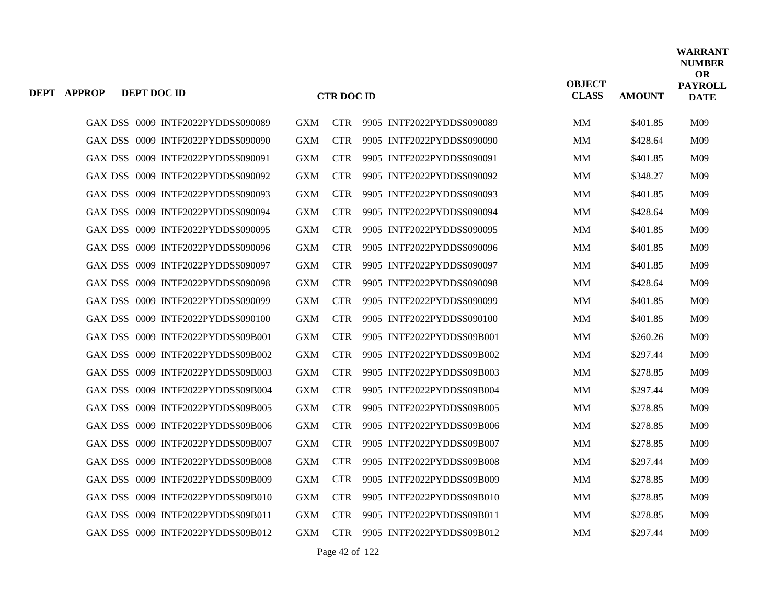| <b>DEPT APPROP</b> | DEPT DOC ID |                                   |            | <b>CTR DOC ID</b> |                           | <b>OBJECT</b><br><b>CLASS</b> | <b>AMOUNT</b> | <b>WARRANT</b><br><b>NUMBER</b><br><b>OR</b><br><b>PAYROLL</b><br><b>DATE</b> |
|--------------------|-------------|-----------------------------------|------------|-------------------|---------------------------|-------------------------------|---------------|-------------------------------------------------------------------------------|
|                    |             | GAX DSS 0009 INTF2022PYDDSS090089 | <b>GXM</b> | <b>CTR</b>        | 9905 INTF2022PYDDSS090089 | <b>MM</b>                     | \$401.85      | M09                                                                           |
|                    |             | GAX DSS 0009 INTF2022PYDDSS090090 | <b>GXM</b> | <b>CTR</b>        | 9905 INTF2022PYDDSS090090 | <b>MM</b>                     | \$428.64      | M09                                                                           |
|                    |             | GAX DSS 0009 INTF2022PYDDSS090091 | <b>GXM</b> | <b>CTR</b>        | 9905 INTF2022PYDDSS090091 | MМ                            | \$401.85      | M09                                                                           |
|                    |             | GAX DSS 0009 INTF2022PYDDSS090092 | <b>GXM</b> | <b>CTR</b>        | 9905 INTF2022PYDDSS090092 | <b>MM</b>                     | \$348.27      | M09                                                                           |
|                    |             | GAX DSS 0009 INTF2022PYDDSS090093 | <b>GXM</b> | <b>CTR</b>        | 9905 INTF2022PYDDSS090093 | MМ                            | \$401.85      | M09                                                                           |
|                    |             | GAX DSS 0009 INTF2022PYDDSS090094 | <b>GXM</b> | <b>CTR</b>        | 9905 INTF2022PYDDSS090094 | <b>MM</b>                     | \$428.64      | M09                                                                           |
|                    |             | GAX DSS 0009 INTF2022PYDDSS090095 | <b>GXM</b> | <b>CTR</b>        | 9905 INTF2022PYDDSS090095 | MM                            | \$401.85      | M09                                                                           |
|                    |             | GAX DSS 0009 INTF2022PYDDSS090096 | <b>GXM</b> | <b>CTR</b>        | 9905 INTF2022PYDDSS090096 | MМ                            | \$401.85      | M09                                                                           |
|                    |             | GAX DSS 0009 INTF2022PYDDSS090097 | <b>GXM</b> | <b>CTR</b>        | 9905 INTF2022PYDDSS090097 | <b>MM</b>                     | \$401.85      | M09                                                                           |
|                    |             | GAX DSS 0009 INTF2022PYDDSS090098 | <b>GXM</b> | <b>CTR</b>        | 9905 INTF2022PYDDSS090098 | MМ                            | \$428.64      | M09                                                                           |
|                    |             | GAX DSS 0009 INTF2022PYDDSS090099 | <b>GXM</b> | <b>CTR</b>        | 9905 INTF2022PYDDSS090099 | <b>MM</b>                     | \$401.85      | M09                                                                           |
|                    |             | GAX DSS 0009 INTF2022PYDDSS090100 | <b>GXM</b> | <b>CTR</b>        | 9905 INTF2022PYDDSS090100 | <b>MM</b>                     | \$401.85      | M09                                                                           |
|                    |             | GAX DSS 0009 INTF2022PYDDSS09B001 | <b>GXM</b> | <b>CTR</b>        | 9905 INTF2022PYDDSS09B001 | MМ                            | \$260.26      | M09                                                                           |
|                    |             | GAX DSS 0009 INTF2022PYDDSS09B002 | <b>GXM</b> | <b>CTR</b>        | 9905 INTF2022PYDDSS09B002 | <b>MM</b>                     | \$297.44      | M09                                                                           |
|                    |             | GAX DSS 0009 INTF2022PYDDSS09B003 | <b>GXM</b> | <b>CTR</b>        | 9905 INTF2022PYDDSS09B003 | MМ                            | \$278.85      | M09                                                                           |
|                    |             | GAX DSS 0009 INTF2022PYDDSS09B004 | <b>GXM</b> | <b>CTR</b>        | 9905 INTF2022PYDDSS09B004 | <b>MM</b>                     | \$297.44      | M09                                                                           |
|                    |             | GAX DSS 0009 INTF2022PYDDSS09B005 | <b>GXM</b> | <b>CTR</b>        | 9905 INTF2022PYDDSS09B005 | <b>MM</b>                     | \$278.85      | M09                                                                           |
|                    |             | GAX DSS 0009 INTF2022PYDDSS09B006 | <b>GXM</b> | <b>CTR</b>        | 9905 INTF2022PYDDSS09B006 | MМ                            | \$278.85      | M09                                                                           |
|                    |             | GAX DSS 0009 INTF2022PYDDSS09B007 | <b>GXM</b> | <b>CTR</b>        | 9905 INTF2022PYDDSS09B007 | <b>MM</b>                     | \$278.85      | M09                                                                           |
|                    |             | GAX DSS 0009 INTF2022PYDDSS09B008 | <b>GXM</b> | <b>CTR</b>        | 9905 INTF2022PYDDSS09B008 | MМ                            | \$297.44      | M09                                                                           |
|                    |             | GAX DSS 0009 INTF2022PYDDSS09B009 | <b>GXM</b> | <b>CTR</b>        | 9905 INTF2022PYDDSS09B009 | MМ                            | \$278.85      | M09                                                                           |
|                    |             | GAX DSS 0009 INTF2022PYDDSS09B010 | <b>GXM</b> | <b>CTR</b>        | 9905 INTF2022PYDDSS09B010 | MM                            | \$278.85      | M09                                                                           |
|                    |             | GAX DSS 0009 INTF2022PYDDSS09B011 | <b>GXM</b> | <b>CTR</b>        | 9905 INTF2022PYDDSS09B011 | MМ                            | \$278.85      | M09                                                                           |
|                    |             | GAX DSS 0009 INTF2022PYDDSS09B012 | <b>GXM</b> | CTR -             | 9905 INTF2022PYDDSS09B012 | <b>MM</b>                     | \$297.44      | M09                                                                           |

Page 42 of 122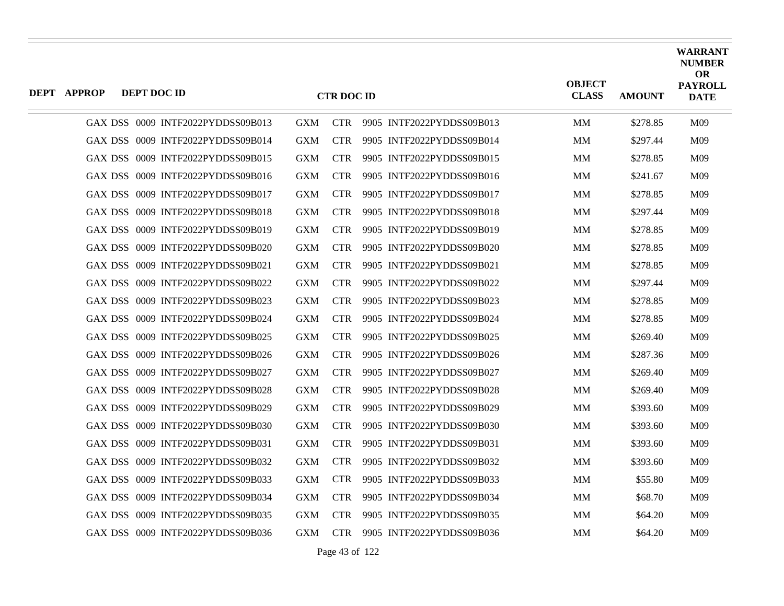| <b>DEPT APPROP</b> | DEPT DOC ID |                                   |            | <b>CTR DOC ID</b> |                               | <b>OBJECT</b><br><b>CLASS</b> | <b>AMOUNT</b> | <b>WARRANT</b><br><b>NUMBER</b><br><b>OR</b><br><b>PAYROLL</b><br><b>DATE</b> |
|--------------------|-------------|-----------------------------------|------------|-------------------|-------------------------------|-------------------------------|---------------|-------------------------------------------------------------------------------|
|                    |             | GAX DSS 0009 INTF2022PYDDSS09B013 | <b>GXM</b> |                   | CTR 9905 INTF2022PYDDSS09B013 | MM                            | \$278.85      | M09                                                                           |
|                    |             | GAX DSS 0009 INTF2022PYDDSS09B014 | <b>GXM</b> | <b>CTR</b>        | 9905 INTF2022PYDDSS09B014     | MM                            | \$297.44      | M09                                                                           |
|                    |             | GAX DSS 0009 INTF2022PYDDSS09B015 | <b>GXM</b> | <b>CTR</b>        | 9905 INTF2022PYDDSS09B015     | MM                            | \$278.85      | M <sub>09</sub>                                                               |
|                    |             | GAX DSS 0009 INTF2022PYDDSS09B016 | <b>GXM</b> | <b>CTR</b>        | 9905 INTF2022PYDDSS09B016     | MМ                            | \$241.67      | M09                                                                           |
|                    |             | GAX DSS 0009 INTF2022PYDDSS09B017 | <b>GXM</b> | <b>CTR</b>        | 9905 INTF2022PYDDSS09B017     | MM                            | \$278.85      | M09                                                                           |
|                    |             | GAX DSS 0009 INTF2022PYDDSS09B018 | <b>GXM</b> | <b>CTR</b>        | 9905 INTF2022PYDDSS09B018     | MM                            | \$297.44      | M09                                                                           |
|                    |             | GAX DSS 0009 INTF2022PYDDSS09B019 | <b>GXM</b> | <b>CTR</b>        | 9905 INTF2022PYDDSS09B019     | MМ                            | \$278.85      | M09                                                                           |
|                    |             | GAX DSS 0009 INTF2022PYDDSS09B020 | <b>GXM</b> | <b>CTR</b>        | 9905 INTF2022PYDDSS09B020     | MM                            | \$278.85      | M09                                                                           |
|                    |             | GAX DSS 0009 INTF2022PYDDSS09B021 | <b>GXM</b> | <b>CTR</b>        | 9905 INTF2022PYDDSS09B021     | MM                            | \$278.85      | M09                                                                           |
|                    |             | GAX DSS 0009 INTF2022PYDDSS09B022 | <b>GXM</b> | <b>CTR</b>        | 9905 INTF2022PYDDSS09B022     | MM                            | \$297.44      | M09                                                                           |
|                    |             | GAX DSS 0009 INTF2022PYDDSS09B023 | <b>GXM</b> | <b>CTR</b>        | 9905 INTF2022PYDDSS09B023     | MМ                            | \$278.85      | M09                                                                           |
|                    |             | GAX DSS 0009 INTF2022PYDDSS09B024 | <b>GXM</b> | <b>CTR</b>        | 9905 INTF2022PYDDSS09B024     | MM                            | \$278.85      | M09                                                                           |
|                    |             | GAX DSS 0009 INTF2022PYDDSS09B025 | <b>GXM</b> | <b>CTR</b>        | 9905 INTF2022PYDDSS09B025     | MM                            | \$269.40      | M09                                                                           |
|                    |             | GAX DSS 0009 INTF2022PYDDSS09B026 | <b>GXM</b> | <b>CTR</b>        | 9905 INTF2022PYDDSS09B026     | MМ                            | \$287.36      | M09                                                                           |
|                    |             | GAX DSS 0009 INTF2022PYDDSS09B027 | <b>GXM</b> | <b>CTR</b>        | 9905 INTF2022PYDDSS09B027     | MM                            | \$269.40      | M09                                                                           |
|                    |             | GAX DSS 0009 INTF2022PYDDSS09B028 | <b>GXM</b> | <b>CTR</b>        | 9905 INTF2022PYDDSS09B028     | MM                            | \$269.40      | M09                                                                           |
|                    |             | GAX DSS 0009 INTF2022PYDDSS09B029 | <b>GXM</b> | <b>CTR</b>        | 9905 INTF2022PYDDSS09B029     | MМ                            | \$393.60      | M09                                                                           |
|                    |             | GAX DSS 0009 INTF2022PYDDSS09B030 | <b>GXM</b> | <b>CTR</b>        | 9905 INTF2022PYDDSS09B030     | MM                            | \$393.60      | M09                                                                           |
|                    |             | GAX DSS 0009 INTF2022PYDDSS09B031 | <b>GXM</b> | <b>CTR</b>        | 9905 INTF2022PYDDSS09B031     | MМ                            | \$393.60      | M09                                                                           |
|                    |             | GAX DSS 0009 INTF2022PYDDSS09B032 | <b>GXM</b> | <b>CTR</b>        | 9905 INTF2022PYDDSS09B032     | MM                            | \$393.60      | M09                                                                           |
|                    |             | GAX DSS 0009 INTF2022PYDDSS09B033 | <b>GXM</b> | <b>CTR</b>        | 9905 INTF2022PYDDSS09B033     | MM                            | \$55.80       | M09                                                                           |
|                    |             | GAX DSS 0009 INTF2022PYDDSS09B034 | <b>GXM</b> | <b>CTR</b>        | 9905 INTF2022PYDDSS09B034     | MМ                            | \$68.70       | M09                                                                           |
|                    |             | GAX DSS 0009 INTF2022PYDDSS09B035 | <b>GXM</b> | <b>CTR</b>        | 9905 INTF2022PYDDSS09B035     | MM                            | \$64.20       | M09                                                                           |
|                    |             | GAX DSS 0009 INTF2022PYDDSS09B036 | GXM        | <b>CTR</b>        | 9905 INTF2022PYDDSS09B036     | MM                            | \$64.20       | M09                                                                           |

Page 43 of 122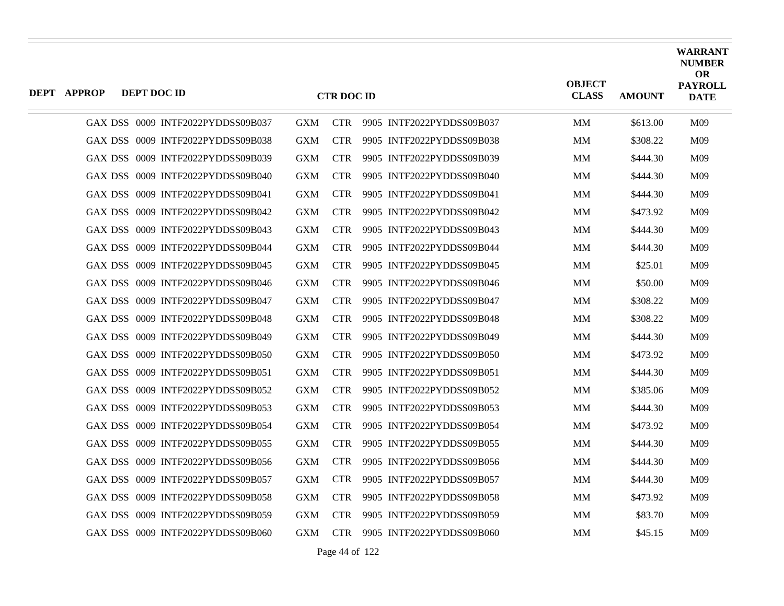| <b>DEPT APPROP</b> | DEPT DOC ID                       |            | <b>CTR DOC ID</b> |                           | <b>OBJECT</b><br><b>CLASS</b> | <b>AMOUNT</b> | <b>WARRANT</b><br><b>NUMBER</b><br><b>OR</b><br><b>PAYROLL</b><br><b>DATE</b> |
|--------------------|-----------------------------------|------------|-------------------|---------------------------|-------------------------------|---------------|-------------------------------------------------------------------------------|
|                    | GAX DSS 0009 INTF2022PYDDSS09B037 | <b>GXM</b> | <b>CTR</b>        | 9905 INTF2022PYDDSS09B037 | MM                            | \$613.00      | M09                                                                           |
|                    | GAX DSS 0009 INTF2022PYDDSS09B038 | <b>GXM</b> | <b>CTR</b>        | 9905 INTF2022PYDDSS09B038 | <b>MM</b>                     | \$308.22      | M <sub>09</sub>                                                               |
|                    | GAX DSS 0009 INTF2022PYDDSS09B039 | <b>GXM</b> | <b>CTR</b>        | 9905 INTF2022PYDDSS09B039 | MМ                            | \$444.30      | M09                                                                           |
|                    | GAX DSS 0009 INTF2022PYDDSS09B040 | <b>GXM</b> | <b>CTR</b>        | 9905 INTF2022PYDDSS09B040 | MМ                            | \$444.30      | M09                                                                           |
|                    | GAX DSS 0009 INTF2022PYDDSS09B041 | <b>GXM</b> | <b>CTR</b>        | 9905 INTF2022PYDDSS09B041 | MМ                            | \$444.30      | M09                                                                           |
|                    | GAX DSS 0009 INTF2022PYDDSS09B042 | <b>GXM</b> | <b>CTR</b>        | 9905 INTF2022PYDDSS09B042 | <b>MM</b>                     | \$473.92      | M <sub>09</sub>                                                               |
|                    | GAX DSS 0009 INTF2022PYDDSS09B043 | <b>GXM</b> | <b>CTR</b>        | 9905 INTF2022PYDDSS09B043 | MM                            | \$444.30      | M09                                                                           |
|                    | GAX DSS 0009 INTF2022PYDDSS09B044 | <b>GXM</b> | <b>CTR</b>        | 9905 INTF2022PYDDSS09B044 | MМ                            | \$444.30      | M09                                                                           |
|                    | GAX DSS 0009 INTF2022PYDDSS09B045 | <b>GXM</b> | <b>CTR</b>        | 9905 INTF2022PYDDSS09B045 | MM                            | \$25.01       | M <sub>09</sub>                                                               |
|                    | GAX DSS 0009 INTF2022PYDDSS09B046 | <b>GXM</b> | <b>CTR</b>        | 9905 INTF2022PYDDSS09B046 | MM                            | \$50.00       | M09                                                                           |
|                    | GAX DSS 0009 INTF2022PYDDSS09B047 | <b>GXM</b> | <b>CTR</b>        | 9905 INTF2022PYDDSS09B047 | MМ                            | \$308.22      | M <sub>09</sub>                                                               |
|                    | GAX DSS 0009 INTF2022PYDDSS09B048 | <b>GXM</b> | <b>CTR</b>        | 9905 INTF2022PYDDSS09B048 | <b>MM</b>                     | \$308.22      | M <sub>09</sub>                                                               |
|                    | GAX DSS 0009 INTF2022PYDDSS09B049 | <b>GXM</b> | <b>CTR</b>        | 9905 INTF2022PYDDSS09B049 | MM                            | \$444.30      | M09                                                                           |
|                    | GAX DSS 0009 INTF2022PYDDSS09B050 | <b>GXM</b> | <b>CTR</b>        | 9905 INTF2022PYDDSS09B050 | <b>MM</b>                     | \$473.92      | M09                                                                           |
|                    | GAX DSS 0009 INTF2022PYDDSS09B051 | <b>GXM</b> | <b>CTR</b>        | 9905 INTF2022PYDDSS09B051 | MМ                            | \$444.30      | M09                                                                           |
|                    | GAX DSS 0009 INTF2022PYDDSS09B052 | <b>GXM</b> | <b>CTR</b>        | 9905 INTF2022PYDDSS09B052 | MM                            | \$385.06      | M09                                                                           |
|                    | GAX DSS 0009 INTF2022PYDDSS09B053 | <b>GXM</b> | <b>CTR</b>        | 9905 INTF2022PYDDSS09B053 | <b>MM</b>                     | \$444.30      | M <sub>09</sub>                                                               |
|                    | GAX DSS 0009 INTF2022PYDDSS09B054 | <b>GXM</b> | <b>CTR</b>        | 9905 INTF2022PYDDSS09B054 | MМ                            | \$473.92      | M09                                                                           |
|                    | GAX DSS 0009 INTF2022PYDDSS09B055 | <b>GXM</b> | <b>CTR</b>        | 9905 INTF2022PYDDSS09B055 | MМ                            | \$444.30      | M09                                                                           |
|                    | GAX DSS 0009 INTF2022PYDDSS09B056 | <b>GXM</b> | <b>CTR</b>        | 9905 INTF2022PYDDSS09B056 | MМ                            | \$444.30      | M09                                                                           |
|                    | GAX DSS 0009 INTF2022PYDDSS09B057 | <b>GXM</b> | <b>CTR</b>        | 9905 INTF2022PYDDSS09B057 | MМ                            | \$444.30      | M09                                                                           |
|                    | GAX DSS 0009 INTF2022PYDDSS09B058 | <b>GXM</b> | <b>CTR</b>        | 9905 INTF2022PYDDSS09B058 | MM                            | \$473.92      | M09                                                                           |
|                    | GAX DSS 0009 INTF2022PYDDSS09B059 | <b>GXM</b> | <b>CTR</b>        | 9905 INTF2022PYDDSS09B059 | MМ                            | \$83.70       | M09                                                                           |
|                    | GAX DSS 0009 INTF2022PYDDSS09B060 | <b>GXM</b> | <b>CTR</b>        | 9905 INTF2022PYDDSS09B060 | MM                            | \$45.15       | M <sub>09</sub>                                                               |

Page 44 of 122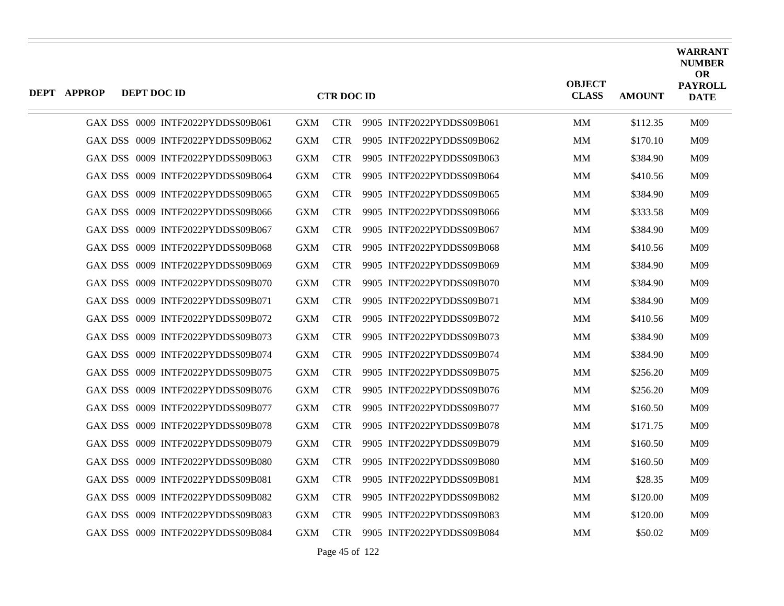| <b>DEPT APPROP</b> | DEPT DOC ID                       |            | <b>CTR DOC ID</b> |                           | <b>OBJECT</b><br><b>CLASS</b> | <b>AMOUNT</b> | <b>WARRANT</b><br><b>NUMBER</b><br><b>OR</b><br><b>PAYROLL</b><br><b>DATE</b> |
|--------------------|-----------------------------------|------------|-------------------|---------------------------|-------------------------------|---------------|-------------------------------------------------------------------------------|
|                    | GAX DSS 0009 INTF2022PYDDSS09B061 | <b>GXM</b> | <b>CTR</b>        | 9905 INTF2022PYDDSS09B061 | MМ                            | \$112.35      | M09                                                                           |
|                    | GAX DSS 0009 INTF2022PYDDSS09B062 | <b>GXM</b> | <b>CTR</b>        | 9905 INTF2022PYDDSS09B062 | <b>MM</b>                     | \$170.10      | M <sub>09</sub>                                                               |
|                    | GAX DSS 0009 INTF2022PYDDSS09B063 | <b>GXM</b> | <b>CTR</b>        | 9905 INTF2022PYDDSS09B063 | MM                            | \$384.90      | M09                                                                           |
|                    | GAX DSS 0009 INTF2022PYDDSS09B064 | <b>GXM</b> | <b>CTR</b>        | 9905 INTF2022PYDDSS09B064 | MM                            | \$410.56      | M09                                                                           |
|                    | GAX DSS 0009 INTF2022PYDDSS09B065 | <b>GXM</b> | <b>CTR</b>        | 9905 INTF2022PYDDSS09B065 | <b>MM</b>                     | \$384.90      | M09                                                                           |
|                    | GAX DSS 0009 INTF2022PYDDSS09B066 | <b>GXM</b> | <b>CTR</b>        | 9905 INTF2022PYDDSS09B066 | MM                            | \$333.58      | M09                                                                           |
|                    | GAX DSS 0009 INTF2022PYDDSS09B067 | <b>GXM</b> | <b>CTR</b>        | 9905 INTF2022PYDDSS09B067 | MM                            | \$384.90      | M09                                                                           |
|                    | GAX DSS 0009 INTF2022PYDDSS09B068 | <b>GXM</b> | <b>CTR</b>        | 9905 INTF2022PYDDSS09B068 | <b>MM</b>                     | \$410.56      | M09                                                                           |
|                    | GAX DSS 0009 INTF2022PYDDSS09B069 | <b>GXM</b> | <b>CTR</b>        | 9905 INTF2022PYDDSS09B069 | MM                            | \$384.90      | M09                                                                           |
|                    | GAX DSS 0009 INTF2022PYDDSS09B070 | <b>GXM</b> | <b>CTR</b>        | 9905 INTF2022PYDDSS09B070 | MM                            | \$384.90      | M09                                                                           |
|                    | GAX DSS 0009 INTF2022PYDDSS09B071 | <b>GXM</b> | <b>CTR</b>        | 9905 INTF2022PYDDSS09B071 | MМ                            | \$384.90      | M09                                                                           |
|                    | GAX DSS 0009 INTF2022PYDDSS09B072 | <b>GXM</b> | <b>CTR</b>        | 9905 INTF2022PYDDSS09B072 | MM                            | \$410.56      | M09                                                                           |
|                    | GAX DSS 0009 INTF2022PYDDSS09B073 | <b>GXM</b> | <b>CTR</b>        | 9905 INTF2022PYDDSS09B073 | MM                            | \$384.90      | M09                                                                           |
|                    | GAX DSS 0009 INTF2022PYDDSS09B074 | <b>GXM</b> | <b>CTR</b>        | 9905 INTF2022PYDDSS09B074 | MМ                            | \$384.90      | M09                                                                           |
|                    | GAX DSS 0009 INTF2022PYDDSS09B075 | <b>GXM</b> | <b>CTR</b>        | 9905 INTF2022PYDDSS09B075 | MM                            | \$256.20      | M09                                                                           |
|                    | GAX DSS 0009 INTF2022PYDDSS09B076 | <b>GXM</b> | <b>CTR</b>        | 9905 INTF2022PYDDSS09B076 | MM                            | \$256.20      | M09                                                                           |
|                    | GAX DSS 0009 INTF2022PYDDSS09B077 | <b>GXM</b> | <b>CTR</b>        | 9905 INTF2022PYDDSS09B077 | MМ                            | \$160.50      | M09                                                                           |
|                    | GAX DSS 0009 INTF2022PYDDSS09B078 | <b>GXM</b> | <b>CTR</b>        | 9905 INTF2022PYDDSS09B078 | MM                            | \$171.75      | M09                                                                           |
|                    | GAX DSS 0009 INTF2022PYDDSS09B079 | <b>GXM</b> | <b>CTR</b>        | 9905 INTF2022PYDDSS09B079 | MМ                            | \$160.50      | M09                                                                           |
|                    | GAX DSS 0009 INTF2022PYDDSS09B080 | <b>GXM</b> | <b>CTR</b>        | 9905 INTF2022PYDDSS09B080 | MМ                            | \$160.50      | M09                                                                           |
|                    | GAX DSS 0009 INTF2022PYDDSS09B081 | <b>GXM</b> | <b>CTR</b>        | 9905 INTF2022PYDDSS09B081 | MМ                            | \$28.35       | M09                                                                           |
|                    | GAX DSS 0009 INTF2022PYDDSS09B082 | <b>GXM</b> | <b>CTR</b>        | 9905 INTF2022PYDDSS09B082 | MМ                            | \$120.00      | M09                                                                           |
|                    | GAX DSS 0009 INTF2022PYDDSS09B083 | <b>GXM</b> | <b>CTR</b>        | 9905 INTF2022PYDDSS09B083 | MМ                            | \$120.00      | M09                                                                           |
|                    | GAX DSS 0009 INTF2022PYDDSS09B084 | <b>GXM</b> | <b>CTR</b>        | 9905 INTF2022PYDDSS09B084 | MM                            | \$50.02       | M09                                                                           |

Page 45 of 122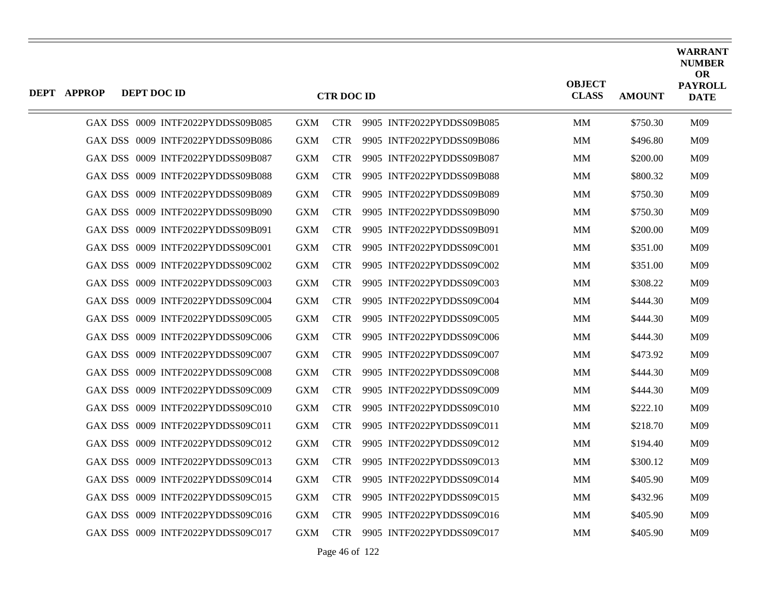| <b>DEPT APPROP</b> | DEPT DOC ID |                                   |            | <b>CTR DOC ID</b> |                           | <b>OBJECT</b><br><b>CLASS</b> | <b>AMOUNT</b> | <b>WARRANT</b><br><b>NUMBER</b><br><b>OR</b><br><b>PAYROLL</b><br><b>DATE</b> |
|--------------------|-------------|-----------------------------------|------------|-------------------|---------------------------|-------------------------------|---------------|-------------------------------------------------------------------------------|
|                    |             | GAX DSS 0009 INTF2022PYDDSS09B085 | <b>GXM</b> | <b>CTR</b>        | 9905 INTF2022PYDDSS09B085 | MM                            | \$750.30      | M09                                                                           |
|                    |             | GAX DSS 0009 INTF2022PYDDSS09B086 | <b>GXM</b> | <b>CTR</b>        | 9905 INTF2022PYDDSS09B086 | <b>MM</b>                     | \$496.80      | M <sub>09</sub>                                                               |
|                    |             | GAX DSS 0009 INTF2022PYDDSS09B087 | <b>GXM</b> | <b>CTR</b>        | 9905 INTF2022PYDDSS09B087 | <b>MM</b>                     | \$200.00      | M09                                                                           |
|                    |             | GAX DSS 0009 INTF2022PYDDSS09B088 | <b>GXM</b> | <b>CTR</b>        | 9905 INTF2022PYDDSS09B088 | MM                            | \$800.32      | M09                                                                           |
|                    |             | GAX DSS 0009 INTF2022PYDDSS09B089 | <b>GXM</b> | <b>CTR</b>        | 9905 INTF2022PYDDSS09B089 | MМ                            | \$750.30      | M09                                                                           |
|                    |             | GAX DSS 0009 INTF2022PYDDSS09B090 | <b>GXM</b> | <b>CTR</b>        | 9905 INTF2022PYDDSS09B090 | MM                            | \$750.30      | M09                                                                           |
|                    |             | GAX DSS 0009 INTF2022PYDDSS09B091 | <b>GXM</b> | <b>CTR</b>        | 9905 INTF2022PYDDSS09B091 | MМ                            | \$200.00      | M09                                                                           |
|                    |             | GAX DSS 0009 INTF2022PYDDSS09C001 | <b>GXM</b> | <b>CTR</b>        | 9905 INTF2022PYDDSS09C001 | MМ                            | \$351.00      | M09                                                                           |
|                    |             | GAX DSS 0009 INTF2022PYDDSS09C002 | <b>GXM</b> | <b>CTR</b>        | 9905 INTF2022PYDDSS09C002 | MM                            | \$351.00      | M09                                                                           |
|                    |             | GAX DSS 0009 INTF2022PYDDSS09C003 | <b>GXM</b> | <b>CTR</b>        | 9905 INTF2022PYDDSS09C003 | MМ                            | \$308.22      | M <sub>09</sub>                                                               |
|                    |             | GAX DSS 0009 INTF2022PYDDSS09C004 | <b>GXM</b> | <b>CTR</b>        | 9905 INTF2022PYDDSS09C004 | MМ                            | \$444.30      | M09                                                                           |
|                    |             | GAX DSS 0009 INTF2022PYDDSS09C005 | <b>GXM</b> | <b>CTR</b>        | 9905 INTF2022PYDDSS09C005 | MM                            | \$444.30      | M09                                                                           |
|                    |             | GAX DSS 0009 INTF2022PYDDSS09C006 | <b>GXM</b> | <b>CTR</b>        | 9905 INTF2022PYDDSS09C006 | MМ                            | \$444.30      | M09                                                                           |
|                    |             | GAX DSS 0009 INTF2022PYDDSS09C007 | <b>GXM</b> | <b>CTR</b>        | 9905 INTF2022PYDDSS09C007 | <b>MM</b>                     | \$473.92      | M09                                                                           |
|                    |             | GAX DSS 0009 INTF2022PYDDSS09C008 | <b>GXM</b> | <b>CTR</b>        | 9905 INTF2022PYDDSS09C008 | MM                            | \$444.30      | M09                                                                           |
|                    |             | GAX DSS 0009 INTF2022PYDDSS09C009 | <b>GXM</b> | <b>CTR</b>        | 9905 INTF2022PYDDSS09C009 | MM                            | \$444.30      | M09                                                                           |
|                    |             | GAX DSS 0009 INTF2022PYDDSS09C010 | <b>GXM</b> | <b>CTR</b>        | 9905 INTF2022PYDDSS09C010 | <b>MM</b>                     | \$222.10      | M09                                                                           |
|                    |             | GAX DSS 0009 INTF2022PYDDSS09C011 | <b>GXM</b> | <b>CTR</b>        | 9905 INTF2022PYDDSS09C011 | MM                            | \$218.70      | M09                                                                           |
|                    |             | GAX DSS 0009 INTF2022PYDDSS09C012 | <b>GXM</b> | <b>CTR</b>        | 9905 INTF2022PYDDSS09C012 | MМ                            | \$194.40      | M09                                                                           |
|                    |             | GAX DSS 0009 INTF2022PYDDSS09C013 | <b>GXM</b> | <b>CTR</b>        | 9905 INTF2022PYDDSS09C013 | MМ                            | \$300.12      | M <sub>09</sub>                                                               |
|                    |             | GAX DSS 0009 INTF2022PYDDSS09C014 | <b>GXM</b> | <b>CTR</b>        | 9905 INTF2022PYDDSS09C014 | MM                            | \$405.90      | M09                                                                           |
|                    |             | GAX DSS 0009 INTF2022PYDDSS09C015 | <b>GXM</b> | <b>CTR</b>        | 9905 INTF2022PYDDSS09C015 | MМ                            | \$432.96      | M09                                                                           |
|                    |             | GAX DSS 0009 INTF2022PYDDSS09C016 | <b>GXM</b> | <b>CTR</b>        | 9905 INTF2022PYDDSS09C016 | MМ                            | \$405.90      | M09                                                                           |
|                    |             | GAX DSS 0009 INTF2022PYDDSS09C017 | <b>GXM</b> | <b>CTR</b>        | 9905 INTF2022PYDDSS09C017 | MM                            | \$405.90      | M09                                                                           |

Page 46 of 122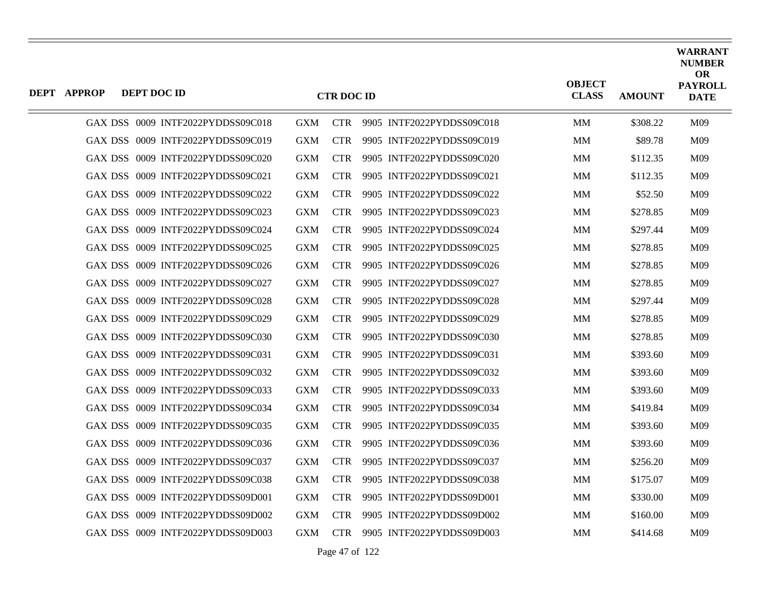| <b>DEPT APPROP</b> | DEPT DOC ID |                                   |            | <b>CTR DOC ID</b> |                           | <b>OBJECT</b><br><b>CLASS</b> | <b>AMOUNT</b> | <b>WARRANT</b><br><b>NUMBER</b><br><b>OR</b><br><b>PAYROLL</b><br><b>DATE</b> |
|--------------------|-------------|-----------------------------------|------------|-------------------|---------------------------|-------------------------------|---------------|-------------------------------------------------------------------------------|
|                    |             | GAX DSS 0009 INTF2022PYDDSS09C018 | <b>GXM</b> | <b>CTR</b>        | 9905 INTF2022PYDDSS09C018 | MМ                            | \$308.22      | M09                                                                           |
|                    |             | GAX DSS 0009 INTF2022PYDDSS09C019 | <b>GXM</b> | <b>CTR</b>        | 9905 INTF2022PYDDSS09C019 | MM                            | \$89.78       | M09                                                                           |
|                    |             | GAX DSS 0009 INTF2022PYDDSS09C020 | <b>GXM</b> | <b>CTR</b>        | 9905 INTF2022PYDDSS09C020 | MM                            | \$112.35      | M09                                                                           |
|                    |             | GAX DSS 0009 INTF2022PYDDSS09C021 | <b>GXM</b> | <b>CTR</b>        | 9905 INTF2022PYDDSS09C021 | MM                            | \$112.35      | M09                                                                           |
|                    |             | GAX DSS 0009 INTF2022PYDDSS09C022 | <b>GXM</b> | <b>CTR</b>        | 9905 INTF2022PYDDSS09C022 | MM                            | \$52.50       | M09                                                                           |
|                    |             | GAX DSS 0009 INTF2022PYDDSS09C023 | <b>GXM</b> | <b>CTR</b>        | 9905 INTF2022PYDDSS09C023 | MM                            | \$278.85      | M09                                                                           |
|                    |             | GAX DSS 0009 INTF2022PYDDSS09C024 | <b>GXM</b> | <b>CTR</b>        | 9905 INTF2022PYDDSS09C024 | MM                            | \$297.44      | M09                                                                           |
|                    |             | GAX DSS 0009 INTF2022PYDDSS09C025 | <b>GXM</b> | <b>CTR</b>        | 9905 INTF2022PYDDSS09C025 | <b>MM</b>                     | \$278.85      | M09                                                                           |
|                    |             | GAX DSS 0009 INTF2022PYDDSS09C026 | <b>GXM</b> | <b>CTR</b>        | 9905 INTF2022PYDDSS09C026 | MM                            | \$278.85      | M09                                                                           |
|                    |             | GAX DSS 0009 INTF2022PYDDSS09C027 | <b>GXM</b> | <b>CTR</b>        | 9905 INTF2022PYDDSS09C027 | MM                            | \$278.85      | M09                                                                           |
|                    |             | GAX DSS 0009 INTF2022PYDDSS09C028 | <b>GXM</b> | <b>CTR</b>        | 9905 INTF2022PYDDSS09C028 | <b>MM</b>                     | \$297.44      | M09                                                                           |
|                    |             | GAX DSS 0009 INTF2022PYDDSS09C029 | <b>GXM</b> | <b>CTR</b>        | 9905 INTF2022PYDDSS09C029 | MM                            | \$278.85      | M09                                                                           |
|                    |             | GAX DSS 0009 INTF2022PYDDSS09C030 | <b>GXM</b> | <b>CTR</b>        | 9905 INTF2022PYDDSS09C030 | MM                            | \$278.85      | M09                                                                           |
|                    |             | GAX DSS 0009 INTF2022PYDDSS09C031 | <b>GXM</b> | <b>CTR</b>        | 9905 INTF2022PYDDSS09C031 | <b>MM</b>                     | \$393.60      | M09                                                                           |
|                    |             | GAX DSS 0009 INTF2022PYDDSS09C032 | <b>GXM</b> | <b>CTR</b>        | 9905 INTF2022PYDDSS09C032 | MM                            | \$393.60      | M09                                                                           |
|                    |             | GAX DSS 0009 INTF2022PYDDSS09C033 | <b>GXM</b> | <b>CTR</b>        | 9905 INTF2022PYDDSS09C033 | MM                            | \$393.60      | M09                                                                           |
|                    |             | GAX DSS 0009 INTF2022PYDDSS09C034 | <b>GXM</b> | <b>CTR</b>        | 9905 INTF2022PYDDSS09C034 | MМ                            | \$419.84      | M09                                                                           |
|                    |             | GAX DSS 0009 INTF2022PYDDSS09C035 | <b>GXM</b> | <b>CTR</b>        | 9905 INTF2022PYDDSS09C035 | MM                            | \$393.60      | M09                                                                           |
|                    |             | GAX DSS 0009 INTF2022PYDDSS09C036 | <b>GXM</b> | <b>CTR</b>        | 9905 INTF2022PYDDSS09C036 | <b>MM</b>                     | \$393.60      | M09                                                                           |
|                    |             | GAX DSS 0009 INTF2022PYDDSS09C037 | <b>GXM</b> | <b>CTR</b>        | 9905 INTF2022PYDDSS09C037 | MМ                            | \$256.20      | M09                                                                           |
|                    |             | GAX DSS 0009 INTF2022PYDDSS09C038 | <b>GXM</b> | <b>CTR</b>        | 9905 INTF2022PYDDSS09C038 | MM                            | \$175.07      | M09                                                                           |
|                    |             | GAX DSS 0009 INTF2022PYDDSS09D001 | <b>GXM</b> | <b>CTR</b>        | 9905 INTF2022PYDDSS09D001 | MМ                            | \$330.00      | M09                                                                           |
|                    |             | GAX DSS 0009 INTF2022PYDDSS09D002 | <b>GXM</b> | <b>CTR</b>        | 9905 INTF2022PYDDSS09D002 | MМ                            | \$160.00      | M09                                                                           |
|                    |             | GAX DSS 0009 INTF2022PYDDSS09D003 | <b>GXM</b> | <b>CTR</b>        | 9905 INTF2022PYDDSS09D003 | MM                            | \$414.68      | M09                                                                           |

Page 47 of 122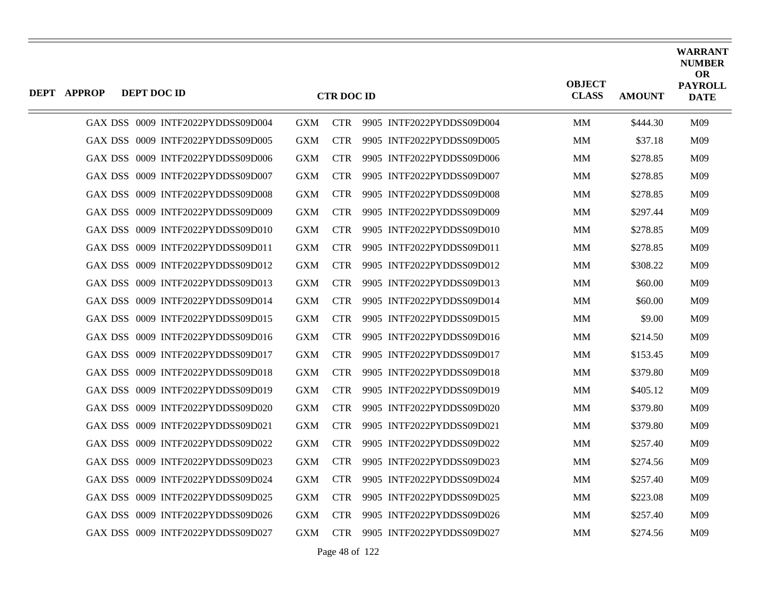| <b>DEPT APPROP</b> | DEPT DOC ID |                                   |            | <b>CTR DOC ID</b> |                           | <b>OBJECT</b><br><b>CLASS</b> | <b>AMOUNT</b> | <b>WARRANT</b><br><b>NUMBER</b><br><b>OR</b><br><b>PAYROLL</b><br><b>DATE</b> |
|--------------------|-------------|-----------------------------------|------------|-------------------|---------------------------|-------------------------------|---------------|-------------------------------------------------------------------------------|
|                    |             | GAX DSS 0009 INTF2022PYDDSS09D004 | <b>GXM</b> | <b>CTR</b>        | 9905 INTF2022PYDDSS09D004 | MМ                            | \$444.30      | M09                                                                           |
|                    |             | GAX DSS 0009 INTF2022PYDDSS09D005 | <b>GXM</b> | <b>CTR</b>        | 9905 INTF2022PYDDSS09D005 | MM                            | \$37.18       | M09                                                                           |
|                    |             | GAX DSS 0009 INTF2022PYDDSS09D006 | <b>GXM</b> | <b>CTR</b>        | 9905 INTF2022PYDDSS09D006 | MM                            | \$278.85      | M09                                                                           |
|                    |             | GAX DSS 0009 INTF2022PYDDSS09D007 | <b>GXM</b> | <b>CTR</b>        | 9905 INTF2022PYDDSS09D007 | MМ                            | \$278.85      | M09                                                                           |
|                    |             | GAX DSS 0009 INTF2022PYDDSS09D008 | <b>GXM</b> | <b>CTR</b>        | 9905 INTF2022PYDDSS09D008 | MМ                            | \$278.85      | M09                                                                           |
|                    |             | GAX DSS 0009 INTF2022PYDDSS09D009 | <b>GXM</b> | <b>CTR</b>        | 9905 INTF2022PYDDSS09D009 | MМ                            | \$297.44      | M09                                                                           |
|                    |             | GAX DSS 0009 INTF2022PYDDSS09D010 | <b>GXM</b> | <b>CTR</b>        | 9905 INTF2022PYDDSS09D010 | MМ                            | \$278.85      | M09                                                                           |
|                    |             | GAX DSS 0009 INTF2022PYDDSS09D011 | <b>GXM</b> | <b>CTR</b>        | 9905 INTF2022PYDDSS09D011 | MМ                            | \$278.85      | M09                                                                           |
|                    |             | GAX DSS 0009 INTF2022PYDDSS09D012 | <b>GXM</b> | <b>CTR</b>        | 9905 INTF2022PYDDSS09D012 | MМ                            | \$308.22      | M09                                                                           |
|                    |             | GAX DSS 0009 INTF2022PYDDSS09D013 | <b>GXM</b> | <b>CTR</b>        | 9905 INTF2022PYDDSS09D013 | MМ                            | \$60.00       | M09                                                                           |
|                    |             | GAX DSS 0009 INTF2022PYDDSS09D014 | <b>GXM</b> | <b>CTR</b>        | 9905 INTF2022PYDDSS09D014 | MМ                            | \$60.00       | M09                                                                           |
|                    |             | GAX DSS 0009 INTF2022PYDDSS09D015 | <b>GXM</b> | <b>CTR</b>        | 9905 INTF2022PYDDSS09D015 | MМ                            | \$9.00        | M09                                                                           |
|                    |             | GAX DSS 0009 INTF2022PYDDSS09D016 | <b>GXM</b> | <b>CTR</b>        | 9905 INTF2022PYDDSS09D016 | MМ                            | \$214.50      | M09                                                                           |
|                    |             | GAX DSS 0009 INTF2022PYDDSS09D017 | <b>GXM</b> | <b>CTR</b>        | 9905 INTF2022PYDDSS09D017 | MМ                            | \$153.45      | M09                                                                           |
|                    |             | GAX DSS 0009 INTF2022PYDDSS09D018 | <b>GXM</b> | <b>CTR</b>        | 9905 INTF2022PYDDSS09D018 | MМ                            | \$379.80      | M09                                                                           |
|                    |             | GAX DSS 0009 INTF2022PYDDSS09D019 | <b>GXM</b> | <b>CTR</b>        | 9905 INTF2022PYDDSS09D019 | MМ                            | \$405.12      | M09                                                                           |
|                    |             | GAX DSS 0009 INTF2022PYDDSS09D020 | <b>GXM</b> | <b>CTR</b>        | 9905 INTF2022PYDDSS09D020 | MМ                            | \$379.80      | M09                                                                           |
|                    |             | GAX DSS 0009 INTF2022PYDDSS09D021 | <b>GXM</b> | <b>CTR</b>        | 9905 INTF2022PYDDSS09D021 | MM                            | \$379.80      | M09                                                                           |
|                    |             | GAX DSS 0009 INTF2022PYDDSS09D022 | <b>GXM</b> | <b>CTR</b>        | 9905 INTF2022PYDDSS09D022 | <b>MM</b>                     | \$257.40      | M09                                                                           |
|                    |             | GAX DSS 0009 INTF2022PYDDSS09D023 | <b>GXM</b> | <b>CTR</b>        | 9905 INTF2022PYDDSS09D023 | MM                            | \$274.56      | M09                                                                           |
|                    |             | GAX DSS 0009 INTF2022PYDDSS09D024 | <b>GXM</b> | <b>CTR</b>        | 9905 INTF2022PYDDSS09D024 | MM                            | \$257.40      | M09                                                                           |
|                    |             | GAX DSS 0009 INTF2022PYDDSS09D025 | <b>GXM</b> | <b>CTR</b>        | 9905 INTF2022PYDDSS09D025 | <b>MM</b>                     | \$223.08      | M09                                                                           |
|                    |             | GAX DSS 0009 INTF2022PYDDSS09D026 | <b>GXM</b> | <b>CTR</b>        | 9905 INTF2022PYDDSS09D026 | MМ                            | \$257.40      | M09                                                                           |
|                    |             | GAX DSS 0009 INTF2022PYDDSS09D027 | <b>GXM</b> | <b>CTR</b>        | 9905 INTF2022PYDDSS09D027 | MM                            | \$274.56      | M09                                                                           |

Page 48 of 122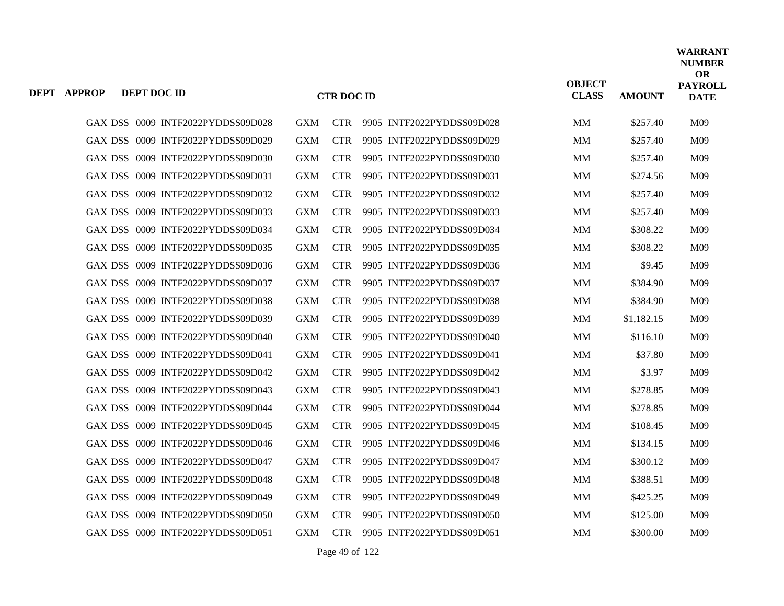| <b>DEPT APPROP</b> | DEPT DOC ID |                                   |            | <b>CTR DOC ID</b> |                           | <b>OBJECT</b><br><b>CLASS</b> | <b>AMOUNT</b> | <b>WARRANT</b><br><b>NUMBER</b><br><b>OR</b><br><b>PAYROLL</b><br><b>DATE</b> |
|--------------------|-------------|-----------------------------------|------------|-------------------|---------------------------|-------------------------------|---------------|-------------------------------------------------------------------------------|
|                    |             | GAX DSS 0009 INTF2022PYDDSS09D028 | <b>GXM</b> | <b>CTR</b>        | 9905 INTF2022PYDDSS09D028 | MM                            | \$257.40      | M09                                                                           |
|                    |             | GAX DSS 0009 INTF2022PYDDSS09D029 | <b>GXM</b> | <b>CTR</b>        | 9905 INTF2022PYDDSS09D029 | MM                            | \$257.40      | M09                                                                           |
|                    |             | GAX DSS 0009 INTF2022PYDDSS09D030 | <b>GXM</b> | <b>CTR</b>        | 9905 INTF2022PYDDSS09D030 | MМ                            | \$257.40      | M09                                                                           |
|                    |             | GAX DSS 0009 INTF2022PYDDSS09D031 | <b>GXM</b> | <b>CTR</b>        | 9905 INTF2022PYDDSS09D031 | MМ                            | \$274.56      | M <sub>09</sub>                                                               |
|                    |             | GAX DSS 0009 INTF2022PYDDSS09D032 | <b>GXM</b> | <b>CTR</b>        | 9905 INTF2022PYDDSS09D032 | MМ                            | \$257.40      | M09                                                                           |
|                    |             | GAX DSS 0009 INTF2022PYDDSS09D033 | <b>GXM</b> | <b>CTR</b>        | 9905 INTF2022PYDDSS09D033 | MM                            | \$257.40      | M09                                                                           |
|                    |             | GAX DSS 0009 INTF2022PYDDSS09D034 | <b>GXM</b> | <b>CTR</b>        | 9905 INTF2022PYDDSS09D034 | MМ                            | \$308.22      | M09                                                                           |
|                    |             | GAX DSS 0009 INTF2022PYDDSS09D035 | <b>GXM</b> | <b>CTR</b>        | 9905 INTF2022PYDDSS09D035 | MМ                            | \$308.22      | M09                                                                           |
|                    |             | GAX DSS 0009 INTF2022PYDDSS09D036 | <b>GXM</b> | <b>CTR</b>        | 9905 INTF2022PYDDSS09D036 | MМ                            | \$9.45        | M09                                                                           |
|                    |             | GAX DSS 0009 INTF2022PYDDSS09D037 | <b>GXM</b> | <b>CTR</b>        | 9905 INTF2022PYDDSS09D037 | MМ                            | \$384.90      | M09                                                                           |
|                    |             | GAX DSS 0009 INTF2022PYDDSS09D038 | <b>GXM</b> | <b>CTR</b>        | 9905 INTF2022PYDDSS09D038 | MМ                            | \$384.90      | M <sub>09</sub>                                                               |
|                    |             | GAX DSS 0009 INTF2022PYDDSS09D039 | <b>GXM</b> | <b>CTR</b>        | 9905 INTF2022PYDDSS09D039 | MM                            | \$1,182.15    | M09                                                                           |
|                    |             | GAX DSS 0009 INTF2022PYDDSS09D040 | <b>GXM</b> | <b>CTR</b>        | 9905 INTF2022PYDDSS09D040 | MМ                            | \$116.10      | M09                                                                           |
|                    |             | GAX DSS 0009 INTF2022PYDDSS09D041 | <b>GXM</b> | <b>CTR</b>        | 9905 INTF2022PYDDSS09D041 | MМ                            | \$37.80       | M09                                                                           |
|                    |             | GAX DSS 0009 INTF2022PYDDSS09D042 | <b>GXM</b> | <b>CTR</b>        | 9905 INTF2022PYDDSS09D042 | MМ                            | \$3.97        | M <sub>09</sub>                                                               |
|                    |             | GAX DSS 0009 INTF2022PYDDSS09D043 | <b>GXM</b> | <b>CTR</b>        | 9905 INTF2022PYDDSS09D043 | MM                            | \$278.85      | M09                                                                           |
|                    |             | GAX DSS 0009 INTF2022PYDDSS09D044 | <b>GXM</b> | <b>CTR</b>        | 9905 INTF2022PYDDSS09D044 | MМ                            | \$278.85      | M09                                                                           |
|                    |             | GAX DSS 0009 INTF2022PYDDSS09D045 | <b>GXM</b> | <b>CTR</b>        | 9905 INTF2022PYDDSS09D045 | MМ                            | \$108.45      | M <sub>09</sub>                                                               |
|                    |             | GAX DSS 0009 INTF2022PYDDSS09D046 | <b>GXM</b> | <b>CTR</b>        | 9905 INTF2022PYDDSS09D046 | MM                            | \$134.15      | M09                                                                           |
|                    |             | GAX DSS 0009 INTF2022PYDDSS09D047 | <b>GXM</b> | <b>CTR</b>        | 9905 INTF2022PYDDSS09D047 | MМ                            | \$300.12      | M <sub>09</sub>                                                               |
|                    |             | GAX DSS 0009 INTF2022PYDDSS09D048 | <b>GXM</b> | <b>CTR</b>        | 9905 INTF2022PYDDSS09D048 | MМ                            | \$388.51      | M <sub>09</sub>                                                               |
|                    |             | GAX DSS 0009 INTF2022PYDDSS09D049 | <b>GXM</b> | <b>CTR</b>        | 9905 INTF2022PYDDSS09D049 | MM                            | \$425.25      | M09                                                                           |
|                    |             | GAX DSS 0009 INTF2022PYDDSS09D050 | <b>GXM</b> | <b>CTR</b>        | 9905 INTF2022PYDDSS09D050 | MM                            | \$125.00      | M <sub>09</sub>                                                               |
|                    |             | GAX DSS 0009 INTF2022PYDDSS09D051 | <b>GXM</b> | <b>CTR</b>        | 9905 INTF2022PYDDSS09D051 | MМ                            | \$300.00      | M09                                                                           |

Page 49 of 122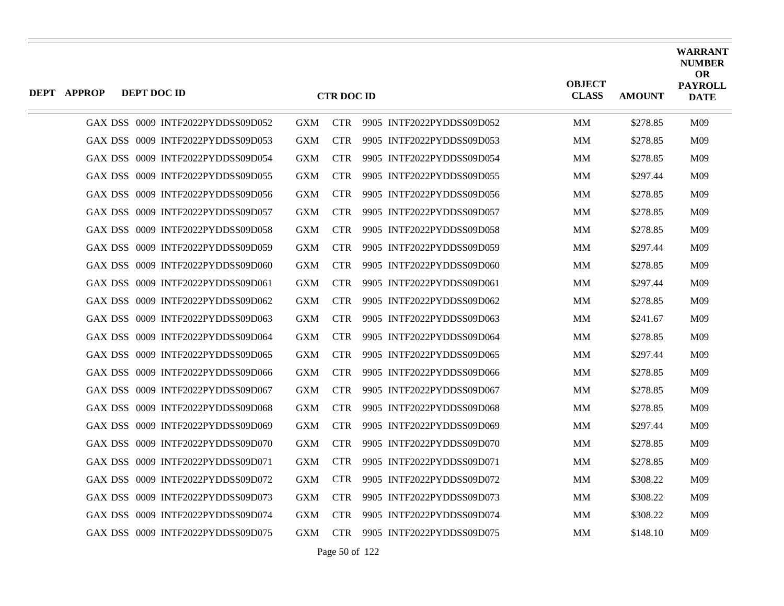| <b>DEPT APPROP</b> | DEPT DOC ID |                                   |            | <b>CTR DOC ID</b> |                           | <b>OBJECT</b><br><b>CLASS</b> | <b>AMOUNT</b> | <b>WARRANT</b><br><b>NUMBER</b><br><b>OR</b><br><b>PAYROLL</b><br><b>DATE</b> |
|--------------------|-------------|-----------------------------------|------------|-------------------|---------------------------|-------------------------------|---------------|-------------------------------------------------------------------------------|
|                    |             | GAX DSS 0009 INTF2022PYDDSS09D052 | <b>GXM</b> | <b>CTR</b>        | 9905 INTF2022PYDDSS09D052 | <b>MM</b>                     | \$278.85      | M09                                                                           |
|                    |             | GAX DSS 0009 INTF2022PYDDSS09D053 | <b>GXM</b> | <b>CTR</b>        | 9905 INTF2022PYDDSS09D053 | <b>MM</b>                     | \$278.85      | M09                                                                           |
|                    |             | GAX DSS 0009 INTF2022PYDDSS09D054 | <b>GXM</b> | <b>CTR</b>        | 9905 INTF2022PYDDSS09D054 | MМ                            | \$278.85      | M09                                                                           |
|                    |             | GAX DSS 0009 INTF2022PYDDSS09D055 | <b>GXM</b> | <b>CTR</b>        | 9905 INTF2022PYDDSS09D055 | <b>MM</b>                     | \$297.44      | M09                                                                           |
|                    |             | GAX DSS 0009 INTF2022PYDDSS09D056 | <b>GXM</b> | <b>CTR</b>        | 9905 INTF2022PYDDSS09D056 | MМ                            | \$278.85      | M09                                                                           |
|                    |             | GAX DSS 0009 INTF2022PYDDSS09D057 | <b>GXM</b> | <b>CTR</b>        | 9905 INTF2022PYDDSS09D057 | <b>MM</b>                     | \$278.85      | M09                                                                           |
|                    |             | GAX DSS 0009 INTF2022PYDDSS09D058 | <b>GXM</b> | <b>CTR</b>        | 9905 INTF2022PYDDSS09D058 | MM                            | \$278.85      | M09                                                                           |
|                    |             | GAX DSS 0009 INTF2022PYDDSS09D059 | <b>GXM</b> | <b>CTR</b>        | 9905 INTF2022PYDDSS09D059 | <b>MM</b>                     | \$297.44      | M09                                                                           |
|                    |             | GAX DSS 0009 INTF2022PYDDSS09D060 | <b>GXM</b> | <b>CTR</b>        | 9905 INTF2022PYDDSS09D060 | <b>MM</b>                     | \$278.85      | M09                                                                           |
|                    |             | GAX DSS 0009 INTF2022PYDDSS09D061 | <b>GXM</b> | <b>CTR</b>        | 9905 INTF2022PYDDSS09D061 | MМ                            | \$297.44      | M09                                                                           |
|                    |             | GAX DSS 0009 INTF2022PYDDSS09D062 | <b>GXM</b> | <b>CTR</b>        | 9905 INTF2022PYDDSS09D062 | <b>MM</b>                     | \$278.85      | M09                                                                           |
|                    |             | GAX DSS 0009 INTF2022PYDDSS09D063 | <b>GXM</b> | <b>CTR</b>        | 9905 INTF2022PYDDSS09D063 | <b>MM</b>                     | \$241.67      | M09                                                                           |
|                    |             | GAX DSS 0009 INTF2022PYDDSS09D064 | <b>GXM</b> | <b>CTR</b>        | 9905 INTF2022PYDDSS09D064 | MМ                            | \$278.85      | M09                                                                           |
|                    |             | GAX DSS 0009 INTF2022PYDDSS09D065 | <b>GXM</b> | <b>CTR</b>        | 9905 INTF2022PYDDSS09D065 | <b>MM</b>                     | \$297.44      | M09                                                                           |
|                    |             | GAX DSS 0009 INTF2022PYDDSS09D066 | <b>GXM</b> | <b>CTR</b>        | 9905 INTF2022PYDDSS09D066 | MМ                            | \$278.85      | M09                                                                           |
|                    |             | GAX DSS 0009 INTF2022PYDDSS09D067 | <b>GXM</b> | <b>CTR</b>        | 9905 INTF2022PYDDSS09D067 | <b>MM</b>                     | \$278.85      | M09                                                                           |
|                    |             | GAX DSS 0009 INTF2022PYDDSS09D068 | <b>GXM</b> | <b>CTR</b>        | 9905 INTF2022PYDDSS09D068 | <b>MM</b>                     | \$278.85      | M09                                                                           |
|                    |             | GAX DSS 0009 INTF2022PYDDSS09D069 | <b>GXM</b> | <b>CTR</b>        | 9905 INTF2022PYDDSS09D069 | MМ                            | \$297.44      | M09                                                                           |
|                    |             | GAX DSS 0009 INTF2022PYDDSS09D070 | <b>GXM</b> | <b>CTR</b>        | 9905 INTF2022PYDDSS09D070 | <b>MM</b>                     | \$278.85      | M09                                                                           |
|                    |             | GAX DSS 0009 INTF2022PYDDSS09D071 | <b>GXM</b> | <b>CTR</b>        | 9905 INTF2022PYDDSS09D071 | MМ                            | \$278.85      | M09                                                                           |
|                    |             | GAX DSS 0009 INTF2022PYDDSS09D072 | <b>GXM</b> | <b>CTR</b>        | 9905 INTF2022PYDDSS09D072 | MМ                            | \$308.22      | M09                                                                           |
|                    |             | GAX DSS 0009 INTF2022PYDDSS09D073 | <b>GXM</b> | <b>CTR</b>        | 9905 INTF2022PYDDSS09D073 | MM                            | \$308.22      | M09                                                                           |
|                    |             | GAX DSS 0009 INTF2022PYDDSS09D074 | <b>GXM</b> | <b>CTR</b>        | 9905 INTF2022PYDDSS09D074 | MМ                            | \$308.22      | M09                                                                           |
|                    |             | GAX DSS 0009 INTF2022PYDDSS09D075 | <b>GXM</b> | CTR -             | 9905 INTF2022PYDDSS09D075 | <b>MM</b>                     | \$148.10      | M09                                                                           |

Page 50 of 122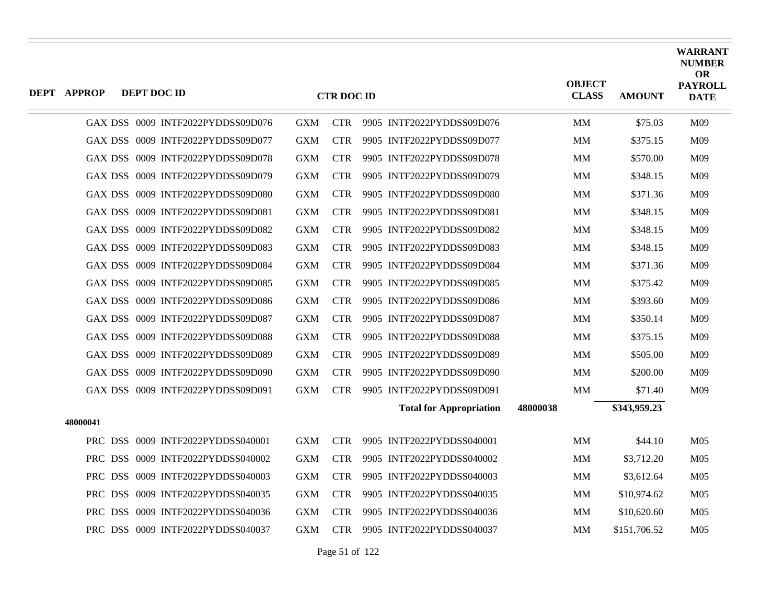| <b>DEPT APPROP</b> | DEPT DOC ID |                                   |            | <b>CTR DOC ID</b> |                                |          | <b>OBJECT</b><br><b>CLASS</b> | <b>AMOUNT</b> | <b>WARRANT</b><br><b>NUMBER</b><br><b>OR</b><br><b>PAYROLL</b><br><b>DATE</b> |
|--------------------|-------------|-----------------------------------|------------|-------------------|--------------------------------|----------|-------------------------------|---------------|-------------------------------------------------------------------------------|
|                    |             | GAX DSS 0009 INTF2022PYDDSS09D076 | <b>GXM</b> | <b>CTR</b>        | 9905 INTF2022PYDDSS09D076      |          | <b>MM</b>                     | \$75.03       | M09                                                                           |
|                    |             | GAX DSS 0009 INTF2022PYDDSS09D077 | <b>GXM</b> | <b>CTR</b>        | 9905 INTF2022PYDDSS09D077      |          | MM                            | \$375.15      | M09                                                                           |
|                    |             | GAX DSS 0009 INTF2022PYDDSS09D078 | <b>GXM</b> | <b>CTR</b>        | 9905 INTF2022PYDDSS09D078      |          | MM                            | \$570.00      | M09                                                                           |
|                    |             | GAX DSS 0009 INTF2022PYDDSS09D079 | <b>GXM</b> | <b>CTR</b>        | 9905 INTF2022PYDDSS09D079      |          | MМ                            | \$348.15      | M09                                                                           |
|                    |             | GAX DSS 0009 INTF2022PYDDSS09D080 | <b>GXM</b> | <b>CTR</b>        | 9905 INTF2022PYDDSS09D080      |          | MM                            | \$371.36      | M09                                                                           |
|                    |             | GAX DSS 0009 INTF2022PYDDSS09D081 | <b>GXM</b> | <b>CTR</b>        | 9905 INTF2022PYDDSS09D081      |          | MM                            | \$348.15      | M09                                                                           |
|                    |             | GAX DSS 0009 INTF2022PYDDSS09D082 | <b>GXM</b> | <b>CTR</b>        | 9905 INTF2022PYDDSS09D082      |          | <b>MM</b>                     | \$348.15      | M09                                                                           |
|                    |             | GAX DSS 0009 INTF2022PYDDSS09D083 | <b>GXM</b> | <b>CTR</b>        | 9905 INTF2022PYDDSS09D083      |          | MM                            | \$348.15      | M09                                                                           |
|                    |             | GAX DSS 0009 INTF2022PYDDSS09D084 | <b>GXM</b> | <b>CTR</b>        | 9905 INTF2022PYDDSS09D084      |          | MM                            | \$371.36      | M09                                                                           |
|                    |             | GAX DSS 0009 INTF2022PYDDSS09D085 | <b>GXM</b> | <b>CTR</b>        | 9905 INTF2022PYDDSS09D085      |          | MM                            | \$375.42      | M09                                                                           |
|                    |             | GAX DSS 0009 INTF2022PYDDSS09D086 | <b>GXM</b> | <b>CTR</b>        | 9905 INTF2022PYDDSS09D086      |          | <b>MM</b>                     | \$393.60      | M09                                                                           |
|                    |             | GAX DSS 0009 INTF2022PYDDSS09D087 | <b>GXM</b> | <b>CTR</b>        | 9905 INTF2022PYDDSS09D087      |          | MМ                            | \$350.14      | M09                                                                           |
|                    |             | GAX DSS 0009 INTF2022PYDDSS09D088 | <b>GXM</b> | <b>CTR</b>        | 9905 INTF2022PYDDSS09D088      |          | MM                            | \$375.15      | M09                                                                           |
|                    |             | GAX DSS 0009 INTF2022PYDDSS09D089 | <b>GXM</b> | <b>CTR</b>        | 9905 INTF2022PYDDSS09D089      |          | MM                            | \$505.00      | M09                                                                           |
|                    |             | GAX DSS 0009 INTF2022PYDDSS09D090 | <b>GXM</b> | <b>CTR</b>        | 9905 INTF2022PYDDSS09D090      |          | <b>MM</b>                     | \$200.00      | M09                                                                           |
|                    |             | GAX DSS 0009 INTF2022PYDDSS09D091 | <b>GXM</b> | <b>CTR</b>        | 9905 INTF2022PYDDSS09D091      |          | MM                            | \$71.40       | M09                                                                           |
|                    |             |                                   |            |                   | <b>Total for Appropriation</b> | 48000038 |                               | \$343,959.23  |                                                                               |
| 48000041           |             |                                   |            |                   |                                |          |                               |               |                                                                               |
|                    |             | PRC DSS 0009 INTF2022PYDDSS040001 | <b>GXM</b> | <b>CTR</b>        | 9905 INTF2022PYDDSS040001      |          | MM                            | \$44.10       | M <sub>05</sub>                                                               |
|                    |             | PRC DSS 0009 INTF2022PYDDSS040002 | <b>GXM</b> | <b>CTR</b>        | 9905 INTF2022PYDDSS040002      |          | MM                            | \$3,712.20    | M <sub>05</sub>                                                               |
|                    |             | PRC DSS 0009 INTF2022PYDDSS040003 | <b>GXM</b> | <b>CTR</b>        | 9905 INTF2022PYDDSS040003      |          | MM                            | \$3,612.64    | M <sub>05</sub>                                                               |
|                    |             | PRC DSS 0009 INTF2022PYDDSS040035 | <b>GXM</b> | <b>CTR</b>        | 9905 INTF2022PYDDSS040035      |          | MM                            | \$10,974.62   | M <sub>05</sub>                                                               |
|                    |             | PRC DSS 0009 INTF2022PYDDSS040036 | <b>GXM</b> | <b>CTR</b>        | 9905 INTF2022PYDDSS040036      |          | MM                            | \$10,620.60   | M <sub>05</sub>                                                               |
|                    |             | PRC DSS 0009 INTF2022PYDDSS040037 | <b>GXM</b> |                   | CTR 9905 INTF2022PYDDSS040037  |          | <b>MM</b>                     | \$151,706.52  | M <sub>05</sub>                                                               |
|                    |             |                                   |            |                   |                                |          |                               |               |                                                                               |

Page 51 of 122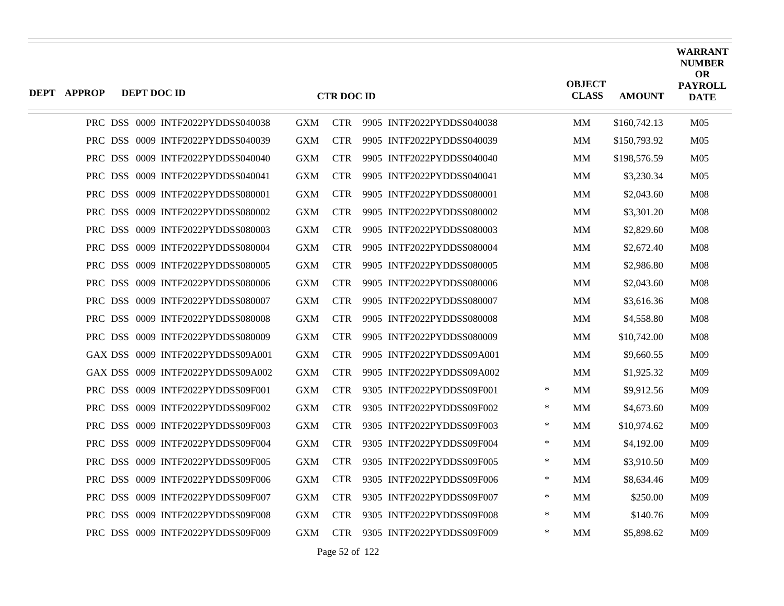| <b>DEPT APPROP</b> | DEPT DOC ID |                                   |            | <b>CTR DOC ID</b> |                           |        | <b>OBJECT</b><br><b>CLASS</b> | <b>AMOUNT</b> | <b>WARRANT</b><br><b>NUMBER</b><br><b>OR</b><br><b>PAYROLL</b><br><b>DATE</b> |
|--------------------|-------------|-----------------------------------|------------|-------------------|---------------------------|--------|-------------------------------|---------------|-------------------------------------------------------------------------------|
|                    |             | PRC DSS 0009 INTF2022PYDDSS040038 | <b>GXM</b> | <b>CTR</b>        | 9905 INTF2022PYDDSS040038 |        | MМ                            | \$160,742.13  | M <sub>05</sub>                                                               |
|                    |             | PRC DSS 0009 INTF2022PYDDSS040039 | <b>GXM</b> | <b>CTR</b>        | 9905 INTF2022PYDDSS040039 |        | <b>MM</b>                     | \$150,793.92  | M <sub>05</sub>                                                               |
|                    |             | PRC DSS 0009 INTF2022PYDDSS040040 | <b>GXM</b> | <b>CTR</b>        | 9905 INTF2022PYDDSS040040 |        | MМ                            | \$198,576.59  | M05                                                                           |
|                    |             | PRC DSS 0009 INTF2022PYDDSS040041 | <b>GXM</b> | <b>CTR</b>        | 9905 INTF2022PYDDSS040041 |        | MМ                            | \$3,230.34    | M <sub>05</sub>                                                               |
|                    |             | PRC DSS 0009 INTF2022PYDDSS080001 | <b>GXM</b> | <b>CTR</b>        | 9905 INTF2022PYDDSS080001 |        | MМ                            | \$2,043.60    | <b>M08</b>                                                                    |
|                    |             | PRC DSS 0009 INTF2022PYDDSS080002 | <b>GXM</b> | <b>CTR</b>        | 9905 INTF2022PYDDSS080002 |        | MМ                            | \$3,301.20    | M <sub>08</sub>                                                               |
|                    |             | PRC DSS 0009 INTF2022PYDDSS080003 | <b>GXM</b> | <b>CTR</b>        | 9905 INTF2022PYDDSS080003 |        | MM                            | \$2,829.60    | M <sub>08</sub>                                                               |
|                    |             | PRC DSS 0009 INTF2022PYDDSS080004 | <b>GXM</b> | <b>CTR</b>        | 9905 INTF2022PYDDSS080004 |        | MМ                            | \$2,672.40    | <b>M08</b>                                                                    |
|                    |             | PRC DSS 0009 INTF2022PYDDSS080005 | <b>GXM</b> | <b>CTR</b>        | 9905 INTF2022PYDDSS080005 |        | MМ                            | \$2,986.80    | M <sub>08</sub>                                                               |
|                    |             | PRC DSS 0009 INTF2022PYDDSS080006 | <b>GXM</b> | <b>CTR</b>        | 9905 INTF2022PYDDSS080006 |        | MМ                            | \$2,043.60    | M <sub>08</sub>                                                               |
|                    |             | PRC DSS 0009 INTF2022PYDDSS080007 | <b>GXM</b> | <b>CTR</b>        | 9905 INTF2022PYDDSS080007 |        | MМ                            | \$3,616.36    | <b>M08</b>                                                                    |
|                    |             | PRC DSS 0009 INTF2022PYDDSS080008 | <b>GXM</b> | <b>CTR</b>        | 9905 INTF2022PYDDSS080008 |        | <b>MM</b>                     | \$4,558.80    | M <sub>08</sub>                                                               |
|                    |             | PRC DSS 0009 INTF2022PYDDSS080009 | <b>GXM</b> | <b>CTR</b>        | 9905 INTF2022PYDDSS080009 |        | MМ                            | \$10,742.00   | M <sub>08</sub>                                                               |
|                    |             | GAX DSS 0009 INTF2022PYDDSS09A001 | <b>GXM</b> | <b>CTR</b>        | 9905 INTF2022PYDDSS09A001 |        | MМ                            | \$9,660.55    | M09                                                                           |
|                    |             | GAX DSS 0009 INTF2022PYDDSS09A002 | <b>GXM</b> | <b>CTR</b>        | 9905 INTF2022PYDDSS09A002 |        | MМ                            | \$1,925.32    | M09                                                                           |
|                    |             | PRC DSS 0009 INTF2022PYDDSS09F001 | <b>GXM</b> | <b>CTR</b>        | 9305 INTF2022PYDDSS09F001 | $\ast$ | MМ                            | \$9,912.56    | M09                                                                           |
|                    |             | PRC DSS 0009 INTF2022PYDDSS09F002 | <b>GXM</b> | <b>CTR</b>        | 9305 INTF2022PYDDSS09F002 | $\ast$ | MМ                            | \$4,673.60    | M <sub>09</sub>                                                               |
|                    |             | PRC DSS 0009 INTF2022PYDDSS09F003 | <b>GXM</b> | <b>CTR</b>        | 9305 INTF2022PYDDSS09F003 | ∗      | MМ                            | \$10,974.62   | M <sub>09</sub>                                                               |
|                    |             | PRC DSS 0009 INTF2022PYDDSS09F004 | <b>GXM</b> | <b>CTR</b>        | 9305 INTF2022PYDDSS09F004 | $\ast$ | MМ                            | \$4,192.00    | M <sub>09</sub>                                                               |
|                    |             | PRC DSS 0009 INTF2022PYDDSS09F005 | <b>GXM</b> | <b>CTR</b>        | 9305 INTF2022PYDDSS09F005 | ∗      | MМ                            | \$3,910.50    | M09                                                                           |
|                    |             | PRC DSS 0009 INTF2022PYDDSS09F006 | <b>GXM</b> | <b>CTR</b>        | 9305 INTF2022PYDDSS09F006 | ∗      | MМ                            | \$8,634.46    | M <sub>09</sub>                                                               |
|                    |             | PRC DSS 0009 INTF2022PYDDSS09F007 | <b>GXM</b> | <b>CTR</b>        | 9305 INTF2022PYDDSS09F007 | $\ast$ | MМ                            | \$250.00      | M09                                                                           |
|                    |             | PRC DSS 0009 INTF2022PYDDSS09F008 | <b>GXM</b> | <b>CTR</b>        | 9305 INTF2022PYDDSS09F008 | ∗      | MМ                            | \$140.76      | M09                                                                           |
|                    |             | PRC DSS 0009 INTF2022PYDDSS09F009 | <b>GXM</b> | <b>CTR</b>        | 9305 INTF2022PYDDSS09F009 | $\ast$ | MМ                            | \$5,898.62    | M09                                                                           |

Page 52 of 122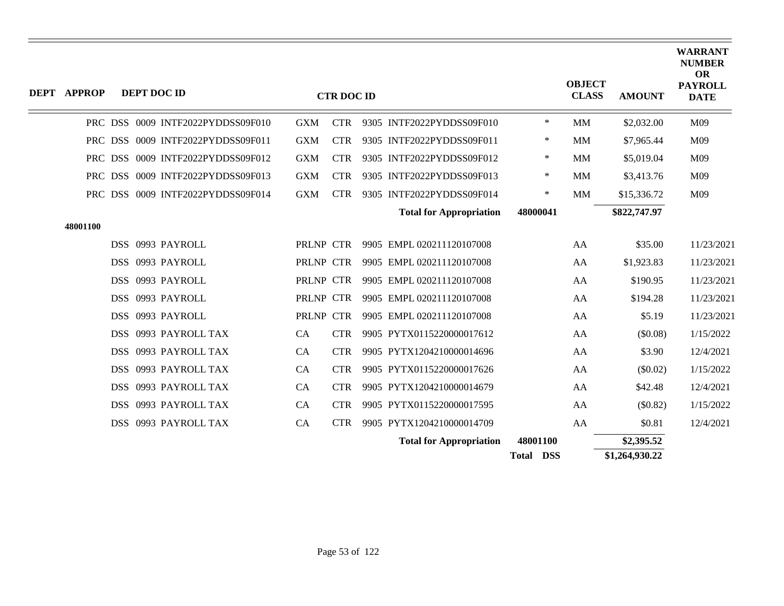| DEPT APPROP |  | DEPT DOC ID                       |            | <b>CTR DOC ID</b> |                                |                  | <b>OBJECT</b><br><b>CLASS</b> | <b>AMOUNT</b>  | <b>WARRANT</b><br><b>NUMBER</b><br><b>OR</b><br><b>PAYROLL</b><br><b>DATE</b> |
|-------------|--|-----------------------------------|------------|-------------------|--------------------------------|------------------|-------------------------------|----------------|-------------------------------------------------------------------------------|
|             |  | PRC DSS 0009 INTF2022PYDDSS09F010 | <b>GXM</b> | <b>CTR</b>        | 9305 INTF2022PYDDSS09F010      | $\ast$           | <b>MM</b>                     | \$2,032.00     | M09                                                                           |
|             |  | PRC DSS 0009 INTF2022PYDDSS09F011 | <b>GXM</b> | <b>CTR</b>        | 9305 INTF2022PYDDSS09F011      | ∗                | MM                            | \$7,965.44     | M09                                                                           |
|             |  | PRC DSS 0009 INTF2022PYDDSS09F012 | <b>GXM</b> | <b>CTR</b>        | 9305 INTF2022PYDDSS09F012      | ∗                | <b>MM</b>                     | \$5,019.04     | M09                                                                           |
|             |  | PRC DSS 0009 INTF2022PYDDSS09F013 | <b>GXM</b> | <b>CTR</b>        | 9305 INTF2022PYDDSS09F013      | ∗                | <b>MM</b>                     | \$3,413.76     | M09                                                                           |
|             |  | PRC DSS 0009 INTF2022PYDDSS09F014 | <b>GXM</b> | <b>CTR</b>        | 9305 INTF2022PYDDSS09F014      | $\ast$           | MM                            | \$15,336.72    | M09                                                                           |
|             |  |                                   |            |                   | <b>Total for Appropriation</b> | 48000041         |                               | \$822,747.97   |                                                                               |
| 48001100    |  |                                   |            |                   |                                |                  |                               |                |                                                                               |
|             |  | DSS 0993 PAYROLL                  | PRLNP CTR  |                   | 9905 EMPL 020211120107008      |                  | AA                            | \$35.00        | 11/23/2021                                                                    |
|             |  | DSS 0993 PAYROLL                  | PRLNP CTR  |                   | 9905 EMPL 020211120107008      |                  | AA                            | \$1,923.83     | 11/23/2021                                                                    |
|             |  | DSS 0993 PAYROLL                  | PRLNP CTR  |                   | 9905 EMPL 020211120107008      |                  | AA                            | \$190.95       | 11/23/2021                                                                    |
|             |  | DSS 0993 PAYROLL                  | PRLNP CTR  |                   | 9905 EMPL 020211120107008      |                  | AA                            | \$194.28       | 11/23/2021                                                                    |
|             |  | DSS 0993 PAYROLL                  | PRLNP CTR  |                   | 9905 EMPL 020211120107008      |                  | AA                            | \$5.19         | 11/23/2021                                                                    |
|             |  | DSS 0993 PAYROLL TAX              | CA         | <b>CTR</b>        | 9905 PYTX0115220000017612      |                  | AA                            | (\$0.08)       | 1/15/2022                                                                     |
|             |  | DSS 0993 PAYROLL TAX              | <b>CA</b>  | <b>CTR</b>        | 9905 PYTX1204210000014696      |                  | AA                            | \$3.90         | 12/4/2021                                                                     |
|             |  | DSS 0993 PAYROLL TAX              | CA         | <b>CTR</b>        | 9905 PYTX0115220000017626      |                  | AA                            | (\$0.02)       | 1/15/2022                                                                     |
|             |  | DSS 0993 PAYROLL TAX              | CA         | <b>CTR</b>        | 9905 PYTX1204210000014679      |                  | AA                            | \$42.48        | 12/4/2021                                                                     |
|             |  | DSS 0993 PAYROLL TAX              | CA         | <b>CTR</b>        | 9905 PYTX0115220000017595      |                  | AA                            | (\$0.82)       | 1/15/2022                                                                     |
|             |  | DSS 0993 PAYROLL TAX              | CA         | <b>CTR</b>        | 9905 PYTX1204210000014709      |                  | AA                            | \$0.81         | 12/4/2021                                                                     |
|             |  |                                   |            |                   | <b>Total for Appropriation</b> | 48001100         |                               | \$2,395.52     |                                                                               |
|             |  |                                   |            |                   |                                | <b>Total DSS</b> |                               | \$1,264,930.22 |                                                                               |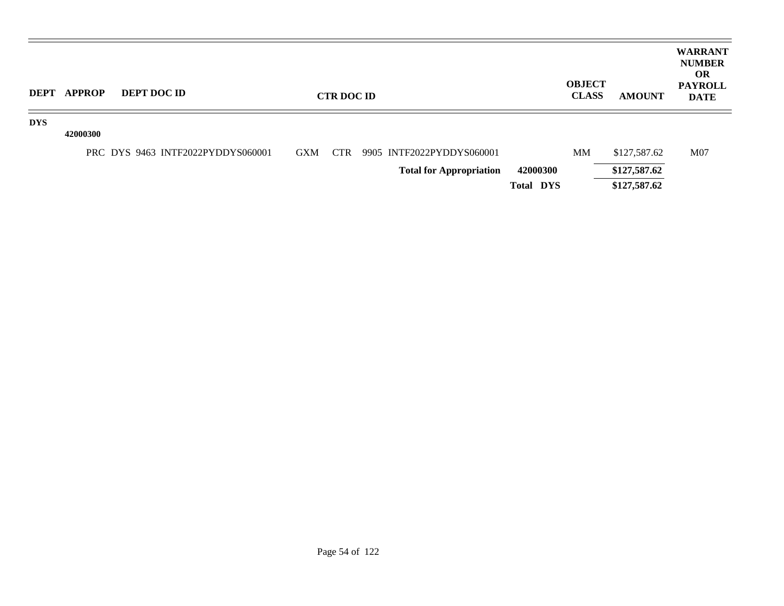| <b>DEPT</b> | <b>APPROP</b> | <b>DEPT DOC ID</b>                |            | <b>CTR DOC ID</b> |                                |                  | <b>OBJECT</b><br><b>CLASS</b> | <b>AMOUNT</b> | <b>WARRANT</b><br><b>NUMBER</b><br><b>OR</b><br><b>PAYROLL</b><br><b>DATE</b> |
|-------------|---------------|-----------------------------------|------------|-------------------|--------------------------------|------------------|-------------------------------|---------------|-------------------------------------------------------------------------------|
| <b>DYS</b>  | 42000300      |                                   |            |                   |                                |                  |                               |               |                                                                               |
|             |               | PRC DYS 9463 INTF2022PYDDYS060001 | <b>GXM</b> | <b>CTR</b>        | 9905 INTF2022PYDDYS060001      |                  | MM                            | \$127,587.62  | M <sub>07</sub>                                                               |
|             |               |                                   |            |                   | <b>Total for Appropriation</b> | 42000300         |                               | \$127,587.62  |                                                                               |
|             |               |                                   |            |                   |                                | <b>Total DYS</b> |                               | \$127,587.62  |                                                                               |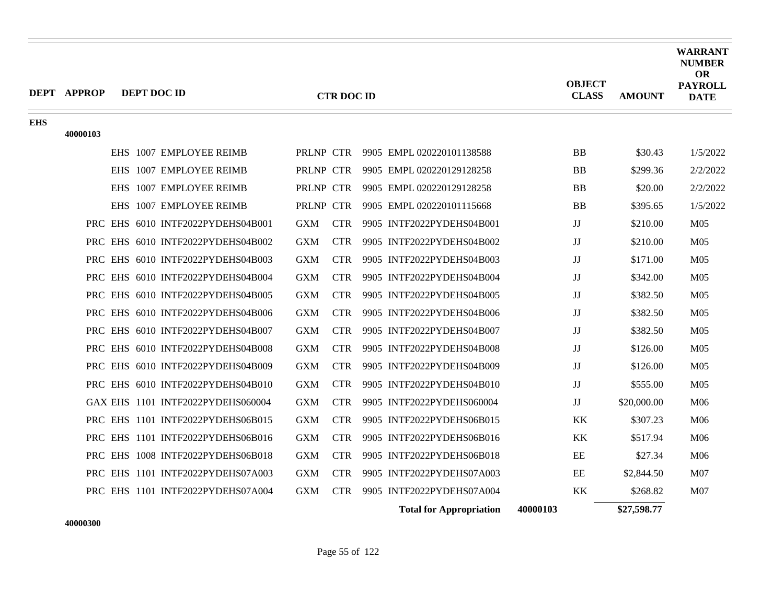|            | DEPT APPROP |  | DEPT DOC ID                       |            | <b>CTR DOC ID</b> |                                |          | <b>OBJECT</b><br><b>CLASS</b> | <b>AMOUNT</b> | <b>WARRANT</b><br><b>NUMBER</b><br>OR<br><b>PAYROLL</b><br><b>DATE</b> |
|------------|-------------|--|-----------------------------------|------------|-------------------|--------------------------------|----------|-------------------------------|---------------|------------------------------------------------------------------------|
| <b>EHS</b> | 40000103    |  |                                   |            |                   |                                |          |                               |               |                                                                        |
|            |             |  | EHS 1007 EMPLOYEE REIMB           | PRLNP CTR  |                   | 9905 EMPL 020220101138588      |          | <b>BB</b>                     | \$30.43       | 1/5/2022                                                               |
|            |             |  | EHS 1007 EMPLOYEE REIMB           | PRLNP CTR  |                   | 9905 EMPL 020220129128258      |          | <b>BB</b>                     | \$299.36      | 2/2/2022                                                               |
|            |             |  | EHS 1007 EMPLOYEE REIMB           | PRLNP CTR  |                   | 9905 EMPL 020220129128258      |          | <b>BB</b>                     | \$20.00       | 2/2/2022                                                               |
|            |             |  | EHS 1007 EMPLOYEE REIMB           | PRLNP CTR  |                   | 9905 EMPL 020220101115668      |          | <b>BB</b>                     | \$395.65      | 1/5/2022                                                               |
|            |             |  | PRC EHS 6010 INTF2022PYDEHS04B001 | <b>GXM</b> | <b>CTR</b>        | 9905 INTF2022PYDEHS04B001      |          | $\rm JJ$                      | \$210.00      | M <sub>05</sub>                                                        |
|            |             |  | PRC EHS 6010 INTF2022PYDEHS04B002 | <b>GXM</b> | <b>CTR</b>        | 9905 INTF2022PYDEHS04B002      |          | JJ                            | \$210.00      | M <sub>05</sub>                                                        |
|            |             |  | PRC EHS 6010 INTF2022PYDEHS04B003 | <b>GXM</b> | <b>CTR</b>        | 9905 INTF2022PYDEHS04B003      |          | $\rm JJ$                      | \$171.00      | M <sub>05</sub>                                                        |
|            |             |  | PRC EHS 6010 INTF2022PYDEHS04B004 | <b>GXM</b> | <b>CTR</b>        | 9905 INTF2022PYDEHS04B004      |          | $\rm JJ$                      | \$342.00      | M <sub>05</sub>                                                        |
|            |             |  | PRC EHS 6010 INTF2022PYDEHS04B005 | <b>GXM</b> | <b>CTR</b>        | 9905 INTF2022PYDEHS04B005      |          | JJ                            | \$382.50      | M <sub>05</sub>                                                        |
|            |             |  | PRC EHS 6010 INTF2022PYDEHS04B006 | <b>GXM</b> | <b>CTR</b>        | 9905 INTF2022PYDEHS04B006      |          | JJ                            | \$382.50      | M <sub>05</sub>                                                        |
|            |             |  | PRC EHS 6010 INTF2022PYDEHS04B007 | <b>GXM</b> | <b>CTR</b>        | 9905 INTF2022PYDEHS04B007      |          | $\rm JJ$                      | \$382.50      | M <sub>05</sub>                                                        |
|            |             |  | PRC EHS 6010 INTF2022PYDEHS04B008 | <b>GXM</b> | <b>CTR</b>        | 9905 INTF2022PYDEHS04B008      |          | JJ                            | \$126.00      | M <sub>05</sub>                                                        |
|            |             |  | PRC EHS 6010 INTF2022PYDEHS04B009 | <b>GXM</b> | <b>CTR</b>        | 9905 INTF2022PYDEHS04B009      |          | JJ                            | \$126.00      | M <sub>05</sub>                                                        |
|            |             |  | PRC EHS 6010 INTF2022PYDEHS04B010 | <b>GXM</b> | <b>CTR</b>        | 9905 INTF2022PYDEHS04B010      |          | $\rm JJ$                      | \$555.00      | M <sub>05</sub>                                                        |
|            |             |  | GAX EHS 1101 INTF2022PYDEHS060004 | <b>GXM</b> | <b>CTR</b>        | 9905 INTF2022PYDEHS060004      |          | JJ                            | \$20,000.00   | M06                                                                    |
|            |             |  | PRC EHS 1101 INTF2022PYDEHS06B015 | <b>GXM</b> | <b>CTR</b>        | 9905 INTF2022PYDEHS06B015      |          | KK                            | \$307.23      | M06                                                                    |
|            |             |  | PRC EHS 1101 INTF2022PYDEHS06B016 | <b>GXM</b> | <b>CTR</b>        | 9905 INTF2022PYDEHS06B016      |          | KK                            | \$517.94      | M06                                                                    |
|            |             |  | PRC EHS 1008 INTF2022PYDEHS06B018 | <b>GXM</b> | <b>CTR</b>        | 9905 INTF2022PYDEHS06B018      |          | EE                            | \$27.34       | M06                                                                    |
|            |             |  | PRC EHS 1101 INTF2022PYDEHS07A003 | <b>GXM</b> | <b>CTR</b>        | 9905 INTF2022PYDEHS07A003      |          | EE                            | \$2,844.50    | M07                                                                    |
|            |             |  | PRC EHS 1101 INTF2022PYDEHS07A004 | <b>GXM</b> | <b>CTR</b>        | 9905 INTF2022PYDEHS07A004      |          | KK                            | \$268.82      | M07                                                                    |
|            |             |  |                                   |            |                   | <b>Total for Appropriation</b> | 40000103 |                               | \$27,598.77   |                                                                        |

**40000300**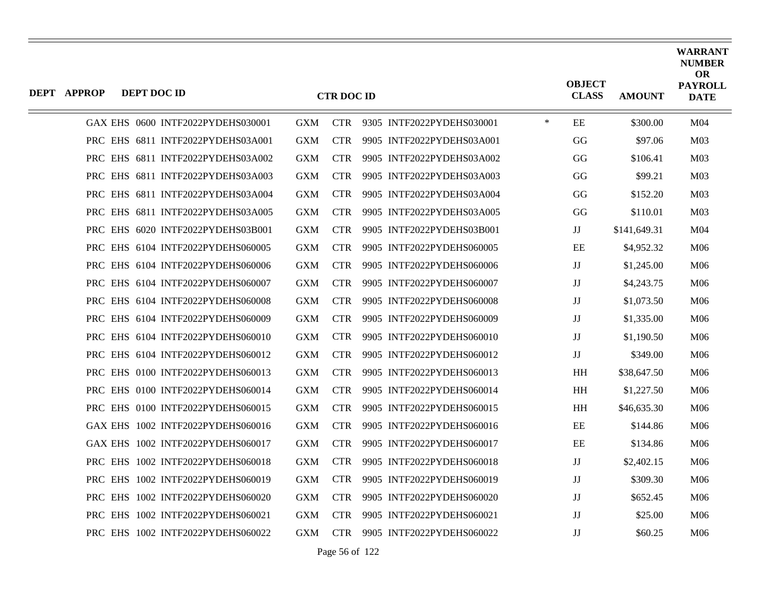| <b>DEPT APPROP</b> | DEPT DOC ID |                                   |            | <b>CTR DOC ID</b> |                           |        | <b>OBJECT</b><br><b>CLASS</b> | <b>AMOUNT</b> | <b>WARRANT</b><br><b>NUMBER</b><br><b>OR</b><br><b>PAYROLL</b><br><b>DATE</b> |
|--------------------|-------------|-----------------------------------|------------|-------------------|---------------------------|--------|-------------------------------|---------------|-------------------------------------------------------------------------------|
|                    |             | GAX EHS 0600 INTF2022PYDEHS030001 | <b>GXM</b> | <b>CTR</b>        | 9305 INTF2022PYDEHS030001 | $\ast$ | EE                            | \$300.00      | M <sub>04</sub>                                                               |
|                    |             | PRC EHS 6811 INTF2022PYDEHS03A001 | <b>GXM</b> | <b>CTR</b>        | 9905 INTF2022PYDEHS03A001 |        | GG                            | \$97.06       | M <sub>03</sub>                                                               |
|                    |             | PRC EHS 6811 INTF2022PYDEHS03A002 | <b>GXM</b> | <b>CTR</b>        | 9905 INTF2022PYDEHS03A002 |        | GG                            | \$106.41      | M <sub>03</sub>                                                               |
|                    |             | PRC EHS 6811 INTF2022PYDEHS03A003 | <b>GXM</b> | <b>CTR</b>        | 9905 INTF2022PYDEHS03A003 |        | GG                            | \$99.21       | M <sub>03</sub>                                                               |
|                    |             | PRC EHS 6811 INTF2022PYDEHS03A004 | <b>GXM</b> | <b>CTR</b>        | 9905 INTF2022PYDEHS03A004 |        | GG                            | \$152.20      | M <sub>03</sub>                                                               |
|                    |             | PRC EHS 6811 INTF2022PYDEHS03A005 | <b>GXM</b> | <b>CTR</b>        | 9905 INTF2022PYDEHS03A005 |        | GG                            | \$110.01      | M <sub>03</sub>                                                               |
|                    |             | PRC EHS 6020 INTF2022PYDEHS03B001 | <b>GXM</b> | <b>CTR</b>        | 9905 INTF2022PYDEHS03B001 |        | JJ                            | \$141,649.31  | M <sub>04</sub>                                                               |
|                    |             | PRC EHS 6104 INTF2022PYDEHS060005 | <b>GXM</b> | <b>CTR</b>        | 9905 INTF2022PYDEHS060005 |        | EE                            | \$4,952.32    | M <sub>06</sub>                                                               |
|                    |             | PRC EHS 6104 INTF2022PYDEHS060006 | <b>GXM</b> | <b>CTR</b>        | 9905 INTF2022PYDEHS060006 |        | JJ                            | \$1,245.00    | M <sub>06</sub>                                                               |
|                    |             | PRC EHS 6104 INTF2022PYDEHS060007 | <b>GXM</b> | <b>CTR</b>        | 9905 INTF2022PYDEHS060007 |        | JJ                            | \$4,243.75    | M06                                                                           |
|                    |             | PRC EHS 6104 INTF2022PYDEHS060008 | <b>GXM</b> | <b>CTR</b>        | 9905 INTF2022PYDEHS060008 |        | JJ                            | \$1,073.50    | M <sub>06</sub>                                                               |
|                    |             | PRC EHS 6104 INTF2022PYDEHS060009 | <b>GXM</b> | <b>CTR</b>        | 9905 INTF2022PYDEHS060009 |        | JJ                            | \$1,335.00    | M <sub>06</sub>                                                               |
|                    |             | PRC EHS 6104 INTF2022PYDEHS060010 | <b>GXM</b> | <b>CTR</b>        | 9905 INTF2022PYDEHS060010 |        | $\rm JJ$                      | \$1,190.50    | M06                                                                           |
|                    |             | PRC EHS 6104 INTF2022PYDEHS060012 | <b>GXM</b> | <b>CTR</b>        | 9905 INTF2022PYDEHS060012 |        | JJ                            | \$349.00      | M <sub>06</sub>                                                               |
|                    |             | PRC EHS 0100 INTF2022PYDEHS060013 | <b>GXM</b> | <b>CTR</b>        | 9905 INTF2022PYDEHS060013 |        | <b>HH</b>                     | \$38,647.50   | M <sub>06</sub>                                                               |
|                    |             | PRC EHS 0100 INTF2022PYDEHS060014 | <b>GXM</b> | <b>CTR</b>        | 9905 INTF2022PYDEHS060014 |        | $\mathbf{H} \mathbf{H}$       | \$1,227.50    | M06                                                                           |
|                    |             | PRC EHS 0100 INTF2022PYDEHS060015 | <b>GXM</b> | <b>CTR</b>        | 9905 INTF2022PYDEHS060015 |        | <b>HH</b>                     | \$46,635.30   | M <sub>06</sub>                                                               |
|                    |             | GAX EHS 1002 INTF2022PYDEHS060016 | <b>GXM</b> | <b>CTR</b>        | 9905 INTF2022PYDEHS060016 |        | EE                            | \$144.86      | M06                                                                           |
|                    |             | GAX EHS 1002 INTF2022PYDEHS060017 | <b>GXM</b> | <b>CTR</b>        | 9905 INTF2022PYDEHS060017 |        | EE                            | \$134.86      | M06                                                                           |
|                    |             | PRC EHS 1002 INTF2022PYDEHS060018 | <b>GXM</b> | <b>CTR</b>        | 9905 INTF2022PYDEHS060018 |        | JJ                            | \$2,402.15    | M06                                                                           |
|                    |             | PRC EHS 1002 INTF2022PYDEHS060019 | <b>GXM</b> | <b>CTR</b>        | 9905 INTF2022PYDEHS060019 |        | JJ                            | \$309.30      | M06                                                                           |
|                    |             | PRC EHS 1002 INTF2022PYDEHS060020 | <b>GXM</b> | <b>CTR</b>        | 9905 INTF2022PYDEHS060020 |        | JJ                            | \$652.45      | M06                                                                           |
|                    |             | PRC EHS 1002 INTF2022PYDEHS060021 | <b>GXM</b> | <b>CTR</b>        | 9905 INTF2022PYDEHS060021 |        | JJ                            | \$25.00       | M <sub>06</sub>                                                               |
|                    |             | PRC EHS 1002 INTF2022PYDEHS060022 | <b>GXM</b> | <b>CTR</b>        | 9905 INTF2022PYDEHS060022 |        | $\rm JJ$                      | \$60.25       | M06                                                                           |

Page 56 of 122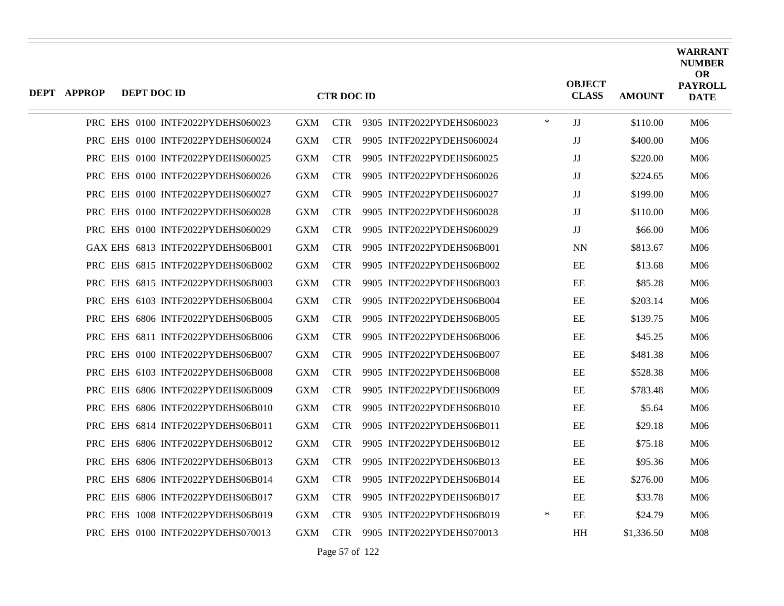| <b>DEPT APPROP</b> | DEPT DOC ID |                                   |            | <b>CTR DOC ID</b> |                           |        | <b>OBJECT</b><br><b>CLASS</b> | <b>AMOUNT</b> | <b>WARRANT</b><br><b>NUMBER</b><br><b>OR</b><br><b>PAYROLL</b><br><b>DATE</b> |
|--------------------|-------------|-----------------------------------|------------|-------------------|---------------------------|--------|-------------------------------|---------------|-------------------------------------------------------------------------------|
|                    |             |                                   |            |                   |                           |        |                               |               |                                                                               |
|                    |             | PRC EHS 0100 INTF2022PYDEHS060023 | <b>GXM</b> | <b>CTR</b>        | 9305 INTF2022PYDEHS060023 | $\ast$ | JJ                            | \$110.00      | M06                                                                           |
|                    |             | PRC EHS 0100 INTF2022PYDEHS060024 | <b>GXM</b> | <b>CTR</b>        | 9905 INTF2022PYDEHS060024 |        | JJ                            | \$400.00      | M06                                                                           |
|                    |             | PRC EHS 0100 INTF2022PYDEHS060025 | <b>GXM</b> | <b>CTR</b>        | 9905 INTF2022PYDEHS060025 |        | JJ                            | \$220.00      | M <sub>06</sub>                                                               |
|                    |             | PRC EHS 0100 INTF2022PYDEHS060026 | <b>GXM</b> | <b>CTR</b>        | 9905 INTF2022PYDEHS060026 |        | $\rm JJ$                      | \$224.65      | M06                                                                           |
|                    |             | PRC EHS 0100 INTF2022PYDEHS060027 | <b>GXM</b> | <b>CTR</b>        | 9905 INTF2022PYDEHS060027 |        | JJ                            | \$199.00      | M <sub>06</sub>                                                               |
|                    |             | PRC EHS 0100 INTF2022PYDEHS060028 | <b>GXM</b> | <b>CTR</b>        | 9905 INTF2022PYDEHS060028 |        | JJ                            | \$110.00      | M <sub>06</sub>                                                               |
|                    |             | PRC EHS 0100 INTF2022PYDEHS060029 | <b>GXM</b> | <b>CTR</b>        | 9905 INTF2022PYDEHS060029 |        | $\rm JJ$                      | \$66.00       | M06                                                                           |
|                    |             | GAX EHS 6813 INTF2022PYDEHS06B001 | <b>GXM</b> | <b>CTR</b>        | 9905 INTF2022PYDEHS06B001 |        | <b>NN</b>                     | \$813.67      | M <sub>06</sub>                                                               |
|                    |             | PRC EHS 6815 INTF2022PYDEHS06B002 | <b>GXM</b> | <b>CTR</b>        | 9905 INTF2022PYDEHS06B002 |        | EE                            | \$13.68       | M <sub>06</sub>                                                               |
|                    |             | PRC EHS 6815 INTF2022PYDEHS06B003 | <b>GXM</b> | <b>CTR</b>        | 9905 INTF2022PYDEHS06B003 |        | EE                            | \$85.28       | M06                                                                           |
|                    |             | PRC EHS 6103 INTF2022PYDEHS06B004 | <b>GXM</b> | <b>CTR</b>        | 9905 INTF2022PYDEHS06B004 |        | EE                            | \$203.14      | M <sub>06</sub>                                                               |
|                    |             | PRC EHS 6806 INTF2022PYDEHS06B005 | <b>GXM</b> | <b>CTR</b>        | 9905 INTF2022PYDEHS06B005 |        | EE                            | \$139.75      | M <sub>06</sub>                                                               |
|                    |             | PRC EHS 6811 INTF2022PYDEHS06B006 | <b>GXM</b> | <b>CTR</b>        | 9905 INTF2022PYDEHS06B006 |        | EE                            | \$45.25       | M06                                                                           |
|                    |             | PRC EHS 0100 INTF2022PYDEHS06B007 | <b>GXM</b> | <b>CTR</b>        | 9905 INTF2022PYDEHS06B007 |        | EE                            | \$481.38      | M <sub>06</sub>                                                               |
|                    |             | PRC EHS 6103 INTF2022PYDEHS06B008 | <b>GXM</b> | <b>CTR</b>        | 9905 INTF2022PYDEHS06B008 |        | EE                            | \$528.38      | M <sub>06</sub>                                                               |
|                    |             | PRC EHS 6806 INTF2022PYDEHS06B009 | <b>GXM</b> | <b>CTR</b>        | 9905 INTF2022PYDEHS06B009 |        | EE                            | \$783.48      | M06                                                                           |
|                    |             | PRC EHS 6806 INTF2022PYDEHS06B010 | GXM        | <b>CTR</b>        | 9905 INTF2022PYDEHS06B010 |        | EE                            | \$5.64        | M06                                                                           |
|                    |             | PRC EHS 6814 INTF2022PYDEHS06B011 | <b>GXM</b> | <b>CTR</b>        | 9905 INTF2022PYDEHS06B011 |        | EE                            | \$29.18       | M <sub>06</sub>                                                               |
|                    |             | PRC EHS 6806 INTF2022PYDEHS06B012 | <b>GXM</b> | <b>CTR</b>        | 9905 INTF2022PYDEHS06B012 |        | EE                            | \$75.18       | M06                                                                           |
|                    |             | PRC EHS 6806 INTF2022PYDEHS06B013 | <b>GXM</b> | <b>CTR</b>        | 9905 INTF2022PYDEHS06B013 |        | $\rm EE$                      | \$95.36       | M06                                                                           |
|                    |             | PRC EHS 6806 INTF2022PYDEHS06B014 | <b>GXM</b> | <b>CTR</b>        | 9905 INTF2022PYDEHS06B014 |        | EE                            | \$276.00      | M <sub>06</sub>                                                               |
|                    |             | PRC EHS 6806 INTF2022PYDEHS06B017 | <b>GXM</b> | <b>CTR</b>        | 9905 INTF2022PYDEHS06B017 |        | EE                            | \$33.78       | M <sub>06</sub>                                                               |
|                    |             | PRC EHS 1008 INTF2022PYDEHS06B019 | <b>GXM</b> | <b>CTR</b>        | 9305 INTF2022PYDEHS06B019 | $\ast$ | EE                            | \$24.79       | M06                                                                           |
|                    |             | PRC EHS 0100 INTF2022PYDEHS070013 | <b>GXM</b> | <b>CTR</b>        | 9905 INTF2022PYDEHS070013 |        | HH                            | \$1,336.50    | M08                                                                           |

Page 57 of 122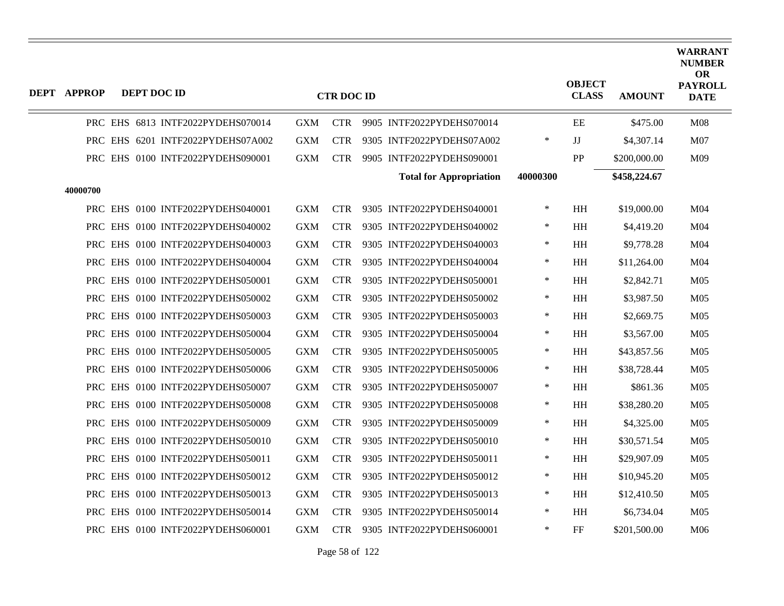| DEPT APPROP | DEPT DOC ID |                                   |            | <b>CTR DOC ID</b> |                                |          | <b>OBJECT</b><br><b>CLASS</b> | <b>AMOUNT</b> | <b>WARRANT</b><br><b>NUMBER</b><br><b>OR</b><br><b>PAYROLL</b><br><b>DATE</b> |
|-------------|-------------|-----------------------------------|------------|-------------------|--------------------------------|----------|-------------------------------|---------------|-------------------------------------------------------------------------------|
|             |             | PRC EHS 6813 INTF2022PYDEHS070014 | <b>GXM</b> | <b>CTR</b>        | 9905 INTF2022PYDEHS070014      |          | EE                            | \$475.00      | M <sub>08</sub>                                                               |
|             |             | PRC EHS 6201 INTF2022PYDEHS07A002 | <b>GXM</b> | <b>CTR</b>        | 9305 INTF2022PYDEHS07A002      | $\ast$   | JJ                            | \$4,307.14    | M07                                                                           |
|             |             | PRC EHS 0100 INTF2022PYDEHS090001 | <b>GXM</b> | <b>CTR</b>        | 9905 INTF2022PYDEHS090001      |          | PP                            | \$200,000.00  | M09                                                                           |
| 40000700    |             |                                   |            |                   | <b>Total for Appropriation</b> | 40000300 |                               | \$458,224.67  |                                                                               |
|             |             | PRC EHS 0100 INTF2022PYDEHS040001 | <b>GXM</b> | <b>CTR</b>        | 9305 INTF2022PYDEHS040001      | $\ast$   | HH                            | \$19,000.00   | M04                                                                           |
|             |             | PRC EHS 0100 INTF2022PYDEHS040002 | <b>GXM</b> | <b>CTR</b>        | 9305 INTF2022PYDEHS040002      | $\ast$   | HH                            | \$4,419.20    | M04                                                                           |
|             |             | PRC EHS 0100 INTF2022PYDEHS040003 | <b>GXM</b> | <b>CTR</b>        | 9305 INTF2022PYDEHS040003      | $\ast$   | HH                            | \$9,778.28    | M04                                                                           |
|             |             | PRC EHS 0100 INTF2022PYDEHS040004 | <b>GXM</b> | <b>CTR</b>        | 9305 INTF2022PYDEHS040004      | $\ast$   | <b>HH</b>                     | \$11,264.00   | M <sub>04</sub>                                                               |
|             |             | PRC EHS 0100 INTF2022PYDEHS050001 | <b>GXM</b> | <b>CTR</b>        | 9305 INTF2022PYDEHS050001      | $\ast$   | <b>HH</b>                     | \$2,842.71    | M05                                                                           |
|             |             | PRC EHS 0100 INTF2022PYDEHS050002 | <b>GXM</b> | <b>CTR</b>        | 9305 INTF2022PYDEHS050002      | $\ast$   | <b>HH</b>                     | \$3,987.50    | M <sub>05</sub>                                                               |
|             |             | PRC EHS 0100 INTF2022PYDEHS050003 | <b>GXM</b> | <b>CTR</b>        | 9305 INTF2022PYDEHS050003      | $\ast$   | HH                            | \$2,669.75    | M <sub>05</sub>                                                               |
|             |             | PRC EHS 0100 INTF2022PYDEHS050004 | <b>GXM</b> | <b>CTR</b>        | 9305 INTF2022PYDEHS050004      | $\ast$   | HH                            | \$3,567.00    | M05                                                                           |
|             |             | PRC EHS 0100 INTF2022PYDEHS050005 | <b>GXM</b> | <b>CTR</b>        | 9305 INTF2022PYDEHS050005      | $\ast$   | <b>HH</b>                     | \$43,857.56   | M <sub>05</sub>                                                               |
|             |             | PRC EHS 0100 INTF2022PYDEHS050006 | <b>GXM</b> | <b>CTR</b>        | 9305 INTF2022PYDEHS050006      | $\ast$   | <b>HH</b>                     | \$38,728.44   | M <sub>05</sub>                                                               |
|             |             | PRC EHS 0100 INTF2022PYDEHS050007 | <b>GXM</b> | <b>CTR</b>        | 9305 INTF2022PYDEHS050007      | $\ast$   | HH                            | \$861.36      | M <sub>05</sub>                                                               |
|             |             | PRC EHS 0100 INTF2022PYDEHS050008 | <b>GXM</b> | <b>CTR</b>        | 9305 INTF2022PYDEHS050008      | $\ast$   | HH                            | \$38,280.20   | M <sub>05</sub>                                                               |
|             |             | PRC EHS 0100 INTF2022PYDEHS050009 | <b>GXM</b> | <b>CTR</b>        | 9305 INTF2022PYDEHS050009      | $\ast$   | $\mathbf{H} \mathbf{H}$       | \$4,325.00    | M <sub>05</sub>                                                               |
|             |             | PRC EHS 0100 INTF2022PYDEHS050010 | <b>GXM</b> | <b>CTR</b>        | 9305 INTF2022PYDEHS050010      | $\ast$   | HH                            | \$30,571.54   | M <sub>05</sub>                                                               |
|             |             | PRC EHS 0100 INTF2022PYDEHS050011 | <b>GXM</b> | <b>CTR</b>        | 9305 INTF2022PYDEHS050011      | $\ast$   | <b>HH</b>                     | \$29,907.09   | M <sub>05</sub>                                                               |
|             |             | PRC EHS 0100 INTF2022PYDEHS050012 | <b>GXM</b> | <b>CTR</b>        | 9305 INTF2022PYDEHS050012      | $\ast$   | <b>HH</b>                     | \$10,945.20   | M <sub>05</sub>                                                               |
|             |             | PRC EHS 0100 INTF2022PYDEHS050013 | <b>GXM</b> | <b>CTR</b>        | 9305 INTF2022PYDEHS050013      | $\ast$   | HH                            | \$12,410.50   | M <sub>05</sub>                                                               |
|             |             | PRC EHS 0100 INTF2022PYDEHS050014 | <b>GXM</b> | <b>CTR</b>        | 9305 INTF2022PYDEHS050014      | $\ast$   | HH                            | \$6,734.04    | M <sub>05</sub>                                                               |
|             |             | PRC EHS 0100 INTF2022PYDEHS060001 | <b>GXM</b> | <b>CTR</b>        | 9305 INTF2022PYDEHS060001      | $\ast$   | FF                            | \$201,500.00  | M06                                                                           |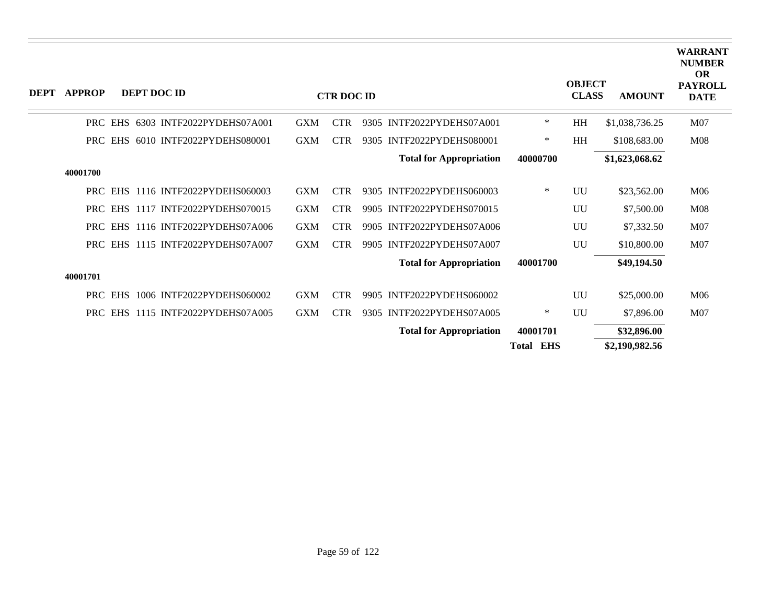| <b>DEPT</b> | <b>APPROP</b> | <b>DEPT DOC ID</b>                      |            | <b>CTR DOC ID</b> |                                |                  | <b>OBJECT</b><br><b>CLASS</b> | <b>AMOUNT</b>  | <b>WARRANT</b><br><b>NUMBER</b><br><b>OR</b><br><b>PAYROLL</b><br><b>DATE</b> |
|-------------|---------------|-----------------------------------------|------------|-------------------|--------------------------------|------------------|-------------------------------|----------------|-------------------------------------------------------------------------------|
|             |               | PRC EHS<br>6303 INTF2022PYDEHS07A001    | <b>GXM</b> | <b>CTR</b>        | 9305 INTF2022PYDEHS07A001      | $\ast$           | HH                            | \$1,038,736.25 | M07                                                                           |
|             | <b>PRC</b>    | 6010 INTF2022PYDEHS080001<br><b>EHS</b> | <b>GXM</b> | <b>CTR</b>        | INTF2022PYDEHS080001<br>9305   | ∗                | HH                            | \$108,683.00   | M <sub>08</sub>                                                               |
|             |               |                                         |            |                   | <b>Total for Appropriation</b> | 40000700         |                               | \$1,623,068.62 |                                                                               |
|             | 40001700      |                                         |            |                   |                                |                  |                               |                |                                                                               |
|             | <b>PRC</b>    | 1116 INTF2022PYDEHS060003<br><b>EHS</b> | <b>GXM</b> | <b>CTR</b>        | 9305 INTF2022PYDEHS060003      | ∗                | UU                            | \$23,562.00    | M06                                                                           |
|             | <b>PRC</b>    | EHS 1117 INTF2022PYDEHS070015           | <b>GXM</b> | <b>CTR</b>        | 9905 INTF2022PYDEHS070015      |                  | UU                            | \$7,500.00     | M <sub>08</sub>                                                               |
|             |               | PRC EHS 1116 INTF2022PYDEHS07A006       | <b>GXM</b> | <b>CTR</b>        | 9905 INTF2022PYDEHS07A006      |                  | UU                            | \$7,332.50     | M07                                                                           |
|             |               | PRC EHS 1115 INTF2022PYDEHS07A007       | <b>GXM</b> | <b>CTR</b>        | 9905 INTF2022PYDEHS07A007      |                  | UU                            | \$10,800.00    | M07                                                                           |
|             |               |                                         |            |                   | <b>Total for Appropriation</b> | 40001700         |                               | \$49,194.50    |                                                                               |
|             | 40001701      |                                         |            |                   |                                |                  |                               |                |                                                                               |
|             |               | 1006 INTF2022PYDEHS060002<br>PRC EHS    | <b>GXM</b> | <b>CTR</b>        | 9905 INTF2022PYDEHS060002      |                  | UU                            | \$25,000.00    | M06                                                                           |
|             |               | PRC EHS 1115 INTF2022PYDEHS07A005       | <b>GXM</b> | <b>CTR</b>        | 9305 INTF2022PYDEHS07A005      | ∗                | UU                            | \$7,896.00     | M07                                                                           |
|             |               |                                         |            |                   | <b>Total for Appropriation</b> | 40001701         |                               | \$32,896.00    |                                                                               |
|             |               |                                         |            |                   |                                | <b>Total EHS</b> |                               | \$2,190,982.56 |                                                                               |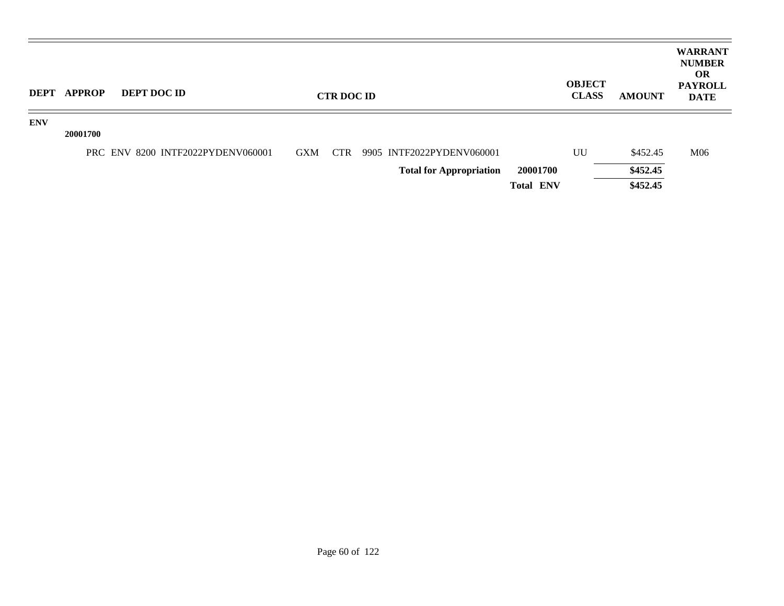| <b>DEPT</b> | <b>APPROP</b> | DEPT DOC ID                       |            | <b>CTR DOC ID</b> |                                |                  | <b>OBJECT</b><br><b>CLASS</b> | <b>AMOUNT</b> | <b>WARRANT</b><br><b>NUMBER</b><br><b>OR</b><br><b>PAYROLL</b><br><b>DATE</b> |
|-------------|---------------|-----------------------------------|------------|-------------------|--------------------------------|------------------|-------------------------------|---------------|-------------------------------------------------------------------------------|
| <b>ENV</b>  | 20001700      |                                   |            |                   |                                |                  |                               |               |                                                                               |
|             |               | PRC ENV 8200 INTF2022PYDENV060001 | <b>GXM</b> | CTR               | 9905 INTF2022PYDENV060001      |                  | UU                            | \$452.45      | M <sub>06</sub>                                                               |
|             |               |                                   |            |                   | <b>Total for Appropriation</b> | 20001700         |                               | \$452.45      |                                                                               |
|             |               |                                   |            |                   |                                | <b>Total ENV</b> |                               | \$452.45      |                                                                               |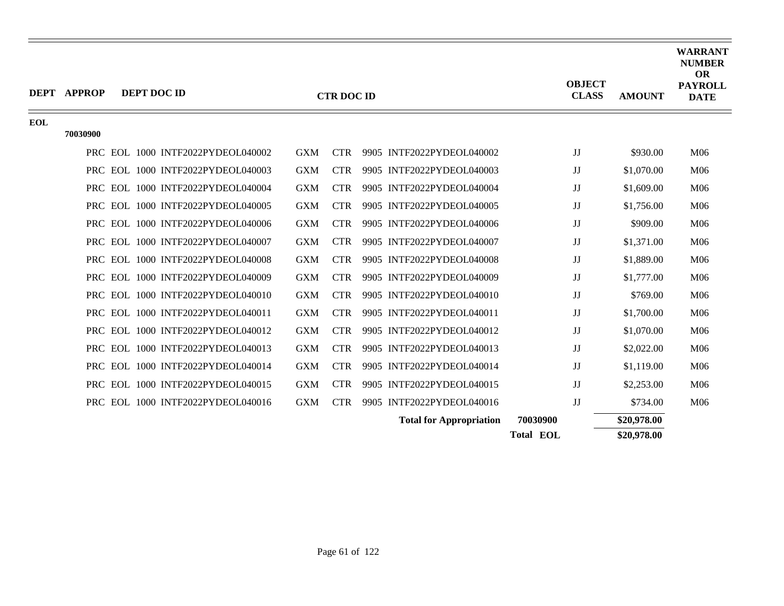|            | <b>DEPT APPROP</b> | DEPT DOC ID                       |            | <b>CTR DOC ID</b> |                                | <b>OBJECT</b><br><b>CLASS</b> | <b>AMOUNT</b> | <b>WARRANT</b><br><b>NUMBER</b><br><b>OR</b><br><b>PAYROLL</b><br><b>DATE</b> |
|------------|--------------------|-----------------------------------|------------|-------------------|--------------------------------|-------------------------------|---------------|-------------------------------------------------------------------------------|
| <b>EOL</b> |                    |                                   |            |                   |                                |                               |               |                                                                               |
|            | 70030900           |                                   |            |                   |                                |                               |               |                                                                               |
|            |                    | PRC EOL 1000 INTF2022PYDEOL040002 | <b>GXM</b> | <b>CTR</b>        | 9905 INTF2022PYDEOL040002      | JJ                            | \$930.00      | M06                                                                           |
|            | <b>PRC</b>         | EOL 1000 INTF2022PYDEOL040003     | <b>GXM</b> | <b>CTR</b>        | 9905 INTF2022PYDEOL040003      | JJ                            | \$1,070.00    | M06                                                                           |
|            |                    | PRC EOL 1000 INTF2022PYDEOL040004 | <b>GXM</b> | <b>CTR</b>        | 9905 INTF2022PYDEOL040004      | JJ                            | \$1,609.00    | M06                                                                           |
|            |                    | PRC EOL 1000 INTF2022PYDEOL040005 | <b>GXM</b> | <b>CTR</b>        | 9905 INTF2022PYDEOL040005      | JJ                            | \$1,756.00    | M06                                                                           |
|            | PRC                | EOL 1000 INTF2022PYDEOL040006     | <b>GXM</b> | <b>CTR</b>        | 9905 INTF2022PYDEOL040006      | JJ                            | \$909.00      | M06                                                                           |
|            |                    | PRC EOL 1000 INTF2022PYDEOL040007 | <b>GXM</b> | <b>CTR</b>        | 9905 INTF2022PYDEOL040007      | JJ                            | \$1,371.00    | M06                                                                           |
|            |                    | PRC EOL 1000 INTF2022PYDEOL040008 | <b>GXM</b> | <b>CTR</b>        | 9905 INTF2022PYDEOL040008      | $\mathbf{J}\mathbf{J}$        | \$1,889.00    | M06                                                                           |
|            | PRC                | EOL 1000 INTF2022PYDEOL040009     | <b>GXM</b> | <b>CTR</b>        | 9905 INTF2022PYDEOL040009      | JJ                            | \$1,777.00    | M06                                                                           |
|            |                    | PRC EOL 1000 INTF2022PYDEOL040010 | <b>GXM</b> | <b>CTR</b>        | 9905 INTF2022PYDEOL040010      | JJ                            | \$769.00      | M06                                                                           |
|            |                    | PRC EOL 1000 INTF2022PYDEOL040011 | <b>GXM</b> | <b>CTR</b>        | 9905 INTF2022PYDEOL040011      | JJ                            | \$1,700.00    | M06                                                                           |
|            | PRC                | EOL 1000 INTF2022PYDEOL040012     | <b>GXM</b> | <b>CTR</b>        | 9905 INTF2022PYDEOL040012      | JJ                            | \$1,070.00    | M06                                                                           |
|            |                    | PRC EOL 1000 INTF2022PYDEOL040013 | <b>GXM</b> | <b>CTR</b>        | 9905 INTF2022PYDEOL040013      | JJ                            | \$2,022.00    | M06                                                                           |
|            |                    | PRC EOL 1000 INTF2022PYDEOL040014 | <b>GXM</b> | <b>CTR</b>        | 9905 INTF2022PYDEOL040014      | JJ                            | \$1,119.00    | M06                                                                           |
|            |                    | PRC EOL 1000 INTF2022PYDEOL040015 | <b>GXM</b> | <b>CTR</b>        | 9905 INTF2022PYDEOL040015      | JJ                            | \$2,253.00    | M06                                                                           |
|            |                    | PRC EOL 1000 INTF2022PYDEOL040016 | <b>GXM</b> | <b>CTR</b>        | 9905 INTF2022PYDEOL040016      | JJ                            | \$734.00      | M06                                                                           |
|            |                    |                                   |            |                   | <b>Total for Appropriation</b> | 70030900                      | \$20,978.00   |                                                                               |
|            |                    |                                   |            |                   |                                | <b>Total EOL</b>              | \$20,978.00   |                                                                               |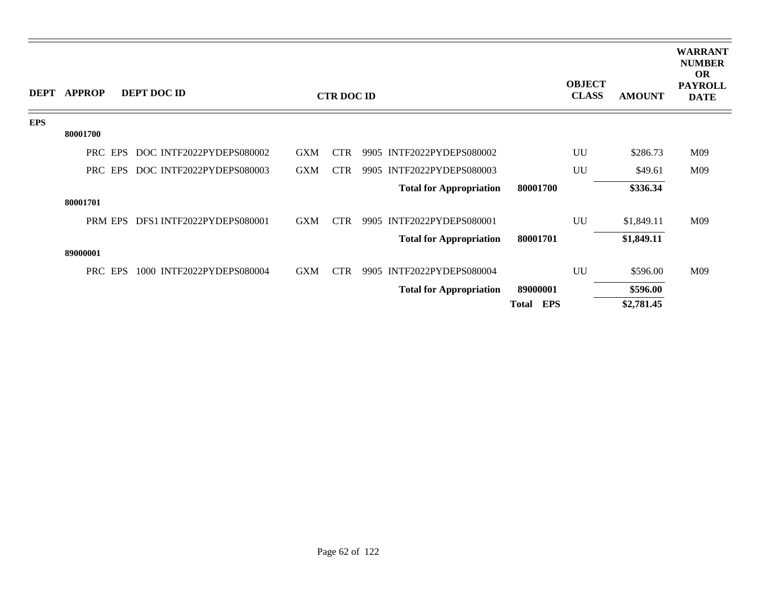|            | DEPT APPROP | DEPT DOC ID               |            | <b>CTR DOC ID</b> |                                |                     | <b>OBJECT</b><br><b>CLASS</b> | <b>AMOUNT</b> | <b>WARRANT</b><br><b>NUMBER</b><br><b>OR</b><br><b>PAYROLL</b><br><b>DATE</b> |
|------------|-------------|---------------------------|------------|-------------------|--------------------------------|---------------------|-------------------------------|---------------|-------------------------------------------------------------------------------|
| <b>EPS</b> | 80001700    |                           |            |                   |                                |                     |                               |               |                                                                               |
|            | PRC EPS     | DOC INTF2022PYDEPS080002  | <b>GXM</b> | <b>CTR</b>        | 9905 INTF2022PYDEPS080002      |                     | UU                            | \$286.73      | M09                                                                           |
|            |             |                           |            |                   |                                |                     |                               |               |                                                                               |
|            | PRC EPS     | DOC INTF2022PYDEPS080003  | <b>GXM</b> | <b>CTR</b>        | 9905 INTF2022PYDEPS080003      |                     | UU                            | \$49.61       | M09                                                                           |
|            |             |                           |            |                   | <b>Total for Appropriation</b> | 80001700            |                               | \$336.34      |                                                                               |
|            | 80001701    |                           |            |                   |                                |                     |                               |               |                                                                               |
|            | PRM EPS     | DFS1 INTF2022PYDEPS080001 | <b>GXM</b> | <b>CTR</b>        | 9905 INTF2022PYDEPS080001      |                     | UU                            | \$1,849.11    | M09                                                                           |
|            |             |                           |            |                   | <b>Total for Appropriation</b> | 80001701            |                               | \$1,849.11    |                                                                               |
|            | 89000001    |                           |            |                   |                                |                     |                               |               |                                                                               |
|            | PRC EPS     | 1000 INTF2022PYDEPS080004 | <b>GXM</b> | <b>CTR</b>        | 9905 INTF2022PYDEPS080004      |                     | UU                            | \$596.00      | M09                                                                           |
|            |             |                           |            |                   | <b>Total for Appropriation</b> | 89000001            |                               | \$596.00      |                                                                               |
|            |             |                           |            |                   |                                | EPS<br><b>Total</b> |                               | \$2,781.45    |                                                                               |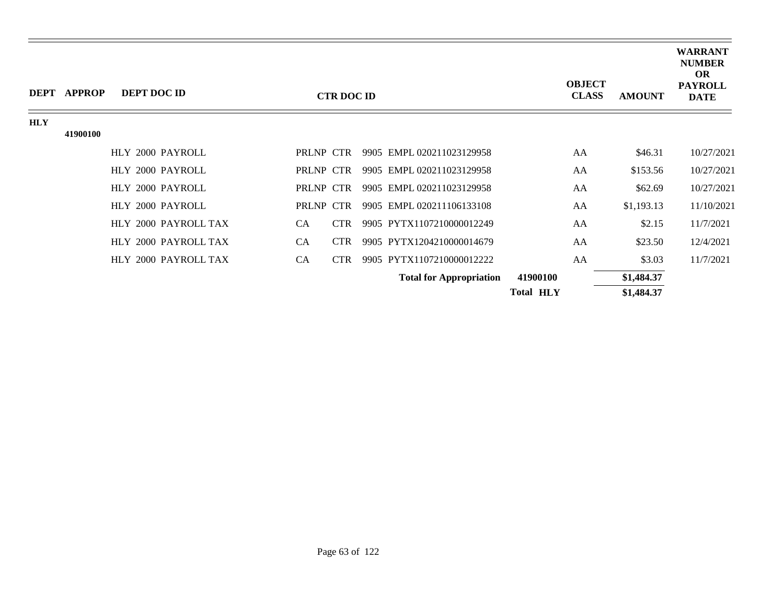|            | DEPT APPROP | DEPT DOC ID          |           | <b>CTR DOC ID</b> |                                | <b>OBJECT</b><br><b>CLASS</b> | <b>AMOUNT</b> | <b>WARRANT</b><br><b>NUMBER</b><br><b>OR</b><br><b>PAYROLL</b><br><b>DATE</b> |
|------------|-------------|----------------------|-----------|-------------------|--------------------------------|-------------------------------|---------------|-------------------------------------------------------------------------------|
| <b>HLY</b> |             |                      |           |                   |                                |                               |               |                                                                               |
|            | 41900100    |                      |           |                   |                                |                               |               |                                                                               |
|            |             | HLY 2000 PAYROLL     | PRLNP CTR |                   | 9905 EMPL 020211023129958      | AA                            | \$46.31       | 10/27/2021                                                                    |
|            |             | HLY 2000 PAYROLL     | PRLNP CTR |                   | 9905 EMPL 020211023129958      | AA                            | \$153.56      | 10/27/2021                                                                    |
|            |             | HLY 2000 PAYROLL     | PRLNP CTR |                   | 9905 EMPL 020211023129958      | AA                            | \$62.69       | 10/27/2021                                                                    |
|            |             | HLY 2000 PAYROLL     | PRLNP CTR |                   | 9905 EMPL 020211106133108      | AA                            | \$1,193.13    | 11/10/2021                                                                    |
|            |             | HLY 2000 PAYROLL TAX | CA        | <b>CTR</b>        | 9905 PYTX1107210000012249      | AA                            | \$2.15        | 11/7/2021                                                                     |
|            |             | HLY 2000 PAYROLL TAX | <b>CA</b> | <b>CTR</b>        | 9905 PYTX1204210000014679      | AA                            | \$23.50       | 12/4/2021                                                                     |
|            |             | HLY 2000 PAYROLL TAX | CA        | <b>CTR</b>        | 9905 PYTX1107210000012222      | AA                            | \$3.03        | 11/7/2021                                                                     |
|            |             |                      |           |                   | <b>Total for Appropriation</b> | 41900100                      | \$1,484.37    |                                                                               |
|            |             |                      |           |                   |                                | <b>Total HLY</b>              | \$1,484.37    |                                                                               |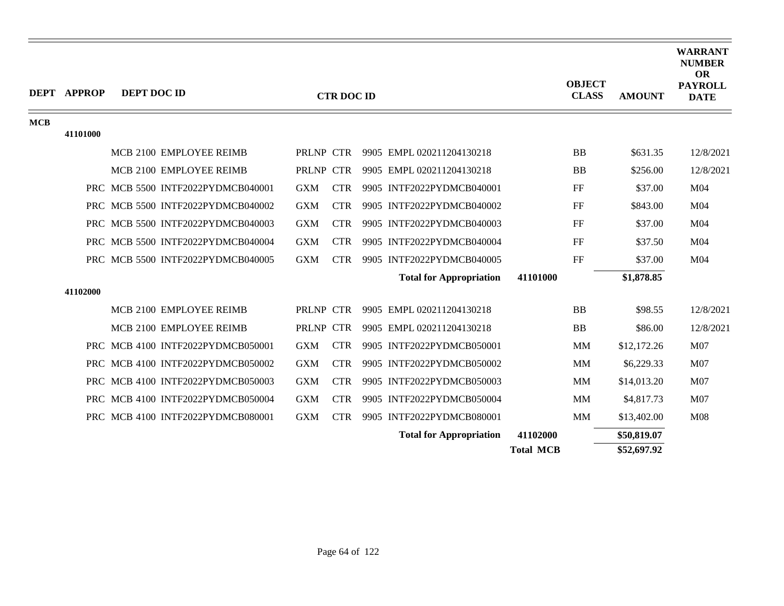|            | <b>DEPT APPROP</b> | DEPT DOC ID |                                   |              | <b>CTR DOC ID</b> |                                |                  | <b>OBJECT</b><br><b>CLASS</b> | <b>AMOUNT</b> | <b>WARRANT</b><br><b>NUMBER</b><br><b>OR</b><br><b>PAYROLL</b><br><b>DATE</b> |
|------------|--------------------|-------------|-----------------------------------|--------------|-------------------|--------------------------------|------------------|-------------------------------|---------------|-------------------------------------------------------------------------------|
| <b>MCB</b> | 41101000           |             |                                   |              |                   |                                |                  |                               |               |                                                                               |
|            |                    |             | MCB 2100 EMPLOYEE REIMB           | PRLNP CTR    |                   | 9905 EMPL 020211204130218      |                  | <b>BB</b>                     | \$631.35      | 12/8/2021                                                                     |
|            |                    |             | MCB 2100 EMPLOYEE REIMB           | PRLNP CTR    |                   | 9905 EMPL 020211204130218      |                  | <b>BB</b>                     | \$256.00      | 12/8/2021                                                                     |
|            |                    |             | PRC MCB 5500 INTF2022PYDMCB040001 | <b>GXM</b>   | <b>CTR</b>        | 9905 INTF2022PYDMCB040001      |                  | FF                            | \$37.00       | M04                                                                           |
|            |                    |             | PRC MCB 5500 INTF2022PYDMCB040002 | <b>GXM</b>   | <b>CTR</b>        | 9905 INTF2022PYDMCB040002      |                  | FF                            | \$843.00      | M <sub>04</sub>                                                               |
|            |                    |             | PRC MCB 5500 INTF2022PYDMCB040003 | <b>GXM</b>   | <b>CTR</b>        | 9905 INTF2022PYDMCB040003      |                  | FF                            | \$37.00       | M04                                                                           |
|            |                    |             | PRC MCB 5500 INTF2022PYDMCB040004 | <b>GXM</b>   | <b>CTR</b>        | 9905 INTF2022PYDMCB040004      |                  | FF                            | \$37.50       | M04                                                                           |
|            |                    |             | PRC MCB 5500 INTF2022PYDMCB040005 | <b>GXM</b>   | <b>CTR</b>        | 9905 INTF2022PYDMCB040005      |                  | FF                            | \$37.00       | M04                                                                           |
|            |                    |             |                                   |              |                   | <b>Total for Appropriation</b> | 41101000         |                               | \$1,878.85    |                                                                               |
|            | 41102000           |             |                                   |              |                   |                                |                  |                               |               |                                                                               |
|            |                    |             | MCB 2100 EMPLOYEE REIMB           | PRLNP CTR    |                   | 9905 EMPL 020211204130218      |                  | <b>BB</b>                     | \$98.55       | 12/8/2021                                                                     |
|            |                    |             | MCB 2100 EMPLOYEE REIMB           | <b>PRLNP</b> | <b>CTR</b>        | 9905 EMPL 020211204130218      |                  | <b>BB</b>                     | \$86.00       | 12/8/2021                                                                     |
|            |                    |             | PRC MCB 4100 INTF2022PYDMCB050001 | <b>GXM</b>   | <b>CTR</b>        | 9905 INTF2022PYDMCB050001      |                  | <b>MM</b>                     | \$12,172.26   | M <sub>07</sub>                                                               |
|            |                    |             | PRC MCB 4100 INTF2022PYDMCB050002 | <b>GXM</b>   | <b>CTR</b>        | 9905 INTF2022PYDMCB050002      |                  | <b>MM</b>                     | \$6,229.33    | M07                                                                           |
|            |                    |             | PRC MCB 4100 INTF2022PYDMCB050003 | <b>GXM</b>   | <b>CTR</b>        | 9905 INTF2022PYDMCB050003      |                  | <b>MM</b>                     | \$14,013.20   | M <sub>07</sub>                                                               |
|            |                    |             | PRC MCB 4100 INTF2022PYDMCB050004 | <b>GXM</b>   | <b>CTR</b>        | 9905 INTF2022PYDMCB050004      |                  | <b>MM</b>                     | \$4,817.73    | M07                                                                           |
|            |                    |             | PRC MCB 4100 INTF2022PYDMCB080001 | <b>GXM</b>   | <b>CTR</b>        | 9905 INTF2022PYDMCB080001      |                  | MM                            | \$13,402.00   | M <sub>08</sub>                                                               |
|            |                    |             |                                   |              |                   | <b>Total for Appropriation</b> | 41102000         |                               | \$50,819.07   |                                                                               |
|            |                    |             |                                   |              |                   |                                | <b>Total MCB</b> |                               | \$52,697.92   |                                                                               |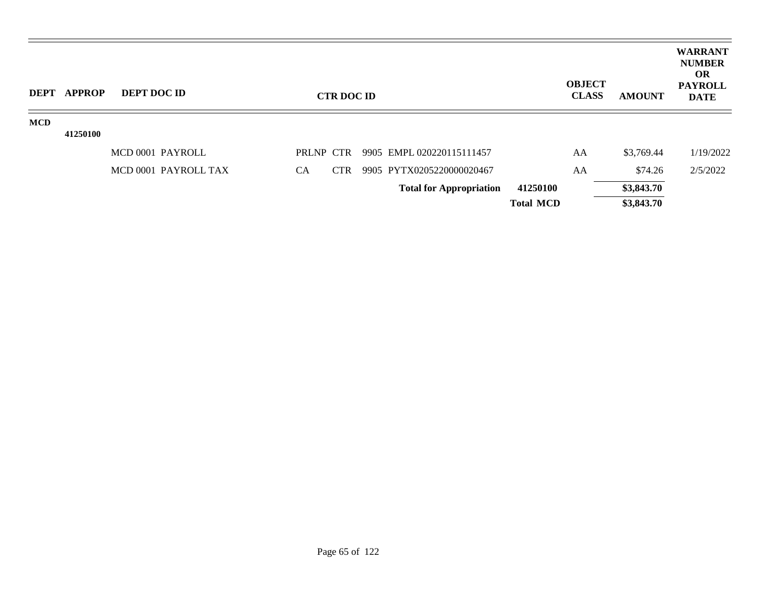| <b>DEPT</b> | <b>APPROP</b> | <b>DEPT DOC ID</b>   |           | <b>CTR DOC ID</b> |                                |                  | <b>OBJECT</b><br><b>CLASS</b> | <b>AMOUNT</b> | <b>WARRANT</b><br><b>NUMBER</b><br><b>OR</b><br><b>PAYROLL</b><br><b>DATE</b> |
|-------------|---------------|----------------------|-----------|-------------------|--------------------------------|------------------|-------------------------------|---------------|-------------------------------------------------------------------------------|
| <b>MCD</b>  |               |                      |           |                   |                                |                  |                               |               |                                                                               |
|             | 41250100      |                      |           |                   |                                |                  |                               |               |                                                                               |
|             |               | MCD 0001 PAYROLL     | PRLNP CTR |                   | 9905 EMPL 020220115111457      |                  | AA                            | \$3,769.44    | 1/19/2022                                                                     |
|             |               | MCD 0001 PAYROLL TAX | <b>CA</b> | <b>CTR</b>        | 9905 PYTX0205220000020467      |                  | AA                            | \$74.26       | 2/5/2022                                                                      |
|             |               |                      |           |                   | <b>Total for Appropriation</b> | 41250100         |                               | \$3,843.70    |                                                                               |
|             |               |                      |           |                   |                                | <b>Total MCD</b> |                               | \$3,843.70    |                                                                               |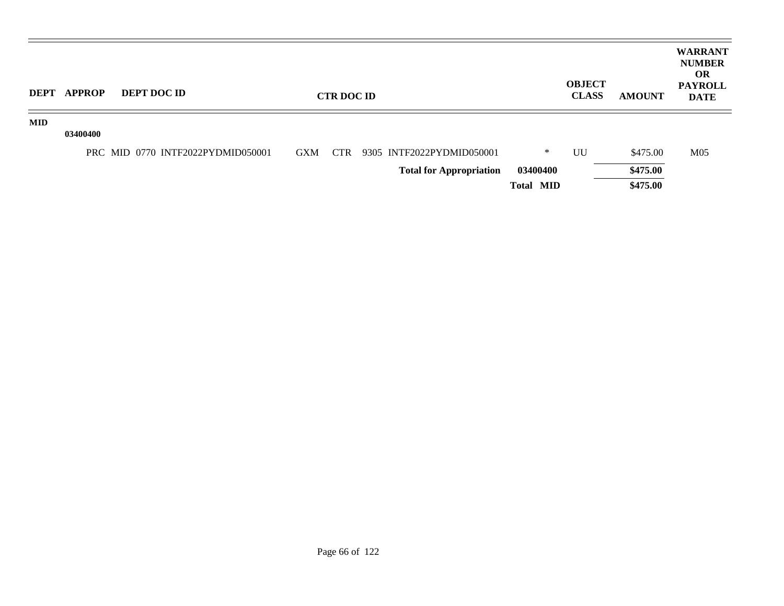| <b>DEPT</b> | <b>APPROP</b> | <b>DEPT DOC ID</b>                |            | <b>CTR DOC ID</b> |                                |                  | <b>OBJECT</b><br><b>CLASS</b> | <b>AMOUNT</b> | <b>WARRANT</b><br><b>NUMBER</b><br><b>OR</b><br><b>PAYROLL</b><br><b>DATE</b> |
|-------------|---------------|-----------------------------------|------------|-------------------|--------------------------------|------------------|-------------------------------|---------------|-------------------------------------------------------------------------------|
| <b>MID</b>  | 03400400      |                                   |            |                   |                                |                  |                               |               |                                                                               |
|             |               | PRC MID 0770 INTF2022PYDMID050001 | <b>GXM</b> | CTR               | 9305 INTF2022PYDMID050001      | ∗                | UU                            | \$475.00      | M <sub>05</sub>                                                               |
|             |               |                                   |            |                   | <b>Total for Appropriation</b> | 03400400         |                               | \$475.00      |                                                                               |
|             |               |                                   |            |                   |                                | <b>Total MID</b> |                               | \$475.00      |                                                                               |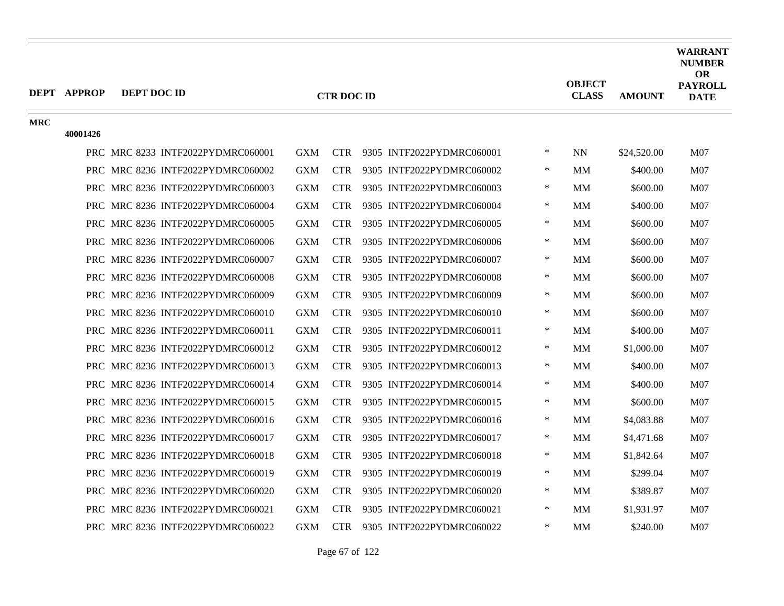|            | <b>DEPT APPROP</b> | DEPT DOC ID                       |            | <b>CTR DOC ID</b> |                               |        | <b>OBJECT</b><br><b>CLASS</b> | <b>AMOUNT</b> | WARRANT<br><b>NUMBER</b><br><b>OR</b><br><b>PAYROLL</b><br><b>DATE</b> |
|------------|--------------------|-----------------------------------|------------|-------------------|-------------------------------|--------|-------------------------------|---------------|------------------------------------------------------------------------|
| <b>MRC</b> |                    |                                   |            |                   |                               |        |                               |               |                                                                        |
|            | 40001426           |                                   |            |                   |                               |        |                               |               |                                                                        |
|            |                    | PRC MRC 8233 INTF2022PYDMRC060001 | <b>GXM</b> |                   | CTR 9305 INTF2022PYDMRC060001 | $\ast$ | <b>NN</b>                     | \$24,520.00   | M07                                                                    |
|            |                    | PRC MRC 8236 INTF2022PYDMRC060002 | <b>GXM</b> | <b>CTR</b>        | 9305 INTF2022PYDMRC060002     | $\ast$ | <b>MM</b>                     | \$400.00      | M07                                                                    |
|            |                    | PRC MRC 8236 INTF2022PYDMRC060003 | <b>GXM</b> | <b>CTR</b>        | 9305 INTF2022PYDMRC060003     | ∗      | MM                            | \$600.00      | M07                                                                    |
|            |                    | PRC MRC 8236 INTF2022PYDMRC060004 | <b>GXM</b> | <b>CTR</b>        | 9305 INTF2022PYDMRC060004     | $\ast$ | MM                            | \$400.00      | M07                                                                    |
|            |                    | PRC MRC 8236 INTF2022PYDMRC060005 | <b>GXM</b> | <b>CTR</b>        | 9305 INTF2022PYDMRC060005     | ∗      | <b>MM</b>                     | \$600.00      | M07                                                                    |
|            |                    | PRC MRC 8236 INTF2022PYDMRC060006 | <b>GXM</b> | <b>CTR</b>        | 9305 INTF2022PYDMRC060006     | $\ast$ | MM                            | \$600.00      | M07                                                                    |
|            |                    | PRC MRC 8236 INTF2022PYDMRC060007 | <b>GXM</b> | <b>CTR</b>        | 9305 INTF2022PYDMRC060007     | $\ast$ | <b>MM</b>                     | \$600.00      | M07                                                                    |
|            |                    | PRC MRC 8236 INTF2022PYDMRC060008 | <b>GXM</b> | <b>CTR</b>        | 9305 INTF2022PYDMRC060008     | $\ast$ | MM                            | \$600.00      | M07                                                                    |
|            |                    | PRC MRC 8236 INTF2022PYDMRC060009 | <b>GXM</b> | <b>CTR</b>        | 9305 INTF2022PYDMRC060009     | $\ast$ | MM                            | \$600.00      | M07                                                                    |
|            |                    | PRC MRC 8236 INTF2022PYDMRC060010 | <b>GXM</b> | <b>CTR</b>        | 9305 INTF2022PYDMRC060010     | $\ast$ | <b>MM</b>                     | \$600.00      | M07                                                                    |
|            |                    | PRC MRC 8236 INTF2022PYDMRC060011 | <b>GXM</b> | <b>CTR</b>        | 9305 INTF2022PYDMRC060011     | $\ast$ | <b>MM</b>                     | \$400.00      | M07                                                                    |
|            |                    | PRC MRC 8236 INTF2022PYDMRC060012 | <b>GXM</b> | <b>CTR</b>        | 9305 INTF2022PYDMRC060012     | ∗      | MM                            | \$1,000.00    | M07                                                                    |
|            |                    | PRC MRC 8236 INTF2022PYDMRC060013 | <b>GXM</b> | <b>CTR</b>        | 9305 INTF2022PYDMRC060013     | ∗      | MМ                            | \$400.00      | M07                                                                    |
|            |                    | PRC MRC 8236 INTF2022PYDMRC060014 | <b>GXM</b> | <b>CTR</b>        | 9305 INTF2022PYDMRC060014     | $\ast$ | MМ                            | \$400.00      | M07                                                                    |
|            |                    | PRC MRC 8236 INTF2022PYDMRC060015 | <b>GXM</b> | <b>CTR</b>        | 9305 INTF2022PYDMRC060015     | $\ast$ | MM                            | \$600.00      | M <sub>07</sub>                                                        |
|            |                    | PRC MRC 8236 INTF2022PYDMRC060016 | <b>GXM</b> | <b>CTR</b>        | 9305 INTF2022PYDMRC060016     | ∗      | MМ                            | \$4,083.88    | M07                                                                    |
|            |                    | PRC MRC 8236 INTF2022PYDMRC060017 | <b>GXM</b> | <b>CTR</b>        | 9305 INTF2022PYDMRC060017     | $\ast$ | MМ                            | \$4,471.68    | M07                                                                    |
|            |                    | PRC MRC 8236 INTF2022PYDMRC060018 | <b>GXM</b> | <b>CTR</b>        | 9305 INTF2022PYDMRC060018     | $\ast$ | <b>MM</b>                     | \$1,842.64    | M07                                                                    |
|            |                    | PRC MRC 8236 INTF2022PYDMRC060019 | <b>GXM</b> | <b>CTR</b>        | 9305 INTF2022PYDMRC060019     | $\ast$ | MМ                            | \$299.04      | M07                                                                    |
|            |                    | PRC MRC 8236 INTF2022PYDMRC060020 | <b>GXM</b> | <b>CTR</b>        | 9305 INTF2022PYDMRC060020     | ∗      | MМ                            | \$389.87      | M07                                                                    |
|            |                    | PRC MRC 8236 INTF2022PYDMRC060021 | <b>GXM</b> | <b>CTR</b>        | 9305 INTF2022PYDMRC060021     | $\ast$ | <b>MM</b>                     | \$1,931.97    | M <sub>07</sub>                                                        |
|            |                    | PRC MRC 8236 INTF2022PYDMRC060022 | <b>GXM</b> | <b>CTR</b>        | 9305 INTF2022PYDMRC060022     | $\ast$ | МM                            | \$240.00      | M07                                                                    |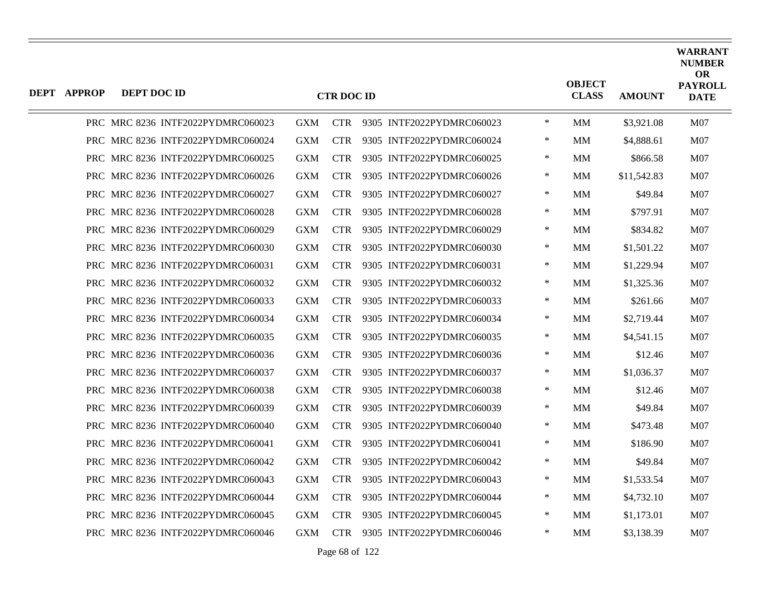| <b>DEPT APPROP</b> | DEPT DOC ID |                                   |            | <b>CTR DOC ID</b> |                           |        | <b>OBJECT</b><br><b>CLASS</b> | <b>AMOUNT</b> | <b>WARRANT</b><br><b>NUMBER</b><br><b>OR</b><br><b>PAYROLL</b><br><b>DATE</b> |
|--------------------|-------------|-----------------------------------|------------|-------------------|---------------------------|--------|-------------------------------|---------------|-------------------------------------------------------------------------------|
|                    |             | PRC MRC 8236 INTF2022PYDMRC060023 | <b>GXM</b> | <b>CTR</b>        | 9305 INTF2022PYDMRC060023 | $\ast$ | <b>MM</b>                     | \$3,921.08    | M07                                                                           |
|                    |             | PRC MRC 8236 INTF2022PYDMRC060024 | GXM        | <b>CTR</b>        | 9305 INTF2022PYDMRC060024 | $\ast$ | MМ                            | \$4,888.61    | M07                                                                           |
|                    |             | PRC MRC 8236 INTF2022PYDMRC060025 | <b>GXM</b> | <b>CTR</b>        | 9305 INTF2022PYDMRC060025 | $\ast$ | MМ                            | \$866.58      | M07                                                                           |
|                    |             | PRC MRC 8236 INTF2022PYDMRC060026 | <b>GXM</b> | <b>CTR</b>        | 9305 INTF2022PYDMRC060026 | $\ast$ | MМ                            | \$11,542.83   | M07                                                                           |
|                    |             | PRC MRC 8236 INTF2022PYDMRC060027 | <b>GXM</b> | <b>CTR</b>        | 9305 INTF2022PYDMRC060027 | $\ast$ | <b>MM</b>                     | \$49.84       | M07                                                                           |
|                    |             | PRC MRC 8236 INTF2022PYDMRC060028 | <b>GXM</b> | <b>CTR</b>        | 9305 INTF2022PYDMRC060028 | $\ast$ | MМ                            | \$797.91      | M07                                                                           |
|                    |             | PRC MRC 8236 INTF2022PYDMRC060029 | <b>GXM</b> | <b>CTR</b>        | 9305 INTF2022PYDMRC060029 | $\ast$ | MM                            | \$834.82      | M07                                                                           |
|                    |             | PRC MRC 8236 INTF2022PYDMRC060030 | GXM        | <b>CTR</b>        | 9305 INTF2022PYDMRC060030 | $\ast$ | <b>MM</b>                     | \$1,501.22    | M07                                                                           |
|                    |             | PRC MRC 8236 INTF2022PYDMRC060031 | <b>GXM</b> | <b>CTR</b>        | 9305 INTF2022PYDMRC060031 | $\ast$ | MМ                            | \$1,229.94    | M07                                                                           |
|                    |             | PRC MRC 8236 INTF2022PYDMRC060032 | <b>GXM</b> | <b>CTR</b>        | 9305 INTF2022PYDMRC060032 | $\ast$ | MM                            | \$1,325.36    | M07                                                                           |
|                    |             | PRC MRC 8236 INTF2022PYDMRC060033 | GXM        | <b>CTR</b>        | 9305 INTF2022PYDMRC060033 | $\ast$ | MМ                            | \$261.66      | M07                                                                           |
|                    |             | PRC MRC 8236 INTF2022PYDMRC060034 | <b>GXM</b> | <b>CTR</b>        | 9305 INTF2022PYDMRC060034 | $\ast$ | MМ                            | \$2,719.44    | M07                                                                           |
|                    |             | PRC MRC 8236 INTF2022PYDMRC060035 | <b>GXM</b> | <b>CTR</b>        | 9305 INTF2022PYDMRC060035 | $\ast$ | MМ                            | \$4,541.15    | M07                                                                           |
|                    |             | PRC MRC 8236 INTF2022PYDMRC060036 | GXM        | <b>CTR</b>        | 9305 INTF2022PYDMRC060036 | $\ast$ | <b>MM</b>                     | \$12.46       | M07                                                                           |
|                    |             | PRC MRC 8236 INTF2022PYDMRC060037 | <b>GXM</b> | <b>CTR</b>        | 9305 INTF2022PYDMRC060037 | ∗      | MМ                            | \$1,036.37    | M07                                                                           |
|                    |             | PRC MRC 8236 INTF2022PYDMRC060038 | <b>GXM</b> | <b>CTR</b>        | 9305 INTF2022PYDMRC060038 | $\ast$ | <b>MM</b>                     | \$12.46       | M07                                                                           |
|                    |             | PRC MRC 8236 INTF2022PYDMRC060039 | GXM        | <b>CTR</b>        | 9305 INTF2022PYDMRC060039 | $\ast$ | <b>MM</b>                     | \$49.84       | M07                                                                           |
|                    |             | PRC MRC 8236 INTF2022PYDMRC060040 | <b>GXM</b> | <b>CTR</b>        | 9305 INTF2022PYDMRC060040 | $\ast$ | MМ                            | \$473.48      | M07                                                                           |
|                    |             | PRC MRC 8236 INTF2022PYDMRC060041 | <b>GXM</b> | <b>CTR</b>        | 9305 INTF2022PYDMRC060041 | $\ast$ | MМ                            | \$186.90      | M07                                                                           |
|                    |             | PRC MRC 8236 INTF2022PYDMRC060042 | <b>GXM</b> | <b>CTR</b>        | 9305 INTF2022PYDMRC060042 | $\ast$ | MМ                            | \$49.84       | M07                                                                           |
| <b>PRC</b>         |             | MRC 8236 INTF2022PYDMRC060043     | <b>GXM</b> | <b>CTR</b>        | 9305 INTF2022PYDMRC060043 | $\ast$ | <b>MM</b>                     | \$1,533.54    | M07                                                                           |
|                    |             | PRC MRC 8236 INTF2022PYDMRC060044 | GXM        | <b>CTR</b>        | 9305 INTF2022PYDMRC060044 | $\ast$ | <b>MM</b>                     | \$4,732.10    | M07                                                                           |
|                    |             | PRC MRC 8236 INTF2022PYDMRC060045 | GXM        | <b>CTR</b>        | 9305 INTF2022PYDMRC060045 | $\ast$ | MМ                            | \$1,173.01    | M07                                                                           |
|                    |             | PRC MRC 8236 INTF2022PYDMRC060046 | <b>GXM</b> | <b>CTR</b>        | 9305 INTF2022PYDMRC060046 | $\ast$ | MМ                            | \$3,138.39    | M07                                                                           |

Page 68 of 122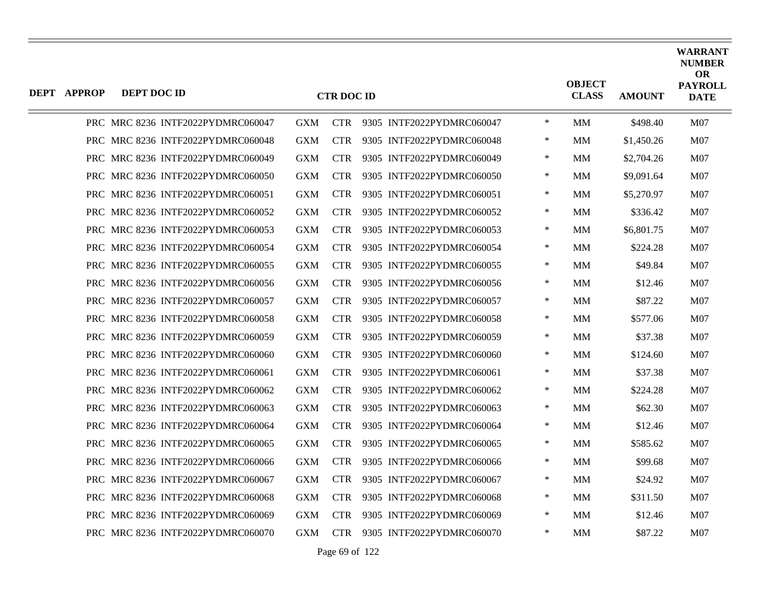| <b>DEPT APPROP</b> | DEPT DOC ID |                                   |            | <b>CTR DOC ID</b> |                           |        | <b>OBJECT</b><br><b>CLASS</b> | <b>AMOUNT</b> | <b>WARRANT</b><br><b>NUMBER</b><br><b>OR</b><br><b>PAYROLL</b><br><b>DATE</b> |
|--------------------|-------------|-----------------------------------|------------|-------------------|---------------------------|--------|-------------------------------|---------------|-------------------------------------------------------------------------------|
|                    |             | PRC MRC 8236 INTF2022PYDMRC060047 | <b>GXM</b> | <b>CTR</b>        | 9305 INTF2022PYDMRC060047 | $\ast$ | MM                            | \$498.40      | M07                                                                           |
|                    |             | PRC MRC 8236 INTF2022PYDMRC060048 | <b>GXM</b> | <b>CTR</b>        | 9305 INTF2022PYDMRC060048 | ∗      | MМ                            | \$1,450.26    | M07                                                                           |
|                    |             | PRC MRC 8236 INTF2022PYDMRC060049 | <b>GXM</b> | <b>CTR</b>        | 9305 INTF2022PYDMRC060049 | $\ast$ | MМ                            | \$2,704.26    | M07                                                                           |
|                    |             | PRC MRC 8236 INTF2022PYDMRC060050 | <b>GXM</b> | <b>CTR</b>        | 9305 INTF2022PYDMRC060050 | $\ast$ | MМ                            | \$9,091.64    | M07                                                                           |
|                    |             | PRC MRC 8236 INTF2022PYDMRC060051 | <b>GXM</b> | <b>CTR</b>        | 9305 INTF2022PYDMRC060051 | ∗      | MM                            | \$5,270.97    | <b>M07</b>                                                                    |
|                    |             | PRC MRC 8236 INTF2022PYDMRC060052 | <b>GXM</b> | <b>CTR</b>        | 9305 INTF2022PYDMRC060052 | $\ast$ | MM                            | \$336.42      | <b>M07</b>                                                                    |
|                    |             | PRC MRC 8236 INTF2022PYDMRC060053 | <b>GXM</b> | <b>CTR</b>        | 9305 INTF2022PYDMRC060053 | $\ast$ | MМ                            | \$6,801.75    | M07                                                                           |
|                    |             | PRC MRC 8236 INTF2022PYDMRC060054 | <b>GXM</b> | <b>CTR</b>        | 9305 INTF2022PYDMRC060054 | $\ast$ | <b>MM</b>                     | \$224.28      | M <sub>07</sub>                                                               |
|                    |             | PRC MRC 8236 INTF2022PYDMRC060055 | <b>GXM</b> | <b>CTR</b>        | 9305 INTF2022PYDMRC060055 | ∗      | MМ                            | \$49.84       | M07                                                                           |
|                    |             | PRC MRC 8236 INTF2022PYDMRC060056 | <b>GXM</b> | <b>CTR</b>        | 9305 INTF2022PYDMRC060056 | $\ast$ | MМ                            | \$12.46       | M07                                                                           |
|                    |             | PRC MRC 8236 INTF2022PYDMRC060057 | <b>GXM</b> | <b>CTR</b>        | 9305 INTF2022PYDMRC060057 | $\ast$ | MM.                           | \$87.22       | <b>M07</b>                                                                    |
|                    |             | PRC MRC 8236 INTF2022PYDMRC060058 | <b>GXM</b> | <b>CTR</b>        | 9305 INTF2022PYDMRC060058 | $\ast$ | MМ                            | \$577.06      | M07                                                                           |
|                    |             | PRC MRC 8236 INTF2022PYDMRC060059 | <b>GXM</b> | <b>CTR</b>        | 9305 INTF2022PYDMRC060059 | ∗      | MМ                            | \$37.38       | M07                                                                           |
|                    |             | PRC MRC 8236 INTF2022PYDMRC060060 | <b>GXM</b> | <b>CTR</b>        | 9305 INTF2022PYDMRC060060 | $\ast$ | MM.                           | \$124.60      | <b>M07</b>                                                                    |
|                    |             | PRC MRC 8236 INTF2022PYDMRC060061 | <b>GXM</b> | <b>CTR</b>        | 9305 INTF2022PYDMRC060061 | $\ast$ | MМ                            | \$37.38       | M07                                                                           |
|                    |             | PRC MRC 8236 INTF2022PYDMRC060062 | <b>GXM</b> | <b>CTR</b>        | 9305 INTF2022PYDMRC060062 | $\ast$ | MМ                            | \$224.28      | M07                                                                           |
|                    |             | PRC MRC 8236 INTF2022PYDMRC060063 | <b>GXM</b> | <b>CTR</b>        | 9305 INTF2022PYDMRC060063 | $\ast$ | MM.                           | \$62.30       | <b>M07</b>                                                                    |
|                    |             | PRC MRC 8236 INTF2022PYDMRC060064 | <b>GXM</b> | <b>CTR</b>        | 9305 INTF2022PYDMRC060064 | ∗      | <b>MM</b>                     | \$12.46       | <b>M07</b>                                                                    |
|                    |             | PRC MRC 8236 INTF2022PYDMRC060065 | <b>GXM</b> | <b>CTR</b>        | 9305 INTF2022PYDMRC060065 | $\ast$ | MМ                            | \$585.62      | M07                                                                           |
|                    |             | PRC MRC 8236 INTF2022PYDMRC060066 | <b>GXM</b> | <b>CTR</b>        | 9305 INTF2022PYDMRC060066 | $\ast$ | MМ                            | \$99.68       | <b>M07</b>                                                                    |
|                    |             | PRC MRC 8236 INTF2022PYDMRC060067 | <b>GXM</b> | <b>CTR</b>        | 9305 INTF2022PYDMRC060067 | $\ast$ | MМ                            | \$24.92       | <b>M07</b>                                                                    |
|                    |             | PRC MRC 8236 INTF2022PYDMRC060068 | <b>GXM</b> | <b>CTR</b>        | 9305 INTF2022PYDMRC060068 | ∗      | MM                            | \$311.50      | M07                                                                           |
|                    |             | PRC MRC 8236 INTF2022PYDMRC060069 | <b>GXM</b> | <b>CTR</b>        | 9305 INTF2022PYDMRC060069 | $\ast$ | MМ                            | \$12.46       | M07                                                                           |
|                    |             | PRC MRC 8236 INTF2022PYDMRC060070 | <b>GXM</b> | <b>CTR</b>        | 9305 INTF2022PYDMRC060070 | $\ast$ | MМ                            | \$87.22       | M07                                                                           |
|                    |             |                                   |            |                   |                           |        |                               |               |                                                                               |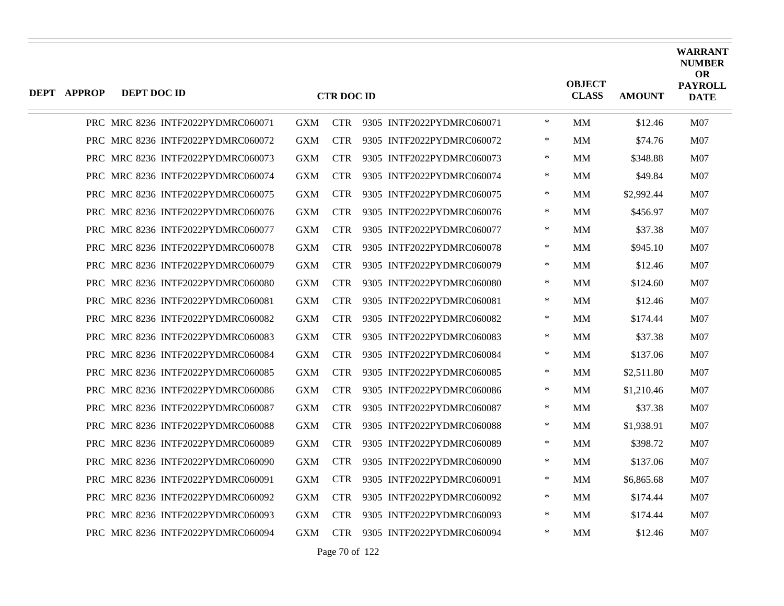| <b>DEPT APPROP</b> | DEPT DOC ID |                                   |            | <b>CTR DOC ID</b> |                           |        | <b>OBJECT</b><br><b>CLASS</b> | <b>AMOUNT</b> | <b>WARRANT</b><br><b>NUMBER</b><br><b>OR</b><br><b>PAYROLL</b><br><b>DATE</b> |
|--------------------|-------------|-----------------------------------|------------|-------------------|---------------------------|--------|-------------------------------|---------------|-------------------------------------------------------------------------------|
|                    |             | PRC MRC 8236 INTF2022PYDMRC060071 | <b>GXM</b> | <b>CTR</b>        | 9305 INTF2022PYDMRC060071 | $\ast$ | <b>MM</b>                     | \$12.46       | M07                                                                           |
|                    |             | PRC MRC 8236 INTF2022PYDMRC060072 | <b>GXM</b> | <b>CTR</b>        | 9305 INTF2022PYDMRC060072 | $\ast$ | MМ                            | \$74.76       | M07                                                                           |
|                    |             | PRC MRC 8236 INTF2022PYDMRC060073 | <b>GXM</b> | <b>CTR</b>        | 9305 INTF2022PYDMRC060073 | ∗      | MM                            | \$348.88      | M <sub>07</sub>                                                               |
|                    |             | PRC MRC 8236 INTF2022PYDMRC060074 | <b>GXM</b> | <b>CTR</b>        | 9305 INTF2022PYDMRC060074 | ∗      | MМ                            | \$49.84       | M <sub>07</sub>                                                               |
|                    |             | PRC MRC 8236 INTF2022PYDMRC060075 | <b>GXM</b> | <b>CTR</b>        | 9305 INTF2022PYDMRC060075 | $\ast$ | MМ                            | \$2,992.44    | M07                                                                           |
|                    |             | PRC MRC 8236 INTF2022PYDMRC060076 | <b>GXM</b> | <b>CTR</b>        | 9305 INTF2022PYDMRC060076 | $\ast$ | MМ                            | \$456.97      | M <sub>07</sub>                                                               |
|                    |             | PRC MRC 8236 INTF2022PYDMRC060077 | <b>GXM</b> | <b>CTR</b>        | 9305 INTF2022PYDMRC060077 | ∗      | MМ                            | \$37.38       | M <sub>07</sub>                                                               |
|                    |             | PRC MRC 8236 INTF2022PYDMRC060078 | <b>GXM</b> | <b>CTR</b>        | 9305 INTF2022PYDMRC060078 | $\ast$ | <b>MM</b>                     | \$945.10      | M07                                                                           |
|                    |             | PRC MRC 8236 INTF2022PYDMRC060079 | <b>GXM</b> | <b>CTR</b>        | 9305 INTF2022PYDMRC060079 | $\ast$ | MМ                            | \$12.46       | M07                                                                           |
|                    |             | PRC MRC 8236 INTF2022PYDMRC060080 | <b>GXM</b> | <b>CTR</b>        | 9305 INTF2022PYDMRC060080 | ∗      | MМ                            | \$124.60      | M <sub>07</sub>                                                               |
|                    |             | PRC MRC 8236 INTF2022PYDMRC060081 | <b>GXM</b> | <b>CTR</b>        | 9305 INTF2022PYDMRC060081 | $\ast$ | MМ                            | \$12.46       | M07                                                                           |
|                    |             | PRC MRC 8236 INTF2022PYDMRC060082 | <b>GXM</b> | <b>CTR</b>        | 9305 INTF2022PYDMRC060082 | $\ast$ | MМ                            | \$174.44      | M07                                                                           |
|                    |             | PRC MRC 8236 INTF2022PYDMRC060083 | <b>GXM</b> | <b>CTR</b>        | 9305 INTF2022PYDMRC060083 | ∗      | MМ                            | \$37.38       | M07                                                                           |
|                    |             | PRC MRC 8236 INTF2022PYDMRC060084 | <b>GXM</b> | <b>CTR</b>        | 9305 INTF2022PYDMRC060084 | ∗      | MМ                            | \$137.06      | M <sub>07</sub>                                                               |
|                    |             | PRC MRC 8236 INTF2022PYDMRC060085 | <b>GXM</b> | <b>CTR</b>        | 9305 INTF2022PYDMRC060085 | $\ast$ | MМ                            | \$2,511.80    | M07                                                                           |
|                    |             | PRC MRC 8236 INTF2022PYDMRC060086 | <b>GXM</b> | <b>CTR</b>        | 9305 INTF2022PYDMRC060086 | $\ast$ | <b>MM</b>                     | \$1,210.46    | M07                                                                           |
|                    |             | PRC MRC 8236 INTF2022PYDMRC060087 | <b>GXM</b> | <b>CTR</b>        | 9305 INTF2022PYDMRC060087 | ∗      | MМ                            | \$37.38       | M <sub>07</sub>                                                               |
|                    |             | PRC MRC 8236 INTF2022PYDMRC060088 | <b>GXM</b> | <b>CTR</b>        | 9305 INTF2022PYDMRC060088 | $\ast$ | MМ                            | \$1,938.91    | M <sub>07</sub>                                                               |
|                    |             | PRC MRC 8236 INTF2022PYDMRC060089 | <b>GXM</b> | <b>CTR</b>        | 9305 INTF2022PYDMRC060089 | $\ast$ | MM                            | \$398.72      | M07                                                                           |
|                    |             | PRC MRC 8236 INTF2022PYDMRC060090 | <b>GXM</b> | <b>CTR</b>        | 9305 INTF2022PYDMRC060090 | ∗      | MМ                            | \$137.06      | M <sub>07</sub>                                                               |
|                    |             | PRC MRC 8236 INTF2022PYDMRC060091 | <b>GXM</b> | <b>CTR</b>        | 9305 INTF2022PYDMRC060091 | ∗      | MМ                            | \$6,865.68    | M <sub>07</sub>                                                               |
|                    |             | PRC MRC 8236 INTF2022PYDMRC060092 | <b>GXM</b> | <b>CTR</b>        | 9305 INTF2022PYDMRC060092 | ∗      | MМ                            | \$174.44      | M07                                                                           |
|                    |             | PRC MRC 8236 INTF2022PYDMRC060093 | <b>GXM</b> | <b>CTR</b>        | 9305 INTF2022PYDMRC060093 | $\ast$ | MМ                            | \$174.44      | M <sub>07</sub>                                                               |
|                    |             | PRC MRC 8236 INTF2022PYDMRC060094 | <b>GXM</b> | <b>CTR</b>        | 9305 INTF2022PYDMRC060094 | *      | MМ                            | \$12.46       | M07                                                                           |

Page 70 of 122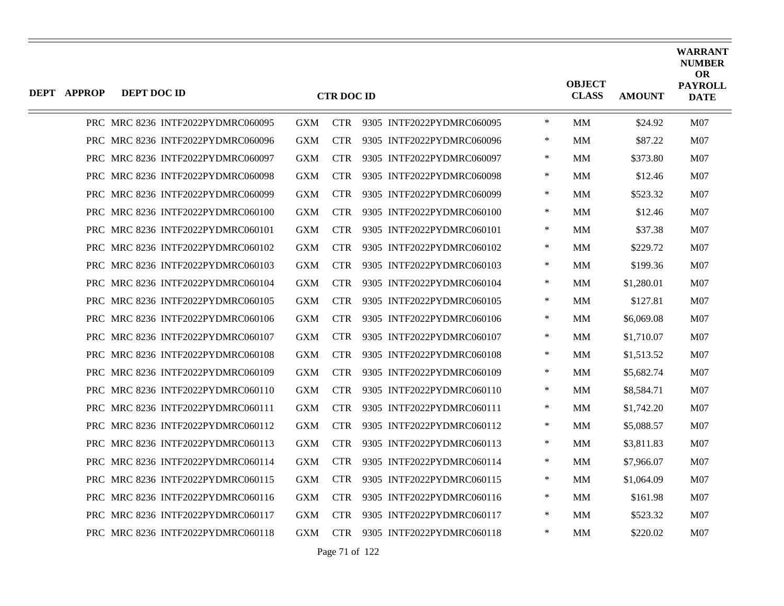| DEPT APPROP | DEPT DOC ID |                                   |            | <b>CTR DOC ID</b> |                           |        | <b>OBJECT</b><br><b>CLASS</b> | <b>AMOUNT</b> | <b>WARRANT</b><br><b>NUMBER</b><br><b>OR</b><br><b>PAYROLL</b><br><b>DATE</b> |
|-------------|-------------|-----------------------------------|------------|-------------------|---------------------------|--------|-------------------------------|---------------|-------------------------------------------------------------------------------|
|             |             | PRC MRC 8236 INTF2022PYDMRC060095 | <b>GXM</b> | <b>CTR</b>        | 9305 INTF2022PYDMRC060095 | $\ast$ | <b>MM</b>                     | \$24.92       | M07                                                                           |
|             |             | PRC MRC 8236 INTF2022PYDMRC060096 | <b>GXM</b> | <b>CTR</b>        | 9305 INTF2022PYDMRC060096 | $\ast$ | MМ                            | \$87.22       | M07                                                                           |
|             |             | PRC MRC 8236 INTF2022PYDMRC060097 | GXM        | <b>CTR</b>        | 9305 INTF2022PYDMRC060097 | $\ast$ | <b>MM</b>                     | \$373.80      | M07                                                                           |
|             |             | PRC MRC 8236 INTF2022PYDMRC060098 | <b>GXM</b> | <b>CTR</b>        | 9305 INTF2022PYDMRC060098 | $\ast$ | MМ                            | \$12.46       | M07                                                                           |
|             |             | PRC MRC 8236 INTF2022PYDMRC060099 | <b>GXM</b> | <b>CTR</b>        | 9305 INTF2022PYDMRC060099 | $\ast$ | MМ                            | \$523.32      | M07                                                                           |
|             |             | PRC MRC 8236 INTF2022PYDMRC060100 | <b>GXM</b> | <b>CTR</b>        | 9305 INTF2022PYDMRC060100 | $\ast$ | MМ                            | \$12.46       | M07                                                                           |
|             |             | PRC MRC 8236 INTF2022PYDMRC060101 | <b>GXM</b> | <b>CTR</b>        | 9305 INTF2022PYDMRC060101 | $\ast$ | MМ                            | \$37.38       | M07                                                                           |
|             |             | PRC MRC 8236 INTF2022PYDMRC060102 | <b>GXM</b> | <b>CTR</b>        | 9305 INTF2022PYDMRC060102 | $\ast$ | MМ                            | \$229.72      | M07                                                                           |
|             |             | PRC MRC 8236 INTF2022PYDMRC060103 | GXM        | <b>CTR</b>        | 9305 INTF2022PYDMRC060103 | $\ast$ | MM                            | \$199.36      | M07                                                                           |
|             |             | PRC MRC 8236 INTF2022PYDMRC060104 | <b>GXM</b> | <b>CTR</b>        | 9305 INTF2022PYDMRC060104 | ∗      | MМ                            | \$1,280.01    | M07                                                                           |
|             |             | PRC MRC 8236 INTF2022PYDMRC060105 | <b>GXM</b> | <b>CTR</b>        | 9305 INTF2022PYDMRC060105 | $\ast$ | <b>MM</b>                     | \$127.81      | M07                                                                           |
|             |             | PRC MRC 8236 INTF2022PYDMRC060106 | <b>GXM</b> | <b>CTR</b>        | 9305 INTF2022PYDMRC060106 | $\ast$ | <b>MM</b>                     | \$6,069.08    | M07                                                                           |
|             |             | PRC MRC 8236 INTF2022PYDMRC060107 | <b>GXM</b> | <b>CTR</b>        | 9305 INTF2022PYDMRC060107 | $\ast$ | MМ                            | \$1,710.07    | M07                                                                           |
|             |             | PRC MRC 8236 INTF2022PYDMRC060108 | <b>GXM</b> | <b>CTR</b>        | 9305 INTF2022PYDMRC060108 | ∗      | MМ                            | \$1,513.52    | M07                                                                           |
|             |             | PRC MRC 8236 INTF2022PYDMRC060109 | <b>GXM</b> | <b>CTR</b>        | 9305 INTF2022PYDMRC060109 | $\ast$ | MМ                            | \$5,682.74    | M07                                                                           |
|             |             | PRC MRC 8236 INTF2022PYDMRC060110 | <b>GXM</b> | <b>CTR</b>        | 9305 INTF2022PYDMRC060110 | $\ast$ | <b>MM</b>                     | \$8,584.71    | M07                                                                           |
|             |             | PRC MRC 8236 INTF2022PYDMRC060111 | <b>GXM</b> | <b>CTR</b>        | 9305 INTF2022PYDMRC060111 | ∗      | MМ                            | \$1,742.20    | M07                                                                           |
|             |             | PRC MRC 8236 INTF2022PYDMRC060112 | <b>GXM</b> | <b>CTR</b>        | 9305 INTF2022PYDMRC060112 | $\ast$ | MМ                            | \$5,088.57    | M07                                                                           |
|             |             | PRC MRC 8236 INTF2022PYDMRC060113 | <b>GXM</b> | <b>CTR</b>        | 9305 INTF2022PYDMRC060113 | $\ast$ | <b>MM</b>                     | \$3,811.83    | M07                                                                           |
|             |             | PRC MRC 8236 INTF2022PYDMRC060114 | <b>GXM</b> | <b>CTR</b>        | 9305 INTF2022PYDMRC060114 | $\ast$ | MМ                            | \$7,966.07    | M07                                                                           |
|             |             | PRC MRC 8236 INTF2022PYDMRC060115 | <b>GXM</b> | <b>CTR</b>        | 9305 INTF2022PYDMRC060115 | ∗      | MМ                            | \$1,064.09    | M07                                                                           |
|             |             | PRC MRC 8236 INTF2022PYDMRC060116 | <b>GXM</b> | <b>CTR</b>        | 9305 INTF2022PYDMRC060116 | $\ast$ | <b>MM</b>                     | \$161.98      | M07                                                                           |
|             |             | PRC MRC 8236 INTF2022PYDMRC060117 | <b>GXM</b> | <b>CTR</b>        | 9305 INTF2022PYDMRC060117 | $\ast$ | <b>MM</b>                     | \$523.32      | M07                                                                           |
|             |             | PRC MRC 8236 INTF2022PYDMRC060118 | <b>GXM</b> | <b>CTR</b>        | 9305 INTF2022PYDMRC060118 | ∗      | MМ                            | \$220.02      | M07                                                                           |

Page 71 of 122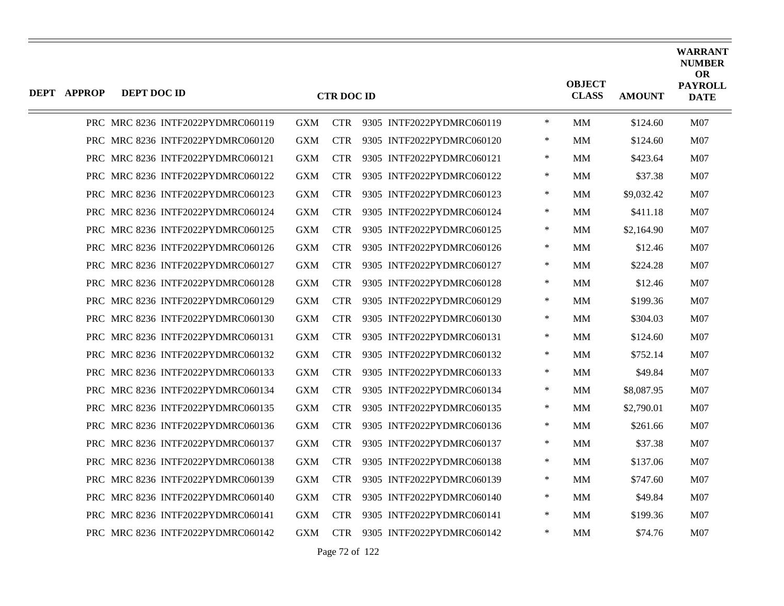| <b>DEPT APPROP</b> | DEPT DOC ID |                                   |            | <b>CTR DOC ID</b> |                           |        | <b>OBJECT</b><br><b>CLASS</b> | <b>AMOUNT</b> | <b>WARRANT</b><br><b>NUMBER</b><br><b>OR</b><br><b>PAYROLL</b><br><b>DATE</b> |
|--------------------|-------------|-----------------------------------|------------|-------------------|---------------------------|--------|-------------------------------|---------------|-------------------------------------------------------------------------------|
|                    |             | PRC MRC 8236 INTF2022PYDMRC060119 | <b>GXM</b> | <b>CTR</b>        | 9305 INTF2022PYDMRC060119 | $\ast$ | МM                            | \$124.60      | M07                                                                           |
|                    |             | PRC MRC 8236 INTF2022PYDMRC060120 | <b>GXM</b> | <b>CTR</b>        | 9305 INTF2022PYDMRC060120 | ∗      | MМ                            | \$124.60      | M07                                                                           |
|                    |             | PRC MRC 8236 INTF2022PYDMRC060121 | <b>GXM</b> | <b>CTR</b>        | 9305 INTF2022PYDMRC060121 | $\ast$ | <b>MM</b>                     | \$423.64      | M <sub>07</sub>                                                               |
|                    |             | PRC MRC 8236 INTF2022PYDMRC060122 | <b>GXM</b> | <b>CTR</b>        | 9305 INTF2022PYDMRC060122 | $\ast$ | MM                            | \$37.38       | M07                                                                           |
|                    |             | PRC MRC 8236 INTF2022PYDMRC060123 | <b>GXM</b> | <b>CTR</b>        | 9305 INTF2022PYDMRC060123 | ∗      | MМ                            | \$9,032.42    | M07                                                                           |
|                    |             | PRC MRC 8236 INTF2022PYDMRC060124 | <b>GXM</b> | <b>CTR</b>        | 9305 INTF2022PYDMRC060124 | $\ast$ | MМ                            | \$411.18      | M <sub>07</sub>                                                               |
|                    |             | PRC MRC 8236 INTF2022PYDMRC060125 | <b>GXM</b> | <b>CTR</b>        | 9305 INTF2022PYDMRC060125 | $\ast$ | MM                            | \$2,164.90    | M07                                                                           |
|                    |             | PRC MRC 8236 INTF2022PYDMRC060126 | GXM        | <b>CTR</b>        | 9305 INTF2022PYDMRC060126 | ∗      | MМ                            | \$12.46       | M07                                                                           |
|                    |             | PRC MRC 8236 INTF2022PYDMRC060127 | <b>GXM</b> | <b>CTR</b>        | 9305 INTF2022PYDMRC060127 | $\ast$ | MМ                            | \$224.28      | M <sub>07</sub>                                                               |
|                    |             | PRC MRC 8236 INTF2022PYDMRC060128 | <b>GXM</b> | <b>CTR</b>        | 9305 INTF2022PYDMRC060128 | $\ast$ | <b>MM</b>                     | \$12.46       | M07                                                                           |
|                    |             | PRC MRC 8236 INTF2022PYDMRC060129 | GXM        | <b>CTR</b>        | 9305 INTF2022PYDMRC060129 | ∗      | MМ                            | \$199.36      | M07                                                                           |
|                    |             | PRC MRC 8236 INTF2022PYDMRC060130 | <b>GXM</b> | <b>CTR</b>        | 9305 INTF2022PYDMRC060130 | $\ast$ | MМ                            | \$304.03      | M07                                                                           |
|                    |             | PRC MRC 8236 INTF2022PYDMRC060131 | <b>GXM</b> | <b>CTR</b>        | 9305 INTF2022PYDMRC060131 | $\ast$ | <b>MM</b>                     | \$124.60      | M07                                                                           |
|                    |             | PRC MRC 8236 INTF2022PYDMRC060132 | GXM        | <b>CTR</b>        | 9305 INTF2022PYDMRC060132 | ∗      | MМ                            | \$752.14      | M07                                                                           |
|                    |             | PRC MRC 8236 INTF2022PYDMRC060133 | <b>GXM</b> | <b>CTR</b>        | 9305 INTF2022PYDMRC060133 | $\ast$ | MМ                            | \$49.84       | M07                                                                           |
|                    |             | PRC MRC 8236 INTF2022PYDMRC060134 | <b>GXM</b> | <b>CTR</b>        | 9305 INTF2022PYDMRC060134 | $\ast$ | MМ                            | \$8,087.95    | M <sub>07</sub>                                                               |
|                    |             | PRC MRC 8236 INTF2022PYDMRC060135 | GXM        | <b>CTR</b>        | 9305 INTF2022PYDMRC060135 | $\ast$ | MМ                            | \$2,790.01    | M07                                                                           |
|                    |             | PRC MRC 8236 INTF2022PYDMRC060136 | <b>GXM</b> | <b>CTR</b>        | 9305 INTF2022PYDMRC060136 | ∗      | MМ                            | \$261.66      | M <sub>07</sub>                                                               |
|                    |             | PRC MRC 8236 INTF2022PYDMRC060137 | <b>GXM</b> | <b>CTR</b>        | 9305 INTF2022PYDMRC060137 | $\ast$ | MМ                            | \$37.38       | M07                                                                           |
|                    |             | PRC MRC 8236 INTF2022PYDMRC060138 | GXM        | <b>CTR</b>        | 9305 INTF2022PYDMRC060138 | $\ast$ | MМ                            | \$137.06      | M07                                                                           |
|                    |             | PRC MRC 8236 INTF2022PYDMRC060139 | <b>GXM</b> | <b>CTR</b>        | 9305 INTF2022PYDMRC060139 | ∗      | MМ                            | \$747.60      | M07                                                                           |
|                    |             | PRC MRC 8236 INTF2022PYDMRC060140 | <b>GXM</b> | <b>CTR</b>        | 9305 INTF2022PYDMRC060140 | $\ast$ | <b>MM</b>                     | \$49.84       | M07                                                                           |
|                    |             | PRC MRC 8236 INTF2022PYDMRC060141 | <b>GXM</b> | <b>CTR</b>        | 9305 INTF2022PYDMRC060141 | $\ast$ | МM                            | \$199.36      | M <sub>07</sub>                                                               |
|                    |             | PRC MRC 8236 INTF2022PYDMRC060142 | <b>GXM</b> | <b>CTR</b>        | 9305 INTF2022PYDMRC060142 | $\ast$ | МM                            | \$74.76       | M07                                                                           |

Page 72 of 122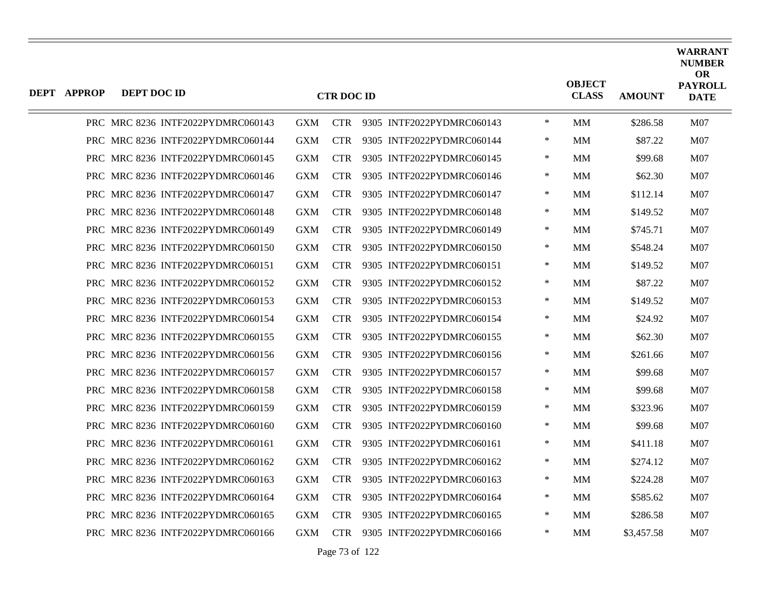| $\ast$<br>PRC MRC 8236 INTF2022PYDMRC060143<br><b>GXM</b><br>CTR 9305 INTF2022PYDMRC060143<br>MМ<br>\$286.58<br>PRC MRC 8236 INTF2022PYDMRC060144<br><b>GXM</b><br><b>CTR</b><br>9305 INTF2022PYDMRC060144<br>∗<br>MМ<br>\$87.22<br>$\ast$<br>PRC MRC 8236 INTF2022PYDMRC060145<br><b>GXM</b><br><b>CTR</b><br>9305 INTF2022PYDMRC060145<br><b>MM</b><br>\$99.68<br>PRC MRC 8236 INTF2022PYDMRC060146<br><b>GXM</b><br><b>CTR</b><br>9305 INTF2022PYDMRC060146<br>$\ast$<br><b>MM</b><br>\$62.30<br>PRC MRC 8236 INTF2022PYDMRC060147<br><b>GXM</b><br><b>CTR</b><br>9305 INTF2022PYDMRC060147<br>∗<br>MМ<br>\$112.14<br>$\ast$<br>PRC MRC 8236 INTF2022PYDMRC060148<br><b>GXM</b><br><b>CTR</b><br>9305 INTF2022PYDMRC060148<br>\$149.52<br>MМ<br>9305 INTF2022PYDMRC060149<br>$\ast$<br>PRC MRC 8236 INTF2022PYDMRC060149<br><b>GXM</b><br>CTR.<br>MМ<br>\$745.71<br>PRC MRC 8236 INTF2022PYDMRC060150<br>9305 INTF2022PYDMRC060150<br>∗<br><b>GXM</b><br><b>CTR</b><br>MМ<br>\$548.24<br>$\ast$<br>PRC MRC 8236 INTF2022PYDMRC060151<br><b>GXM</b><br><b>CTR</b><br>9305 INTF2022PYDMRC060151<br>\$149.52<br>MМ<br>$\ast$<br>PRC MRC 8236 INTF2022PYDMRC060152<br><b>GXM</b><br><b>CTR</b><br>9305 INTF2022PYDMRC060152<br>MM<br>\$87.22<br>PRC MRC 8236 INTF2022PYDMRC060153<br>∗<br><b>GXM</b><br><b>CTR</b><br>9305 INTF2022PYDMRC060153<br>MМ<br>\$149.52<br>PRC MRC 8236 INTF2022PYDMRC060154<br><b>GXM</b><br><b>CTR</b><br>9305 INTF2022PYDMRC060154<br>∗<br>MМ<br>\$24.92<br>$\ast$<br>PRC MRC 8236 INTF2022PYDMRC060155<br><b>GXM</b><br><b>CTR</b><br>9305 INTF2022PYDMRC060155<br><b>MM</b><br>\$62.30<br>∗<br>PRC MRC 8236 INTF2022PYDMRC060156<br>GXM<br><b>CTR</b><br>9305 INTF2022PYDMRC060156<br>MМ<br>\$261.66<br>PRC MRC 8236 INTF2022PYDMRC060157<br><b>GXM</b><br><b>CTR</b><br>9305 INTF2022PYDMRC060157<br>∗<br>MМ<br>\$99.68<br>$\ast$<br>PRC MRC 8236 INTF2022PYDMRC060158<br><b>GXM</b><br><b>CTR</b><br>9305 INTF2022PYDMRC060158<br><b>MM</b><br>\$99.68<br>$\ast$<br>PRC MRC 8236 INTF2022PYDMRC060159<br>GXM<br><b>CTR</b><br>9305 INTF2022PYDMRC060159<br>MМ<br>\$323.96<br><b>CTR</b><br>PRC MRC 8236 INTF2022PYDMRC060160<br><b>GXM</b><br>9305 INTF2022PYDMRC060160<br>∗<br>MМ<br>\$99.68<br><b>CTR</b><br>PRC MRC 8236 INTF2022PYDMRC060161<br><b>GXM</b><br>9305 INTF2022PYDMRC060161<br>∗<br>\$411.18<br>MМ<br>$\ast$<br>PRC MRC 8236 INTF2022PYDMRC060162<br>GXM<br>CTR.<br>9305 INTF2022PYDMRC060162<br>MМ<br>\$274.12<br>PRC MRC 8236 INTF2022PYDMRC060163<br><b>GXM</b><br><b>CTR</b><br>9305 INTF2022PYDMRC060163<br>∗<br>MМ<br>\$224.28<br>PRC MRC 8236 INTF2022PYDMRC060164<br><b>GXM</b><br><b>CTR</b><br>9305 INTF2022PYDMRC060164<br>$\ast$<br>\$585.62<br>MМ<br>$\ast$<br>PRC MRC 8236 INTF2022PYDMRC060165<br><b>GXM</b><br><b>CTR</b><br>9305 INTF2022PYDMRC060165<br>\$286.58<br>MM.<br>PRC MRC 8236 INTF2022PYDMRC060166<br><b>GXM</b><br><b>CTR</b><br>9305 INTF2022PYDMRC060166<br>∗<br>\$3,457.58<br>MМ | <b>DEPT APPROP</b> | DEPT DOC ID |  | <b>CTR DOC ID</b> |  | <b>OBJECT</b><br><b>CLASS</b> | <b>AMOUNT</b> | <b>WARRANT</b><br><b>NUMBER</b><br><b>OR</b><br><b>PAYROLL</b><br><b>DATE</b> |
|------------------------------------------------------------------------------------------------------------------------------------------------------------------------------------------------------------------------------------------------------------------------------------------------------------------------------------------------------------------------------------------------------------------------------------------------------------------------------------------------------------------------------------------------------------------------------------------------------------------------------------------------------------------------------------------------------------------------------------------------------------------------------------------------------------------------------------------------------------------------------------------------------------------------------------------------------------------------------------------------------------------------------------------------------------------------------------------------------------------------------------------------------------------------------------------------------------------------------------------------------------------------------------------------------------------------------------------------------------------------------------------------------------------------------------------------------------------------------------------------------------------------------------------------------------------------------------------------------------------------------------------------------------------------------------------------------------------------------------------------------------------------------------------------------------------------------------------------------------------------------------------------------------------------------------------------------------------------------------------------------------------------------------------------------------------------------------------------------------------------------------------------------------------------------------------------------------------------------------------------------------------------------------------------------------------------------------------------------------------------------------------------------------------------------------------------------------------------------------------------------------------------------------------------------------------------------------------------------------------------------------------------------------------------------------------------------------------------------------------------------------------------------------------------------------------------------------------------------------------------------------------------------------------------------------------------------------------|--------------------|-------------|--|-------------------|--|-------------------------------|---------------|-------------------------------------------------------------------------------|
|                                                                                                                                                                                                                                                                                                                                                                                                                                                                                                                                                                                                                                                                                                                                                                                                                                                                                                                                                                                                                                                                                                                                                                                                                                                                                                                                                                                                                                                                                                                                                                                                                                                                                                                                                                                                                                                                                                                                                                                                                                                                                                                                                                                                                                                                                                                                                                                                                                                                                                                                                                                                                                                                                                                                                                                                                                                                                                                                                                  |                    |             |  |                   |  |                               |               | M07                                                                           |
|                                                                                                                                                                                                                                                                                                                                                                                                                                                                                                                                                                                                                                                                                                                                                                                                                                                                                                                                                                                                                                                                                                                                                                                                                                                                                                                                                                                                                                                                                                                                                                                                                                                                                                                                                                                                                                                                                                                                                                                                                                                                                                                                                                                                                                                                                                                                                                                                                                                                                                                                                                                                                                                                                                                                                                                                                                                                                                                                                                  |                    |             |  |                   |  |                               |               | M07                                                                           |
|                                                                                                                                                                                                                                                                                                                                                                                                                                                                                                                                                                                                                                                                                                                                                                                                                                                                                                                                                                                                                                                                                                                                                                                                                                                                                                                                                                                                                                                                                                                                                                                                                                                                                                                                                                                                                                                                                                                                                                                                                                                                                                                                                                                                                                                                                                                                                                                                                                                                                                                                                                                                                                                                                                                                                                                                                                                                                                                                                                  |                    |             |  |                   |  |                               |               | M07                                                                           |
|                                                                                                                                                                                                                                                                                                                                                                                                                                                                                                                                                                                                                                                                                                                                                                                                                                                                                                                                                                                                                                                                                                                                                                                                                                                                                                                                                                                                                                                                                                                                                                                                                                                                                                                                                                                                                                                                                                                                                                                                                                                                                                                                                                                                                                                                                                                                                                                                                                                                                                                                                                                                                                                                                                                                                                                                                                                                                                                                                                  |                    |             |  |                   |  |                               |               | M07                                                                           |
|                                                                                                                                                                                                                                                                                                                                                                                                                                                                                                                                                                                                                                                                                                                                                                                                                                                                                                                                                                                                                                                                                                                                                                                                                                                                                                                                                                                                                                                                                                                                                                                                                                                                                                                                                                                                                                                                                                                                                                                                                                                                                                                                                                                                                                                                                                                                                                                                                                                                                                                                                                                                                                                                                                                                                                                                                                                                                                                                                                  |                    |             |  |                   |  |                               |               | M <sub>07</sub>                                                               |
|                                                                                                                                                                                                                                                                                                                                                                                                                                                                                                                                                                                                                                                                                                                                                                                                                                                                                                                                                                                                                                                                                                                                                                                                                                                                                                                                                                                                                                                                                                                                                                                                                                                                                                                                                                                                                                                                                                                                                                                                                                                                                                                                                                                                                                                                                                                                                                                                                                                                                                                                                                                                                                                                                                                                                                                                                                                                                                                                                                  |                    |             |  |                   |  |                               |               | M07                                                                           |
|                                                                                                                                                                                                                                                                                                                                                                                                                                                                                                                                                                                                                                                                                                                                                                                                                                                                                                                                                                                                                                                                                                                                                                                                                                                                                                                                                                                                                                                                                                                                                                                                                                                                                                                                                                                                                                                                                                                                                                                                                                                                                                                                                                                                                                                                                                                                                                                                                                                                                                                                                                                                                                                                                                                                                                                                                                                                                                                                                                  |                    |             |  |                   |  |                               |               | M07                                                                           |
|                                                                                                                                                                                                                                                                                                                                                                                                                                                                                                                                                                                                                                                                                                                                                                                                                                                                                                                                                                                                                                                                                                                                                                                                                                                                                                                                                                                                                                                                                                                                                                                                                                                                                                                                                                                                                                                                                                                                                                                                                                                                                                                                                                                                                                                                                                                                                                                                                                                                                                                                                                                                                                                                                                                                                                                                                                                                                                                                                                  |                    |             |  |                   |  |                               |               | M <sub>07</sub>                                                               |
|                                                                                                                                                                                                                                                                                                                                                                                                                                                                                                                                                                                                                                                                                                                                                                                                                                                                                                                                                                                                                                                                                                                                                                                                                                                                                                                                                                                                                                                                                                                                                                                                                                                                                                                                                                                                                                                                                                                                                                                                                                                                                                                                                                                                                                                                                                                                                                                                                                                                                                                                                                                                                                                                                                                                                                                                                                                                                                                                                                  |                    |             |  |                   |  |                               |               | M07                                                                           |
|                                                                                                                                                                                                                                                                                                                                                                                                                                                                                                                                                                                                                                                                                                                                                                                                                                                                                                                                                                                                                                                                                                                                                                                                                                                                                                                                                                                                                                                                                                                                                                                                                                                                                                                                                                                                                                                                                                                                                                                                                                                                                                                                                                                                                                                                                                                                                                                                                                                                                                                                                                                                                                                                                                                                                                                                                                                                                                                                                                  |                    |             |  |                   |  |                               |               | M07                                                                           |
|                                                                                                                                                                                                                                                                                                                                                                                                                                                                                                                                                                                                                                                                                                                                                                                                                                                                                                                                                                                                                                                                                                                                                                                                                                                                                                                                                                                                                                                                                                                                                                                                                                                                                                                                                                                                                                                                                                                                                                                                                                                                                                                                                                                                                                                                                                                                                                                                                                                                                                                                                                                                                                                                                                                                                                                                                                                                                                                                                                  |                    |             |  |                   |  |                               |               | M <sub>07</sub>                                                               |
|                                                                                                                                                                                                                                                                                                                                                                                                                                                                                                                                                                                                                                                                                                                                                                                                                                                                                                                                                                                                                                                                                                                                                                                                                                                                                                                                                                                                                                                                                                                                                                                                                                                                                                                                                                                                                                                                                                                                                                                                                                                                                                                                                                                                                                                                                                                                                                                                                                                                                                                                                                                                                                                                                                                                                                                                                                                                                                                                                                  |                    |             |  |                   |  |                               |               | M07                                                                           |
|                                                                                                                                                                                                                                                                                                                                                                                                                                                                                                                                                                                                                                                                                                                                                                                                                                                                                                                                                                                                                                                                                                                                                                                                                                                                                                                                                                                                                                                                                                                                                                                                                                                                                                                                                                                                                                                                                                                                                                                                                                                                                                                                                                                                                                                                                                                                                                                                                                                                                                                                                                                                                                                                                                                                                                                                                                                                                                                                                                  |                    |             |  |                   |  |                               |               | M07                                                                           |
|                                                                                                                                                                                                                                                                                                                                                                                                                                                                                                                                                                                                                                                                                                                                                                                                                                                                                                                                                                                                                                                                                                                                                                                                                                                                                                                                                                                                                                                                                                                                                                                                                                                                                                                                                                                                                                                                                                                                                                                                                                                                                                                                                                                                                                                                                                                                                                                                                                                                                                                                                                                                                                                                                                                                                                                                                                                                                                                                                                  |                    |             |  |                   |  |                               |               | M <sub>07</sub>                                                               |
|                                                                                                                                                                                                                                                                                                                                                                                                                                                                                                                                                                                                                                                                                                                                                                                                                                                                                                                                                                                                                                                                                                                                                                                                                                                                                                                                                                                                                                                                                                                                                                                                                                                                                                                                                                                                                                                                                                                                                                                                                                                                                                                                                                                                                                                                                                                                                                                                                                                                                                                                                                                                                                                                                                                                                                                                                                                                                                                                                                  |                    |             |  |                   |  |                               |               | M07                                                                           |
|                                                                                                                                                                                                                                                                                                                                                                                                                                                                                                                                                                                                                                                                                                                                                                                                                                                                                                                                                                                                                                                                                                                                                                                                                                                                                                                                                                                                                                                                                                                                                                                                                                                                                                                                                                                                                                                                                                                                                                                                                                                                                                                                                                                                                                                                                                                                                                                                                                                                                                                                                                                                                                                                                                                                                                                                                                                                                                                                                                  |                    |             |  |                   |  |                               |               | M07                                                                           |
|                                                                                                                                                                                                                                                                                                                                                                                                                                                                                                                                                                                                                                                                                                                                                                                                                                                                                                                                                                                                                                                                                                                                                                                                                                                                                                                                                                                                                                                                                                                                                                                                                                                                                                                                                                                                                                                                                                                                                                                                                                                                                                                                                                                                                                                                                                                                                                                                                                                                                                                                                                                                                                                                                                                                                                                                                                                                                                                                                                  |                    |             |  |                   |  |                               |               | M <sub>07</sub>                                                               |
|                                                                                                                                                                                                                                                                                                                                                                                                                                                                                                                                                                                                                                                                                                                                                                                                                                                                                                                                                                                                                                                                                                                                                                                                                                                                                                                                                                                                                                                                                                                                                                                                                                                                                                                                                                                                                                                                                                                                                                                                                                                                                                                                                                                                                                                                                                                                                                                                                                                                                                                                                                                                                                                                                                                                                                                                                                                                                                                                                                  |                    |             |  |                   |  |                               |               | M <sub>07</sub>                                                               |
|                                                                                                                                                                                                                                                                                                                                                                                                                                                                                                                                                                                                                                                                                                                                                                                                                                                                                                                                                                                                                                                                                                                                                                                                                                                                                                                                                                                                                                                                                                                                                                                                                                                                                                                                                                                                                                                                                                                                                                                                                                                                                                                                                                                                                                                                                                                                                                                                                                                                                                                                                                                                                                                                                                                                                                                                                                                                                                                                                                  |                    |             |  |                   |  |                               |               | M07                                                                           |
|                                                                                                                                                                                                                                                                                                                                                                                                                                                                                                                                                                                                                                                                                                                                                                                                                                                                                                                                                                                                                                                                                                                                                                                                                                                                                                                                                                                                                                                                                                                                                                                                                                                                                                                                                                                                                                                                                                                                                                                                                                                                                                                                                                                                                                                                                                                                                                                                                                                                                                                                                                                                                                                                                                                                                                                                                                                                                                                                                                  |                    |             |  |                   |  |                               |               | M <sub>07</sub>                                                               |
|                                                                                                                                                                                                                                                                                                                                                                                                                                                                                                                                                                                                                                                                                                                                                                                                                                                                                                                                                                                                                                                                                                                                                                                                                                                                                                                                                                                                                                                                                                                                                                                                                                                                                                                                                                                                                                                                                                                                                                                                                                                                                                                                                                                                                                                                                                                                                                                                                                                                                                                                                                                                                                                                                                                                                                                                                                                                                                                                                                  |                    |             |  |                   |  |                               |               | M <sub>07</sub>                                                               |
|                                                                                                                                                                                                                                                                                                                                                                                                                                                                                                                                                                                                                                                                                                                                                                                                                                                                                                                                                                                                                                                                                                                                                                                                                                                                                                                                                                                                                                                                                                                                                                                                                                                                                                                                                                                                                                                                                                                                                                                                                                                                                                                                                                                                                                                                                                                                                                                                                                                                                                                                                                                                                                                                                                                                                                                                                                                                                                                                                                  |                    |             |  |                   |  |                               |               | M07                                                                           |
|                                                                                                                                                                                                                                                                                                                                                                                                                                                                                                                                                                                                                                                                                                                                                                                                                                                                                                                                                                                                                                                                                                                                                                                                                                                                                                                                                                                                                                                                                                                                                                                                                                                                                                                                                                                                                                                                                                                                                                                                                                                                                                                                                                                                                                                                                                                                                                                                                                                                                                                                                                                                                                                                                                                                                                                                                                                                                                                                                                  |                    |             |  |                   |  |                               |               | M <sub>07</sub>                                                               |
|                                                                                                                                                                                                                                                                                                                                                                                                                                                                                                                                                                                                                                                                                                                                                                                                                                                                                                                                                                                                                                                                                                                                                                                                                                                                                                                                                                                                                                                                                                                                                                                                                                                                                                                                                                                                                                                                                                                                                                                                                                                                                                                                                                                                                                                                                                                                                                                                                                                                                                                                                                                                                                                                                                                                                                                                                                                                                                                                                                  |                    |             |  |                   |  |                               |               | M07                                                                           |

Page 73 of 122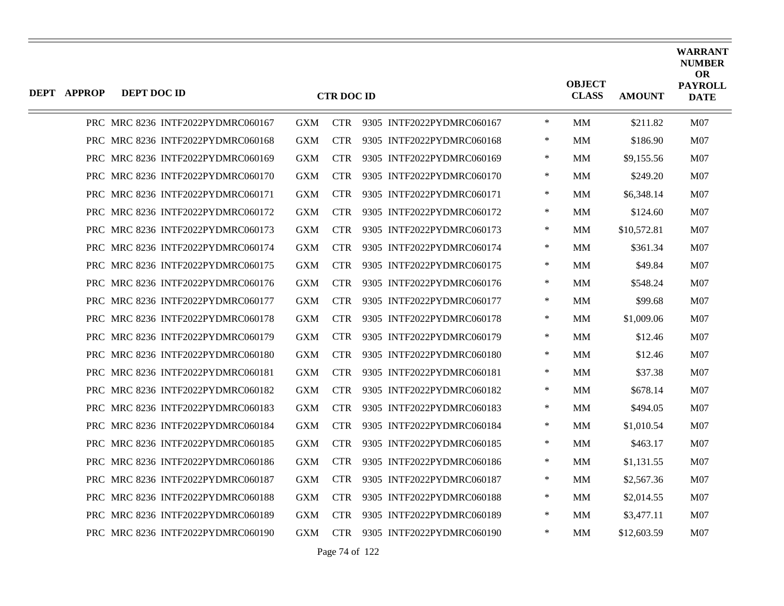| <b>DEPT APPROP</b> | DEPT DOC ID |                                   |            | <b>CTR DOC ID</b> |                               |        | <b>OBJECT</b><br><b>CLASS</b> | <b>AMOUNT</b> | <b>WARRANT</b><br><b>NUMBER</b><br><b>OR</b><br><b>PAYROLL</b><br><b>DATE</b> |
|--------------------|-------------|-----------------------------------|------------|-------------------|-------------------------------|--------|-------------------------------|---------------|-------------------------------------------------------------------------------|
|                    |             | PRC MRC 8236 INTF2022PYDMRC060167 | <b>GXM</b> |                   | CTR 9305 INTF2022PYDMRC060167 | $\ast$ | MM                            | \$211.82      | M07                                                                           |
|                    |             | PRC MRC 8236 INTF2022PYDMRC060168 | <b>GXM</b> | <b>CTR</b>        | 9305 INTF2022PYDMRC060168     | $\ast$ | MM                            | \$186.90      | M07                                                                           |
|                    |             | PRC MRC 8236 INTF2022PYDMRC060169 | GXM        | <b>CTR</b>        | 9305 INTF2022PYDMRC060169     | ∗      | MМ                            | \$9,155.56    | M07                                                                           |
|                    |             | PRC MRC 8236 INTF2022PYDMRC060170 | <b>GXM</b> | <b>CTR</b>        | 9305 INTF2022PYDMRC060170     | ∗      | MМ                            | \$249.20      | M07                                                                           |
|                    |             | PRC MRC 8236 INTF2022PYDMRC060171 | <b>GXM</b> | <b>CTR</b>        | 9305 INTF2022PYDMRC060171     | $\ast$ | MМ                            | \$6,348.14    | M07                                                                           |
|                    |             | PRC MRC 8236 INTF2022PYDMRC060172 | <b>GXM</b> | <b>CTR</b>        | 9305 INTF2022PYDMRC060172     | $\ast$ | MМ                            | \$124.60      | M07                                                                           |
|                    |             | PRC MRC 8236 INTF2022PYDMRC060173 | <b>GXM</b> | <b>CTR</b>        | 9305 INTF2022PYDMRC060173     | ∗      | MМ                            | \$10,572.81   | M07                                                                           |
|                    |             | PRC MRC 8236 INTF2022PYDMRC060174 | <b>GXM</b> | <b>CTR</b>        | 9305 INTF2022PYDMRC060174     | $\ast$ | MМ                            | \$361.34      | M07                                                                           |
|                    |             | PRC MRC 8236 INTF2022PYDMRC060175 | <b>GXM</b> | <b>CTR</b>        | 9305 INTF2022PYDMRC060175     | $\ast$ | MМ                            | \$49.84       | M07                                                                           |
|                    |             | PRC MRC 8236 INTF2022PYDMRC060176 | <b>GXM</b> | <b>CTR</b>        | 9305 INTF2022PYDMRC060176     | $\ast$ | MM                            | \$548.24      | M07                                                                           |
|                    |             | PRC MRC 8236 INTF2022PYDMRC060177 | <b>GXM</b> | <b>CTR</b>        | 9305 INTF2022PYDMRC060177     | ∗      | MМ                            | \$99.68       | M <sub>07</sub>                                                               |
|                    |             | PRC MRC 8236 INTF2022PYDMRC060178 | <b>GXM</b> | <b>CTR</b>        | 9305 INTF2022PYDMRC060178     | $\ast$ | MМ                            | \$1,009.06    | M07                                                                           |
|                    |             | PRC MRC 8236 INTF2022PYDMRC060179 | <b>GXM</b> | <b>CTR</b>        | 9305 INTF2022PYDMRC060179     | $\ast$ | <b>MM</b>                     | \$12.46       | M07                                                                           |
|                    |             | PRC MRC 8236 INTF2022PYDMRC060180 | <b>GXM</b> | <b>CTR</b>        | 9305 INTF2022PYDMRC060180     | $\ast$ | <b>MM</b>                     | \$12.46       | M07                                                                           |
|                    |             | PRC MRC 8236 INTF2022PYDMRC060181 | <b>GXM</b> | <b>CTR</b>        | 9305 INTF2022PYDMRC060181     | ∗      | MМ                            | \$37.38       | M07                                                                           |
|                    |             | PRC MRC 8236 INTF2022PYDMRC060182 | <b>GXM</b> | <b>CTR</b>        | 9305 INTF2022PYDMRC060182     | $\ast$ | MМ                            | \$678.14      | M07                                                                           |
|                    |             | PRC MRC 8236 INTF2022PYDMRC060183 | <b>GXM</b> | <b>CTR</b>        | 9305 INTF2022PYDMRC060183     | $\ast$ | <b>MM</b>                     | \$494.05      | M <sub>07</sub>                                                               |
|                    |             | PRC MRC 8236 INTF2022PYDMRC060184 | <b>GXM</b> | <b>CTR</b>        | 9305 INTF2022PYDMRC060184     | $\ast$ | <b>MM</b>                     | \$1,010.54    | M07                                                                           |
|                    |             | PRC MRC 8236 INTF2022PYDMRC060185 | <b>GXM</b> | <b>CTR</b>        | 9305 INTF2022PYDMRC060185     | $\ast$ | MМ                            | \$463.17      | M07                                                                           |
|                    |             | PRC MRC 8236 INTF2022PYDMRC060186 | <b>GXM</b> | <b>CTR</b>        | 9305 INTF2022PYDMRC060186     | $\ast$ | MМ                            | \$1,131.55    | <b>M07</b>                                                                    |
|                    |             | PRC MRC 8236 INTF2022PYDMRC060187 | <b>GXM</b> | <b>CTR</b>        | 9305 INTF2022PYDMRC060187     | $\ast$ | MМ                            | \$2,567.36    | M <sub>07</sub>                                                               |
|                    |             | PRC MRC 8236 INTF2022PYDMRC060188 | <b>GXM</b> | <b>CTR</b>        | 9305 INTF2022PYDMRC060188     | $\ast$ | MM                            | \$2,014.55    | M07                                                                           |
|                    |             | PRC MRC 8236 INTF2022PYDMRC060189 | <b>GXM</b> | <b>CTR</b>        | 9305 INTF2022PYDMRC060189     | ∗      | MM.                           | \$3,477.11    | M07                                                                           |
|                    |             | PRC MRC 8236 INTF2022PYDMRC060190 | <b>GXM</b> | <b>CTR</b>        | 9305 INTF2022PYDMRC060190     | $\ast$ | MМ                            | \$12,603.59   | M07                                                                           |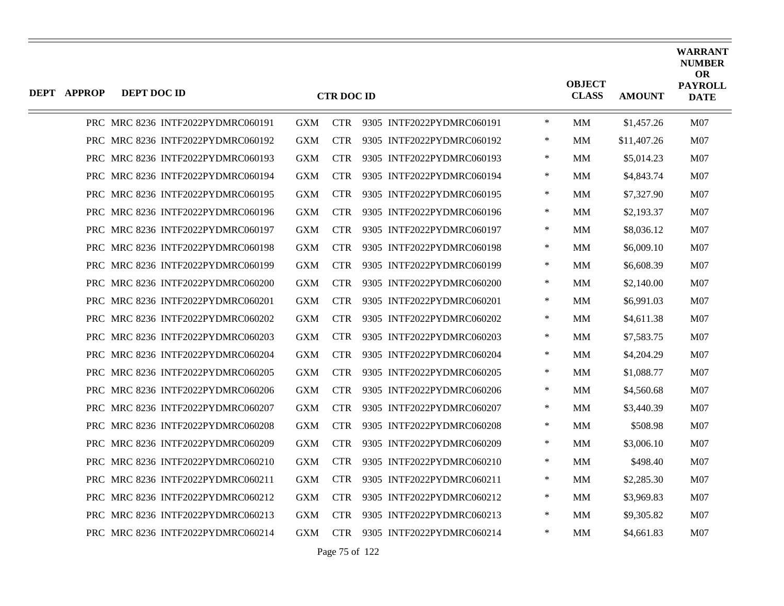| <b>DEPT APPROP</b> | DEPT DOC ID |                                   |            | <b>CTR DOC ID</b> |                           |        | <b>OBJECT</b><br><b>CLASS</b> | <b>AMOUNT</b> | <b>WARRANT</b><br><b>NUMBER</b><br><b>OR</b><br><b>PAYROLL</b><br><b>DATE</b> |
|--------------------|-------------|-----------------------------------|------------|-------------------|---------------------------|--------|-------------------------------|---------------|-------------------------------------------------------------------------------|
|                    |             | PRC MRC 8236 INTF2022PYDMRC060191 | <b>GXM</b> | <b>CTR</b>        | 9305 INTF2022PYDMRC060191 | $\ast$ | MM                            | \$1,457.26    | M07                                                                           |
|                    |             | PRC MRC 8236 INTF2022PYDMRC060192 | <b>GXM</b> | <b>CTR</b>        | 9305 INTF2022PYDMRC060192 | $\ast$ | MМ                            | \$11,407.26   | M07                                                                           |
|                    |             | PRC MRC 8236 INTF2022PYDMRC060193 | <b>GXM</b> | <b>CTR</b>        | 9305 INTF2022PYDMRC060193 | $\ast$ | MM                            | \$5,014.23    | M <sub>07</sub>                                                               |
|                    |             | PRC MRC 8236 INTF2022PYDMRC060194 | <b>GXM</b> | <b>CTR</b>        | 9305 INTF2022PYDMRC060194 | $\ast$ | MМ                            | \$4,843.74    | M07                                                                           |
|                    |             | PRC MRC 8236 INTF2022PYDMRC060195 | <b>GXM</b> | <b>CTR</b>        | 9305 INTF2022PYDMRC060195 | $\ast$ | MМ                            | \$7,327.90    | M07                                                                           |
|                    |             | PRC MRC 8236 INTF2022PYDMRC060196 | <b>GXM</b> | <b>CTR</b>        | 9305 INTF2022PYDMRC060196 | $\ast$ | MМ                            | \$2,193.37    | M07                                                                           |
|                    |             | PRC MRC 8236 INTF2022PYDMRC060197 | <b>GXM</b> | <b>CTR</b>        | 9305 INTF2022PYDMRC060197 | $\ast$ | MМ                            | \$8,036.12    | M07                                                                           |
|                    |             | PRC MRC 8236 INTF2022PYDMRC060198 | <b>GXM</b> | <b>CTR</b>        | 9305 INTF2022PYDMRC060198 | $\ast$ | MМ                            | \$6,009.10    | M07                                                                           |
|                    |             | PRC MRC 8236 INTF2022PYDMRC060199 | <b>GXM</b> | <b>CTR</b>        | 9305 INTF2022PYDMRC060199 | $\ast$ | MМ                            | \$6,608.39    | M07                                                                           |
|                    |             | PRC MRC 8236 INTF2022PYDMRC060200 | <b>GXM</b> | <b>CTR</b>        | 9305 INTF2022PYDMRC060200 | ∗      | MМ                            | \$2,140.00    | M07                                                                           |
|                    |             | PRC MRC 8236 INTF2022PYDMRC060201 | <b>GXM</b> | <b>CTR</b>        | 9305 INTF2022PYDMRC060201 | $\ast$ | MМ                            | \$6,991.03    | M07                                                                           |
|                    |             | PRC MRC 8236 INTF2022PYDMRC060202 | <b>GXM</b> | <b>CTR</b>        | 9305 INTF2022PYDMRC060202 | $\ast$ | MM                            | \$4,611.38    | M07                                                                           |
|                    |             | PRC MRC 8236 INTF2022PYDMRC060203 | <b>GXM</b> | <b>CTR</b>        | 9305 INTF2022PYDMRC060203 | $\ast$ | MМ                            | \$7,583.75    | M07                                                                           |
|                    |             | PRC MRC 8236 INTF2022PYDMRC060204 | <b>GXM</b> | <b>CTR</b>        | 9305 INTF2022PYDMRC060204 | $\ast$ | MМ                            | \$4,204.29    | M <sub>07</sub>                                                               |
|                    |             | PRC MRC 8236 INTF2022PYDMRC060205 | <b>GXM</b> | <b>CTR</b>        | 9305 INTF2022PYDMRC060205 | $\ast$ | MМ                            | \$1,088.77    | M07                                                                           |
|                    |             | PRC MRC 8236 INTF2022PYDMRC060206 | <b>GXM</b> | <b>CTR</b>        | 9305 INTF2022PYDMRC060206 | $\ast$ | MM                            | \$4,560.68    | M07                                                                           |
|                    |             | PRC MRC 8236 INTF2022PYDMRC060207 | <b>GXM</b> | <b>CTR</b>        | 9305 INTF2022PYDMRC060207 | ∗      | MМ                            | \$3,440.39    | M <sub>07</sub>                                                               |
|                    |             | PRC MRC 8236 INTF2022PYDMRC060208 | <b>GXM</b> | <b>CTR</b>        | 9305 INTF2022PYDMRC060208 | $\ast$ | MМ                            | \$508.98      | M07                                                                           |
|                    |             | PRC MRC 8236 INTF2022PYDMRC060209 | <b>GXM</b> | <b>CTR</b>        | 9305 INTF2022PYDMRC060209 | $\ast$ | MM                            | \$3,006.10    | M07                                                                           |
|                    |             | PRC MRC 8236 INTF2022PYDMRC060210 | <b>GXM</b> | <b>CTR</b>        | 9305 INTF2022PYDMRC060210 | ∗      | MМ                            | \$498.40      | M <sub>07</sub>                                                               |
|                    |             | PRC MRC 8236 INTF2022PYDMRC060211 | <b>GXM</b> | <b>CTR</b>        | 9305 INTF2022PYDMRC060211 | ∗      | MМ                            | \$2,285.30    | M <sub>07</sub>                                                               |
|                    |             | PRC MRC 8236 INTF2022PYDMRC060212 | <b>GXM</b> | <b>CTR</b>        | 9305 INTF2022PYDMRC060212 | $\ast$ | MM                            | \$3,969.83    | M07                                                                           |
|                    |             | PRC MRC 8236 INTF2022PYDMRC060213 | <b>GXM</b> | <b>CTR</b>        | 9305 INTF2022PYDMRC060213 | $\ast$ | MМ                            | \$9,305.82    | M <sub>07</sub>                                                               |
|                    |             | PRC MRC 8236 INTF2022PYDMRC060214 | GXM        | <b>CTR</b>        | 9305 INTF2022PYDMRC060214 | $\ast$ | MМ                            | \$4,661.83    | M07                                                                           |

Page 75 of 122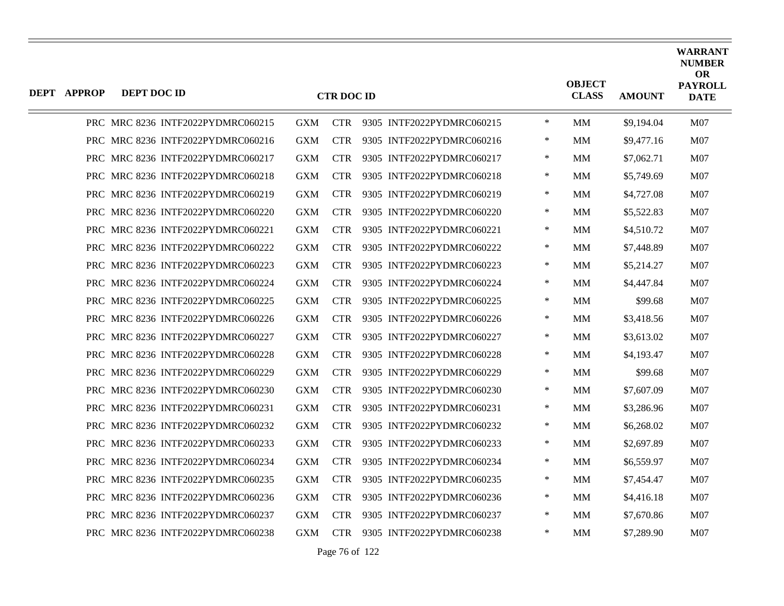| <b>DEPT APPROP</b> | DEPT DOC ID |                                   |            | <b>CTR DOC ID</b> |                           |        | <b>OBJECT</b><br><b>CLASS</b> | <b>AMOUNT</b> | <b>WARRANT</b><br><b>NUMBER</b><br><b>OR</b><br><b>PAYROLL</b><br><b>DATE</b> |
|--------------------|-------------|-----------------------------------|------------|-------------------|---------------------------|--------|-------------------------------|---------------|-------------------------------------------------------------------------------|
|                    |             | PRC MRC 8236 INTF2022PYDMRC060215 | <b>GXM</b> | <b>CTR</b>        | 9305 INTF2022PYDMRC060215 | $\ast$ | MM                            | \$9,194.04    | M07                                                                           |
|                    |             | PRC MRC 8236 INTF2022PYDMRC060216 | <b>GXM</b> | <b>CTR</b>        | 9305 INTF2022PYDMRC060216 | ∗      | MМ                            | \$9,477.16    | M07                                                                           |
|                    |             | PRC MRC 8236 INTF2022PYDMRC060217 | <b>GXM</b> | <b>CTR</b>        | 9305 INTF2022PYDMRC060217 | $\ast$ | <b>MM</b>                     | \$7,062.71    | M07                                                                           |
|                    |             | PRC MRC 8236 INTF2022PYDMRC060218 | <b>GXM</b> | <b>CTR</b>        | 9305 INTF2022PYDMRC060218 | $\ast$ | <b>MM</b>                     | \$5,749.69    | M07                                                                           |
|                    |             | PRC MRC 8236 INTF2022PYDMRC060219 | <b>GXM</b> | <b>CTR</b>        | 9305 INTF2022PYDMRC060219 | $\ast$ | MМ                            | \$4,727.08    | M07                                                                           |
|                    |             | PRC MRC 8236 INTF2022PYDMRC060220 | <b>GXM</b> | <b>CTR</b>        | 9305 INTF2022PYDMRC060220 | $\ast$ | MМ                            | \$5,522.83    | M07                                                                           |
|                    |             | PRC MRC 8236 INTF2022PYDMRC060221 | <b>GXM</b> | <b>CTR</b>        | 9305 INTF2022PYDMRC060221 | $\ast$ | <b>MM</b>                     | \$4,510.72    | M07                                                                           |
|                    |             | PRC MRC 8236 INTF2022PYDMRC060222 | GXM        | <b>CTR</b>        | 9305 INTF2022PYDMRC060222 | ∗      | MМ                            | \$7,448.89    | M07                                                                           |
|                    |             | PRC MRC 8236 INTF2022PYDMRC060223 | <b>GXM</b> | <b>CTR</b>        | 9305 INTF2022PYDMRC060223 | $\ast$ | MМ                            | \$5,214.27    | M07                                                                           |
|                    |             | PRC MRC 8236 INTF2022PYDMRC060224 | <b>GXM</b> | <b>CTR</b>        | 9305 INTF2022PYDMRC060224 | $\ast$ | <b>MM</b>                     | \$4,447.84    | M07                                                                           |
|                    |             | PRC MRC 8236 INTF2022PYDMRC060225 | GXM        | <b>CTR</b>        | 9305 INTF2022PYDMRC060225 | ∗      | MМ                            | \$99.68       | M07                                                                           |
|                    |             | PRC MRC 8236 INTF2022PYDMRC060226 | <b>GXM</b> | <b>CTR</b>        | 9305 INTF2022PYDMRC060226 | $\ast$ | MМ                            | \$3,418.56    | M07                                                                           |
|                    |             | PRC MRC 8236 INTF2022PYDMRC060227 | <b>GXM</b> | <b>CTR</b>        | 9305 INTF2022PYDMRC060227 | $\ast$ | <b>MM</b>                     | \$3,613.02    | M07                                                                           |
|                    |             | PRC MRC 8236 INTF2022PYDMRC060228 | <b>GXM</b> | <b>CTR</b>        | 9305 INTF2022PYDMRC060228 | ∗      | MМ                            | \$4,193.47    | M07                                                                           |
|                    |             | PRC MRC 8236 INTF2022PYDMRC060229 | <b>GXM</b> | <b>CTR</b>        | 9305 INTF2022PYDMRC060229 | $\ast$ | MМ                            | \$99.68       | M07                                                                           |
|                    |             | PRC MRC 8236 INTF2022PYDMRC060230 | <b>GXM</b> | <b>CTR</b>        | 9305 INTF2022PYDMRC060230 | $\ast$ | MМ                            | \$7,607.09    | M07                                                                           |
|                    |             | PRC MRC 8236 INTF2022PYDMRC060231 | GXM        | <b>CTR</b>        | 9305 INTF2022PYDMRC060231 | $\ast$ | MМ                            | \$3,286.96    | M07                                                                           |
|                    |             | PRC MRC 8236 INTF2022PYDMRC060232 | <b>GXM</b> | <b>CTR</b>        | 9305 INTF2022PYDMRC060232 | $\ast$ | MМ                            | \$6,268.02    | M07                                                                           |
|                    |             | PRC MRC 8236 INTF2022PYDMRC060233 | <b>GXM</b> | <b>CTR</b>        | 9305 INTF2022PYDMRC060233 | $\ast$ | MМ                            | \$2,697.89    | M07                                                                           |
|                    |             | PRC MRC 8236 INTF2022PYDMRC060234 | GXM        | <b>CTR</b>        | 9305 INTF2022PYDMRC060234 | $\ast$ | MМ                            | \$6,559.97    | M07                                                                           |
|                    |             | PRC MRC 8236 INTF2022PYDMRC060235 | <b>GXM</b> | <b>CTR</b>        | 9305 INTF2022PYDMRC060235 | ∗      | MМ                            | \$7,454.47    | M07                                                                           |
|                    |             | PRC MRC 8236 INTF2022PYDMRC060236 | <b>GXM</b> | <b>CTR</b>        | 9305 INTF2022PYDMRC060236 | $\ast$ | MМ                            | \$4,416.18    | M07                                                                           |
|                    |             | PRC MRC 8236 INTF2022PYDMRC060237 | <b>GXM</b> | <b>CTR</b>        | 9305 INTF2022PYDMRC060237 | $\ast$ | <b>MM</b>                     | \$7,670.86    | M07                                                                           |
|                    |             | PRC MRC 8236 INTF2022PYDMRC060238 | <b>GXM</b> | <b>CTR</b>        | 9305 INTF2022PYDMRC060238 | $\ast$ | MМ                            | \$7,289.90    | M07                                                                           |

Page 76 of 122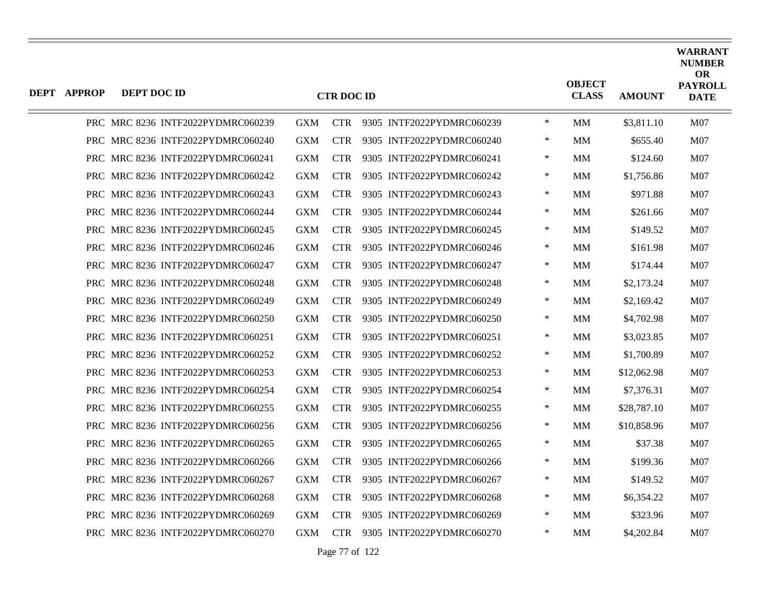| <b>DEPT APPROP</b> | DEPT DOC ID |                                   |            | <b>CTR DOC ID</b> |                           |        | <b>OBJECT</b><br><b>CLASS</b> | <b>AMOUNT</b> | <b>WARRANT</b><br><b>NUMBER</b><br><b>OR</b><br><b>PAYROLL</b><br><b>DATE</b> |
|--------------------|-------------|-----------------------------------|------------|-------------------|---------------------------|--------|-------------------------------|---------------|-------------------------------------------------------------------------------|
|                    |             | PRC MRC 8236 INTF2022PYDMRC060239 | <b>GXM</b> | <b>CTR</b>        | 9305 INTF2022PYDMRC060239 | $\ast$ | MM                            | \$3,811.10    | M07                                                                           |
|                    |             | PRC MRC 8236 INTF2022PYDMRC060240 | <b>GXM</b> | <b>CTR</b>        | 9305 INTF2022PYDMRC060240 | $\ast$ | MМ                            | \$655.40      | M07                                                                           |
|                    |             | PRC MRC 8236 INTF2022PYDMRC060241 | <b>GXM</b> | <b>CTR</b>        | 9305 INTF2022PYDMRC060241 | $\ast$ | MМ                            | \$124.60      | M07                                                                           |
|                    |             | PRC MRC 8236 INTF2022PYDMRC060242 | <b>GXM</b> | <b>CTR</b>        | 9305 INTF2022PYDMRC060242 | $\ast$ | MМ                            | \$1,756.86    | M07                                                                           |
|                    |             | PRC MRC 8236 INTF2022PYDMRC060243 | <b>GXM</b> | <b>CTR</b>        | 9305 INTF2022PYDMRC060243 | $\ast$ | MМ                            | \$971.88      | M07                                                                           |
|                    |             | PRC MRC 8236 INTF2022PYDMRC060244 | <b>GXM</b> | <b>CTR</b>        | 9305 INTF2022PYDMRC060244 | $\ast$ | MМ                            | \$261.66      | M07                                                                           |
|                    |             | PRC MRC 8236 INTF2022PYDMRC060245 | <b>GXM</b> | <b>CTR</b>        | 9305 INTF2022PYDMRC060245 | $\ast$ | MМ                            | \$149.52      | M07                                                                           |
|                    |             | PRC MRC 8236 INTF2022PYDMRC060246 | <b>GXM</b> | <b>CTR</b>        | 9305 INTF2022PYDMRC060246 | $\ast$ | MМ                            | \$161.98      | M07                                                                           |
|                    |             | PRC MRC 8236 INTF2022PYDMRC060247 | <b>GXM</b> | <b>CTR</b>        | 9305 INTF2022PYDMRC060247 | $\ast$ | MМ                            | \$174.44      | M07                                                                           |
|                    |             | PRC MRC 8236 INTF2022PYDMRC060248 | <b>GXM</b> | <b>CTR</b>        | 9305 INTF2022PYDMRC060248 | ∗      | MМ                            | \$2,173.24    | M07                                                                           |
|                    |             | PRC MRC 8236 INTF2022PYDMRC060249 | <b>GXM</b> | <b>CTR</b>        | 9305 INTF2022PYDMRC060249 | $\ast$ | MМ                            | \$2,169.42    | <b>M07</b>                                                                    |
|                    |             | PRC MRC 8236 INTF2022PYDMRC060250 | <b>GXM</b> | <b>CTR</b>        | 9305 INTF2022PYDMRC060250 | $\ast$ | MM                            | \$4,702.98    | M07                                                                           |
|                    |             | PRC MRC 8236 INTF2022PYDMRC060251 | <b>GXM</b> | <b>CTR</b>        | 9305 INTF2022PYDMRC060251 | ∗      | MМ                            | \$3,023.85    | M07                                                                           |
|                    |             | PRC MRC 8236 INTF2022PYDMRC060252 | <b>GXM</b> | <b>CTR</b>        | 9305 INTF2022PYDMRC060252 | $\ast$ | MM                            | \$1,700.89    | <b>M07</b>                                                                    |
|                    |             | PRC MRC 8236 INTF2022PYDMRC060253 | <b>GXM</b> | <b>CTR</b>        | 9305 INTF2022PYDMRC060253 | $\ast$ | MМ                            | \$12,062.98   | M07                                                                           |
|                    |             | PRC MRC 8236 INTF2022PYDMRC060254 | <b>GXM</b> | <b>CTR</b>        | 9305 INTF2022PYDMRC060254 | $\ast$ | <b>MM</b>                     | \$7,376.31    | M07                                                                           |
|                    |             | PRC MRC 8236 INTF2022PYDMRC060255 | <b>GXM</b> | <b>CTR</b>        | 9305 INTF2022PYDMRC060255 | ∗      | MM                            | \$28,787.10   | <b>M07</b>                                                                    |
|                    |             | PRC MRC 8236 INTF2022PYDMRC060256 | <b>GXM</b> | <b>CTR</b>        | 9305 INTF2022PYDMRC060256 | $\ast$ | MМ                            | \$10,858.96   | M07                                                                           |
|                    |             | PRC MRC 8236 INTF2022PYDMRC060265 | <b>GXM</b> | <b>CTR</b>        | 9305 INTF2022PYDMRC060265 | $\ast$ | MM                            | \$37.38       | M07                                                                           |
|                    |             | PRC MRC 8236 INTF2022PYDMRC060266 | <b>GXM</b> | <b>CTR</b>        | 9305 INTF2022PYDMRC060266 | ∗      | MМ                            | \$199.36      | <b>M07</b>                                                                    |
|                    |             | PRC MRC 8236 INTF2022PYDMRC060267 | <b>GXM</b> | <b>CTR</b>        | 9305 INTF2022PYDMRC060267 | ∗      | MМ                            | \$149.52      | <b>M07</b>                                                                    |
|                    |             | PRC MRC 8236 INTF2022PYDMRC060268 | <b>GXM</b> | <b>CTR</b>        | 9305 INTF2022PYDMRC060268 | $\ast$ | MМ                            | \$6,354.22    | M07                                                                           |
|                    |             | PRC MRC 8236 INTF2022PYDMRC060269 | <b>GXM</b> | <b>CTR</b>        | 9305 INTF2022PYDMRC060269 | $\ast$ | <b>MM</b>                     | \$323.96      | M07                                                                           |
|                    |             | PRC MRC 8236 INTF2022PYDMRC060270 | <b>GXM</b> | <b>CTR</b>        | 9305 INTF2022PYDMRC060270 | $\ast$ | MМ                            | \$4,202.84    | M07                                                                           |
|                    |             |                                   |            |                   |                           |        |                               |               |                                                                               |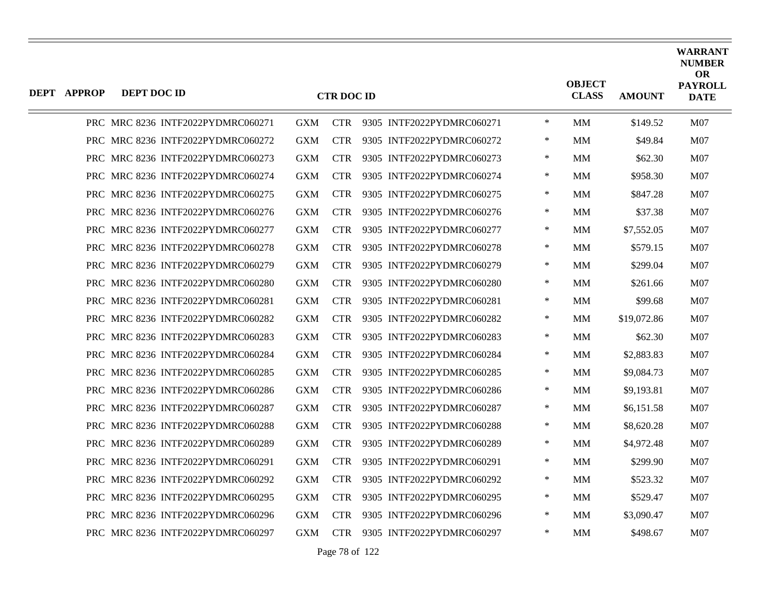| <b>DEPT APPROP</b> | DEPT DOC ID |                                   |            | <b>CTR DOC ID</b> |                           |        | <b>OBJECT</b><br><b>CLASS</b> | <b>AMOUNT</b> | <b>WARRANT</b><br><b>NUMBER</b><br><b>OR</b><br><b>PAYROLL</b><br><b>DATE</b> |
|--------------------|-------------|-----------------------------------|------------|-------------------|---------------------------|--------|-------------------------------|---------------|-------------------------------------------------------------------------------|
|                    |             | PRC MRC 8236 INTF2022PYDMRC060271 | <b>GXM</b> | <b>CTR</b>        | 9305 INTF2022PYDMRC060271 | $\ast$ | <b>MM</b>                     | \$149.52      | M07                                                                           |
|                    |             | PRC MRC 8236 INTF2022PYDMRC060272 | <b>GXM</b> | <b>CTR</b>        | 9305 INTF2022PYDMRC060272 | $\ast$ | MM                            | \$49.84       | M07                                                                           |
|                    |             | PRC MRC 8236 INTF2022PYDMRC060273 | <b>GXM</b> | <b>CTR</b>        | 9305 INTF2022PYDMRC060273 | ∗      | MМ                            | \$62.30       | M <sub>07</sub>                                                               |
|                    |             | PRC MRC 8236 INTF2022PYDMRC060274 | <b>GXM</b> | <b>CTR</b>        | 9305 INTF2022PYDMRC060274 | ∗      | MМ                            | \$958.30      | M <sub>07</sub>                                                               |
|                    |             | PRC MRC 8236 INTF2022PYDMRC060275 | <b>GXM</b> | <b>CTR</b>        | 9305 INTF2022PYDMRC060275 | $\ast$ | MМ                            | \$847.28      | M <sub>07</sub>                                                               |
|                    |             | PRC MRC 8236 INTF2022PYDMRC060276 | <b>GXM</b> | <b>CTR</b>        | 9305 INTF2022PYDMRC060276 | $\ast$ | MМ                            | \$37.38       | M07                                                                           |
|                    |             | PRC MRC 8236 INTF2022PYDMRC060277 | <b>GXM</b> | <b>CTR</b>        | 9305 INTF2022PYDMRC060277 | ∗      | MМ                            | \$7,552.05    | M07                                                                           |
|                    |             | PRC MRC 8236 INTF2022PYDMRC060278 | <b>GXM</b> | <b>CTR</b>        | 9305 INTF2022PYDMRC060278 | $\ast$ | MМ                            | \$579.15      | M <sub>07</sub>                                                               |
|                    |             | PRC MRC 8236 INTF2022PYDMRC060279 | <b>GXM</b> | <b>CTR</b>        | 9305 INTF2022PYDMRC060279 | $\ast$ | MМ                            | \$299.04      | M07                                                                           |
|                    |             | PRC MRC 8236 INTF2022PYDMRC060280 | <b>GXM</b> | <b>CTR</b>        | 9305 INTF2022PYDMRC060280 | $\ast$ | MM                            | \$261.66      | M07                                                                           |
|                    |             | PRC MRC 8236 INTF2022PYDMRC060281 | <b>GXM</b> | <b>CTR</b>        | 9305 INTF2022PYDMRC060281 | ∗      | MМ                            | \$99.68       | M07                                                                           |
|                    |             | PRC MRC 8236 INTF2022PYDMRC060282 | <b>GXM</b> | <b>CTR</b>        | 9305 INTF2022PYDMRC060282 | ∗      | MМ                            | \$19,072.86   | M <sub>07</sub>                                                               |
|                    |             | PRC MRC 8236 INTF2022PYDMRC060283 | <b>GXM</b> | <b>CTR</b>        | 9305 INTF2022PYDMRC060283 | $\ast$ | <b>MM</b>                     | \$62.30       | M07                                                                           |
|                    |             | PRC MRC 8236 INTF2022PYDMRC060284 | <b>GXM</b> | <b>CTR</b>        | 9305 INTF2022PYDMRC060284 | $\ast$ | <b>MM</b>                     | \$2,883.83    | M07                                                                           |
|                    |             | PRC MRC 8236 INTF2022PYDMRC060285 | <b>GXM</b> | <b>CTR</b>        | 9305 INTF2022PYDMRC060285 | ∗      | MМ                            | \$9,084.73    | M07                                                                           |
|                    |             | PRC MRC 8236 INTF2022PYDMRC060286 | <b>GXM</b> | <b>CTR</b>        | 9305 INTF2022PYDMRC060286 | ∗      | MМ                            | \$9,193.81    | M07                                                                           |
|                    |             | PRC MRC 8236 INTF2022PYDMRC060287 | <b>GXM</b> | <b>CTR</b>        | 9305 INTF2022PYDMRC060287 | $\ast$ | <b>MM</b>                     | \$6,151.58    | M07                                                                           |
|                    |             | PRC MRC 8236 INTF2022PYDMRC060288 | <b>GXM</b> | <b>CTR</b>        | 9305 INTF2022PYDMRC060288 | $\ast$ | <b>MM</b>                     | \$8,620.28    | M07                                                                           |
|                    |             | PRC MRC 8236 INTF2022PYDMRC060289 | <b>GXM</b> | <b>CTR</b>        | 9305 INTF2022PYDMRC060289 | ∗      | MМ                            | \$4,972.48    | M07                                                                           |
|                    |             | PRC MRC 8236 INTF2022PYDMRC060291 | <b>GXM</b> | <b>CTR</b>        | 9305 INTF2022PYDMRC060291 | $\ast$ | MМ                            | \$299.90      | M07                                                                           |
|                    |             | PRC MRC 8236 INTF2022PYDMRC060292 | <b>GXM</b> | <b>CTR</b>        | 9305 INTF2022PYDMRC060292 | ∗      | MМ                            | \$523.32      | M07                                                                           |
|                    |             | PRC MRC 8236 INTF2022PYDMRC060295 | <b>GXM</b> | <b>CTR</b>        | 9305 INTF2022PYDMRC060295 | ∗      | <b>MM</b>                     | \$529.47      | M07                                                                           |
|                    |             | PRC MRC 8236 INTF2022PYDMRC060296 | <b>GXM</b> | <b>CTR</b>        | 9305 INTF2022PYDMRC060296 | ∗      | MМ                            | \$3,090.47    | M07                                                                           |
|                    |             | PRC MRC 8236 INTF2022PYDMRC060297 | <b>GXM</b> | <b>CTR</b>        | 9305 INTF2022PYDMRC060297 | $\ast$ | MМ                            | \$498.67      | M07                                                                           |
|                    |             |                                   |            |                   |                           |        |                               |               |                                                                               |

Page 78 of 122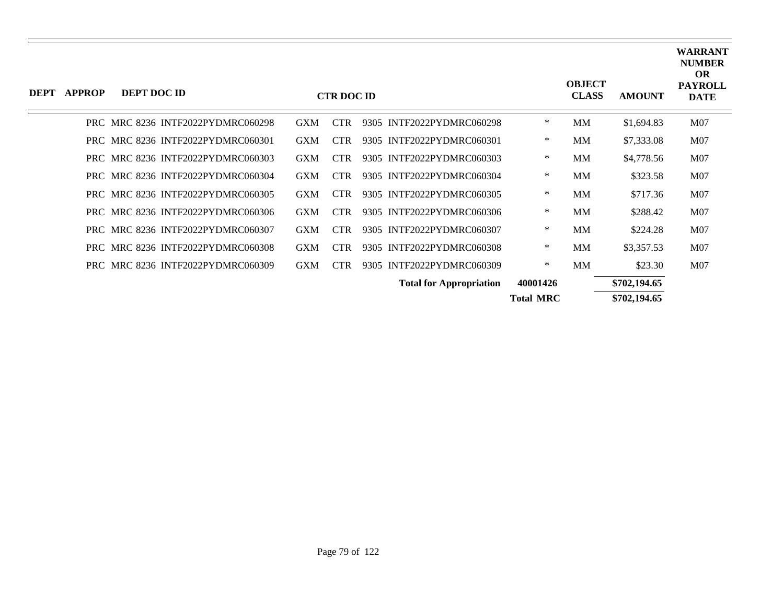| <b>DEPT</b> | <b>APPROP</b> | DEPT DOC ID                       |                                   |            | <b>CTR DOC ID</b> |                                |                  | <b>OBJECT</b><br><b>CLASS</b> | <b>AMOUNT</b> | <b>WARRANT</b><br><b>NUMBER</b><br><b>OR</b><br><b>PAYROLL</b><br><b>DATE</b> |
|-------------|---------------|-----------------------------------|-----------------------------------|------------|-------------------|--------------------------------|------------------|-------------------------------|---------------|-------------------------------------------------------------------------------|
|             |               | PRC MRC 8236 INTF2022PYDMRC060298 |                                   | <b>GXM</b> | <b>CTR</b>        | 9305 INTF2022PYDMRC060298      | $\ast$           | MM                            | \$1,694.83    | M07                                                                           |
|             |               | PRC MRC 8236 INTF2022PYDMRC060301 |                                   | <b>GXM</b> | <b>CTR</b>        | 9305 INTF2022PYDMRC060301      | $\ast$           | MM                            | \$7,333.08    | M07                                                                           |
|             |               | PRC MRC 8236 INTF2022PYDMRC060303 |                                   | <b>GXM</b> | <b>CTR</b>        | 9305 INTF2022PYDMRC060303      | $\ast$           | MM                            | \$4,778.56    | M07                                                                           |
|             |               | PRC MRC 8236 INTF2022PYDMRC060304 |                                   | <b>GXM</b> | <b>CTR</b>        | 9305 INTF2022PYDMRC060304      | $\ast$           | MM                            | \$323.58      | M07                                                                           |
|             |               | PRC MRC 8236 INTF2022PYDMRC060305 |                                   | <b>GXM</b> | <b>CTR</b>        | 9305 INTF2022PYDMRC060305      | $\ast$           | MM                            | \$717.36      | M07                                                                           |
|             |               |                                   | PRC MRC 8236 INTF2022PYDMRC060306 | <b>GXM</b> | <b>CTR</b>        | 9305 INTF2022PYDMRC060306      | $\ast$           | MM                            | \$288.42      | M07                                                                           |
|             |               | PRC MRC 8236 INTF2022PYDMRC060307 |                                   | <b>GXM</b> | <b>CTR</b>        | 9305 INTF2022PYDMRC060307      | $\ast$           | MM                            | \$224.28      | M07                                                                           |
|             |               |                                   | PRC MRC 8236 INTF2022PYDMRC060308 | <b>GXM</b> | <b>CTR</b>        | 9305 INTF2022PYDMRC060308      | $\ast$           | MM                            | \$3,357.53    | M07                                                                           |
|             |               | PRC MRC 8236 INTF2022PYDMRC060309 |                                   | <b>GXM</b> | <b>CTR</b>        | 9305 INTF2022PYDMRC060309      | $\ast$           | MM                            | \$23.30       | M07                                                                           |
|             |               |                                   |                                   |            |                   | <b>Total for Appropriation</b> | 40001426         |                               | \$702,194.65  |                                                                               |
|             |               |                                   |                                   |            |                   |                                | <b>Total MRC</b> |                               | \$702,194.65  |                                                                               |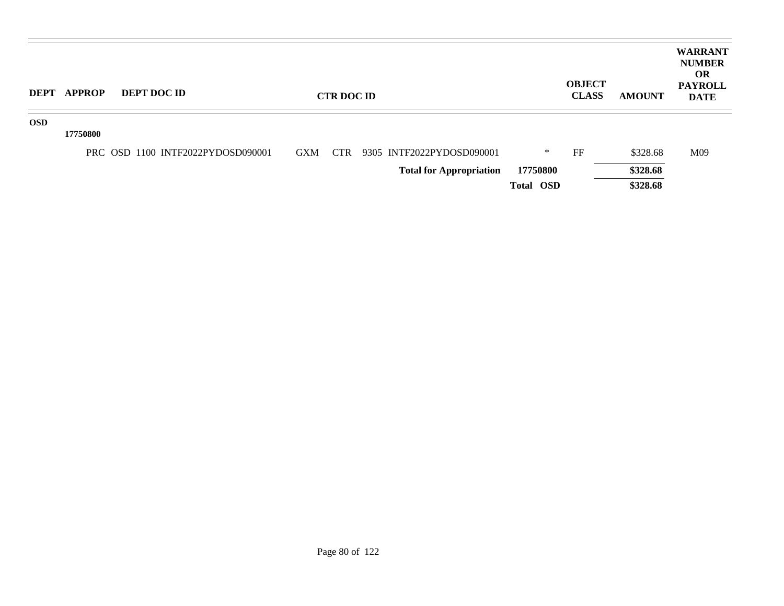| <b>DEPT</b> | <b>APPROP</b> | DEPT DOC ID                       |            | <b>CTR DOC ID</b> |                                |           | <b>OBJECT</b><br><b>CLASS</b> | <b>AMOUNT</b> | <b>WARRANT</b><br><b>NUMBER</b><br><b>OR</b><br><b>PAYROLL</b><br><b>DATE</b> |
|-------------|---------------|-----------------------------------|------------|-------------------|--------------------------------|-----------|-------------------------------|---------------|-------------------------------------------------------------------------------|
| <b>OSD</b>  | 17750800      |                                   |            |                   |                                |           |                               |               |                                                                               |
|             |               | PRC OSD 1100 INTF2022PYDOSD090001 | <b>GXM</b> | <b>CTR</b>        | 9305 INTF2022PYDOSD090001      | ∗         | FF                            | \$328.68      | M09                                                                           |
|             |               |                                   |            |                   | <b>Total for Appropriation</b> | 17750800  |                               | \$328.68      |                                                                               |
|             |               |                                   |            |                   |                                | Total OSD |                               | \$328.68      |                                                                               |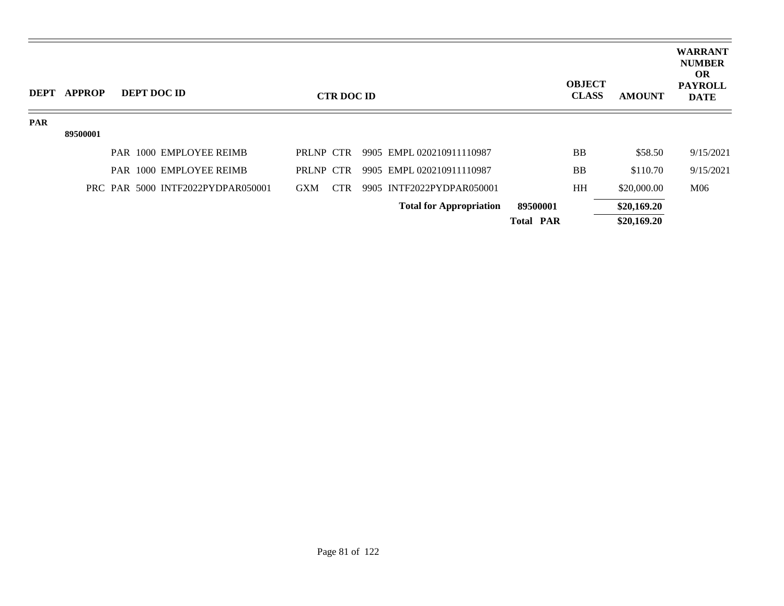| <b>DEPT</b> | <b>APPROP</b> |  | <b>DEPT DOC ID</b>                |            | <b>CTR DOC ID</b> |                                |                  | <b>OBJECT</b><br><b>CLASS</b> | <b>AMOUNT</b> | <b>WARRANT</b><br><b>NUMBER</b><br><b>OR</b><br><b>PAYROLL</b><br><b>DATE</b> |
|-------------|---------------|--|-----------------------------------|------------|-------------------|--------------------------------|------------------|-------------------------------|---------------|-------------------------------------------------------------------------------|
| <b>PAR</b>  |               |  |                                   |            |                   |                                |                  |                               |               |                                                                               |
|             | 89500001      |  |                                   |            |                   |                                |                  |                               |               |                                                                               |
|             |               |  | PAR 1000 EMPLOYEE REIMB           | PRLNP CTR  |                   | 9905 EMPL 020210911110987      |                  | <b>BB</b>                     | \$58.50       | 9/15/2021                                                                     |
|             |               |  | PAR 1000 EMPLOYEE REIMB           | PRLNP CTR  |                   | 9905 EMPL 020210911110987      |                  | <b>BB</b>                     | \$110.70      | 9/15/2021                                                                     |
|             |               |  | PRC PAR 5000 INTF2022PYDPAR050001 | <b>GXM</b> | <b>CTR</b>        | 9905 INTF2022PYDPAR050001      |                  | HH                            | \$20,000.00   | M06                                                                           |
|             |               |  |                                   |            |                   | <b>Total for Appropriation</b> | 89500001         |                               | \$20,169.20   |                                                                               |
|             |               |  |                                   |            |                   |                                | <b>Total PAR</b> |                               | \$20,169.20   |                                                                               |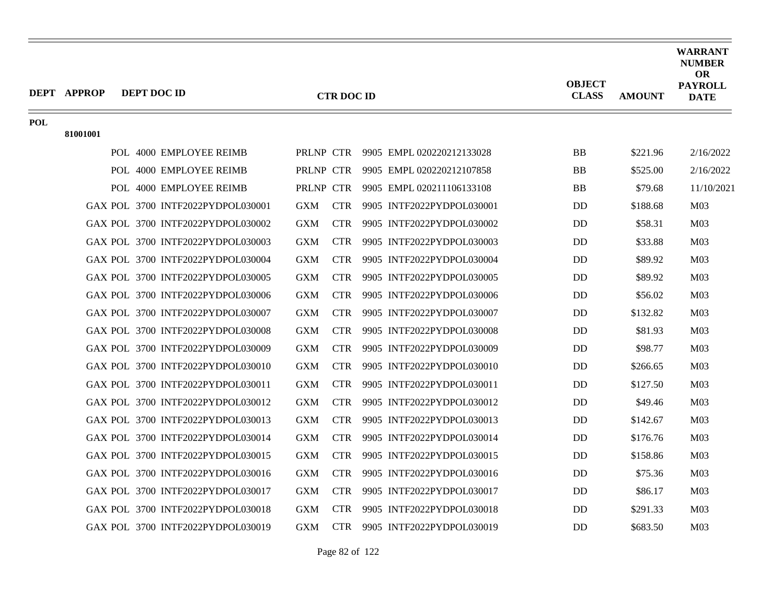|            | <b>DEPT APPROP</b> | DEPT DOC ID |                                   |            | <b>CTR DOC ID</b> |                                     | <b>OBJECT</b><br><b>CLASS</b> | <b>AMOUNT</b> | <b>WARRANT</b><br><b>NUMBER</b><br><b>OR</b><br><b>PAYROLL</b><br><b>DATE</b> |
|------------|--------------------|-------------|-----------------------------------|------------|-------------------|-------------------------------------|-------------------------------|---------------|-------------------------------------------------------------------------------|
| <b>POL</b> |                    |             |                                   |            |                   |                                     |                               |               |                                                                               |
|            | 81001001           |             |                                   |            |                   |                                     |                               |               |                                                                               |
|            |                    |             | POL 4000 EMPLOYEE REIMB           |            |                   | PRLNP CTR 9905 EMPL 020220212133028 | <b>BB</b>                     | \$221.96      | 2/16/2022                                                                     |
|            |                    |             | POL 4000 EMPLOYEE REIMB           | PRLNP CTR  |                   | 9905 EMPL 020220212107858           | <b>BB</b>                     | \$525.00      | 2/16/2022                                                                     |
|            |                    |             | POL 4000 EMPLOYEE REIMB           | PRLNP CTR  |                   | 9905 EMPL 020211106133108           | <b>BB</b>                     | \$79.68       | 11/10/2021                                                                    |
|            |                    |             | GAX POL 3700 INTF2022PYDPOL030001 | <b>GXM</b> | <b>CTR</b>        | 9905 INTF2022PYDPOL030001           | <b>DD</b>                     | \$188.68      | M <sub>03</sub>                                                               |
|            |                    |             | GAX POL 3700 INTF2022PYDPOL030002 | <b>GXM</b> | <b>CTR</b>        | 9905 INTF2022PYDPOL030002           | <b>DD</b>                     | \$58.31       | M <sub>03</sub>                                                               |
|            |                    |             | GAX POL 3700 INTF2022PYDPOL030003 | <b>GXM</b> | <b>CTR</b>        | 9905 INTF2022PYDPOL030003           | <b>DD</b>                     | \$33.88       | M <sub>03</sub>                                                               |
|            |                    |             | GAX POL 3700 INTF2022PYDPOL030004 | <b>GXM</b> | <b>CTR</b>        | 9905 INTF2022PYDPOL030004           | <b>DD</b>                     | \$89.92       | M <sub>03</sub>                                                               |
|            |                    |             | GAX POL 3700 INTF2022PYDPOL030005 | <b>GXM</b> | <b>CTR</b>        | 9905 INTF2022PYDPOL030005           | <b>DD</b>                     | \$89.92       | M <sub>03</sub>                                                               |
|            |                    |             | GAX POL 3700 INTF2022PYDPOL030006 | <b>GXM</b> | <b>CTR</b>        | 9905 INTF2022PYDPOL030006           | <b>DD</b>                     | \$56.02       | M <sub>03</sub>                                                               |
|            |                    |             | GAX POL 3700 INTF2022PYDPOL030007 | <b>GXM</b> | <b>CTR</b>        | 9905 INTF2022PYDPOL030007           | <b>DD</b>                     | \$132.82      | M <sub>03</sub>                                                               |
|            |                    |             | GAX POL 3700 INTF2022PYDPOL030008 | <b>GXM</b> | <b>CTR</b>        | 9905 INTF2022PYDPOL030008           | <b>DD</b>                     | \$81.93       | M <sub>03</sub>                                                               |
|            |                    |             | GAX POL 3700 INTF2022PYDPOL030009 | <b>GXM</b> | <b>CTR</b>        | 9905 INTF2022PYDPOL030009           | <b>DD</b>                     | \$98.77       | M <sub>03</sub>                                                               |
|            |                    |             | GAX POL 3700 INTF2022PYDPOL030010 | <b>GXM</b> | <b>CTR</b>        | 9905 INTF2022PYDPOL030010           | D <sub>D</sub>                | \$266.65      | M <sub>03</sub>                                                               |
|            |                    |             | GAX POL 3700 INTF2022PYDPOL030011 | <b>GXM</b> | <b>CTR</b>        | 9905 INTF2022PYDPOL030011           | <b>DD</b>                     | \$127.50      | M <sub>03</sub>                                                               |
|            |                    |             | GAX POL 3700 INTF2022PYDPOL030012 | <b>GXM</b> | <b>CTR</b>        | 9905 INTF2022PYDPOL030012           | <b>DD</b>                     | \$49.46       | M <sub>03</sub>                                                               |
|            |                    |             | GAX POL 3700 INTF2022PYDPOL030013 | <b>GXM</b> | <b>CTR</b>        | 9905 INTF2022PYDPOL030013           | <b>DD</b>                     | \$142.67      | M <sub>03</sub>                                                               |
|            |                    |             | GAX POL 3700 INTF2022PYDPOL030014 | <b>GXM</b> | <b>CTR</b>        | 9905 INTF2022PYDPOL030014           | <b>DD</b>                     | \$176.76      | M <sub>03</sub>                                                               |
|            |                    |             | GAX POL 3700 INTF2022PYDPOL030015 | <b>GXM</b> | <b>CTR</b>        | 9905 INTF2022PYDPOL030015           | <b>DD</b>                     | \$158.86      | M <sub>03</sub>                                                               |
|            |                    |             | GAX POL 3700 INTF2022PYDPOL030016 | <b>GXM</b> | <b>CTR</b>        | 9905 INTF2022PYDPOL030016           | <b>DD</b>                     | \$75.36       | M <sub>03</sub>                                                               |
|            |                    |             | GAX POL 3700 INTF2022PYDPOL030017 | <b>GXM</b> | <b>CTR</b>        | 9905 INTF2022PYDPOL030017           | <b>DD</b>                     | \$86.17       | M <sub>03</sub>                                                               |
|            |                    |             | GAX POL 3700 INTF2022PYDPOL030018 | <b>GXM</b> | <b>CTR</b>        | 9905 INTF2022PYDPOL030018           | <b>DD</b>                     | \$291.33      | M <sub>03</sub>                                                               |
|            |                    |             | GAX POL 3700 INTF2022PYDPOL030019 | <b>GXM</b> | <b>CTR</b>        | 9905 INTF2022PYDPOL030019           | <b>DD</b>                     | \$683.50      | M <sub>03</sub>                                                               |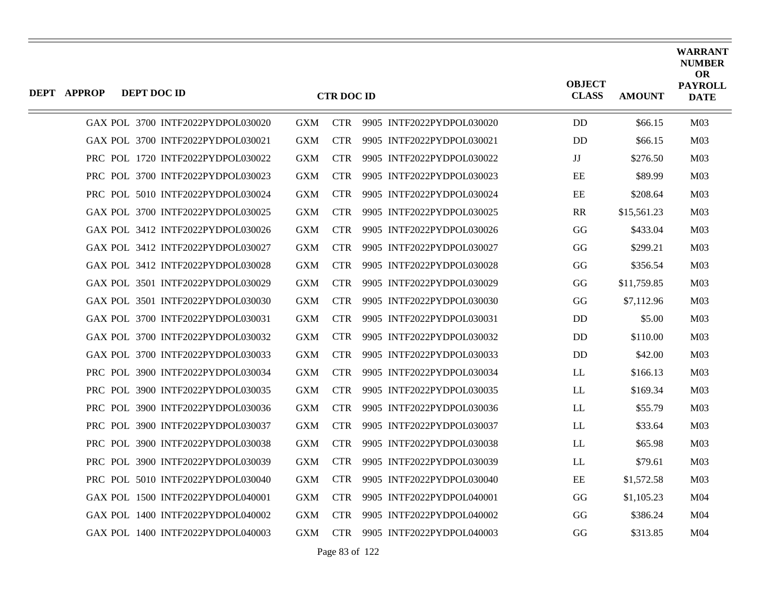| <b>DEPT APPROP</b> | <b>DEPT DOC ID</b> |                                   |            | <b>CTR DOC ID</b> |                           | <b>OBJECT</b><br><b>CLASS</b> | <b>AMOUNT</b> | <b>WARRANT</b><br><b>NUMBER</b><br><b>OR</b><br><b>PAYROLL</b><br><b>DATE</b> |
|--------------------|--------------------|-----------------------------------|------------|-------------------|---------------------------|-------------------------------|---------------|-------------------------------------------------------------------------------|
|                    |                    | GAX POL 3700 INTF2022PYDPOL030020 | <b>GXM</b> | <b>CTR</b>        | 9905 INTF2022PYDPOL030020 | DD                            | \$66.15       | M <sub>03</sub>                                                               |
|                    |                    | GAX POL 3700 INTF2022PYDPOL030021 | <b>GXM</b> | <b>CTR</b>        | 9905 INTF2022PYDPOL030021 | <b>DD</b>                     | \$66.15       | M <sub>03</sub>                                                               |
|                    |                    | PRC POL 1720 INTF2022PYDPOL030022 | <b>GXM</b> | <b>CTR</b>        | 9905 INTF2022PYDPOL030022 | JJ                            | \$276.50      | M <sub>03</sub>                                                               |
|                    |                    | PRC POL 3700 INTF2022PYDPOL030023 | <b>GXM</b> | <b>CTR</b>        | 9905 INTF2022PYDPOL030023 | EE                            | \$89.99       | M <sub>03</sub>                                                               |
|                    |                    | PRC POL 5010 INTF2022PYDPOL030024 | <b>GXM</b> | <b>CTR</b>        | 9905 INTF2022PYDPOL030024 | EE                            | \$208.64      | M <sub>03</sub>                                                               |
|                    |                    | GAX POL 3700 INTF2022PYDPOL030025 | <b>GXM</b> | <b>CTR</b>        | 9905 INTF2022PYDPOL030025 | <b>RR</b>                     | \$15,561.23   | M <sub>03</sub>                                                               |
|                    |                    | GAX POL 3412 INTF2022PYDPOL030026 | <b>GXM</b> | <b>CTR</b>        | 9905 INTF2022PYDPOL030026 | GG                            | \$433.04      | M <sub>03</sub>                                                               |
|                    |                    | GAX POL 3412 INTF2022PYDPOL030027 | <b>GXM</b> | <b>CTR</b>        | 9905 INTF2022PYDPOL030027 | GG                            | \$299.21      | M <sub>03</sub>                                                               |
|                    |                    | GAX POL 3412 INTF2022PYDPOL030028 | <b>GXM</b> | <b>CTR</b>        | 9905 INTF2022PYDPOL030028 | GG                            | \$356.54      | M <sub>03</sub>                                                               |
|                    |                    | GAX POL 3501 INTF2022PYDPOL030029 | <b>GXM</b> | <b>CTR</b>        | 9905 INTF2022PYDPOL030029 | GG                            | \$11,759.85   | M <sub>03</sub>                                                               |
|                    |                    | GAX POL 3501 INTF2022PYDPOL030030 | <b>GXM</b> | <b>CTR</b>        | 9905 INTF2022PYDPOL030030 | GG                            | \$7,112.96    | M <sub>03</sub>                                                               |
|                    |                    | GAX POL 3700 INTF2022PYDPOL030031 | <b>GXM</b> | <b>CTR</b>        | 9905 INTF2022PYDPOL030031 | <b>DD</b>                     | \$5.00        | M <sub>03</sub>                                                               |
|                    |                    | GAX POL 3700 INTF2022PYDPOL030032 | <b>GXM</b> | <b>CTR</b>        | 9905 INTF2022PYDPOL030032 | D <sub>D</sub>                | \$110.00      | M <sub>03</sub>                                                               |
|                    |                    | GAX POL 3700 INTF2022PYDPOL030033 | <b>GXM</b> | <b>CTR</b>        | 9905 INTF2022PYDPOL030033 | DD                            | \$42.00       | M <sub>03</sub>                                                               |
|                    |                    | PRC POL 3900 INTF2022PYDPOL030034 | <b>GXM</b> | <b>CTR</b>        | 9905 INTF2022PYDPOL030034 | LL                            | \$166.13      | M <sub>03</sub>                                                               |
|                    |                    | PRC POL 3900 INTF2022PYDPOL030035 | <b>GXM</b> | <b>CTR</b>        | 9905 INTF2022PYDPOL030035 | LL                            | \$169.34      | M <sub>03</sub>                                                               |
|                    |                    | PRC POL 3900 INTF2022PYDPOL030036 | <b>GXM</b> | <b>CTR</b>        | 9905 INTF2022PYDPOL030036 | LL                            | \$55.79       | M <sub>03</sub>                                                               |
|                    |                    | PRC POL 3900 INTF2022PYDPOL030037 | <b>GXM</b> | <b>CTR</b>        | 9905 INTF2022PYDPOL030037 | LL                            | \$33.64       | M <sub>03</sub>                                                               |
|                    |                    | PRC POL 3900 INTF2022PYDPOL030038 | <b>GXM</b> | <b>CTR</b>        | 9905 INTF2022PYDPOL030038 | LL                            | \$65.98       | M <sub>03</sub>                                                               |
|                    |                    | PRC POL 3900 INTF2022PYDPOL030039 | <b>GXM</b> | <b>CTR</b>        | 9905 INTF2022PYDPOL030039 | LL                            | \$79.61       | M <sub>03</sub>                                                               |
|                    |                    | PRC POL 5010 INTF2022PYDPOL030040 | <b>GXM</b> | <b>CTR</b>        | 9905 INTF2022PYDPOL030040 | EE                            | \$1,572.58    | M <sub>03</sub>                                                               |
|                    |                    | GAX POL 1500 INTF2022PYDPOL040001 | <b>GXM</b> | <b>CTR</b>        | 9905 INTF2022PYDPOL040001 | GG                            | \$1,105.23    | M <sub>04</sub>                                                               |
|                    |                    | GAX POL 1400 INTF2022PYDPOL040002 | <b>GXM</b> | <b>CTR</b>        | 9905 INTF2022PYDPOL040002 | GG                            | \$386.24      | M <sub>04</sub>                                                               |
|                    |                    | GAX POL 1400 INTF2022PYDPOL040003 | <b>GXM</b> | <b>CTR</b>        | 9905 INTF2022PYDPOL040003 | GG                            | \$313.85      | M04                                                                           |

Page 83 of 122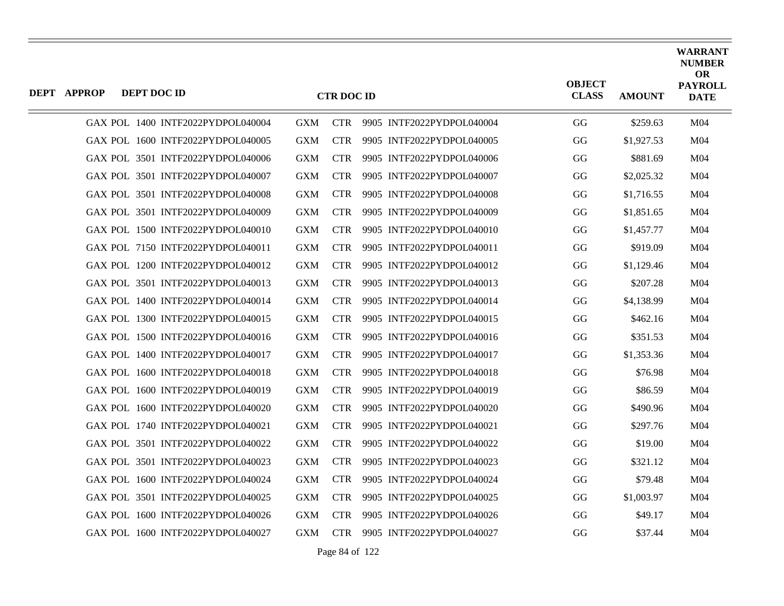| <b>DEPT APPROP</b> | DEPT DOC ID |                                   |            | <b>CTR DOC ID</b> |                               | <b>OBJECT</b><br><b>CLASS</b> | <b>AMOUNT</b> | <b>WARRANT</b><br><b>NUMBER</b><br><b>OR</b><br><b>PAYROLL</b><br><b>DATE</b> |
|--------------------|-------------|-----------------------------------|------------|-------------------|-------------------------------|-------------------------------|---------------|-------------------------------------------------------------------------------|
|                    |             | GAX POL 1400 INTF2022PYDPOL040004 | <b>GXM</b> |                   | CTR 9905 INTF2022PYDPOL040004 | GG                            | \$259.63      | M <sub>04</sub>                                                               |
|                    |             | GAX POL 1600 INTF2022PYDPOL040005 | <b>GXM</b> | <b>CTR</b>        | 9905 INTF2022PYDPOL040005     | GG                            | \$1,927.53    | M <sub>04</sub>                                                               |
|                    |             | GAX POL 3501 INTF2022PYDPOL040006 | <b>GXM</b> | <b>CTR</b>        | 9905 INTF2022PYDPOL040006     | GG                            | \$881.69      | M <sub>04</sub>                                                               |
|                    |             | GAX POL 3501 INTF2022PYDPOL040007 | <b>GXM</b> | <b>CTR</b>        | 9905 INTF2022PYDPOL040007     | GG                            | \$2,025.32    | M <sub>04</sub>                                                               |
|                    |             | GAX POL 3501 INTF2022PYDPOL040008 | <b>GXM</b> | <b>CTR</b>        | 9905 INTF2022PYDPOL040008     | GG                            | \$1,716.55    | M <sub>04</sub>                                                               |
|                    |             | GAX POL 3501 INTF2022PYDPOL040009 | <b>GXM</b> | <b>CTR</b>        | 9905 INTF2022PYDPOL040009     | GG                            | \$1,851.65    | M04                                                                           |
|                    |             | GAX POL 1500 INTF2022PYDPOL040010 | <b>GXM</b> | <b>CTR</b>        | 9905 INTF2022PYDPOL040010     | GG                            | \$1,457.77    | M <sub>04</sub>                                                               |
|                    |             | GAX POL 7150 INTF2022PYDPOL040011 | <b>GXM</b> | <b>CTR</b>        | 9905 INTF2022PYDPOL040011     | GG                            | \$919.09      | M <sub>04</sub>                                                               |
|                    |             | GAX POL 1200 INTF2022PYDPOL040012 | <b>GXM</b> | <b>CTR</b>        | 9905 INTF2022PYDPOL040012     | GG                            | \$1,129.46    | M <sub>04</sub>                                                               |
|                    |             | GAX POL 3501 INTF2022PYDPOL040013 | <b>GXM</b> | <b>CTR</b>        | 9905 INTF2022PYDPOL040013     | GG                            | \$207.28      | M <sub>04</sub>                                                               |
|                    |             | GAX POL 1400 INTF2022PYDPOL040014 | <b>GXM</b> | <b>CTR</b>        | 9905 INTF2022PYDPOL040014     | GG                            | \$4,138.99    | M <sub>04</sub>                                                               |
|                    |             | GAX POL 1300 INTF2022PYDPOL040015 | <b>GXM</b> | <b>CTR</b>        | 9905 INTF2022PYDPOL040015     | GG                            | \$462.16      | M <sub>04</sub>                                                               |
|                    |             | GAX POL 1500 INTF2022PYDPOL040016 | <b>GXM</b> | <b>CTR</b>        | 9905 INTF2022PYDPOL040016     | GG                            | \$351.53      | M <sub>04</sub>                                                               |
|                    |             | GAX POL 1400 INTF2022PYDPOL040017 | <b>GXM</b> | <b>CTR</b>        | 9905 INTF2022PYDPOL040017     | GG                            | \$1,353.36    | M <sub>04</sub>                                                               |
|                    |             | GAX POL 1600 INTF2022PYDPOL040018 | <b>GXM</b> | <b>CTR</b>        | 9905 INTF2022PYDPOL040018     | GG                            | \$76.98       | M <sub>04</sub>                                                               |
|                    |             | GAX POL 1600 INTF2022PYDPOL040019 | <b>GXM</b> | <b>CTR</b>        | 9905 INTF2022PYDPOL040019     | GG                            | \$86.59       | M <sub>04</sub>                                                               |
|                    |             | GAX POL 1600 INTF2022PYDPOL040020 | <b>GXM</b> | <b>CTR</b>        | 9905 INTF2022PYDPOL040020     | GG                            | \$490.96      | M <sub>04</sub>                                                               |
|                    |             | GAX POL 1740 INTF2022PYDPOL040021 | <b>GXM</b> | <b>CTR</b>        | 9905 INTF2022PYDPOL040021     | GG                            | \$297.76      | M <sub>04</sub>                                                               |
|                    |             | GAX POL 3501 INTF2022PYDPOL040022 | <b>GXM</b> | <b>CTR</b>        | 9905 INTF2022PYDPOL040022     | GG                            | \$19.00       | M <sub>04</sub>                                                               |
|                    |             | GAX POL 3501 INTF2022PYDPOL040023 | <b>GXM</b> | <b>CTR</b>        | 9905 INTF2022PYDPOL040023     | GG                            | \$321.12      | M <sub>04</sub>                                                               |
|                    |             | GAX POL 1600 INTF2022PYDPOL040024 | <b>GXM</b> | <b>CTR</b>        | 9905 INTF2022PYDPOL040024     | GG                            | \$79.48       | M <sub>04</sub>                                                               |
|                    |             | GAX POL 3501 INTF2022PYDPOL040025 | <b>GXM</b> | <b>CTR</b>        | 9905 INTF2022PYDPOL040025     | GG                            | \$1,003.97    | M <sub>04</sub>                                                               |
|                    |             | GAX POL 1600 INTF2022PYDPOL040026 | <b>GXM</b> | <b>CTR</b>        | 9905 INTF2022PYDPOL040026     | GG                            | \$49.17       | M <sub>04</sub>                                                               |
|                    |             | GAX POL 1600 INTF2022PYDPOL040027 | GXM        |                   | CTR 9905 INTF2022PYDPOL040027 | GG                            | \$37.44       | M <sub>04</sub>                                                               |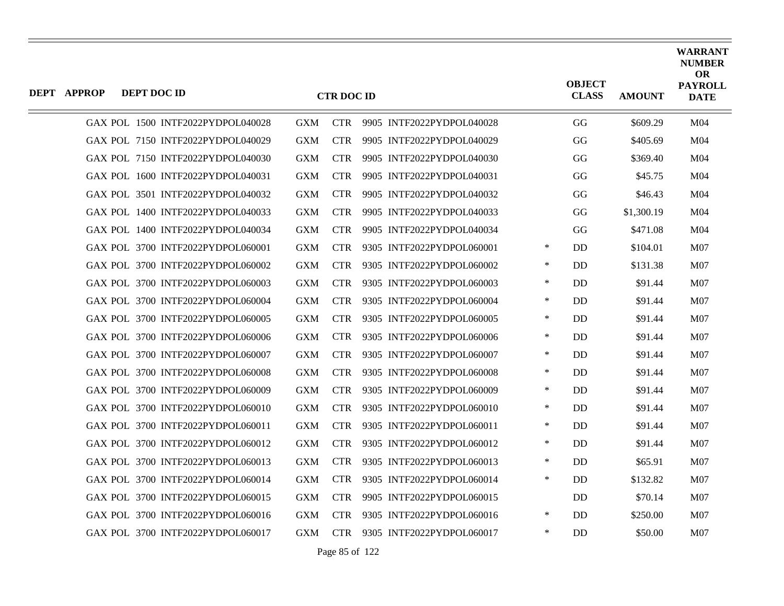| DEPT APPROP | DEPT DOC ID |                                   |            | <b>CTR DOC ID</b> |                               |        | <b>OBJECT</b><br><b>CLASS</b> | <b>AMOUNT</b> | <b>WARRANT</b><br><b>NUMBER</b><br>OR<br><b>PAYROLL</b><br><b>DATE</b> |
|-------------|-------------|-----------------------------------|------------|-------------------|-------------------------------|--------|-------------------------------|---------------|------------------------------------------------------------------------|
|             |             | GAX POL 1500 INTF2022PYDPOL040028 | <b>GXM</b> | <b>CTR</b>        | 9905 INTF2022PYDPOL040028     |        | GG                            | \$609.29      | M <sub>04</sub>                                                        |
|             |             | GAX POL 7150 INTF2022PYDPOL040029 | <b>GXM</b> | <b>CTR</b>        | 9905 INTF2022PYDPOL040029     |        | GG                            | \$405.69      | M <sub>04</sub>                                                        |
|             |             | GAX POL 7150 INTF2022PYDPOL040030 | <b>GXM</b> | <b>CTR</b>        | 9905 INTF2022PYDPOL040030     |        | GG                            | \$369.40      | M <sub>04</sub>                                                        |
|             |             | GAX POL 1600 INTF2022PYDPOL040031 | <b>GXM</b> | <b>CTR</b>        | 9905 INTF2022PYDPOL040031     |        | GG                            | \$45.75       | M <sub>04</sub>                                                        |
|             |             | GAX POL 3501 INTF2022PYDPOL040032 | <b>GXM</b> | <b>CTR</b>        | 9905 INTF2022PYDPOL040032     |        | GG                            | \$46.43       | M <sub>04</sub>                                                        |
|             |             | GAX POL 1400 INTF2022PYDPOL040033 | <b>GXM</b> | <b>CTR</b>        | 9905 INTF2022PYDPOL040033     |        | GG                            | \$1,300.19    | M <sub>04</sub>                                                        |
|             |             | GAX POL 1400 INTF2022PYDPOL040034 | <b>GXM</b> | <b>CTR</b>        | 9905 INTF2022PYDPOL040034     |        | GG                            | \$471.08      | M <sub>04</sub>                                                        |
|             |             | GAX POL 3700 INTF2022PYDPOL060001 | <b>GXM</b> | <b>CTR</b>        | 9305 INTF2022PYDPOL060001     | $\ast$ | DD                            | \$104.01      | M07                                                                    |
|             |             | GAX POL 3700 INTF2022PYDPOL060002 | <b>GXM</b> | <b>CTR</b>        | 9305 INTF2022PYDPOL060002     | ∗      | DD                            | \$131.38      | M07                                                                    |
|             |             | GAX POL 3700 INTF2022PYDPOL060003 | <b>GXM</b> | <b>CTR</b>        | 9305 INTF2022PYDPOL060003     | $\ast$ | <b>DD</b>                     | \$91.44       | M07                                                                    |
|             |             | GAX POL 3700 INTF2022PYDPOL060004 | <b>GXM</b> | <b>CTR</b>        | 9305 INTF2022PYDPOL060004     | $\ast$ | <b>DD</b>                     | \$91.44       | M07                                                                    |
|             |             | GAX POL 3700 INTF2022PYDPOL060005 | <b>GXM</b> | <b>CTR</b>        | 9305 INTF2022PYDPOL060005     | $\ast$ | <b>DD</b>                     | \$91.44       | M07                                                                    |
|             |             | GAX POL 3700 INTF2022PYDPOL060006 | <b>GXM</b> | <b>CTR</b>        | 9305 INTF2022PYDPOL060006     | $\ast$ | DD                            | \$91.44       | M07                                                                    |
|             |             | GAX POL 3700 INTF2022PYDPOL060007 | <b>GXM</b> | <b>CTR</b>        | 9305 INTF2022PYDPOL060007     | $\ast$ | <b>DD</b>                     | \$91.44       | <b>M07</b>                                                             |
|             |             | GAX POL 3700 INTF2022PYDPOL060008 | <b>GXM</b> | <b>CTR</b>        | 9305 INTF2022PYDPOL060008     | $\ast$ | <b>DD</b>                     | \$91.44       | M07                                                                    |
|             |             | GAX POL 3700 INTF2022PYDPOL060009 | <b>GXM</b> | <b>CTR</b>        | 9305 INTF2022PYDPOL060009     | $\ast$ | DD                            | \$91.44       | M07                                                                    |
|             |             | GAX POL 3700 INTF2022PYDPOL060010 | <b>GXM</b> | <b>CTR</b>        | 9305 INTF2022PYDPOL060010     | $\ast$ | <b>DD</b>                     | \$91.44       | <b>M07</b>                                                             |
|             |             | GAX POL 3700 INTF2022PYDPOL060011 | <b>GXM</b> | <b>CTR</b>        | 9305 INTF2022PYDPOL060011     | ∗      | <b>DD</b>                     | \$91.44       | M07                                                                    |
|             |             | GAX POL 3700 INTF2022PYDPOL060012 | <b>GXM</b> | <b>CTR</b>        | 9305 INTF2022PYDPOL060012     | $\ast$ | <b>DD</b>                     | \$91.44       | M07                                                                    |
|             |             | GAX POL 3700 INTF2022PYDPOL060013 | <b>GXM</b> | <b>CTR</b>        | 9305 INTF2022PYDPOL060013     | $\ast$ | <b>DD</b>                     | \$65.91       | M07                                                                    |
|             |             | GAX POL 3700 INTF2022PYDPOL060014 | <b>GXM</b> | <b>CTR</b>        | 9305 INTF2022PYDPOL060014     | $\ast$ | <b>DD</b>                     | \$132.82      | M07                                                                    |
|             |             | GAX POL 3700 INTF2022PYDPOL060015 | <b>GXM</b> | <b>CTR</b>        | 9905 INTF2022PYDPOL060015     |        | <b>DD</b>                     | \$70.14       | M07                                                                    |
|             |             | GAX POL 3700 INTF2022PYDPOL060016 | <b>GXM</b> | <b>CTR</b>        | 9305 INTF2022PYDPOL060016     | ∗      | <b>DD</b>                     | \$250.00      | <b>M07</b>                                                             |
|             |             | GAX POL 3700 INTF2022PYDPOL060017 | <b>GXM</b> |                   | CTR 9305 INTF2022PYDPOL060017 | $\ast$ | <b>DD</b>                     | \$50.00       | M07                                                                    |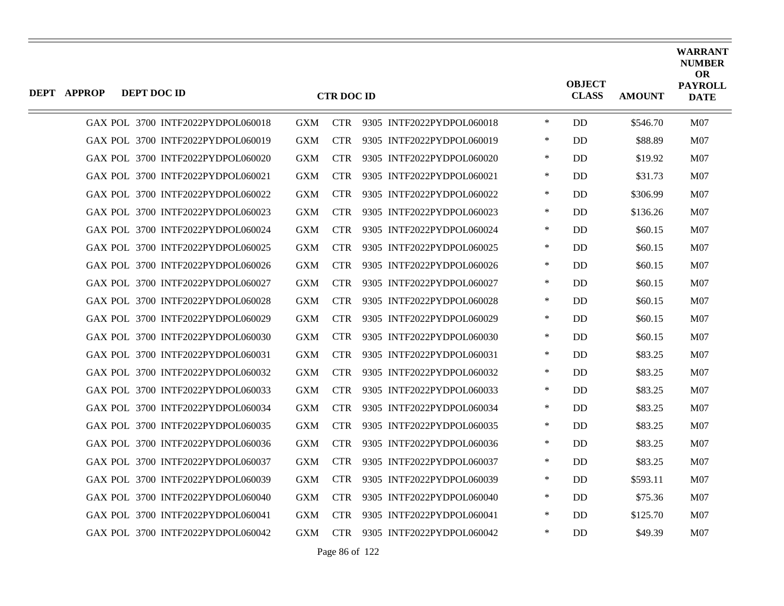| <b>DEPT APPROP</b> | DEPT DOC ID |                                   |            | <b>CTR DOC ID</b> |                           |        | <b>OBJECT</b><br><b>CLASS</b> | <b>AMOUNT</b> | <b>WARRANT</b><br><b>NUMBER</b><br><b>OR</b><br><b>PAYROLL</b><br><b>DATE</b> |
|--------------------|-------------|-----------------------------------|------------|-------------------|---------------------------|--------|-------------------------------|---------------|-------------------------------------------------------------------------------|
|                    |             | GAX POL 3700 INTF2022PYDPOL060018 | <b>GXM</b> | <b>CTR</b>        | 9305 INTF2022PYDPOL060018 | $\ast$ | <b>DD</b>                     | \$546.70      | M07                                                                           |
|                    |             | GAX POL 3700 INTF2022PYDPOL060019 | <b>GXM</b> | <b>CTR</b>        | 9305 INTF2022PYDPOL060019 | $\ast$ | <b>DD</b>                     | \$88.89       | M07                                                                           |
|                    |             | GAX POL 3700 INTF2022PYDPOL060020 | <b>GXM</b> | <b>CTR</b>        | 9305 INTF2022PYDPOL060020 | $\ast$ | DD                            | \$19.92       | M07                                                                           |
|                    |             | GAX POL 3700 INTF2022PYDPOL060021 | <b>GXM</b> | <b>CTR</b>        | 9305 INTF2022PYDPOL060021 | $\ast$ | DD                            | \$31.73       | M07                                                                           |
|                    |             | GAX POL 3700 INTF2022PYDPOL060022 | <b>GXM</b> | <b>CTR</b>        | 9305 INTF2022PYDPOL060022 | $\ast$ | <b>DD</b>                     | \$306.99      | M07                                                                           |
|                    |             | GAX POL 3700 INTF2022PYDPOL060023 | <b>GXM</b> | <b>CTR</b>        | 9305 INTF2022PYDPOL060023 | $\ast$ | DD.                           | \$136.26      | M07                                                                           |
|                    |             | GAX POL 3700 INTF2022PYDPOL060024 | <b>GXM</b> | <b>CTR</b>        | 9305 INTF2022PYDPOL060024 | $\ast$ | <b>DD</b>                     | \$60.15       | M07                                                                           |
|                    |             | GAX POL 3700 INTF2022PYDPOL060025 | <b>GXM</b> | <b>CTR</b>        | 9305 INTF2022PYDPOL060025 | $\ast$ | <b>DD</b>                     | \$60.15       | M07                                                                           |
|                    |             | GAX POL 3700 INTF2022PYDPOL060026 | <b>GXM</b> | <b>CTR</b>        | 9305 INTF2022PYDPOL060026 | $\ast$ | DD                            | \$60.15       | M07                                                                           |
|                    |             | GAX POL 3700 INTF2022PYDPOL060027 | <b>GXM</b> | <b>CTR</b>        | 9305 INTF2022PYDPOL060027 | $\ast$ | <b>DD</b>                     | \$60.15       | M07                                                                           |
|                    |             | GAX POL 3700 INTF2022PYDPOL060028 | <b>GXM</b> | <b>CTR</b>        | 9305 INTF2022PYDPOL060028 | $\ast$ | <b>DD</b>                     | \$60.15       | M <sub>07</sub>                                                               |
|                    |             | GAX POL 3700 INTF2022PYDPOL060029 | <b>GXM</b> | <b>CTR</b>        | 9305 INTF2022PYDPOL060029 | $\ast$ | DD                            | \$60.15       | M07                                                                           |
|                    |             | GAX POL 3700 INTF2022PYDPOL060030 | <b>GXM</b> | <b>CTR</b>        | 9305 INTF2022PYDPOL060030 | $\ast$ | DD                            | \$60.15       | M07                                                                           |
|                    |             | GAX POL 3700 INTF2022PYDPOL060031 | <b>GXM</b> | <b>CTR</b>        | 9305 INTF2022PYDPOL060031 | $\ast$ | <b>DD</b>                     | \$83.25       | M <sub>07</sub>                                                               |
|                    |             | GAX POL 3700 INTF2022PYDPOL060032 | <b>GXM</b> | <b>CTR</b>        | 9305 INTF2022PYDPOL060032 | ∗      | DD                            | \$83.25       | M07                                                                           |
|                    |             | GAX POL 3700 INTF2022PYDPOL060033 | <b>GXM</b> | <b>CTR</b>        | 9305 INTF2022PYDPOL060033 | $\ast$ | DD                            | \$83.25       | M07                                                                           |
|                    |             | GAX POL 3700 INTF2022PYDPOL060034 | <b>GXM</b> | <b>CTR</b>        | 9305 INTF2022PYDPOL060034 | $\ast$ | <b>DD</b>                     | \$83.25       | M <sub>07</sub>                                                               |
|                    |             | GAX POL 3700 INTF2022PYDPOL060035 | <b>GXM</b> | <b>CTR</b>        | 9305 INTF2022PYDPOL060035 | $\ast$ | DD                            | \$83.25       | <b>M07</b>                                                                    |
|                    |             | GAX POL 3700 INTF2022PYDPOL060036 | <b>GXM</b> | <b>CTR</b>        | 9305 INTF2022PYDPOL060036 | $\ast$ | DD                            | \$83.25       | M07                                                                           |
|                    |             | GAX POL 3700 INTF2022PYDPOL060037 | <b>GXM</b> | <b>CTR</b>        | 9305 INTF2022PYDPOL060037 | $\ast$ | <b>DD</b>                     | \$83.25       | M <sub>07</sub>                                                               |
|                    |             | GAX POL 3700 INTF2022PYDPOL060039 | <b>GXM</b> | <b>CTR</b>        | 9305 INTF2022PYDPOL060039 | $\ast$ | DD                            | \$593.11      | <b>M07</b>                                                                    |
|                    |             | GAX POL 3700 INTF2022PYDPOL060040 | <b>GXM</b> | <b>CTR</b>        | 9305 INTF2022PYDPOL060040 | $\ast$ | DD                            | \$75.36       | <b>M07</b>                                                                    |
|                    |             | GAX POL 3700 INTF2022PYDPOL060041 | <b>GXM</b> | <b>CTR</b>        | 9305 INTF2022PYDPOL060041 | $\ast$ | <b>DD</b>                     | \$125.70      | M07                                                                           |
|                    |             | GAX POL 3700 INTF2022PYDPOL060042 | <b>GXM</b> | <b>CTR</b>        | 9305 INTF2022PYDPOL060042 | $\ast$ | DD                            | \$49.39       | M07                                                                           |

Page 86 of 122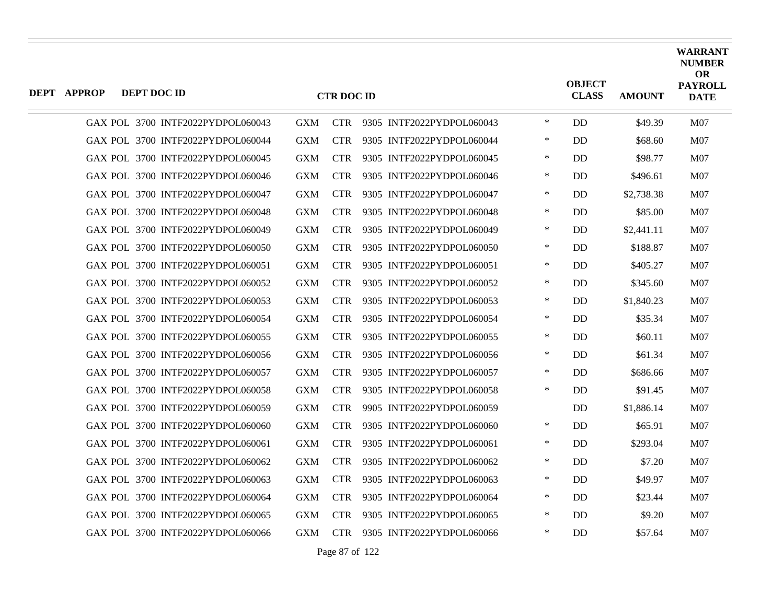| <b>DEPT APPROP</b> | DEPT DOC ID |                                   |            | <b>CTR DOC ID</b> |                           |        | <b>OBJECT</b><br><b>CLASS</b> | <b>AMOUNT</b> | <b>WARRANT</b><br><b>NUMBER</b><br><b>OR</b><br><b>PAYROLL</b><br><b>DATE</b> |
|--------------------|-------------|-----------------------------------|------------|-------------------|---------------------------|--------|-------------------------------|---------------|-------------------------------------------------------------------------------|
|                    |             | GAX POL 3700 INTF2022PYDPOL060043 | <b>GXM</b> | <b>CTR</b>        | 9305 INTF2022PYDPOL060043 | $\ast$ | DD.                           | \$49.39       | M07                                                                           |
|                    |             | GAX POL 3700 INTF2022PYDPOL060044 | <b>GXM</b> | <b>CTR</b>        | 9305 INTF2022PYDPOL060044 | $\ast$ | <b>DD</b>                     | \$68.60       | M07                                                                           |
|                    |             | GAX POL 3700 INTF2022PYDPOL060045 | <b>GXM</b> | <b>CTR</b>        | 9305 INTF2022PYDPOL060045 | $\ast$ | DD                            | \$98.77       | <b>M07</b>                                                                    |
|                    |             | GAX POL 3700 INTF2022PYDPOL060046 | <b>GXM</b> | <b>CTR</b>        | 9305 INTF2022PYDPOL060046 | $\ast$ | <b>DD</b>                     | \$496.61      | M07                                                                           |
|                    |             | GAX POL 3700 INTF2022PYDPOL060047 | <b>GXM</b> | <b>CTR</b>        | 9305 INTF2022PYDPOL060047 | $\ast$ | DD                            | \$2,738.38    | M <sub>07</sub>                                                               |
|                    |             | GAX POL 3700 INTF2022PYDPOL060048 | <b>GXM</b> | <b>CTR</b>        | 9305 INTF2022PYDPOL060048 | $\ast$ | <b>DD</b>                     | \$85.00       | M07                                                                           |
|                    |             | GAX POL 3700 INTF2022PYDPOL060049 | <b>GXM</b> | <b>CTR</b>        | 9305 INTF2022PYDPOL060049 | $\ast$ | <b>DD</b>                     | \$2,441.11    | M07                                                                           |
|                    |             | GAX POL 3700 INTF2022PYDPOL060050 | <b>GXM</b> | <b>CTR</b>        | 9305 INTF2022PYDPOL060050 | $\ast$ | DD                            | \$188.87      | <b>M07</b>                                                                    |
|                    |             | GAX POL 3700 INTF2022PYDPOL060051 | <b>GXM</b> | <b>CTR</b>        | 9305 INTF2022PYDPOL060051 | $\ast$ | <b>DD</b>                     | \$405.27      | M07                                                                           |
|                    |             | GAX POL 3700 INTF2022PYDPOL060052 | <b>GXM</b> | <b>CTR</b>        | 9305 INTF2022PYDPOL060052 | $\ast$ | DD.                           | \$345.60      | M07                                                                           |
|                    |             | GAX POL 3700 INTF2022PYDPOL060053 | <b>GXM</b> | <b>CTR</b>        | 9305 INTF2022PYDPOL060053 | $\ast$ | DD                            | \$1,840.23    | <b>M07</b>                                                                    |
|                    |             | GAX POL 3700 INTF2022PYDPOL060054 | <b>GXM</b> | <b>CTR</b>        | 9305 INTF2022PYDPOL060054 | $\ast$ | DD                            | \$35.34       | M07                                                                           |
|                    |             | GAX POL 3700 INTF2022PYDPOL060055 | <b>GXM</b> | <b>CTR</b>        | 9305 INTF2022PYDPOL060055 | $\ast$ | <b>DD</b>                     | \$60.11       | M07                                                                           |
|                    |             | GAX POL 3700 INTF2022PYDPOL060056 | <b>GXM</b> | <b>CTR</b>        | 9305 INTF2022PYDPOL060056 | $\ast$ | DD                            | \$61.34       | <b>M07</b>                                                                    |
|                    |             | GAX POL 3700 INTF2022PYDPOL060057 | <b>GXM</b> | <b>CTR</b>        | 9305 INTF2022PYDPOL060057 | $\ast$ | <b>DD</b>                     | \$686.66      | M07                                                                           |
|                    |             | GAX POL 3700 INTF2022PYDPOL060058 | GXM        | <b>CTR</b>        | 9305 INTF2022PYDPOL060058 | $\ast$ | DD                            | \$91.45       | M07                                                                           |
|                    |             | GAX POL 3700 INTF2022PYDPOL060059 | <b>GXM</b> | <b>CTR</b>        | 9905 INTF2022PYDPOL060059 |        | DD                            | \$1,886.14    | <b>M07</b>                                                                    |
|                    |             | GAX POL 3700 INTF2022PYDPOL060060 | <b>GXM</b> | <b>CTR</b>        | 9305 INTF2022PYDPOL060060 | $\ast$ | DD                            | \$65.91       | M07                                                                           |
|                    |             | GAX POL 3700 INTF2022PYDPOL060061 | <b>GXM</b> | <b>CTR</b>        | 9305 INTF2022PYDPOL060061 | $\ast$ | DD                            | \$293.04      | M07                                                                           |
|                    |             | GAX POL 3700 INTF2022PYDPOL060062 | <b>GXM</b> | <b>CTR</b>        | 9305 INTF2022PYDPOL060062 | $\ast$ | <b>DD</b>                     | \$7.20        | M07                                                                           |
|                    |             | GAX POL 3700 INTF2022PYDPOL060063 | <b>GXM</b> | <b>CTR</b>        | 9305 INTF2022PYDPOL060063 | $\ast$ | DD                            | \$49.97       | M07                                                                           |
|                    |             | GAX POL 3700 INTF2022PYDPOL060064 | <b>GXM</b> | <b>CTR</b>        | 9305 INTF2022PYDPOL060064 | $\ast$ | DD                            | \$23.44       | M07                                                                           |
|                    |             | GAX POL 3700 INTF2022PYDPOL060065 | <b>GXM</b> | <b>CTR</b>        | 9305 INTF2022PYDPOL060065 | $\ast$ | <b>DD</b>                     | \$9.20        | M07                                                                           |
|                    |             | GAX POL 3700 INTF2022PYDPOL060066 | <b>GXM</b> | <b>CTR</b>        | 9305 INTF2022PYDPOL060066 | $\ast$ | DD                            | \$57.64       | M07                                                                           |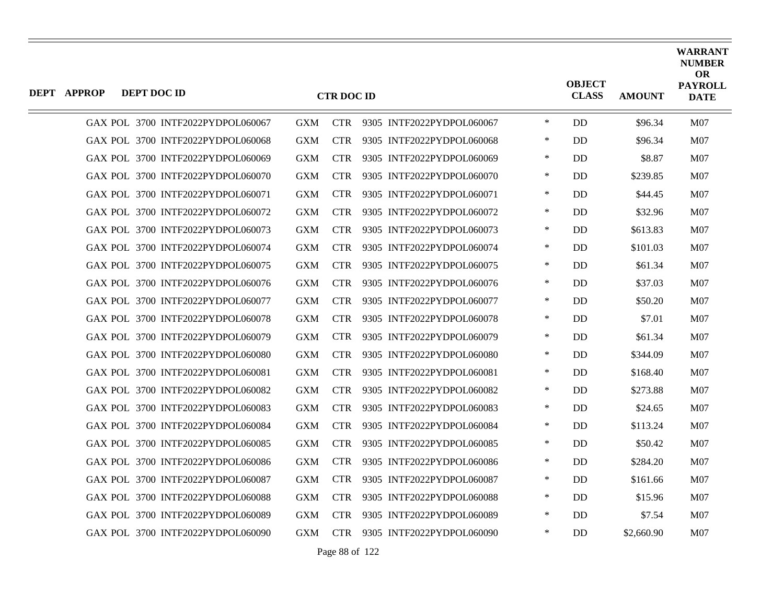| <b>DEPT APPROP</b> | DEPT DOC ID |                                   |            | <b>CTR DOC ID</b> |                           |        | <b>OBJECT</b><br><b>CLASS</b> | <b>AMOUNT</b> | <b>WARRANT</b><br><b>NUMBER</b><br><b>OR</b><br><b>PAYROLL</b><br><b>DATE</b> |
|--------------------|-------------|-----------------------------------|------------|-------------------|---------------------------|--------|-------------------------------|---------------|-------------------------------------------------------------------------------|
|                    |             | GAX POL 3700 INTF2022PYDPOL060067 | <b>GXM</b> | <b>CTR</b>        | 9305 INTF2022PYDPOL060067 | $\ast$ | DD.                           | \$96.34       | M07                                                                           |
|                    |             | GAX POL 3700 INTF2022PYDPOL060068 | <b>GXM</b> | <b>CTR</b>        | 9305 INTF2022PYDPOL060068 | $\ast$ | <b>DD</b>                     | \$96.34       | M07                                                                           |
|                    |             | GAX POL 3700 INTF2022PYDPOL060069 | <b>GXM</b> | <b>CTR</b>        | 9305 INTF2022PYDPOL060069 | $\ast$ | DD                            | \$8.87        | <b>M07</b>                                                                    |
|                    |             | GAX POL 3700 INTF2022PYDPOL060070 | <b>GXM</b> | <b>CTR</b>        | 9305 INTF2022PYDPOL060070 | $\ast$ | <b>DD</b>                     | \$239.85      | <b>M07</b>                                                                    |
|                    |             | GAX POL 3700 INTF2022PYDPOL060071 | <b>GXM</b> | <b>CTR</b>        | 9305 INTF2022PYDPOL060071 | $\ast$ | DD                            | \$44.45       | M <sub>07</sub>                                                               |
|                    |             | GAX POL 3700 INTF2022PYDPOL060072 | <b>GXM</b> | <b>CTR</b>        | 9305 INTF2022PYDPOL060072 | $\ast$ | DD                            | \$32.96       | <b>M07</b>                                                                    |
|                    |             | GAX POL 3700 INTF2022PYDPOL060073 | <b>GXM</b> | <b>CTR</b>        | 9305 INTF2022PYDPOL060073 | $\ast$ | <b>DD</b>                     | \$613.83      | M07                                                                           |
|                    |             | GAX POL 3700 INTF2022PYDPOL060074 | <b>GXM</b> | <b>CTR</b>        | 9305 INTF2022PYDPOL060074 | $\ast$ | DD                            | \$101.03      | <b>M07</b>                                                                    |
|                    |             | GAX POL 3700 INTF2022PYDPOL060075 | <b>GXM</b> | <b>CTR</b>        | 9305 INTF2022PYDPOL060075 | $\ast$ | <b>DD</b>                     | \$61.34       | M07                                                                           |
|                    |             | GAX POL 3700 INTF2022PYDPOL060076 | <b>GXM</b> | <b>CTR</b>        | 9305 INTF2022PYDPOL060076 | $\ast$ | <b>DD</b>                     | \$37.03       | M07                                                                           |
|                    |             | GAX POL 3700 INTF2022PYDPOL060077 | <b>GXM</b> | <b>CTR</b>        | 9305 INTF2022PYDPOL060077 | $\ast$ | DD                            | \$50.20       | <b>M07</b>                                                                    |
|                    |             | GAX POL 3700 INTF2022PYDPOL060078 | <b>GXM</b> | <b>CTR</b>        | 9305 INTF2022PYDPOL060078 | $\ast$ | DD                            | \$7.01        | M07                                                                           |
|                    |             | GAX POL 3700 INTF2022PYDPOL060079 | <b>GXM</b> | <b>CTR</b>        | 9305 INTF2022PYDPOL060079 | $\ast$ | <b>DD</b>                     | \$61.34       | M07                                                                           |
|                    |             | GAX POL 3700 INTF2022PYDPOL060080 | <b>GXM</b> | <b>CTR</b>        | 9305 INTF2022PYDPOL060080 | $\ast$ | DD                            | \$344.09      | <b>M07</b>                                                                    |
|                    |             | GAX POL 3700 INTF2022PYDPOL060081 | <b>GXM</b> | <b>CTR</b>        | 9305 INTF2022PYDPOL060081 | $\ast$ | <b>DD</b>                     | \$168.40      | M07                                                                           |
|                    |             | GAX POL 3700 INTF2022PYDPOL060082 | GXM        | <b>CTR</b>        | 9305 INTF2022PYDPOL060082 | $\ast$ | DD                            | \$273.88      | M07                                                                           |
|                    |             | GAX POL 3700 INTF2022PYDPOL060083 | <b>GXM</b> | <b>CTR</b>        | 9305 INTF2022PYDPOL060083 | $\ast$ | DD                            | \$24.65       | <b>M07</b>                                                                    |
|                    |             | GAX POL 3700 INTF2022PYDPOL060084 | <b>GXM</b> | <b>CTR</b>        | 9305 INTF2022PYDPOL060084 | $\ast$ | DD                            | \$113.24      | M07                                                                           |
|                    |             | GAX POL 3700 INTF2022PYDPOL060085 | <b>GXM</b> | <b>CTR</b>        | 9305 INTF2022PYDPOL060085 | $\ast$ | DD                            | \$50.42       | M07                                                                           |
|                    |             | GAX POL 3700 INTF2022PYDPOL060086 | <b>GXM</b> | <b>CTR</b>        | 9305 INTF2022PYDPOL060086 | $\ast$ | <b>DD</b>                     | \$284.20      | M07                                                                           |
|                    |             | GAX POL 3700 INTF2022PYDPOL060087 | <b>GXM</b> | <b>CTR</b>        | 9305 INTF2022PYDPOL060087 | $\ast$ | DD                            | \$161.66      | M07                                                                           |
|                    |             | GAX POL 3700 INTF2022PYDPOL060088 | <b>GXM</b> | <b>CTR</b>        | 9305 INTF2022PYDPOL060088 | $\ast$ | DD                            | \$15.96       | M07                                                                           |
|                    |             | GAX POL 3700 INTF2022PYDPOL060089 | <b>GXM</b> | <b>CTR</b>        | 9305 INTF2022PYDPOL060089 | $\ast$ | <b>DD</b>                     | \$7.54        | <b>M07</b>                                                                    |
|                    |             | GAX POL 3700 INTF2022PYDPOL060090 | <b>GXM</b> | <b>CTR</b>        | 9305 INTF2022PYDPOL060090 | $\ast$ | DD                            | \$2,660.90    | M07                                                                           |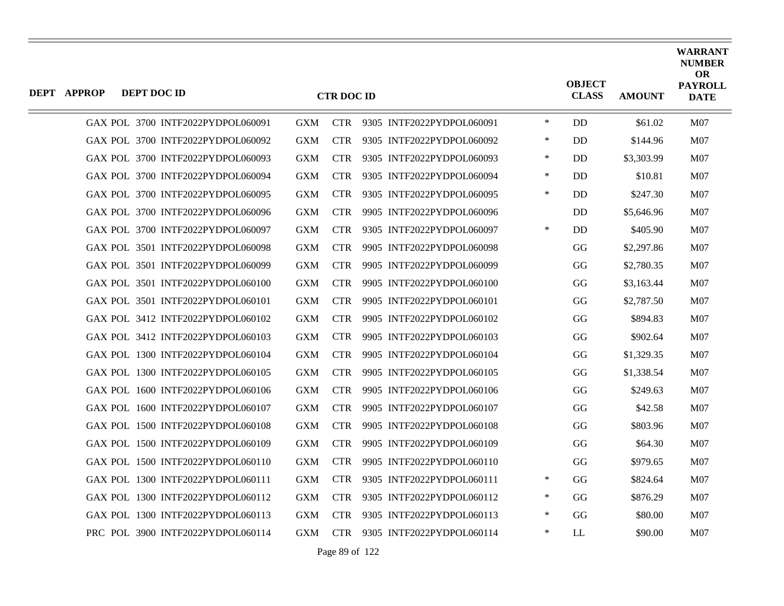| <b>DEPT APPROP</b> | DEPT DOC ID |                                   |            | <b>CTR DOC ID</b> |                           |        | <b>OBJECT</b><br><b>CLASS</b> | <b>AMOUNT</b> | <b>WARRANT</b><br><b>NUMBER</b><br>OR<br><b>PAYROLL</b><br><b>DATE</b> |
|--------------------|-------------|-----------------------------------|------------|-------------------|---------------------------|--------|-------------------------------|---------------|------------------------------------------------------------------------|
|                    |             | GAX POL 3700 INTF2022PYDPOL060091 | <b>GXM</b> | <b>CTR</b>        | 9305 INTF2022PYDPOL060091 | $\ast$ | <b>DD</b>                     | \$61.02       | M07                                                                    |
|                    |             | GAX POL 3700 INTF2022PYDPOL060092 | <b>GXM</b> | <b>CTR</b>        | 9305 INTF2022PYDPOL060092 | $\ast$ | <b>DD</b>                     | \$144.96      | M07                                                                    |
|                    |             | GAX POL 3700 INTF2022PYDPOL060093 | <b>GXM</b> | <b>CTR</b>        | 9305 INTF2022PYDPOL060093 | $\ast$ | D <sub>D</sub>                | \$3,303.99    | M07                                                                    |
|                    |             | GAX POL 3700 INTF2022PYDPOL060094 | <b>GXM</b> | <b>CTR</b>        | 9305 INTF2022PYDPOL060094 | ∗      | D <sub>D</sub>                | \$10.81       | M07                                                                    |
|                    |             | GAX POL 3700 INTF2022PYDPOL060095 | <b>GXM</b> | <b>CTR</b>        | 9305 INTF2022PYDPOL060095 | $\ast$ | <b>DD</b>                     | \$247.30      | M07                                                                    |
|                    |             | GAX POL 3700 INTF2022PYDPOL060096 | <b>GXM</b> | <b>CTR</b>        | 9905 INTF2022PYDPOL060096 |        | DD.                           | \$5,646.96    | M07                                                                    |
|                    |             | GAX POL 3700 INTF2022PYDPOL060097 | <b>GXM</b> | <b>CTR</b>        | 9305 INTF2022PYDPOL060097 | $\ast$ | <b>DD</b>                     | \$405.90      | M07                                                                    |
|                    |             | GAX POL 3501 INTF2022PYDPOL060098 | <b>GXM</b> | <b>CTR</b>        | 9905 INTF2022PYDPOL060098 |        | GG                            | \$2,297.86    | M07                                                                    |
|                    |             | GAX POL 3501 INTF2022PYDPOL060099 | <b>GXM</b> | <b>CTR</b>        | 9905 INTF2022PYDPOL060099 |        | GG                            | \$2,780.35    | M07                                                                    |
|                    |             | GAX POL 3501 INTF2022PYDPOL060100 | <b>GXM</b> | <b>CTR</b>        | 9905 INTF2022PYDPOL060100 |        | GG                            | \$3,163.44    | M07                                                                    |
|                    |             | GAX POL 3501 INTF2022PYDPOL060101 | <b>GXM</b> | <b>CTR</b>        | 9905 INTF2022PYDPOL060101 |        | GG                            | \$2,787.50    | M07                                                                    |
|                    |             | GAX POL 3412 INTF2022PYDPOL060102 | <b>GXM</b> | <b>CTR</b>        | 9905 INTF2022PYDPOL060102 |        | GG                            | \$894.83      | M07                                                                    |
|                    |             | GAX POL 3412 INTF2022PYDPOL060103 | <b>GXM</b> | <b>CTR</b>        | 9905 INTF2022PYDPOL060103 |        | GG                            | \$902.64      | M07                                                                    |
|                    |             | GAX POL 1300 INTF2022PYDPOL060104 | <b>GXM</b> | <b>CTR</b>        | 9905 INTF2022PYDPOL060104 |        | GG                            | \$1,329.35    | M07                                                                    |
|                    |             | GAX POL 1300 INTF2022PYDPOL060105 | <b>GXM</b> | <b>CTR</b>        | 9905 INTF2022PYDPOL060105 |        | GG                            | \$1,338.54    | M07                                                                    |
|                    |             | GAX POL 1600 INTF2022PYDPOL060106 | <b>GXM</b> | <b>CTR</b>        | 9905 INTF2022PYDPOL060106 |        | GG                            | \$249.63      | M07                                                                    |
|                    |             | GAX POL 1600 INTF2022PYDPOL060107 | <b>GXM</b> | <b>CTR</b>        | 9905 INTF2022PYDPOL060107 |        | GG                            | \$42.58       | M07                                                                    |
|                    |             | GAX POL 1500 INTF2022PYDPOL060108 | <b>GXM</b> | <b>CTR</b>        | 9905 INTF2022PYDPOL060108 |        | GG                            | \$803.96      | <b>M07</b>                                                             |
|                    |             | GAX POL 1500 INTF2022PYDPOL060109 | <b>GXM</b> | <b>CTR</b>        | 9905 INTF2022PYDPOL060109 |        | GG                            | \$64.30       | M07                                                                    |
|                    |             | GAX POL 1500 INTF2022PYDPOL060110 | <b>GXM</b> | <b>CTR</b>        | 9905 INTF2022PYDPOL060110 |        | GG                            | \$979.65      | M07                                                                    |
|                    |             | GAX POL 1300 INTF2022PYDPOL060111 | <b>GXM</b> | <b>CTR</b>        | 9305 INTF2022PYDPOL060111 | ∗      | GG                            | \$824.64      | M07                                                                    |
|                    |             | GAX POL 1300 INTF2022PYDPOL060112 | <b>GXM</b> | <b>CTR</b>        | 9305 INTF2022PYDPOL060112 | $\ast$ | GG                            | \$876.29      | M07                                                                    |
|                    |             | GAX POL 1300 INTF2022PYDPOL060113 | <b>GXM</b> | <b>CTR</b>        | 9305 INTF2022PYDPOL060113 | $\ast$ | GG                            | \$80.00       | M <sub>07</sub>                                                        |
|                    |             | PRC POL 3900 INTF2022PYDPOL060114 | <b>GXM</b> | <b>CTR</b>        | 9305 INTF2022PYDPOL060114 | $\ast$ | LL                            | \$90.00       | M07                                                                    |

Page 89 of 122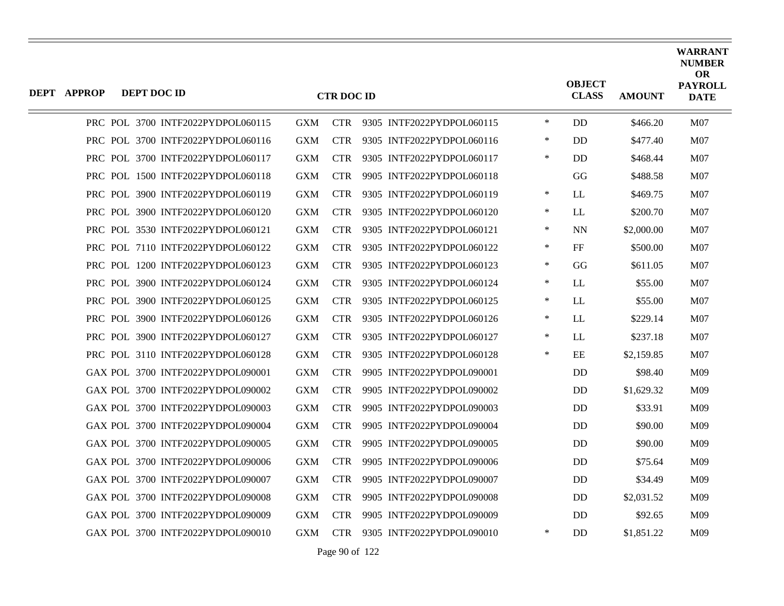| DEPT APPROP | DEPT DOC ID |                                   |            | <b>CTR DOC ID</b> |                           |        | <b>OBJECT</b><br><b>CLASS</b> | <b>AMOUNT</b> | <b>WARRANT</b><br><b>NUMBER</b><br><b>OR</b><br><b>PAYROLL</b><br><b>DATE</b> |
|-------------|-------------|-----------------------------------|------------|-------------------|---------------------------|--------|-------------------------------|---------------|-------------------------------------------------------------------------------|
|             |             |                                   |            |                   |                           |        |                               |               |                                                                               |
|             |             | PRC POL 3700 INTF2022PYDPOL060115 | <b>GXM</b> | <b>CTR</b>        | 9305 INTF2022PYDPOL060115 | $\ast$ | <b>DD</b>                     | \$466.20      | M07                                                                           |
|             |             | PRC POL 3700 INTF2022PYDPOL060116 | <b>GXM</b> | <b>CTR</b>        | 9305 INTF2022PYDPOL060116 | $\ast$ | <b>DD</b>                     | \$477.40      | M07                                                                           |
|             |             | PRC POL 3700 INTF2022PYDPOL060117 | <b>GXM</b> | <b>CTR</b>        | 9305 INTF2022PYDPOL060117 | ∗      | <b>DD</b>                     | \$468.44      | M07                                                                           |
|             |             | PRC POL 1500 INTF2022PYDPOL060118 | <b>GXM</b> | <b>CTR</b>        | 9905 INTF2022PYDPOL060118 |        | GG                            | \$488.58      | M07                                                                           |
|             |             | PRC POL 3900 INTF2022PYDPOL060119 | <b>GXM</b> | <b>CTR</b>        | 9305 INTF2022PYDPOL060119 | ∗      | <b>LL</b>                     | \$469.75      | M07                                                                           |
|             |             | PRC POL 3900 INTF2022PYDPOL060120 | <b>GXM</b> | <b>CTR</b>        | 9305 INTF2022PYDPOL060120 | $\ast$ | LL                            | \$200.70      | M07                                                                           |
|             |             | PRC POL 3530 INTF2022PYDPOL060121 | <b>GXM</b> | <b>CTR</b>        | 9305 INTF2022PYDPOL060121 | $\ast$ | <b>NN</b>                     | \$2,000.00    | M07                                                                           |
|             |             | PRC POL 7110 INTF2022PYDPOL060122 | <b>GXM</b> | <b>CTR</b>        | 9305 INTF2022PYDPOL060122 | $\ast$ | FF                            | \$500.00      | M07                                                                           |
|             |             | PRC POL 1200 INTF2022PYDPOL060123 | <b>GXM</b> | <b>CTR</b>        | 9305 INTF2022PYDPOL060123 | $\ast$ | GG                            | \$611.05      | M07                                                                           |
|             |             | PRC POL 3900 INTF2022PYDPOL060124 | <b>GXM</b> | <b>CTR</b>        | 9305 INTF2022PYDPOL060124 | $\ast$ | LL                            | \$55.00       | M07                                                                           |
|             |             | PRC POL 3900 INTF2022PYDPOL060125 | <b>GXM</b> | <b>CTR</b>        | 9305 INTF2022PYDPOL060125 | $\ast$ | LL                            | \$55.00       | M07                                                                           |
|             |             | PRC POL 3900 INTF2022PYDPOL060126 | <b>GXM</b> | <b>CTR</b>        | 9305 INTF2022PYDPOL060126 | $\ast$ | LL                            | \$229.14      | M07                                                                           |
|             |             | PRC POL 3900 INTF2022PYDPOL060127 | <b>GXM</b> | <b>CTR</b>        | 9305 INTF2022PYDPOL060127 | $\ast$ | LL                            | \$237.18      | M07                                                                           |
|             |             | PRC POL 3110 INTF2022PYDPOL060128 | <b>GXM</b> | <b>CTR</b>        | 9305 INTF2022PYDPOL060128 | $\ast$ | EE                            | \$2,159.85    | M07                                                                           |
|             |             | GAX POL 3700 INTF2022PYDPOL090001 | <b>GXM</b> | <b>CTR</b>        | 9905 INTF2022PYDPOL090001 |        | <b>DD</b>                     | \$98.40       | M09                                                                           |
|             |             | GAX POL 3700 INTF2022PYDPOL090002 | <b>GXM</b> | <b>CTR</b>        | 9905 INTF2022PYDPOL090002 |        | DD                            | \$1,629.32    | M09                                                                           |
|             |             | GAX POL 3700 INTF2022PYDPOL090003 | <b>GXM</b> | <b>CTR</b>        | 9905 INTF2022PYDPOL090003 |        | <b>DD</b>                     | \$33.91       | M09                                                                           |
|             |             | GAX POL 3700 INTF2022PYDPOL090004 | <b>GXM</b> | <b>CTR</b>        | 9905 INTF2022PYDPOL090004 |        | <b>DD</b>                     | \$90.00       | M09                                                                           |
|             |             | GAX POL 3700 INTF2022PYDPOL090005 | <b>GXM</b> | <b>CTR</b>        | 9905 INTF2022PYDPOL090005 |        | <b>DD</b>                     | \$90.00       | M09                                                                           |
|             |             | GAX POL 3700 INTF2022PYDPOL090006 | <b>GXM</b> | <b>CTR</b>        | 9905 INTF2022PYDPOL090006 |        | <b>DD</b>                     | \$75.64       | M09                                                                           |
|             |             | GAX POL 3700 INTF2022PYDPOL090007 | <b>GXM</b> | <b>CTR</b>        | 9905 INTF2022PYDPOL090007 |        | DD                            | \$34.49       | M09                                                                           |
|             |             | GAX POL 3700 INTF2022PYDPOL090008 | <b>GXM</b> | <b>CTR</b>        | 9905 INTF2022PYDPOL090008 |        | D <sub>D</sub>                | \$2,031.52    | M09                                                                           |
|             |             | GAX POL 3700 INTF2022PYDPOL090009 | <b>GXM</b> | <b>CTR</b>        | 9905 INTF2022PYDPOL090009 |        | DD                            | \$92.65       | M09                                                                           |
|             |             | GAX POL 3700 INTF2022PYDPOL090010 | <b>GXM</b> | <b>CTR</b>        | 9305 INTF2022PYDPOL090010 | ∗      | <b>DD</b>                     | \$1,851.22    | M09                                                                           |
|             |             |                                   |            |                   |                           |        |                               |               |                                                                               |

Page 90 of 122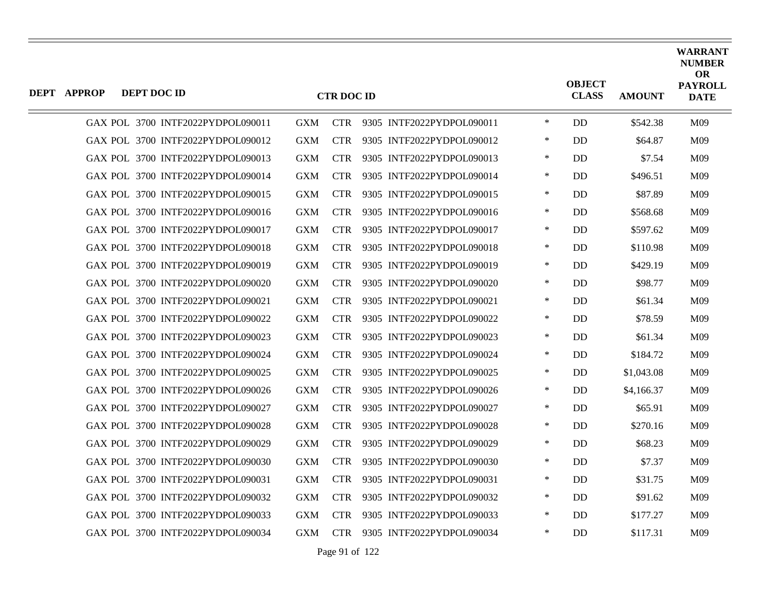| <b>DEPT APPROP</b> | DEPT DOC ID                       |            | <b>CTR DOC ID</b> |                               |        | <b>OBJECT</b><br><b>CLASS</b> | <b>AMOUNT</b> | <b>WARRANT</b><br><b>NUMBER</b><br><b>OR</b><br><b>PAYROLL</b><br><b>DATE</b> |
|--------------------|-----------------------------------|------------|-------------------|-------------------------------|--------|-------------------------------|---------------|-------------------------------------------------------------------------------|
|                    | GAX POL 3700 INTF2022PYDPOL090011 | <b>GXM</b> |                   | CTR 9305 INTF2022PYDPOL090011 | $\ast$ | <b>DD</b>                     | \$542.38      | M09                                                                           |
|                    | GAX POL 3700 INTF2022PYDPOL090012 | GXM        | <b>CTR</b>        | 9305 INTF2022PYDPOL090012     | $\ast$ | DD                            | \$64.87       | M09                                                                           |
|                    | GAX POL 3700 INTF2022PYDPOL090013 | GXM        | <b>CTR</b>        | 9305 INTF2022PYDPOL090013     | $\ast$ | <b>DD</b>                     | \$7.54        | M09                                                                           |
|                    | GAX POL 3700 INTF2022PYDPOL090014 | <b>GXM</b> | <b>CTR</b>        | 9305 INTF2022PYDPOL090014     | $\ast$ | <b>DD</b>                     | \$496.51      | M09                                                                           |
|                    | GAX POL 3700 INTF2022PYDPOL090015 | <b>GXM</b> | <b>CTR</b>        | 9305 INTF2022PYDPOL090015     | $\ast$ | DD                            | \$87.89       | M09                                                                           |
|                    | GAX POL 3700 INTF2022PYDPOL090016 | <b>GXM</b> | <b>CTR</b>        | 9305 INTF2022PYDPOL090016     | $\ast$ | <b>DD</b>                     | \$568.68      | M09                                                                           |
|                    | GAX POL 3700 INTF2022PYDPOL090017 | <b>GXM</b> | <b>CTR</b>        | 9305 INTF2022PYDPOL090017     | $\ast$ | <b>DD</b>                     | \$597.62      | M09                                                                           |
|                    | GAX POL 3700 INTF2022PYDPOL090018 | <b>GXM</b> | <b>CTR</b>        | 9305 INTF2022PYDPOL090018     | $\ast$ | DD                            | \$110.98      | M09                                                                           |
|                    | GAX POL 3700 INTF2022PYDPOL090019 | <b>GXM</b> | <b>CTR</b>        | 9305 INTF2022PYDPOL090019     | $\ast$ | DD                            | \$429.19      | M09                                                                           |
|                    | GAX POL 3700 INTF2022PYDPOL090020 | <b>GXM</b> | <b>CTR</b>        | 9305 INTF2022PYDPOL090020     | $\ast$ | <b>DD</b>                     | \$98.77       | M09                                                                           |
|                    | GAX POL 3700 INTF2022PYDPOL090021 | <b>GXM</b> | <b>CTR</b>        | 9305 INTF2022PYDPOL090021     | $\ast$ | <b>DD</b>                     | \$61.34       | M09                                                                           |
|                    | GAX POL 3700 INTF2022PYDPOL090022 | <b>GXM</b> | <b>CTR</b>        | 9305 INTF2022PYDPOL090022     | $\ast$ | <b>DD</b>                     | \$78.59       | M09                                                                           |
|                    | GAX POL 3700 INTF2022PYDPOL090023 | <b>GXM</b> | <b>CTR</b>        | 9305 INTF2022PYDPOL090023     | $\ast$ | DD                            | \$61.34       | M09                                                                           |
|                    | GAX POL 3700 INTF2022PYDPOL090024 | <b>GXM</b> | <b>CTR</b>        | 9305 INTF2022PYDPOL090024     | $\ast$ | DD                            | \$184.72      | M09                                                                           |
|                    | GAX POL 3700 INTF2022PYDPOL090025 | <b>GXM</b> | <b>CTR</b>        | 9305 INTF2022PYDPOL090025     | $\ast$ | DD                            | \$1,043.08    | M09                                                                           |
|                    | GAX POL 3700 INTF2022PYDPOL090026 | <b>GXM</b> | <b>CTR</b>        | 9305 INTF2022PYDPOL090026     | $\ast$ | <b>DD</b>                     | \$4,166.37    | M09                                                                           |
|                    | GAX POL 3700 INTF2022PYDPOL090027 | GXM        | <b>CTR</b>        | 9305 INTF2022PYDPOL090027     | $\ast$ | DD                            | \$65.91       | M09                                                                           |
|                    | GAX POL 3700 INTF2022PYDPOL090028 | <b>GXM</b> | <b>CTR</b>        | 9305 INTF2022PYDPOL090028     | $\ast$ | DD                            | \$270.16      | M09                                                                           |
|                    | GAX POL 3700 INTF2022PYDPOL090029 | <b>GXM</b> | <b>CTR</b>        | 9305 INTF2022PYDPOL090029     | $\ast$ | <b>DD</b>                     | \$68.23       | M09                                                                           |
|                    | GAX POL 3700 INTF2022PYDPOL090030 | <b>GXM</b> | <b>CTR</b>        | 9305 INTF2022PYDPOL090030     | $\ast$ | DD                            | \$7.37        | M09                                                                           |
|                    | GAX POL 3700 INTF2022PYDPOL090031 | <b>GXM</b> | <b>CTR</b>        | 9305 INTF2022PYDPOL090031     | $\ast$ | DD                            | \$31.75       | M09                                                                           |
|                    | GAX POL 3700 INTF2022PYDPOL090032 | <b>GXM</b> | <b>CTR</b>        | 9305 INTF2022PYDPOL090032     | ∗      | DD                            | \$91.62       | M09                                                                           |
|                    | GAX POL 3700 INTF2022PYDPOL090033 | <b>GXM</b> | <b>CTR</b>        | 9305 INTF2022PYDPOL090033     | $\ast$ | DD                            | \$177.27      | M09                                                                           |
|                    | GAX POL 3700 INTF2022PYDPOL090034 | <b>GXM</b> |                   | CTR 9305 INTF2022PYDPOL090034 | $\ast$ | DD                            | \$117.31      | M09                                                                           |
|                    |                                   |            |                   |                               |        |                               |               |                                                                               |

Page 91 of 122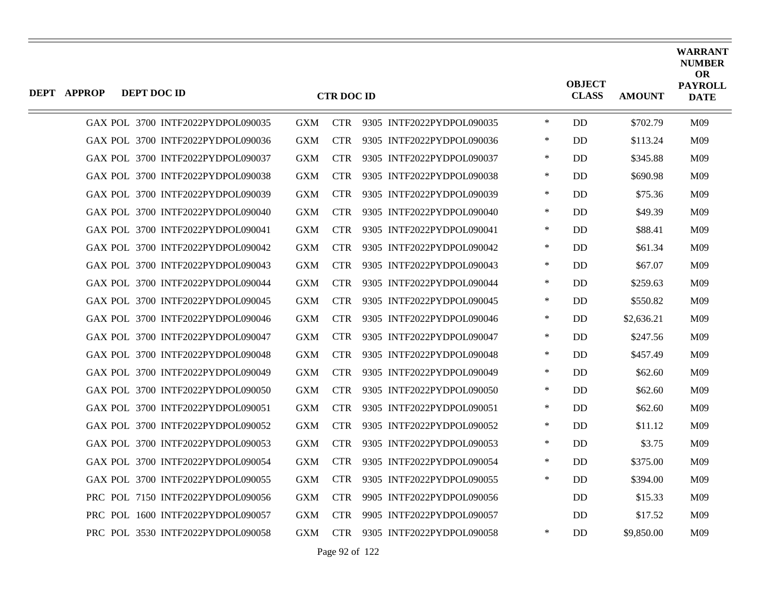| DEPT APPROP | DEPT DOC ID                       |            | <b>CTR DOC ID</b> |                               |        | <b>OBJECT</b><br><b>CLASS</b> | <b>AMOUNT</b> | <b>WARRANT</b><br><b>NUMBER</b><br><b>OR</b><br><b>PAYROLL</b><br><b>DATE</b> |
|-------------|-----------------------------------|------------|-------------------|-------------------------------|--------|-------------------------------|---------------|-------------------------------------------------------------------------------|
|             | GAX POL 3700 INTF2022PYDPOL090035 | <b>GXM</b> |                   | CTR 9305 INTF2022PYDPOL090035 | $\ast$ | DD                            | \$702.79      | M09                                                                           |
|             | GAX POL 3700 INTF2022PYDPOL090036 | <b>GXM</b> | <b>CTR</b>        | 9305 INTF2022PYDPOL090036     | $\ast$ | <b>DD</b>                     | \$113.24      | M09                                                                           |
|             | GAX POL 3700 INTF2022PYDPOL090037 | <b>GXM</b> | <b>CTR</b>        | 9305 INTF2022PYDPOL090037     | $\ast$ | <b>DD</b>                     | \$345.88      | M <sub>09</sub>                                                               |
|             | GAX POL 3700 INTF2022PYDPOL090038 | <b>GXM</b> | <b>CTR</b>        | 9305 INTF2022PYDPOL090038     | $\ast$ | <b>DD</b>                     | \$690.98      | M09                                                                           |
|             | GAX POL 3700 INTF2022PYDPOL090039 | <b>GXM</b> | <b>CTR</b>        | 9305 INTF2022PYDPOL090039     | $\ast$ | DD                            | \$75.36       | M09                                                                           |
|             | GAX POL 3700 INTF2022PYDPOL090040 | <b>GXM</b> | <b>CTR</b>        | 9305 INTF2022PYDPOL090040     | $\ast$ | <b>DD</b>                     | \$49.39       | M09                                                                           |
|             | GAX POL 3700 INTF2022PYDPOL090041 | <b>GXM</b> | <b>CTR</b>        | 9305 INTF2022PYDPOL090041     | ∗      | DD                            | \$88.41       | M <sub>09</sub>                                                               |
|             | GAX POL 3700 INTF2022PYDPOL090042 | <b>GXM</b> | <b>CTR</b>        | 9305 INTF2022PYDPOL090042     | $\ast$ | <b>DD</b>                     | \$61.34       | M09                                                                           |
|             | GAX POL 3700 INTF2022PYDPOL090043 | <b>GXM</b> | <b>CTR</b>        | 9305 INTF2022PYDPOL090043     | ∗      | DD                            | \$67.07       | M <sub>09</sub>                                                               |
|             | GAX POL 3700 INTF2022PYDPOL090044 | <b>GXM</b> | <b>CTR</b>        | 9305 INTF2022PYDPOL090044     | $\ast$ | DD                            | \$259.63      | M <sub>09</sub>                                                               |
|             | GAX POL 3700 INTF2022PYDPOL090045 | <b>GXM</b> | <b>CTR</b>        | 9305 INTF2022PYDPOL090045     | $\ast$ | DD                            | \$550.82      | M09                                                                           |
|             | GAX POL 3700 INTF2022PYDPOL090046 | <b>GXM</b> | <b>CTR</b>        | 9305 INTF2022PYDPOL090046     | ∗      | DD                            | \$2,636.21    | M <sub>09</sub>                                                               |
|             | GAX POL 3700 INTF2022PYDPOL090047 | <b>GXM</b> | <b>CTR</b>        | 9305 INTF2022PYDPOL090047     | $\ast$ | <b>DD</b>                     | \$247.56      | M09                                                                           |
|             | GAX POL 3700 INTF2022PYDPOL090048 | <b>GXM</b> | <b>CTR</b>        | 9305 INTF2022PYDPOL090048     | $\ast$ | DD                            | \$457.49      | M09                                                                           |
|             | GAX POL 3700 INTF2022PYDPOL090049 | <b>GXM</b> | <b>CTR</b>        | 9305 INTF2022PYDPOL090049     | $\ast$ | <b>DD</b>                     | \$62.60       | M <sub>09</sub>                                                               |
|             | GAX POL 3700 INTF2022PYDPOL090050 | <b>GXM</b> | <b>CTR</b>        | 9305 INTF2022PYDPOL090050     | $\ast$ | DD                            | \$62.60       | M09                                                                           |
|             | GAX POL 3700 INTF2022PYDPOL090051 | <b>GXM</b> | <b>CTR</b>        | 9305 INTF2022PYDPOL090051     | $\ast$ | <b>DD</b>                     | \$62.60       | M09                                                                           |
|             | GAX POL 3700 INTF2022PYDPOL090052 | <b>GXM</b> | <b>CTR</b>        | 9305 INTF2022PYDPOL090052     | ∗      | DD                            | \$11.12       | M <sub>09</sub>                                                               |
|             | GAX POL 3700 INTF2022PYDPOL090053 | <b>GXM</b> | <b>CTR</b>        | 9305 INTF2022PYDPOL090053     | $\ast$ | DD                            | \$3.75        | M09                                                                           |
|             | GAX POL 3700 INTF2022PYDPOL090054 | <b>GXM</b> | <b>CTR</b>        | 9305 INTF2022PYDPOL090054     | $\ast$ | DD                            | \$375.00      | M09                                                                           |
|             | GAX POL 3700 INTF2022PYDPOL090055 | <b>GXM</b> | <b>CTR</b>        | 9305 INTF2022PYDPOL090055     | ∗      | DD                            | \$394.00      | M <sub>09</sub>                                                               |
|             | PRC POL 7150 INTF2022PYDPOL090056 | <b>GXM</b> | <b>CTR</b>        | 9905 INTF2022PYDPOL090056     |        | DD                            | \$15.33       | M09                                                                           |
|             | PRC POL 1600 INTF2022PYDPOL090057 | <b>GXM</b> | <b>CTR</b>        | 9905 INTF2022PYDPOL090057     |        | DD                            | \$17.52       | M09                                                                           |
|             | PRC POL 3530 INTF2022PYDPOL090058 | <b>GXM</b> | <b>CTR</b>        | 9305 INTF2022PYDPOL090058     | ∗      | DD                            | \$9,850.00    | M <sub>09</sub>                                                               |

Page 92 of 122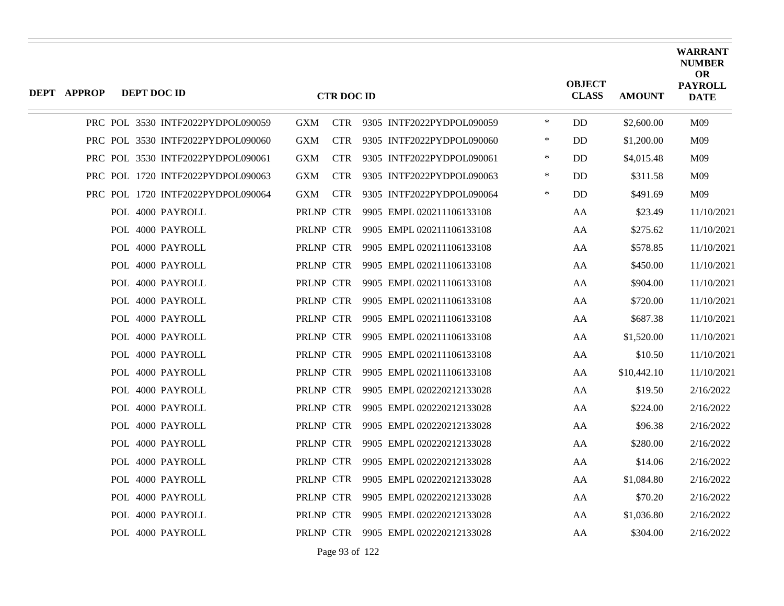| DEPT APPROP | DEPT DOC ID      |                                   |            | <b>CTR DOC ID</b> |                                     |        | <b>OBJECT</b><br><b>CLASS</b> | <b>AMOUNT</b> | <b>WARRANT</b><br><b>NUMBER</b><br>OR<br><b>PAYROLL</b><br><b>DATE</b> |
|-------------|------------------|-----------------------------------|------------|-------------------|-------------------------------------|--------|-------------------------------|---------------|------------------------------------------------------------------------|
|             |                  | PRC POL 3530 INTF2022PYDPOL090059 | <b>GXM</b> |                   | CTR 9305 INTF2022PYDPOL090059       | $\ast$ | DD                            | \$2,600.00    | M09                                                                    |
|             |                  | PRC POL 3530 INTF2022PYDPOL090060 | <b>GXM</b> | <b>CTR</b>        | 9305 INTF2022PYDPOL090060           | ∗      | DD                            | \$1,200.00    | M09                                                                    |
|             |                  | PRC POL 3530 INTF2022PYDPOL090061 | <b>GXM</b> | <b>CTR</b>        | 9305 INTF2022PYDPOL090061           | $\ast$ | DD.                           | \$4,015.48    | M09                                                                    |
|             |                  | PRC POL 1720 INTF2022PYDPOL090063 | <b>GXM</b> | <b>CTR</b>        | 9305 INTF2022PYDPOL090063           | $\ast$ | DD                            | \$311.58      | M09                                                                    |
|             |                  | PRC POL 1720 INTF2022PYDPOL090064 | <b>GXM</b> | <b>CTR</b>        | 9305 INTF2022PYDPOL090064           | $\ast$ | <b>DD</b>                     | \$491.69      | M09                                                                    |
|             | POL 4000 PAYROLL |                                   | PRLNP CTR  |                   | 9905 EMPL 020211106133108           |        | AA                            | \$23.49       | 11/10/2021                                                             |
|             | POL 4000 PAYROLL |                                   | PRLNP CTR  |                   | 9905 EMPL 020211106133108           |        | AA                            | \$275.62      | 11/10/2021                                                             |
|             | POL 4000 PAYROLL |                                   | PRLNP CTR  |                   | 9905 EMPL 020211106133108           |        | AA                            | \$578.85      | 11/10/2021                                                             |
|             | POL 4000 PAYROLL |                                   | PRLNP CTR  |                   | 9905 EMPL 020211106133108           |        | AA                            | \$450.00      | 11/10/2021                                                             |
|             | POL 4000 PAYROLL |                                   | PRLNP CTR  |                   | 9905 EMPL 020211106133108           |        | AA                            | \$904.00      | 11/10/2021                                                             |
|             | POL 4000 PAYROLL |                                   | PRLNP CTR  |                   | 9905 EMPL 020211106133108           |        | AA                            | \$720.00      | 11/10/2021                                                             |
|             | POL 4000 PAYROLL |                                   | PRLNP CTR  |                   | 9905 EMPL 020211106133108           |        | AA                            | \$687.38      | 11/10/2021                                                             |
|             | POL 4000 PAYROLL |                                   | PRLNP CTR  |                   | 9905 EMPL 020211106133108           |        | AA                            | \$1,520.00    | 11/10/2021                                                             |
|             | POL 4000 PAYROLL |                                   | PRLNP CTR  |                   | 9905 EMPL 020211106133108           |        | AA                            | \$10.50       | 11/10/2021                                                             |
|             | POL 4000 PAYROLL |                                   | PRLNP CTR  |                   | 9905 EMPL 020211106133108           |        | AA                            | \$10,442.10   | 11/10/2021                                                             |
|             | POL 4000 PAYROLL |                                   | PRLNP CTR  |                   | 9905 EMPL 020220212133028           |        | AA                            | \$19.50       | 2/16/2022                                                              |
|             | POL 4000 PAYROLL |                                   | PRLNP CTR  |                   | 9905 EMPL 020220212133028           |        | AA                            | \$224.00      | 2/16/2022                                                              |
|             | POL 4000 PAYROLL |                                   | PRLNP CTR  |                   | 9905 EMPL 020220212133028           |        | AA                            | \$96.38       | 2/16/2022                                                              |
|             | POL 4000 PAYROLL |                                   | PRLNP CTR  |                   | 9905 EMPL 020220212133028           |        | AA                            | \$280.00      | 2/16/2022                                                              |
|             | POL 4000 PAYROLL |                                   | PRLNP CTR  |                   | 9905 EMPL 020220212133028           |        | AA                            | \$14.06       | 2/16/2022                                                              |
|             | POL 4000 PAYROLL |                                   | PRLNP CTR  |                   | 9905 EMPL 020220212133028           |        | AA                            | \$1,084.80    | 2/16/2022                                                              |
|             | POL 4000 PAYROLL |                                   | PRLNP CTR  |                   | 9905 EMPL 020220212133028           |        | AA                            | \$70.20       | 2/16/2022                                                              |
|             | POL 4000 PAYROLL |                                   | PRLNP CTR  |                   | 9905 EMPL 020220212133028           |        | AA                            | \$1,036.80    | 2/16/2022                                                              |
|             | POL 4000 PAYROLL |                                   |            |                   | PRLNP CTR 9905 EMPL 020220212133028 |        | AA                            | \$304.00      | 2/16/2022                                                              |
|             |                  |                                   |            |                   |                                     |        |                               |               |                                                                        |

Page 93 of 122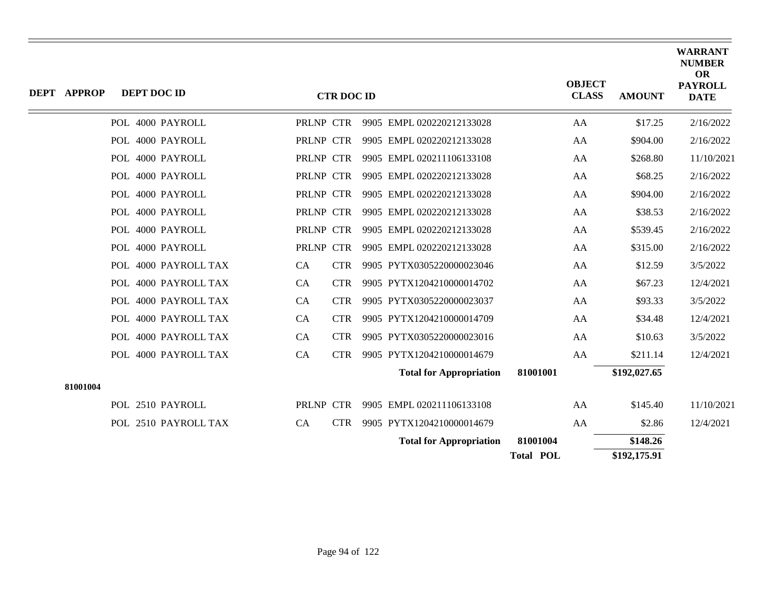| <b>DEPT APPROP</b> | DEPT DOC ID          |           | <b>CTR DOC ID</b> |                                |                  | <b>OBJECT</b><br><b>CLASS</b> | <b>AMOUNT</b> | <b>WARRANT</b><br><b>NUMBER</b><br><b>OR</b><br><b>PAYROLL</b><br><b>DATE</b> |
|--------------------|----------------------|-----------|-------------------|--------------------------------|------------------|-------------------------------|---------------|-------------------------------------------------------------------------------|
|                    | POL 4000 PAYROLL     |           | PRLNP CTR         | 9905 EMPL 020220212133028      |                  | AA                            | \$17.25       | 2/16/2022                                                                     |
|                    | POL 4000 PAYROLL     |           | PRLNP CTR         | 9905 EMPL 020220212133028      |                  | AA                            | \$904.00      | 2/16/2022                                                                     |
|                    | POL 4000 PAYROLL     |           | PRLNP CTR         | 9905 EMPL 020211106133108      |                  | AA                            | \$268.80      | 11/10/2021                                                                    |
|                    | POL 4000 PAYROLL     |           | PRLNP CTR         | 9905 EMPL 020220212133028      |                  | AA                            | \$68.25       | 2/16/2022                                                                     |
|                    | POL 4000 PAYROLL     |           | PRLNP CTR         | 9905 EMPL 020220212133028      |                  | AA                            | \$904.00      | 2/16/2022                                                                     |
|                    | POL 4000 PAYROLL     |           | PRLNP CTR         | 9905 EMPL 020220212133028      |                  | AA                            | \$38.53       | 2/16/2022                                                                     |
|                    | POL 4000 PAYROLL     |           | PRLNP CTR         | 9905 EMPL 020220212133028      |                  | AA                            | \$539.45      | 2/16/2022                                                                     |
|                    | POL 4000 PAYROLL     |           | PRLNP CTR         | 9905 EMPL 020220212133028      |                  | AA                            | \$315.00      | 2/16/2022                                                                     |
|                    | POL 4000 PAYROLL TAX | <b>CA</b> | <b>CTR</b>        | 9905 PYTX0305220000023046      |                  | AA                            | \$12.59       | 3/5/2022                                                                      |
|                    | POL 4000 PAYROLL TAX | <b>CA</b> | <b>CTR</b>        | 9905 PYTX1204210000014702      |                  | AA                            | \$67.23       | 12/4/2021                                                                     |
|                    | POL 4000 PAYROLL TAX | CA        | <b>CTR</b>        | 9905 PYTX0305220000023037      |                  | AA                            | \$93.33       | 3/5/2022                                                                      |
|                    | POL 4000 PAYROLL TAX | CA        | <b>CTR</b>        | 9905 PYTX1204210000014709      |                  | AA                            | \$34.48       | 12/4/2021                                                                     |
|                    | POL 4000 PAYROLL TAX | <b>CA</b> | <b>CTR</b>        | 9905 PYTX0305220000023016      |                  | AA                            | \$10.63       | 3/5/2022                                                                      |
|                    | POL 4000 PAYROLL TAX | CA        | <b>CTR</b>        | 9905 PYTX1204210000014679      |                  | AA                            | \$211.14      | 12/4/2021                                                                     |
|                    |                      |           |                   | <b>Total for Appropriation</b> | 81001001         |                               | \$192,027.65  |                                                                               |
| 81001004           |                      |           |                   |                                |                  |                               |               |                                                                               |
|                    | POL 2510 PAYROLL     |           | PRLNP CTR         | 9905 EMPL 020211106133108      |                  | AA                            | \$145.40      | 11/10/2021                                                                    |
|                    | POL 2510 PAYROLL TAX | CA        | <b>CTR</b>        | 9905 PYTX1204210000014679      |                  | AA                            | \$2.86        | 12/4/2021                                                                     |
|                    |                      |           |                   | <b>Total for Appropriation</b> | 81001004         |                               | \$148.26      |                                                                               |
|                    |                      |           |                   |                                | <b>Total POL</b> |                               | \$192,175.91  |                                                                               |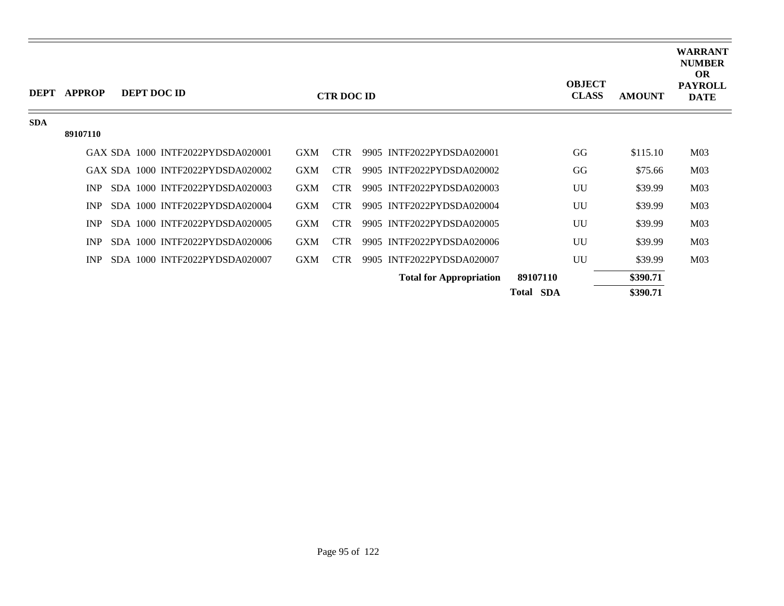| <b>DEPT</b> | <b>APPROP</b> |  | DEPT DOC ID                       |            | <b>CTR DOC ID</b> |                                |                  | <b>OBJECT</b><br><b>CLASS</b> | <b>AMOUNT</b> | <b>WARRANT</b><br><b>NUMBER</b><br><b>OR</b><br><b>PAYROLL</b><br><b>DATE</b> |
|-------------|---------------|--|-----------------------------------|------------|-------------------|--------------------------------|------------------|-------------------------------|---------------|-------------------------------------------------------------------------------|
| <b>SDA</b>  |               |  |                                   |            |                   |                                |                  |                               |               |                                                                               |
|             | 89107110      |  |                                   |            |                   |                                |                  |                               |               |                                                                               |
|             |               |  | GAX SDA 1000 INTF2022PYDSDA020001 | <b>GXM</b> | <b>CTR</b>        | 9905 INTF2022PYDSDA020001      |                  | GG                            | \$115.10      | M <sub>03</sub>                                                               |
|             |               |  | GAX SDA 1000 INTF2022PYDSDA020002 | <b>GXM</b> | <b>CTR</b>        | 9905 INTF2022PYDSDA020002      |                  | GG                            | \$75.66       | M <sub>03</sub>                                                               |
|             | <b>INP</b>    |  | SDA 1000 INTF2022PYDSDA020003     | <b>GXM</b> | CTR.              | 9905 INTF2022PYDSDA020003      |                  | UU                            | \$39.99       | M <sub>03</sub>                                                               |
|             | INP           |  | SDA 1000 INTF2022PYDSDA020004     | <b>GXM</b> | <b>CTR</b>        | 9905 INTF2022PYDSDA020004      |                  | UU                            | \$39.99       | M <sub>03</sub>                                                               |
|             | <b>INP</b>    |  | SDA 1000 INTF2022PYDSDA020005     | <b>GXM</b> | <b>CTR</b>        | 9905 INTF2022PYDSDA020005      |                  | UU                            | \$39.99       | M <sub>03</sub>                                                               |
|             | INP           |  | SDA 1000 INTF2022PYDSDA020006     | <b>GXM</b> | <b>CTR</b>        | 9905 INTF2022PYDSDA020006      |                  | UU                            | \$39.99       | M <sub>03</sub>                                                               |
|             | <b>INP</b>    |  | SDA 1000 INTF2022PYDSDA020007     | <b>GXM</b> | <b>CTR</b>        | 9905 INTF2022PYDSDA020007      |                  | UU                            | \$39.99       | M <sub>03</sub>                                                               |
|             |               |  |                                   |            |                   | <b>Total for Appropriation</b> | 89107110         |                               | \$390.71      |                                                                               |
|             |               |  |                                   |            |                   |                                | <b>Total SDA</b> |                               | \$390.71      |                                                                               |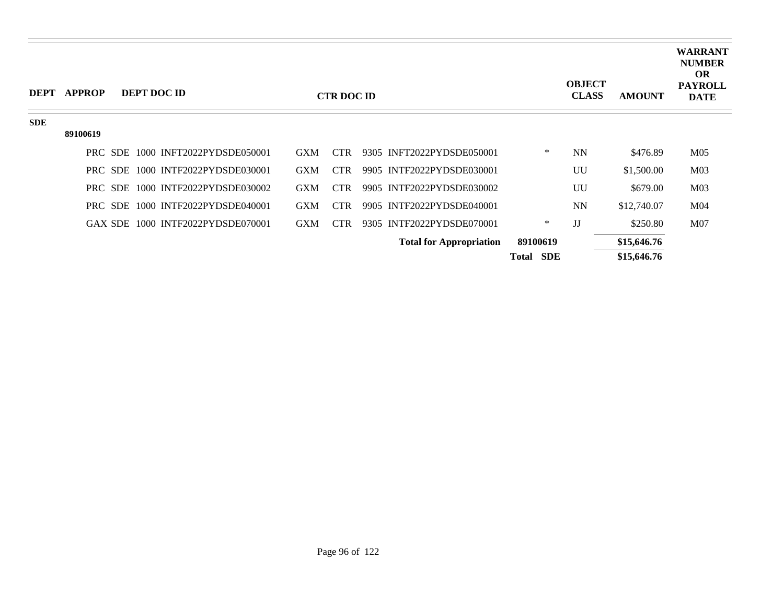| <b>DEPT</b> | <b>APPROP</b> | DEPT DOC ID |                                   |            | <b>CTR DOC ID</b> |                                |                     | <b>OBJECT</b><br><b>CLASS</b> | <b>AMOUNT</b> | <b>WARRANT</b><br><b>NUMBER</b><br><b>OR</b><br><b>PAYROLL</b><br><b>DATE</b> |
|-------------|---------------|-------------|-----------------------------------|------------|-------------------|--------------------------------|---------------------|-------------------------------|---------------|-------------------------------------------------------------------------------|
| <b>SDE</b>  |               |             |                                   |            |                   |                                |                     |                               |               |                                                                               |
|             | 89100619      |             |                                   |            |                   |                                |                     |                               |               |                                                                               |
|             |               |             | PRC SDE 1000 INFT2022PYDSDE050001 | <b>GXM</b> | <b>CTR</b>        | 9305 INFT2022PYDSDE050001      | ∗                   | <b>NN</b>                     | \$476.89      | M <sub>05</sub>                                                               |
|             |               |             | PRC SDE 1000 INTF2022PYDSDE030001 | <b>GXM</b> | <b>CTR</b>        | 9905 INTF2022PYDSDE030001      |                     | UU                            | \$1,500.00    | M <sub>03</sub>                                                               |
|             |               |             | PRC SDE 1000 INTF2022PYDSDE030002 | <b>GXM</b> | <b>CTR</b>        | 9905 INTF2022PYDSDE030002      |                     | UU                            | \$679.00      | M <sub>03</sub>                                                               |
|             |               |             | PRC SDE 1000 INTF2022PYDSDE040001 | <b>GXM</b> | <b>CTR</b>        | 9905 INTF2022PYDSDE040001      |                     | <b>NN</b>                     | \$12,740.07   | M <sub>04</sub>                                                               |
|             |               |             | GAX SDE 1000 INTF2022PYDSDE070001 | <b>GXM</b> | <b>CTR</b>        | 9305 INTF2022PYDSDE070001      | ∗                   | JJ                            | \$250.80      | M <sub>07</sub>                                                               |
|             |               |             |                                   |            |                   | <b>Total for Appropriation</b> | 89100619            |                               | \$15,646.76   |                                                                               |
|             |               |             |                                   |            |                   |                                | <b>SDE</b><br>Total |                               | \$15,646.76   |                                                                               |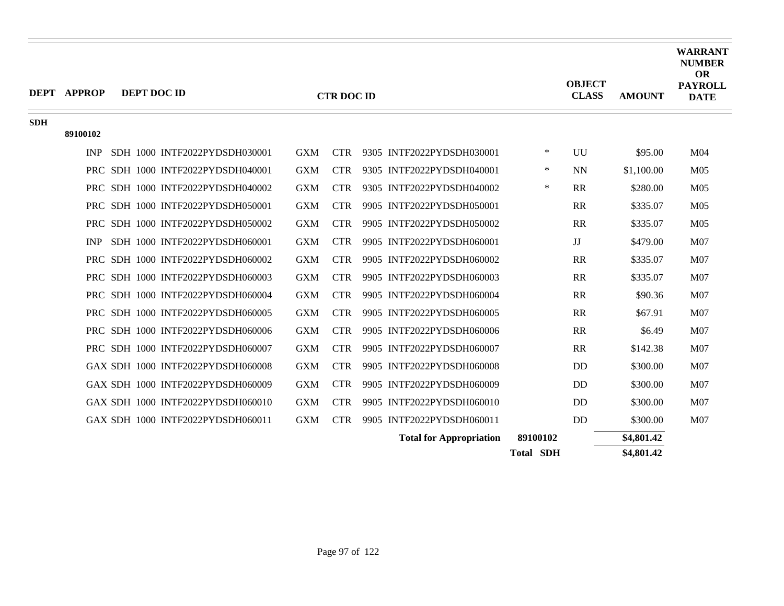|            | <b>DEPT APPROP</b> | DEPT DOC ID                       |            | <b>CTR DOC ID</b> |                                |                  | <b>OBJECT</b><br><b>CLASS</b> | <b>AMOUNT</b> | <b>WARRANT</b><br><b>NUMBER</b><br><b>OR</b><br><b>PAYROLL</b><br><b>DATE</b> |
|------------|--------------------|-----------------------------------|------------|-------------------|--------------------------------|------------------|-------------------------------|---------------|-------------------------------------------------------------------------------|
| <b>SDH</b> | 89100102           |                                   |            |                   |                                |                  |                               |               |                                                                               |
|            | <b>INP</b>         | SDH 1000 INTF2022PYDSDH030001     | <b>GXM</b> | <b>CTR</b>        | 9305 INTF2022PYDSDH030001      | $\ast$           | UU                            | \$95.00       | M <sub>04</sub>                                                               |
|            |                    | PRC SDH 1000 INTF2022PYDSDH040001 | <b>GXM</b> | <b>CTR</b>        | 9305 INTF2022PYDSDH040001      | ∗                | <b>NN</b>                     | \$1,100.00    | M <sub>05</sub>                                                               |
|            |                    | PRC SDH 1000 INTF2022PYDSDH040002 | <b>GXM</b> | <b>CTR</b>        | 9305 INTF2022PYDSDH040002      | $\ast$           | <b>RR</b>                     | \$280.00      | M <sub>05</sub>                                                               |
|            |                    | PRC SDH 1000 INTF2022PYDSDH050001 | <b>GXM</b> | <b>CTR</b>        | 9905 INTF2022PYDSDH050001      |                  | RR                            | \$335.07      | M <sub>05</sub>                                                               |
|            |                    | PRC SDH 1000 INTF2022PYDSDH050002 | <b>GXM</b> | <b>CTR</b>        | 9905 INTF2022PYDSDH050002      |                  | RR                            | \$335.07      | M <sub>05</sub>                                                               |
|            | <b>INP</b>         | SDH 1000 INTF2022PYDSDH060001     | <b>GXM</b> | <b>CTR</b>        | 9905 INTF2022PYDSDH060001      |                  | JJ                            | \$479.00      | M <sub>07</sub>                                                               |
|            |                    | PRC SDH 1000 INTF2022PYDSDH060002 | <b>GXM</b> | <b>CTR</b>        | 9905 INTF2022PYDSDH060002      |                  | <b>RR</b>                     | \$335.07      | M <sub>07</sub>                                                               |
|            |                    | PRC SDH 1000 INTF2022PYDSDH060003 | <b>GXM</b> | <b>CTR</b>        | 9905 INTF2022PYDSDH060003      |                  | <b>RR</b>                     | \$335.07      | M <sub>07</sub>                                                               |
|            |                    | PRC SDH 1000 INTF2022PYDSDH060004 | <b>GXM</b> | <b>CTR</b>        | 9905 INTF2022PYDSDH060004      |                  | <b>RR</b>                     | \$90.36       | M07                                                                           |
|            |                    | PRC SDH 1000 INTF2022PYDSDH060005 | <b>GXM</b> | <b>CTR</b>        | 9905 INTF2022PYDSDH060005      |                  | <b>RR</b>                     | \$67.91       | M07                                                                           |
|            |                    | PRC SDH 1000 INTF2022PYDSDH060006 | <b>GXM</b> | <b>CTR</b>        | 9905 INTF2022PYDSDH060006      |                  | <b>RR</b>                     | \$6.49        | M07                                                                           |
|            |                    | PRC SDH 1000 INTF2022PYDSDH060007 | <b>GXM</b> | <b>CTR</b>        | 9905 INTF2022PYDSDH060007      |                  | <b>RR</b>                     | \$142.38      | M07                                                                           |
|            |                    | GAX SDH 1000 INTF2022PYDSDH060008 | <b>GXM</b> | <b>CTR</b>        | 9905 INTF2022PYDSDH060008      |                  | DD                            | \$300.00      | M07                                                                           |
|            |                    | GAX SDH 1000 INTF2022PYDSDH060009 | <b>GXM</b> | <b>CTR</b>        | 9905 INTF2022PYDSDH060009      |                  | DD                            | \$300.00      | M <sub>07</sub>                                                               |
|            |                    | GAX SDH 1000 INTF2022PYDSDH060010 | <b>GXM</b> | <b>CTR</b>        | 9905 INTF2022PYDSDH060010      |                  | DD                            | \$300.00      | M07                                                                           |
|            |                    | GAX SDH 1000 INTF2022PYDSDH060011 | <b>GXM</b> | <b>CTR</b>        | 9905 INTF2022PYDSDH060011      |                  | DD                            | \$300.00      | M07                                                                           |
|            |                    |                                   |            |                   | <b>Total for Appropriation</b> | 89100102         |                               | \$4,801.42    |                                                                               |
|            |                    |                                   |            |                   |                                | <b>Total SDH</b> |                               | \$4,801.42    |                                                                               |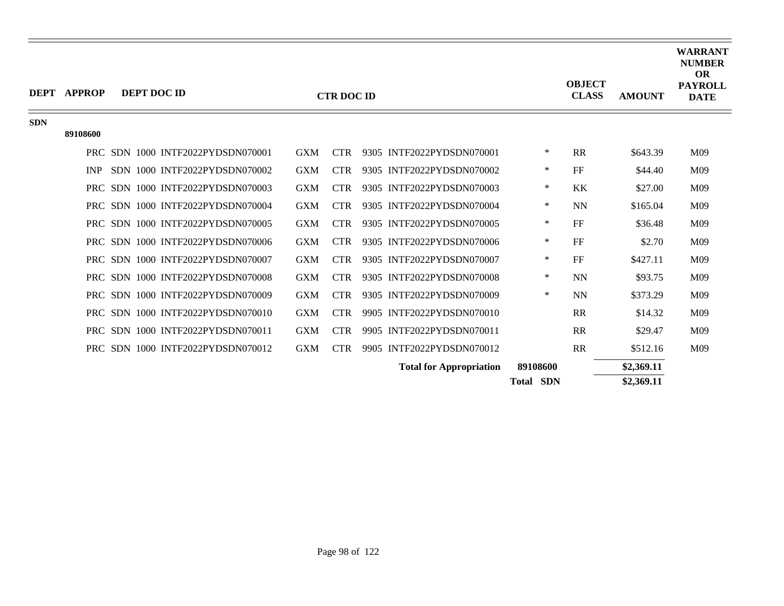|            | <b>DEPT APPROP</b> | DEPT DOC ID                       |            | <b>CTR DOC ID</b> |                                |                  | <b>OBJECT</b><br><b>CLASS</b> | <b>AMOUNT</b> | <b>WARRANT</b><br><b>NUMBER</b><br><b>OR</b><br><b>PAYROLL</b><br><b>DATE</b> |
|------------|--------------------|-----------------------------------|------------|-------------------|--------------------------------|------------------|-------------------------------|---------------|-------------------------------------------------------------------------------|
| <b>SDN</b> |                    |                                   |            |                   |                                |                  |                               |               |                                                                               |
|            | 89108600           |                                   |            |                   |                                |                  |                               |               |                                                                               |
|            |                    | PRC SDN 1000 INTF2022PYDSDN070001 | <b>GXM</b> | <b>CTR</b>        | 9305 INTF2022PYDSDN070001      | $\ast$           | RR                            | \$643.39      | M09                                                                           |
|            | <b>INP</b>         | SDN 1000 INTF2022PYDSDN070002     | <b>GXM</b> | <b>CTR</b>        | 9305 INTF2022PYDSDN070002      | $\ast$           | FF                            | \$44.40       | M09                                                                           |
|            |                    | PRC SDN 1000 INTF2022PYDSDN070003 | <b>GXM</b> | <b>CTR</b>        | 9305 INTF2022PYDSDN070003      | $\ast$           | <b>KK</b>                     | \$27.00       | M09                                                                           |
|            |                    | PRC SDN 1000 INTF2022PYDSDN070004 | <b>GXM</b> | <b>CTR</b>        | 9305 INTF2022PYDSDN070004      | $\ast$           | <b>NN</b>                     | \$165.04      | M09                                                                           |
|            |                    | PRC SDN 1000 INTF2022PYDSDN070005 | <b>GXM</b> | <b>CTR</b>        | 9305 INTF2022PYDSDN070005      | $\ast$           | FF                            | \$36.48       | M09                                                                           |
|            | PRC.               | SDN 1000 INTF2022PYDSDN070006     | <b>GXM</b> | <b>CTR</b>        | 9305 INTF2022PYDSDN070006      | $\ast$           | FF                            | \$2.70        | M09                                                                           |
|            | PRC                | SDN 1000 INTF2022PYDSDN070007     | <b>GXM</b> | <b>CTR</b>        | 9305 INTF2022PYDSDN070007      | ∗                | FF                            | \$427.11      | M09                                                                           |
|            | <b>PRC</b>         | SDN 1000 INTF2022PYDSDN070008     | <b>GXM</b> | <b>CTR</b>        | 9305 INTF2022PYDSDN070008      | $\ast$           | <b>NN</b>                     | \$93.75       | M09                                                                           |
|            |                    | PRC SDN 1000 INTF2022PYDSDN070009 | <b>GXM</b> | <b>CTR</b>        | 9305 INTF2022PYDSDN070009      | $\ast$           | <b>NN</b>                     | \$373.29      | M09                                                                           |
|            | <b>PRC</b>         | SDN 1000 INTF2022PYDSDN070010     | <b>GXM</b> | <b>CTR</b>        | 9905 INTF2022PYDSDN070010      |                  | <b>RR</b>                     | \$14.32       | M09                                                                           |
|            | PRC.               | SDN 1000 INTF2022PYDSDN070011     | <b>GXM</b> | <b>CTR</b>        | 9905 INTF2022PYDSDN070011      |                  | <b>RR</b>                     | \$29.47       | M09                                                                           |
|            |                    | PRC SDN 1000 INTF2022PYDSDN070012 | <b>GXM</b> | <b>CTR</b>        | 9905 INTF2022PYDSDN070012      |                  | <b>RR</b>                     | \$512.16      | M09                                                                           |
|            |                    |                                   |            |                   | <b>Total for Appropriation</b> | 89108600         |                               | \$2,369.11    |                                                                               |
|            |                    |                                   |            |                   |                                | <b>Total SDN</b> |                               | \$2,369.11    |                                                                               |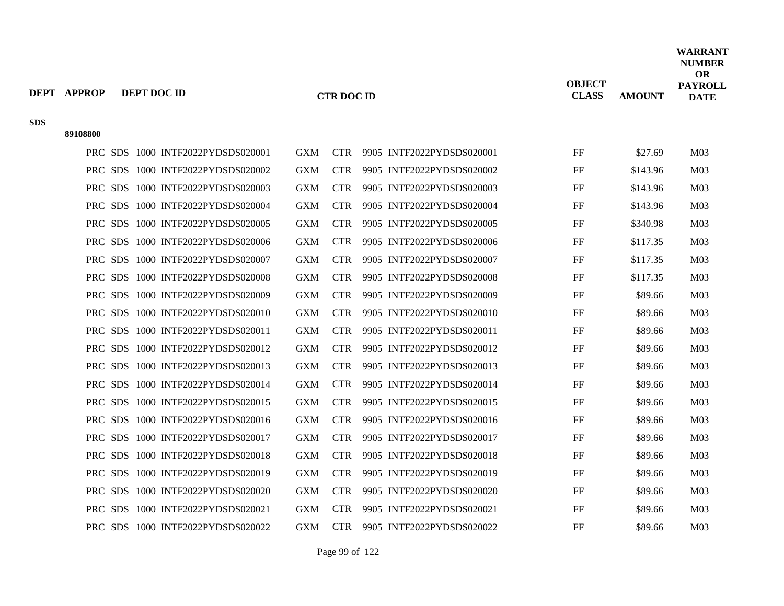|            | DEPT APPROP | <b>DEPT DOC ID</b> |                                   |            | <b>CTR DOC ID</b> |                           | <b>OBJECT</b><br><b>CLASS</b> | <b>AMOUNT</b> | <b>WARRANT</b><br><b>NUMBER</b><br><b>OR</b><br><b>PAYROLL</b><br><b>DATE</b> |
|------------|-------------|--------------------|-----------------------------------|------------|-------------------|---------------------------|-------------------------------|---------------|-------------------------------------------------------------------------------|
| <b>SDS</b> | 89108800    |                    |                                   |            |                   |                           |                               |               |                                                                               |
|            |             |                    | PRC SDS 1000 INTF2022PYDSDS020001 | <b>GXM</b> | <b>CTR</b>        | 9905 INTF2022PYDSDS020001 | FF                            | \$27.69       | M <sub>03</sub>                                                               |
|            |             |                    | PRC SDS 1000 INTF2022PYDSDS020002 | <b>GXM</b> | <b>CTR</b>        | 9905 INTF2022PYDSDS020002 | FF                            | \$143.96      | M <sub>03</sub>                                                               |
|            |             |                    | PRC SDS 1000 INTF2022PYDSDS020003 | <b>GXM</b> | <b>CTR</b>        | 9905 INTF2022PYDSDS020003 | FF                            | \$143.96      | M <sub>03</sub>                                                               |
|            |             |                    | PRC SDS 1000 INTF2022PYDSDS020004 | <b>GXM</b> | <b>CTR</b>        | 9905 INTF2022PYDSDS020004 | FF                            | \$143.96      | M <sub>03</sub>                                                               |
|            |             |                    | PRC SDS 1000 INTF2022PYDSDS020005 | <b>GXM</b> | <b>CTR</b>        | 9905 INTF2022PYDSDS020005 | FF                            | \$340.98      | M <sub>03</sub>                                                               |
|            |             |                    | PRC SDS 1000 INTF2022PYDSDS020006 | <b>GXM</b> | <b>CTR</b>        | 9905 INTF2022PYDSDS020006 | FF                            | \$117.35      | M <sub>03</sub>                                                               |
|            |             |                    | PRC SDS 1000 INTF2022PYDSDS020007 | <b>GXM</b> | <b>CTR</b>        | 9905 INTF2022PYDSDS020007 | FF                            | \$117.35      | M <sub>03</sub>                                                               |
|            |             |                    | PRC SDS 1000 INTF2022PYDSDS020008 | <b>GXM</b> | <b>CTR</b>        | 9905 INTF2022PYDSDS020008 | FF                            | \$117.35      | M <sub>03</sub>                                                               |
|            |             |                    | PRC SDS 1000 INTF2022PYDSDS020009 | <b>GXM</b> | <b>CTR</b>        | 9905 INTF2022PYDSDS020009 | FF                            | \$89.66       | M <sub>03</sub>                                                               |
|            |             |                    | PRC SDS 1000 INTF2022PYDSDS020010 | <b>GXM</b> | <b>CTR</b>        | 9905 INTF2022PYDSDS020010 | FF                            | \$89.66       | M <sub>03</sub>                                                               |
|            |             |                    | PRC SDS 1000 INTF2022PYDSDS020011 | <b>GXM</b> | <b>CTR</b>        | 9905 INTF2022PYDSDS020011 | FF                            | \$89.66       | M <sub>03</sub>                                                               |
|            |             |                    | PRC SDS 1000 INTF2022PYDSDS020012 | <b>GXM</b> | <b>CTR</b>        | 9905 INTF2022PYDSDS020012 | FF                            | \$89.66       | M <sub>03</sub>                                                               |
|            |             |                    | PRC SDS 1000 INTF2022PYDSDS020013 | <b>GXM</b> | <b>CTR</b>        | 9905 INTF2022PYDSDS020013 | FF                            | \$89.66       | M <sub>03</sub>                                                               |
|            |             |                    | PRC SDS 1000 INTF2022PYDSDS020014 | <b>GXM</b> | <b>CTR</b>        | 9905 INTF2022PYDSDS020014 | FF                            | \$89.66       | M <sub>03</sub>                                                               |
|            |             |                    | PRC SDS 1000 INTF2022PYDSDS020015 | <b>GXM</b> | <b>CTR</b>        | 9905 INTF2022PYDSDS020015 | FF                            | \$89.66       | M <sub>03</sub>                                                               |
|            |             |                    | PRC SDS 1000 INTF2022PYDSDS020016 | <b>GXM</b> | <b>CTR</b>        | 9905 INTF2022PYDSDS020016 | FF                            | \$89.66       | M <sub>03</sub>                                                               |
|            |             |                    | PRC SDS 1000 INTF2022PYDSDS020017 | <b>GXM</b> | <b>CTR</b>        | 9905 INTF2022PYDSDS020017 | FF                            | \$89.66       | M <sub>03</sub>                                                               |
|            |             |                    | PRC SDS 1000 INTF2022PYDSDS020018 | <b>GXM</b> | <b>CTR</b>        | 9905 INTF2022PYDSDS020018 | FF                            | \$89.66       | M <sub>03</sub>                                                               |
|            |             |                    | PRC SDS 1000 INTF2022PYDSDS020019 | <b>GXM</b> | CTR –             | 9905 INTF2022PYDSDS020019 | FF                            | \$89.66       | M <sub>03</sub>                                                               |
|            |             |                    | PRC SDS 1000 INTF2022PYDSDS020020 | <b>GXM</b> | <b>CTR</b>        | 9905 INTF2022PYDSDS020020 | FF                            | \$89.66       | M <sub>03</sub>                                                               |
|            |             |                    | PRC SDS 1000 INTF2022PYDSDS020021 | <b>GXM</b> | <b>CTR</b>        | 9905 INTF2022PYDSDS020021 | FF                            | \$89.66       | M <sub>03</sub>                                                               |
|            |             |                    | PRC SDS 1000 INTF2022PYDSDS020022 | <b>GXM</b> | <b>CTR</b>        | 9905 INTF2022PYDSDS020022 | FF                            | \$89.66       | M <sub>03</sub>                                                               |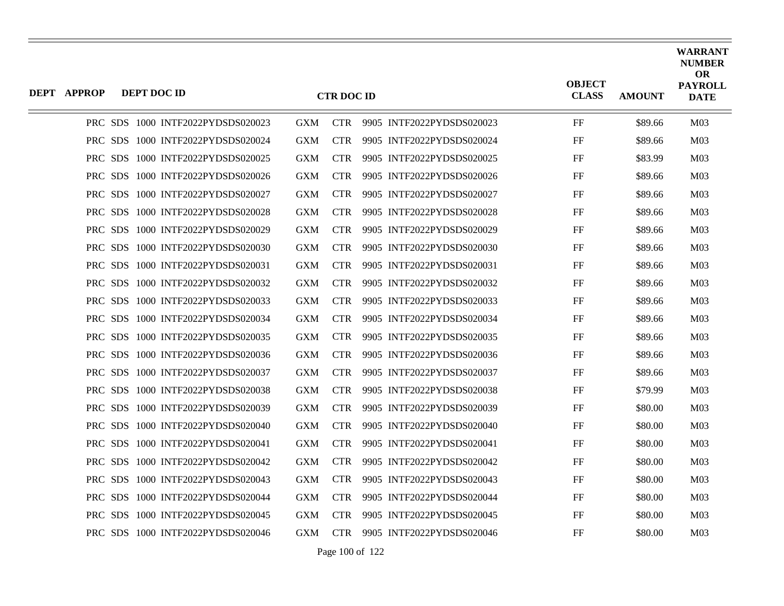| DEPT APPROP | DEPT DOC ID |                                   |            | <b>CTR DOC ID</b> |                           | <b>OBJECT</b><br><b>CLASS</b> | <b>AMOUNT</b> | <b>WARRANT</b><br><b>NUMBER</b><br><b>OR</b><br><b>PAYROLL</b><br><b>DATE</b> |
|-------------|-------------|-----------------------------------|------------|-------------------|---------------------------|-------------------------------|---------------|-------------------------------------------------------------------------------|
|             |             | PRC SDS 1000 INTF2022PYDSDS020023 | <b>GXM</b> | <b>CTR</b>        | 9905 INTF2022PYDSDS020023 | FF                            | \$89.66       | M <sub>03</sub>                                                               |
|             |             | PRC SDS 1000 INTF2022PYDSDS020024 | <b>GXM</b> | <b>CTR</b>        | 9905 INTF2022PYDSDS020024 | FF                            | \$89.66       | M <sub>03</sub>                                                               |
|             |             | PRC SDS 1000 INTF2022PYDSDS020025 | <b>GXM</b> | <b>CTR</b>        | 9905 INTF2022PYDSDS020025 | FF                            | \$83.99       | M <sub>03</sub>                                                               |
|             |             | PRC SDS 1000 INTF2022PYDSDS020026 | <b>GXM</b> | <b>CTR</b>        | 9905 INTF2022PYDSDS020026 | FF                            | \$89.66       | M <sub>03</sub>                                                               |
|             |             | PRC SDS 1000 INTF2022PYDSDS020027 | <b>GXM</b> | <b>CTR</b>        | 9905 INTF2022PYDSDS020027 | FF                            | \$89.66       | M <sub>03</sub>                                                               |
|             |             | PRC SDS 1000 INTF2022PYDSDS020028 | <b>GXM</b> | <b>CTR</b>        | 9905 INTF2022PYDSDS020028 | FF                            | \$89.66       | M <sub>03</sub>                                                               |
|             |             | PRC SDS 1000 INTF2022PYDSDS020029 | <b>GXM</b> | <b>CTR</b>        | 9905 INTF2022PYDSDS020029 | FF                            | \$89.66       | M <sub>03</sub>                                                               |
|             |             | PRC SDS 1000 INTF2022PYDSDS020030 | <b>GXM</b> | <b>CTR</b>        | 9905 INTF2022PYDSDS020030 | FF                            | \$89.66       | M <sub>03</sub>                                                               |
|             |             | PRC SDS 1000 INTF2022PYDSDS020031 | <b>GXM</b> | <b>CTR</b>        | 9905 INTF2022PYDSDS020031 | FF                            | \$89.66       | M <sub>03</sub>                                                               |
|             |             | PRC SDS 1000 INTF2022PYDSDS020032 | <b>GXM</b> | <b>CTR</b>        | 9905 INTF2022PYDSDS020032 | FF                            | \$89.66       | M <sub>03</sub>                                                               |
|             |             | PRC SDS 1000 INTF2022PYDSDS020033 | <b>GXM</b> | <b>CTR</b>        | 9905 INTF2022PYDSDS020033 | FF                            | \$89.66       | M <sub>03</sub>                                                               |
|             |             | PRC SDS 1000 INTF2022PYDSDS020034 | <b>GXM</b> | <b>CTR</b>        | 9905 INTF2022PYDSDS020034 | FF                            | \$89.66       | M <sub>03</sub>                                                               |
|             |             | PRC SDS 1000 INTF2022PYDSDS020035 | <b>GXM</b> | <b>CTR</b>        | 9905 INTF2022PYDSDS020035 | FF                            | \$89.66       | M <sub>03</sub>                                                               |
|             |             | PRC SDS 1000 INTF2022PYDSDS020036 | <b>GXM</b> | <b>CTR</b>        | 9905 INTF2022PYDSDS020036 | FF                            | \$89.66       | M <sub>03</sub>                                                               |
|             |             | PRC SDS 1000 INTF2022PYDSDS020037 | <b>GXM</b> | <b>CTR</b>        | 9905 INTF2022PYDSDS020037 | FF                            | \$89.66       | M <sub>03</sub>                                                               |
|             |             | PRC SDS 1000 INTF2022PYDSDS020038 | <b>GXM</b> | <b>CTR</b>        | 9905 INTF2022PYDSDS020038 | FF                            | \$79.99       | M <sub>03</sub>                                                               |
|             |             | PRC SDS 1000 INTF2022PYDSDS020039 | <b>GXM</b> | <b>CTR</b>        | 9905 INTF2022PYDSDS020039 | FF                            | \$80.00       | M <sub>03</sub>                                                               |
|             |             | PRC SDS 1000 INTF2022PYDSDS020040 | <b>GXM</b> | <b>CTR</b>        | 9905 INTF2022PYDSDS020040 | FF                            | \$80.00       | M <sub>03</sub>                                                               |
|             |             | PRC SDS 1000 INTF2022PYDSDS020041 | <b>GXM</b> | <b>CTR</b>        | 9905 INTF2022PYDSDS020041 | FF                            | \$80.00       | M <sub>03</sub>                                                               |
|             |             | PRC SDS 1000 INTF2022PYDSDS020042 | <b>GXM</b> | <b>CTR</b>        | 9905 INTF2022PYDSDS020042 | FF                            | \$80.00       | M <sub>03</sub>                                                               |
|             |             | PRC SDS 1000 INTF2022PYDSDS020043 | <b>GXM</b> | <b>CTR</b>        | 9905 INTF2022PYDSDS020043 | FF                            | \$80.00       | M <sub>03</sub>                                                               |
|             |             | PRC SDS 1000 INTF2022PYDSDS020044 | <b>GXM</b> | <b>CTR</b>        | 9905 INTF2022PYDSDS020044 | FF                            | \$80.00       | M <sub>03</sub>                                                               |
|             |             | PRC SDS 1000 INTF2022PYDSDS020045 | <b>GXM</b> | <b>CTR</b>        | 9905 INTF2022PYDSDS020045 | FF                            | \$80.00       | M <sub>03</sub>                                                               |
|             |             | PRC SDS 1000 INTF2022PYDSDS020046 | <b>GXM</b> | <b>CTR</b>        | 9905 INTF2022PYDSDS020046 | FF                            | \$80.00       | M <sub>03</sub>                                                               |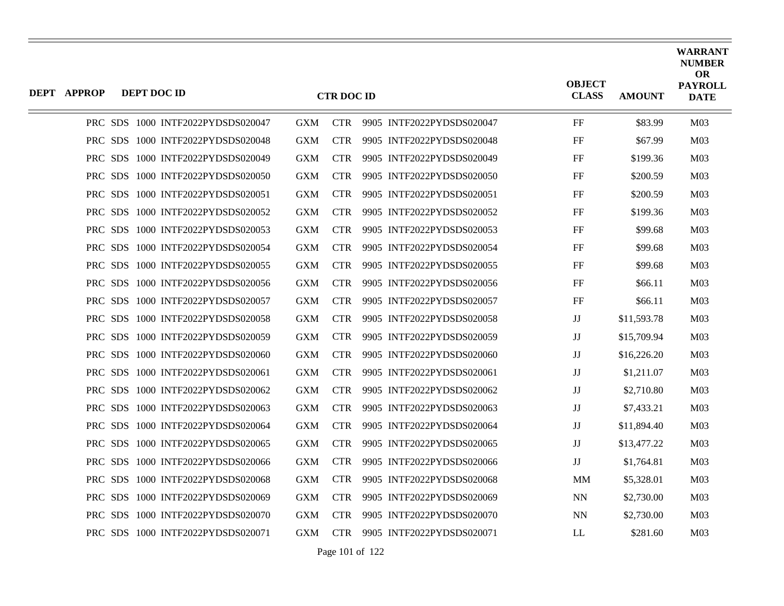| <b>DEPT APPROP</b> | DEPT DOC ID |                                   |            | <b>CTR DOC ID</b> |                           | <b>OBJECT</b><br><b>CLASS</b> | <b>AMOUNT</b> | <b>WARRANT</b><br><b>NUMBER</b><br><b>OR</b><br><b>PAYROLL</b><br><b>DATE</b> |
|--------------------|-------------|-----------------------------------|------------|-------------------|---------------------------|-------------------------------|---------------|-------------------------------------------------------------------------------|
|                    |             | PRC SDS 1000 INTF2022PYDSDS020047 | <b>GXM</b> | <b>CTR</b>        | 9905 INTF2022PYDSDS020047 | FF                            | \$83.99       | M <sub>03</sub>                                                               |
|                    |             | PRC SDS 1000 INTF2022PYDSDS020048 | <b>GXM</b> | <b>CTR</b>        | 9905 INTF2022PYDSDS020048 | FF                            | \$67.99       | M <sub>03</sub>                                                               |
|                    |             | PRC SDS 1000 INTF2022PYDSDS020049 | <b>GXM</b> | <b>CTR</b>        | 9905 INTF2022PYDSDS020049 | FF                            | \$199.36      | M <sub>03</sub>                                                               |
|                    |             | PRC SDS 1000 INTF2022PYDSDS020050 | <b>GXM</b> | <b>CTR</b>        | 9905 INTF2022PYDSDS020050 | FF                            | \$200.59      | M <sub>03</sub>                                                               |
|                    |             | PRC SDS 1000 INTF2022PYDSDS020051 | <b>GXM</b> | <b>CTR</b>        | 9905 INTF2022PYDSDS020051 | FF                            | \$200.59      | M <sub>03</sub>                                                               |
|                    |             | PRC SDS 1000 INTF2022PYDSDS020052 | <b>GXM</b> | <b>CTR</b>        | 9905 INTF2022PYDSDS020052 | FF                            | \$199.36      | M <sub>03</sub>                                                               |
|                    |             | PRC SDS 1000 INTF2022PYDSDS020053 | <b>GXM</b> | <b>CTR</b>        | 9905 INTF2022PYDSDS020053 | FF                            | \$99.68       | M <sub>03</sub>                                                               |
|                    |             | PRC SDS 1000 INTF2022PYDSDS020054 | <b>GXM</b> | <b>CTR</b>        | 9905 INTF2022PYDSDS020054 | FF                            | \$99.68       | M <sub>03</sub>                                                               |
|                    |             | PRC SDS 1000 INTF2022PYDSDS020055 | <b>GXM</b> | <b>CTR</b>        | 9905 INTF2022PYDSDS020055 | FF                            | \$99.68       | M <sub>03</sub>                                                               |
|                    |             | PRC SDS 1000 INTF2022PYDSDS020056 | <b>GXM</b> | <b>CTR</b>        | 9905 INTF2022PYDSDS020056 | FF                            | \$66.11       | M <sub>03</sub>                                                               |
|                    |             | PRC SDS 1000 INTF2022PYDSDS020057 | <b>GXM</b> | <b>CTR</b>        | 9905 INTF2022PYDSDS020057 | FF                            | \$66.11       | M <sub>03</sub>                                                               |
|                    |             | PRC SDS 1000 INTF2022PYDSDS020058 | <b>GXM</b> | <b>CTR</b>        | 9905 INTF2022PYDSDS020058 | $\mathbf{J}\mathbf{J}$        | \$11,593.78   | M <sub>03</sub>                                                               |
|                    |             | PRC SDS 1000 INTF2022PYDSDS020059 | <b>GXM</b> | <b>CTR</b>        | 9905 INTF2022PYDSDS020059 | $_{\rm JJ}$                   | \$15,709.94   | M <sub>03</sub>                                                               |
|                    |             | PRC SDS 1000 INTF2022PYDSDS020060 | <b>GXM</b> | <b>CTR</b>        | 9905 INTF2022PYDSDS020060 | $\mathbf{J}\mathbf{J}$        | \$16,226.20   | M <sub>03</sub>                                                               |
|                    |             | PRC SDS 1000 INTF2022PYDSDS020061 | <b>GXM</b> | <b>CTR</b>        | 9905 INTF2022PYDSDS020061 | $_{\rm JJ}$                   | \$1,211.07    | M <sub>03</sub>                                                               |
|                    |             | PRC SDS 1000 INTF2022PYDSDS020062 | <b>GXM</b> | <b>CTR</b>        | 9905 INTF2022PYDSDS020062 | $\mathbf{J}\mathbf{J}$        | \$2,710.80    | M <sub>03</sub>                                                               |
|                    |             | PRC SDS 1000 INTF2022PYDSDS020063 | <b>GXM</b> | <b>CTR</b>        | 9905 INTF2022PYDSDS020063 | $_{\rm JJ}$                   | \$7,433.21    | M <sub>03</sub>                                                               |
|                    |             | PRC SDS 1000 INTF2022PYDSDS020064 | <b>GXM</b> | <b>CTR</b>        | 9905 INTF2022PYDSDS020064 | $\mathbf{J}\mathbf{J}$        | \$11,894.40   | M <sub>03</sub>                                                               |
|                    |             | PRC SDS 1000 INTF2022PYDSDS020065 | <b>GXM</b> | <b>CTR</b>        | 9905 INTF2022PYDSDS020065 | $\mathbf{J}\mathbf{J}$        | \$13,477.22   | M <sub>03</sub>                                                               |
|                    |             | PRC SDS 1000 INTF2022PYDSDS020066 | <b>GXM</b> | <b>CTR</b>        | 9905 INTF2022PYDSDS020066 | JJ                            | \$1,764.81    | M <sub>03</sub>                                                               |
|                    |             | PRC SDS 1000 INTF2022PYDSDS020068 | <b>GXM</b> | <b>CTR</b>        | 9905 INTF2022PYDSDS020068 | <b>MM</b>                     | \$5,328.01    | M <sub>03</sub>                                                               |
|                    |             | PRC SDS 1000 INTF2022PYDSDS020069 | <b>GXM</b> | <b>CTR</b>        | 9905 INTF2022PYDSDS020069 | <b>NN</b>                     | \$2,730.00    | M <sub>03</sub>                                                               |
|                    |             | PRC SDS 1000 INTF2022PYDSDS020070 | <b>GXM</b> | <b>CTR</b>        | 9905 INTF2022PYDSDS020070 | <b>NN</b>                     | \$2,730.00    | M <sub>03</sub>                                                               |
|                    |             | PRC SDS 1000 INTF2022PYDSDS020071 | <b>GXM</b> | <b>CTR</b>        | 9905 INTF2022PYDSDS020071 | LL                            | \$281.60      | M <sub>03</sub>                                                               |

Page 101 of 122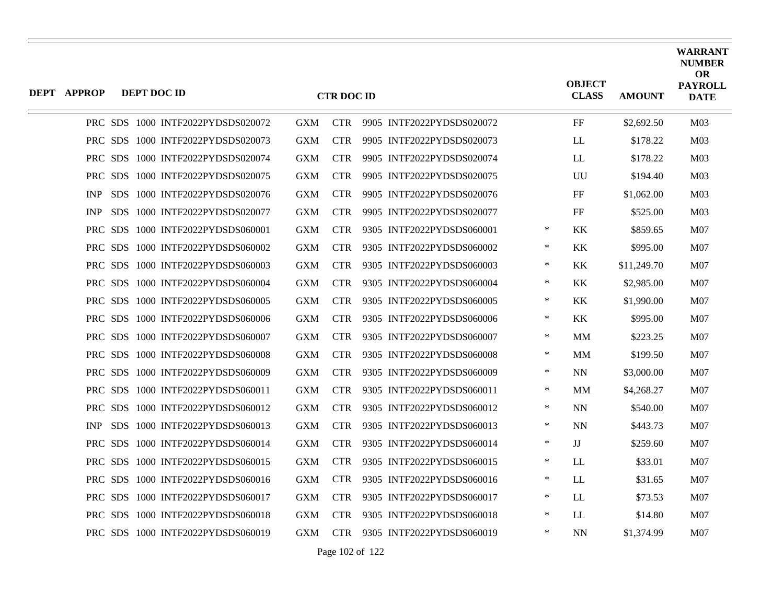| <b>DEPT APPROP</b> | DEPT DOC ID |                                   |            | <b>CTR DOC ID</b> |                           |        | <b>OBJECT</b><br><b>CLASS</b> | <b>AMOUNT</b> | <b>WARRANT</b><br><b>NUMBER</b><br><b>OR</b><br><b>PAYROLL</b><br><b>DATE</b> |
|--------------------|-------------|-----------------------------------|------------|-------------------|---------------------------|--------|-------------------------------|---------------|-------------------------------------------------------------------------------|
|                    |             | PRC SDS 1000 INTF2022PYDSDS020072 | <b>GXM</b> | <b>CTR</b>        | 9905 INTF2022PYDSDS020072 |        | $\rm FF$                      | \$2,692.50    | M <sub>03</sub>                                                               |
|                    |             | PRC SDS 1000 INTF2022PYDSDS020073 | <b>GXM</b> | <b>CTR</b>        | 9905 INTF2022PYDSDS020073 |        | LL                            | \$178.22      | M <sub>03</sub>                                                               |
|                    |             | PRC SDS 1000 INTF2022PYDSDS020074 | <b>GXM</b> | <b>CTR</b>        | 9905 INTF2022PYDSDS020074 |        | LL                            | \$178.22      | M <sub>03</sub>                                                               |
|                    |             | PRC SDS 1000 INTF2022PYDSDS020075 | <b>GXM</b> | <b>CTR</b>        | 9905 INTF2022PYDSDS020075 |        | UU                            | \$194.40      | M <sub>03</sub>                                                               |
| <b>INP</b>         |             | SDS 1000 INTF2022PYDSDS020076     | <b>GXM</b> | <b>CTR</b>        | 9905 INTF2022PYDSDS020076 |        | FF                            | \$1,062.00    | M <sub>03</sub>                                                               |
| <b>INP</b>         |             | SDS 1000 INTF2022PYDSDS020077     | <b>GXM</b> | <b>CTR</b>        | 9905 INTF2022PYDSDS020077 |        | $\rm FF$                      | \$525.00      | M <sub>03</sub>                                                               |
| PRC.               |             | SDS 1000 INTF2022PYDSDS060001     | <b>GXM</b> | <b>CTR</b>        | 9305 INTF2022PYDSDS060001 | ∗      | KK.                           | \$859.65      | M07                                                                           |
|                    |             | PRC SDS 1000 INTF2022PYDSDS060002 | <b>GXM</b> | <b>CTR</b>        | 9305 INTF2022PYDSDS060002 | $\ast$ | <b>KK</b>                     | \$995.00      | M <sub>07</sub>                                                               |
|                    |             | PRC SDS 1000 INTF2022PYDSDS060003 | <b>GXM</b> | <b>CTR</b>        | 9305 INTF2022PYDSDS060003 | ∗      | KK.                           | \$11,249.70   | M07                                                                           |
| PRC.               |             | SDS 1000 INTF2022PYDSDS060004     | <b>GXM</b> | <b>CTR</b>        | 9305 INTF2022PYDSDS060004 | $\ast$ | <b>KK</b>                     | \$2,985.00    | M07                                                                           |
|                    |             | PRC SDS 1000 INTF2022PYDSDS060005 | <b>GXM</b> | <b>CTR</b>        | 9305 INTF2022PYDSDS060005 | ∗      | KK.                           | \$1,990.00    | M <sub>07</sub>                                                               |
|                    |             | PRC SDS 1000 INTF2022PYDSDS060006 | <b>GXM</b> | <b>CTR</b>        | 9305 INTF2022PYDSDS060006 | $\ast$ | <b>KK</b>                     | \$995.00      | M07                                                                           |
|                    |             | PRC SDS 1000 INTF2022PYDSDS060007 | <b>GXM</b> | <b>CTR</b>        | 9305 INTF2022PYDSDS060007 | ∗      | MМ                            | \$223.25      | M <sub>07</sub>                                                               |
|                    |             | PRC SDS 1000 INTF2022PYDSDS060008 | <b>GXM</b> | <b>CTR</b>        | 9305 INTF2022PYDSDS060008 | $\ast$ | MМ                            | \$199.50      | M07                                                                           |
|                    |             | PRC SDS 1000 INTF2022PYDSDS060009 | <b>GXM</b> | <b>CTR</b>        | 9305 INTF2022PYDSDS060009 | $\ast$ | NN                            | \$3,000.00    | <b>M07</b>                                                                    |
|                    |             | PRC SDS 1000 INTF2022PYDSDS060011 | <b>GXM</b> | <b>CTR</b>        | 9305 INTF2022PYDSDS060011 | $\ast$ | MМ                            | \$4,268.27    | M07                                                                           |
|                    |             | PRC SDS 1000 INTF2022PYDSDS060012 | <b>GXM</b> | <b>CTR</b>        | 9305 INTF2022PYDSDS060012 | $\ast$ | NN                            | \$540.00      | M <sub>07</sub>                                                               |
| <b>INP</b>         |             | SDS 1000 INTF2022PYDSDS060013     | <b>GXM</b> | <b>CTR</b>        | 9305 INTF2022PYDSDS060013 | $\ast$ | <b>NN</b>                     | \$443.73      | M07                                                                           |
| PRC.               |             | SDS 1000 INTF2022PYDSDS060014     | <b>GXM</b> | <b>CTR</b>        | 9305 INTF2022PYDSDS060014 | $\ast$ | $_{\rm{JJ}}$                  | \$259.60      | M <sub>07</sub>                                                               |
|                    |             | PRC SDS 1000 INTF2022PYDSDS060015 | <b>GXM</b> | <b>CTR</b>        | 9305 INTF2022PYDSDS060015 | $\ast$ | LL                            | \$33.01       | M07                                                                           |
|                    |             | PRC SDS 1000 INTF2022PYDSDS060016 | <b>GXM</b> | <b>CTR</b>        | 9305 INTF2022PYDSDS060016 | $\ast$ | LL                            | \$31.65       | <b>M07</b>                                                                    |
|                    |             | PRC SDS 1000 INTF2022PYDSDS060017 | <b>GXM</b> | <b>CTR</b>        | 9305 INTF2022PYDSDS060017 | ∗      | LL                            | \$73.53       | M07                                                                           |
|                    |             | PRC SDS 1000 INTF2022PYDSDS060018 | <b>GXM</b> | <b>CTR</b>        | 9305 INTF2022PYDSDS060018 | ∗      | LL                            | \$14.80       | M <sub>07</sub>                                                               |
|                    |             | PRC SDS 1000 INTF2022PYDSDS060019 | <b>GXM</b> | <b>CTR</b>        | 9305 INTF2022PYDSDS060019 | $\ast$ | <b>NN</b>                     | \$1,374.99    | <b>M07</b>                                                                    |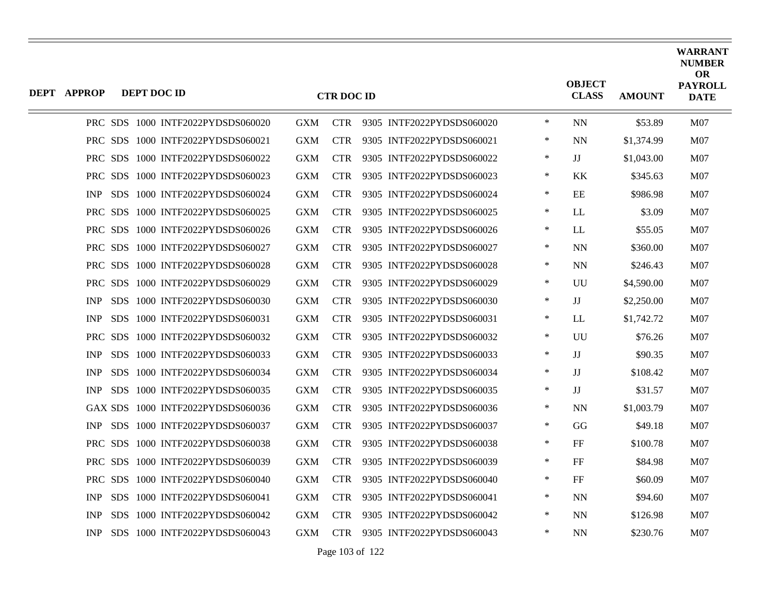| <b>DEPT APPROP</b> | DEPT DOC ID |                                   |            | <b>CTR DOC ID</b> |                           |        | <b>OBJECT</b><br><b>CLASS</b> | <b>AMOUNT</b> | <b>WARRANT</b><br><b>NUMBER</b><br>OR<br><b>PAYROLL</b><br><b>DATE</b> |
|--------------------|-------------|-----------------------------------|------------|-------------------|---------------------------|--------|-------------------------------|---------------|------------------------------------------------------------------------|
|                    |             | PRC SDS 1000 INTF2022PYDSDS060020 | <b>GXM</b> | <b>CTR</b>        | 9305 INTF2022PYDSDS060020 | $\ast$ | <b>NN</b>                     | \$53.89       | M07                                                                    |
|                    |             | PRC SDS 1000 INTF2022PYDSDS060021 | <b>GXM</b> | <b>CTR</b>        | 9305 INTF2022PYDSDS060021 | $\ast$ | <b>NN</b>                     | \$1,374.99    | <b>M07</b>                                                             |
|                    |             | PRC SDS 1000 INTF2022PYDSDS060022 | <b>GXM</b> | <b>CTR</b>        | 9305 INTF2022PYDSDS060022 | $\ast$ | $_{\rm JJ}$                   | \$1,043.00    | M <sub>07</sub>                                                        |
|                    |             | PRC SDS 1000 INTF2022PYDSDS060023 | <b>GXM</b> | <b>CTR</b>        | 9305 INTF2022PYDSDS060023 | $\ast$ | KK                            | \$345.63      | M07                                                                    |
| <b>INP</b>         |             | SDS 1000 INTF2022PYDSDS060024     | <b>GXM</b> | <b>CTR</b>        | 9305 INTF2022PYDSDS060024 | $\ast$ | EE                            | \$986.98      | M07                                                                    |
|                    |             | PRC SDS 1000 INTF2022PYDSDS060025 | <b>GXM</b> | <b>CTR</b>        | 9305 INTF2022PYDSDS060025 | $\ast$ | LL                            | \$3.09        | M <sub>07</sub>                                                        |
|                    |             | PRC SDS 1000 INTF2022PYDSDS060026 | <b>GXM</b> | <b>CTR</b>        | 9305 INTF2022PYDSDS060026 | $\ast$ | LL                            | \$55.05       | M07                                                                    |
|                    |             | PRC SDS 1000 INTF2022PYDSDS060027 | <b>GXM</b> | <b>CTR</b>        | 9305 INTF2022PYDSDS060027 | $\ast$ | <b>NN</b>                     | \$360.00      | <b>M07</b>                                                             |
|                    |             | PRC SDS 1000 INTF2022PYDSDS060028 | <b>GXM</b> | <b>CTR</b>        | 9305 INTF2022PYDSDS060028 | $\ast$ | <b>NN</b>                     | \$246.43      | M <sub>07</sub>                                                        |
| <b>PRC</b>         |             | SDS 1000 INTF2022PYDSDS060029     | <b>GXM</b> | <b>CTR</b>        | 9305 INTF2022PYDSDS060029 | ∗      | UU                            | \$4,590.00    | <b>M07</b>                                                             |
| <b>INP</b>         |             | SDS 1000 INTF2022PYDSDS060030     | <b>GXM</b> | <b>CTR</b>        | 9305 INTF2022PYDSDS060030 | $\ast$ | $_{\rm JJ}$                   | \$2,250.00    | M07                                                                    |
| <b>INP</b>         |             | SDS 1000 INTF2022PYDSDS060031     | <b>GXM</b> | <b>CTR</b>        | 9305 INTF2022PYDSDS060031 | $\ast$ | LL                            | \$1,742.72    | M <sub>07</sub>                                                        |
| <b>PRC</b>         |             | SDS 1000 INTF2022PYDSDS060032     | <b>GXM</b> | <b>CTR</b>        | 9305 INTF2022PYDSDS060032 | $\ast$ | UU                            | \$76.26       | M07                                                                    |
| <b>INP</b>         |             | SDS 1000 INTF2022PYDSDS060033     | <b>GXM</b> | <b>CTR</b>        | 9305 INTF2022PYDSDS060033 | $\ast$ | IJ                            | \$90.35       | <b>M07</b>                                                             |
| <b>INP</b>         |             | SDS 1000 INTF2022PYDSDS060034     | <b>GXM</b> | <b>CTR</b>        | 9305 INTF2022PYDSDS060034 | $\ast$ | $_{\rm JJ}$                   | \$108.42      | M07                                                                    |
| <b>INP</b>         |             | SDS 1000 INTF2022PYDSDS060035     | <b>GXM</b> | <b>CTR</b>        | 9305 INTF2022PYDSDS060035 | $\ast$ | JJ                            | \$31.57       | M07                                                                    |
|                    |             | GAX SDS 1000 INTF2022PYDSDS060036 | <b>GXM</b> | <b>CTR</b>        | 9305 INTF2022PYDSDS060036 | ∗      | <b>NN</b>                     | \$1,003.79    | M07                                                                    |
| <b>INP</b>         |             | SDS 1000 INTF2022PYDSDS060037     | <b>GXM</b> | <b>CTR</b>        | 9305 INTF2022PYDSDS060037 | $\ast$ | GG                            | \$49.18       | M <sub>07</sub>                                                        |
|                    |             | PRC SDS 1000 INTF2022PYDSDS060038 | <b>GXM</b> | <b>CTR</b>        | 9305 INTF2022PYDSDS060038 | $\ast$ | FF                            | \$100.78      | M07                                                                    |
|                    |             | PRC SDS 1000 INTF2022PYDSDS060039 | <b>GXM</b> | <b>CTR</b>        | 9305 INTF2022PYDSDS060039 | $\ast$ | FF                            | \$84.98       | <b>M07</b>                                                             |
|                    |             | PRC SDS 1000 INTF2022PYDSDS060040 | <b>GXM</b> | <b>CTR</b>        | 9305 INTF2022PYDSDS060040 | $\ast$ | FF                            | \$60.09       | M07                                                                    |
| <b>INP</b>         |             | SDS 1000 INTF2022PYDSDS060041     | <b>GXM</b> | <b>CTR</b>        | 9305 INTF2022PYDSDS060041 | $\ast$ | <b>NN</b>                     | \$94.60       | <b>M07</b>                                                             |
| <b>INP</b>         |             | SDS 1000 INTF2022PYDSDS060042     | <b>GXM</b> | <b>CTR</b>        | 9305 INTF2022PYDSDS060042 | ∗      | <b>NN</b>                     | \$126.98      | M <sub>07</sub>                                                        |
| <b>INP</b>         |             | SDS 1000 INTF2022PYDSDS060043     | <b>GXM</b> | <b>CTR</b>        | 9305 INTF2022PYDSDS060043 | $\ast$ | <b>NN</b>                     | \$230.76      | M07                                                                    |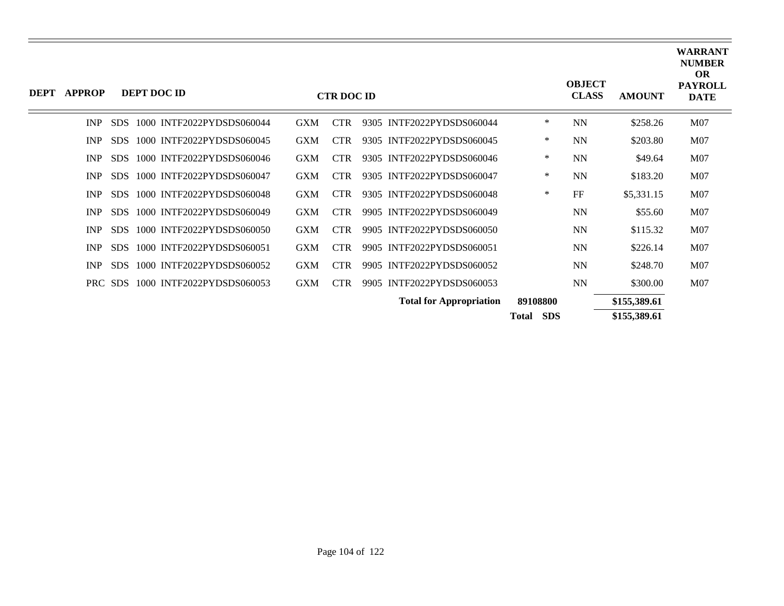| <b>DEPT</b> | <b>APPROP</b> |            | DEPT DOC ID |                           |            | <b>CTR DOC ID</b> |                                |                     | <b>OBJECT</b><br><b>CLASS</b> | <b>AMOUNT</b> | <b>WARRANT</b><br><b>NUMBER</b><br><b>OR</b><br><b>PAYROLL</b><br><b>DATE</b> |
|-------------|---------------|------------|-------------|---------------------------|------------|-------------------|--------------------------------|---------------------|-------------------------------|---------------|-------------------------------------------------------------------------------|
|             | <b>INP</b>    | <b>SDS</b> |             | 1000 INTF2022PYDSDS060044 | <b>GXM</b> | <b>CTR</b>        | 9305 INTF2022PYDSDS060044      | $\ast$              | <b>NN</b>                     | \$258.26      | M07                                                                           |
|             | <b>INP</b>    | <b>SDS</b> |             | 1000 INTF2022PYDSDS060045 | <b>GXM</b> | <b>CTR</b>        | 9305 INTF2022PYDSDS060045      | $\ast$              | <b>NN</b>                     | \$203.80      | M <sub>07</sub>                                                               |
|             | <b>INP</b>    | <b>SDS</b> |             | 1000 INTF2022PYDSDS060046 | <b>GXM</b> | <b>CTR</b>        | 9305 INTF2022PYDSDS060046      | $\ast$              | <b>NN</b>                     | \$49.64       | M07                                                                           |
|             | INP           | SDS.       |             | 1000 INTF2022PYDSDS060047 | <b>GXM</b> | <b>CTR</b>        | 9305 INTF2022PYDSDS060047      | $\ast$              | <b>NN</b>                     | \$183.20      | M07                                                                           |
|             | <b>INP</b>    | <b>SDS</b> |             | 1000 INTF2022PYDSDS060048 | <b>GXM</b> | <b>CTR</b>        | 9305 INTF2022PYDSDS060048      | ∗                   | FF                            | \$5,331.15    | M07                                                                           |
|             | <b>INP</b>    | SDS.       |             | 1000 INTF2022PYDSDS060049 | <b>GXM</b> | <b>CTR</b>        | 9905 INTF2022PYDSDS060049      |                     | <b>NN</b>                     | \$55.60       | M07                                                                           |
|             | <b>INP</b>    | <b>SDS</b> |             | 1000 INTF2022PYDSDS060050 | <b>GXM</b> | <b>CTR</b>        | 9905 INTF2022PYDSDS060050      |                     | <b>NN</b>                     | \$115.32      | M <sub>07</sub>                                                               |
|             | <b>INP</b>    | <b>SDS</b> |             | 1000 INTF2022PYDSDS060051 | <b>GXM</b> | <b>CTR</b>        | 9905 INTF2022PYDSDS060051      |                     | <b>NN</b>                     | \$226.14      | M07                                                                           |
|             | <b>INP</b>    | SDS.       |             | 1000 INTF2022PYDSDS060052 | <b>GXM</b> | <b>CTR</b>        | 9905 INTF2022PYDSDS060052      |                     | <b>NN</b>                     | \$248.70      | M <sub>07</sub>                                                               |
|             |               | PRC SDS    |             | 1000 INTF2022PYDSDS060053 | <b>GXM</b> | <b>CTR</b>        | 9905 INTF2022PYDSDS060053      |                     | <b>NN</b>                     | \$300.00      | M07                                                                           |
|             |               |            |             |                           |            |                   | <b>Total for Appropriation</b> | 89108800            |                               | \$155,389.61  |                                                                               |
|             |               |            |             |                           |            |                   |                                | <b>SDS</b><br>Total |                               | \$155,389.61  |                                                                               |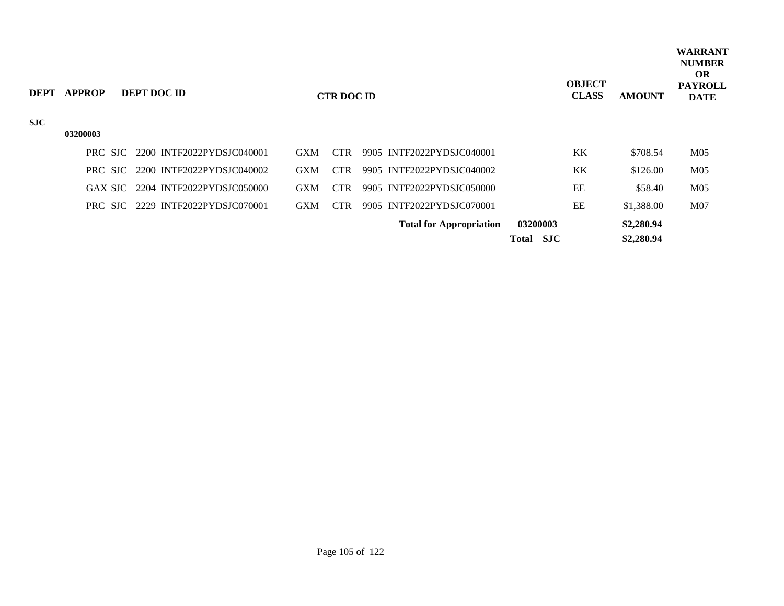| <b>DEPT</b> | <b>APPROP</b> | DEPT DOC ID                       |            | <b>CTR DOC ID</b> |                                |                     | <b>OBJECT</b><br><b>CLASS</b> | <b>AMOUNT</b> | <b>WARRANT</b><br><b>NUMBER</b><br><b>OR</b><br><b>PAYROLL</b><br><b>DATE</b> |
|-------------|---------------|-----------------------------------|------------|-------------------|--------------------------------|---------------------|-------------------------------|---------------|-------------------------------------------------------------------------------|
| <b>SJC</b>  | 03200003      |                                   |            |                   |                                |                     |                               |               |                                                                               |
|             |               | PRC SJC 2200 INTF2022PYDSJC040001 | <b>GXM</b> | <b>CTR</b>        | 9905 INTF2022PYDSJC040001      |                     | KK                            | \$708.54      | M <sub>05</sub>                                                               |
|             |               | PRC SJC 2200 INTF2022PYDSJC040002 | <b>GXM</b> | CTR.              | 9905 INTF2022PYDSJC040002      |                     | KK                            | \$126.00      | M <sub>05</sub>                                                               |
|             |               | GAX SJC 2204 INTF2022PYDSJC050000 | <b>GXM</b> | CTR.              | 9905 INTF2022PYDSJC050000      |                     | EE                            | \$58.40       | M <sub>05</sub>                                                               |
|             |               | PRC SJC 2229 INTF2022PYDSJC070001 | <b>GXM</b> | <b>CTR</b>        | 9905 INTF2022PYDSJC070001      |                     | EE                            | \$1,388.00    | M <sub>07</sub>                                                               |
|             |               |                                   |            |                   | <b>Total for Appropriation</b> | 03200003            |                               | \$2,280.94    |                                                                               |
|             |               |                                   |            |                   |                                | <b>SJC</b><br>Total |                               | \$2,280.94    |                                                                               |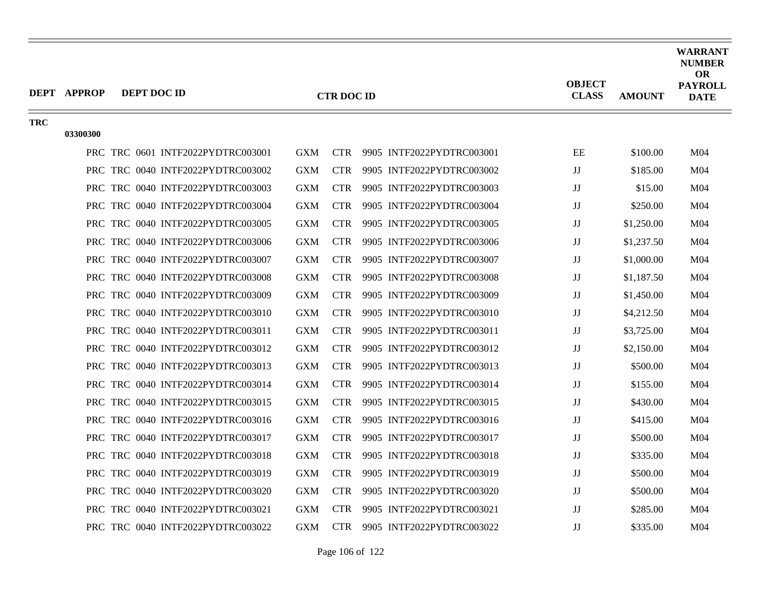|            | <b>DEPT APPROP</b> | DEPT DOC ID                       |            | <b>CTR DOC ID</b> |                           | <b>OBJECT</b><br><b>CLASS</b> | <b>AMOUNT</b> | <b>WARRANT</b><br><b>NUMBER</b><br><b>OR</b><br><b>PAYROLL</b><br><b>DATE</b> |
|------------|--------------------|-----------------------------------|------------|-------------------|---------------------------|-------------------------------|---------------|-------------------------------------------------------------------------------|
| <b>TRC</b> | 03300300           |                                   |            |                   |                           |                               |               |                                                                               |
|            |                    | PRC TRC 0601 INTF2022PYDTRC003001 | <b>GXM</b> | <b>CTR</b>        | 9905 INTF2022PYDTRC003001 | EE                            | \$100.00      | M <sub>04</sub>                                                               |
|            |                    | PRC TRC 0040 INTF2022PYDTRC003002 | <b>GXM</b> | <b>CTR</b>        | 9905 INTF2022PYDTRC003002 | JJ                            | \$185.00      | M <sub>04</sub>                                                               |
|            |                    | PRC TRC 0040 INTF2022PYDTRC003003 | <b>GXM</b> | <b>CTR</b>        | 9905 INTF2022PYDTRC003003 | JJ                            | \$15.00       | M <sub>04</sub>                                                               |
|            |                    | PRC TRC 0040 INTF2022PYDTRC003004 | <b>GXM</b> | <b>CTR</b>        | 9905 INTF2022PYDTRC003004 | $\rm JJ$                      | \$250.00      | M <sub>04</sub>                                                               |
|            |                    | PRC TRC 0040 INTF2022PYDTRC003005 | <b>GXM</b> | <b>CTR</b>        | 9905 INTF2022PYDTRC003005 | JJ                            | \$1,250.00    | M <sub>04</sub>                                                               |
|            |                    | PRC TRC 0040 INTF2022PYDTRC003006 | <b>GXM</b> | <b>CTR</b>        | 9905 INTF2022PYDTRC003006 | $\rm JJ$                      | \$1,237.50    | M <sub>04</sub>                                                               |
|            |                    | PRC TRC 0040 INTF2022PYDTRC003007 | <b>GXM</b> | <b>CTR</b>        | 9905 INTF2022PYDTRC003007 | JJ                            | \$1,000.00    | M <sub>04</sub>                                                               |
|            |                    | PRC TRC 0040 INTF2022PYDTRC003008 | <b>GXM</b> | <b>CTR</b>        | 9905 INTF2022PYDTRC003008 | $\rm JJ$                      | \$1,187.50    | M <sub>04</sub>                                                               |
|            |                    | PRC TRC 0040 INTF2022PYDTRC003009 | <b>GXM</b> | <b>CTR</b>        | 9905 INTF2022PYDTRC003009 | JJ                            | \$1,450.00    | M <sub>04</sub>                                                               |
|            |                    | PRC TRC 0040 INTF2022PYDTRC003010 | GXM        | <b>CTR</b>        | 9905 INTF2022PYDTRC003010 | JJ                            | \$4,212.50    | M <sub>04</sub>                                                               |
|            |                    | PRC TRC 0040 INTF2022PYDTRC003011 | <b>GXM</b> | <b>CTR</b>        | 9905 INTF2022PYDTRC003011 | JJ                            | \$3,725.00    | M <sub>04</sub>                                                               |
|            |                    | PRC TRC 0040 INTF2022PYDTRC003012 | <b>GXM</b> | <b>CTR</b>        | 9905 INTF2022PYDTRC003012 | $\rm JJ$                      | \$2,150.00    | M <sub>04</sub>                                                               |
|            |                    | PRC TRC 0040 INTF2022PYDTRC003013 | <b>GXM</b> | <b>CTR</b>        | 9905 INTF2022PYDTRC003013 | $\rm JJ$                      | \$500.00      | M <sub>04</sub>                                                               |
|            |                    | PRC TRC 0040 INTF2022PYDTRC003014 | <b>GXM</b> | <b>CTR</b>        | 9905 INTF2022PYDTRC003014 | JJ                            | \$155.00      | M <sub>04</sub>                                                               |
|            |                    | PRC TRC 0040 INTF2022PYDTRC003015 | <b>GXM</b> | <b>CTR</b>        | 9905 INTF2022PYDTRC003015 | $\rm JJ$                      | \$430.00      | M <sub>04</sub>                                                               |
|            |                    | PRC TRC 0040 INTF2022PYDTRC003016 | <b>GXM</b> | <b>CTR</b>        | 9905 INTF2022PYDTRC003016 | $\rm JJ$                      | \$415.00      | M <sub>04</sub>                                                               |
|            |                    | PRC TRC 0040 INTF2022PYDTRC003017 | <b>GXM</b> | <b>CTR</b>        | 9905 INTF2022PYDTRC003017 | $\rm JJ$                      | \$500.00      | M <sub>04</sub>                                                               |
|            |                    | PRC TRC 0040 INTF2022PYDTRC003018 | <b>GXM</b> | <b>CTR</b>        | 9905 INTF2022PYDTRC003018 | JJ                            | \$335.00      | M <sub>04</sub>                                                               |
|            |                    | PRC TRC 0040 INTF2022PYDTRC003019 | <b>GXM</b> | <b>CTR</b>        | 9905 INTF2022PYDTRC003019 | $\rm JJ$                      | \$500.00      | M <sub>04</sub>                                                               |
|            |                    | PRC TRC 0040 INTF2022PYDTRC003020 | <b>GXM</b> | <b>CTR</b>        | 9905 INTF2022PYDTRC003020 | JJ                            | \$500.00      | M <sub>04</sub>                                                               |
|            |                    | PRC TRC 0040 INTF2022PYDTRC003021 | <b>GXM</b> | <b>CTR</b>        | 9905 INTF2022PYDTRC003021 | JJ                            | \$285.00      | M <sub>04</sub>                                                               |
|            |                    | PRC TRC 0040 INTF2022PYDTRC003022 | <b>GXM</b> | <b>CTR</b>        | 9905 INTF2022PYDTRC003022 | $\mathbf{J}\mathbf{J}$        | \$335.00      | M <sub>04</sub>                                                               |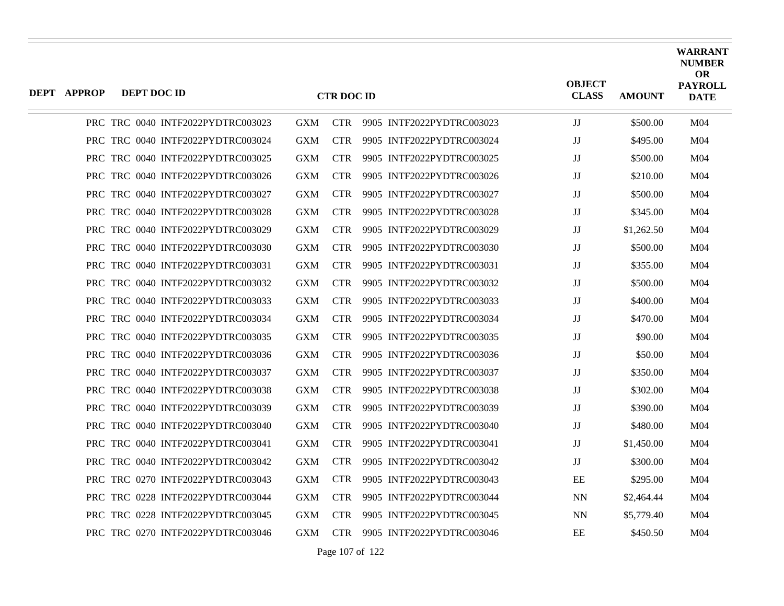| DEPT APPROP | DEPT DOC ID |                                   |            | <b>CTR DOC ID</b> |                           | <b>OBJECT</b><br><b>CLASS</b> | <b>AMOUNT</b> | WARRANT<br><b>NUMBER</b><br><b>OR</b><br><b>PAYROLL</b><br><b>DATE</b> |
|-------------|-------------|-----------------------------------|------------|-------------------|---------------------------|-------------------------------|---------------|------------------------------------------------------------------------|
|             |             | PRC TRC 0040 INTF2022PYDTRC003023 | <b>GXM</b> | <b>CTR</b>        | 9905 INTF2022PYDTRC003023 | JJ                            | \$500.00      | M <sub>04</sub>                                                        |
|             |             | PRC TRC 0040 INTF2022PYDTRC003024 | <b>GXM</b> | <b>CTR</b>        | 9905 INTF2022PYDTRC003024 | JJ                            | \$495.00      | M04                                                                    |
|             |             | PRC TRC 0040 INTF2022PYDTRC003025 | GXM        | <b>CTR</b>        | 9905 INTF2022PYDTRC003025 | JJ                            | \$500.00      | M <sub>04</sub>                                                        |
|             |             | PRC TRC 0040 INTF2022PYDTRC003026 | <b>GXM</b> | <b>CTR</b>        | 9905 INTF2022PYDTRC003026 | JJ                            | \$210.00      | M <sub>04</sub>                                                        |
|             |             | PRC TRC 0040 INTF2022PYDTRC003027 | <b>GXM</b> | <b>CTR</b>        | 9905 INTF2022PYDTRC003027 | JJ                            | \$500.00      | M <sub>04</sub>                                                        |
|             |             | PRC TRC 0040 INTF2022PYDTRC003028 | <b>GXM</b> | CTR.              | 9905 INTF2022PYDTRC003028 | JJ                            | \$345.00      | M <sub>04</sub>                                                        |
|             |             | PRC TRC 0040 INTF2022PYDTRC003029 | <b>GXM</b> | <b>CTR</b>        | 9905 INTF2022PYDTRC003029 | JJ                            | \$1,262.50    | M04                                                                    |
|             |             | PRC TRC 0040 INTF2022PYDTRC003030 | <b>GXM</b> | <b>CTR</b>        | 9905 INTF2022PYDTRC003030 | JJ                            | \$500.00      | M <sub>04</sub>                                                        |
|             |             | PRC TRC 0040 INTF2022PYDTRC003031 | GXM        | <b>CTR</b>        | 9905 INTF2022PYDTRC003031 | JJ                            | \$355.00      | M04                                                                    |
|             |             | PRC TRC 0040 INTF2022PYDTRC003032 | <b>GXM</b> | <b>CTR</b>        | 9905 INTF2022PYDTRC003032 | JJ                            | \$500.00      | M <sub>04</sub>                                                        |
|             |             | PRC TRC 0040 INTF2022PYDTRC003033 | <b>GXM</b> | <b>CTR</b>        | 9905 INTF2022PYDTRC003033 | JJ                            | \$400.00      | M04                                                                    |
|             |             | PRC TRC 0040 INTF2022PYDTRC003034 | GXM        | <b>CTR</b>        | 9905 INTF2022PYDTRC003034 | JJ                            | \$470.00      | M <sub>04</sub>                                                        |
|             |             | PRC TRC 0040 INTF2022PYDTRC003035 | <b>GXM</b> | <b>CTR</b>        | 9905 INTF2022PYDTRC003035 | JJ                            | \$90.00       | M <sub>04</sub>                                                        |
|             |             | PRC TRC 0040 INTF2022PYDTRC003036 | <b>GXM</b> | <b>CTR</b>        | 9905 INTF2022PYDTRC003036 | JJ                            | \$50.00       | M <sub>04</sub>                                                        |
|             |             | PRC TRC 0040 INTF2022PYDTRC003037 | <b>GXM</b> | CTR.              | 9905 INTF2022PYDTRC003037 | JJ                            | \$350.00      | M <sub>04</sub>                                                        |
|             |             | PRC TRC 0040 INTF2022PYDTRC003038 | <b>GXM</b> | <b>CTR</b>        | 9905 INTF2022PYDTRC003038 | JJ                            | \$302.00      | M04                                                                    |
|             |             | PRC TRC 0040 INTF2022PYDTRC003039 | <b>GXM</b> | <b>CTR</b>        | 9905 INTF2022PYDTRC003039 | JJ                            | \$390.00      | M <sub>04</sub>                                                        |
|             |             | PRC TRC 0040 INTF2022PYDTRC003040 | GXM        | <b>CTR</b>        | 9905 INTF2022PYDTRC003040 | JJ                            | \$480.00      | M04                                                                    |
|             |             | PRC TRC 0040 INTF2022PYDTRC003041 | <b>GXM</b> | <b>CTR</b>        | 9905 INTF2022PYDTRC003041 | JJ                            | \$1,450.00    | M <sub>04</sub>                                                        |
|             |             | PRC TRC 0040 INTF2022PYDTRC003042 | <b>GXM</b> | <b>CTR</b>        | 9905 INTF2022PYDTRC003042 | JJ                            | \$300.00      | M04                                                                    |
|             |             | PRC TRC 0270 INTF2022PYDTRC003043 | GXM        | <b>CTR</b>        | 9905 INTF2022PYDTRC003043 | EE                            | \$295.00      | M <sub>04</sub>                                                        |
|             |             | PRC TRC 0228 INTF2022PYDTRC003044 | <b>GXM</b> | <b>CTR</b>        | 9905 INTF2022PYDTRC003044 | <b>NN</b>                     | \$2,464.44    | M <sub>04</sub>                                                        |
|             |             | PRC TRC 0228 INTF2022PYDTRC003045 | <b>GXM</b> | <b>CTR</b>        | 9905 INTF2022PYDTRC003045 | <b>NN</b>                     | \$5,779.40    | M04                                                                    |
|             |             | PRC TRC 0270 INTF2022PYDTRC003046 | <b>GXM</b> | <b>CTR</b>        | 9905 INTF2022PYDTRC003046 | EE                            | \$450.50      | M <sub>04</sub>                                                        |

Page 107 of 122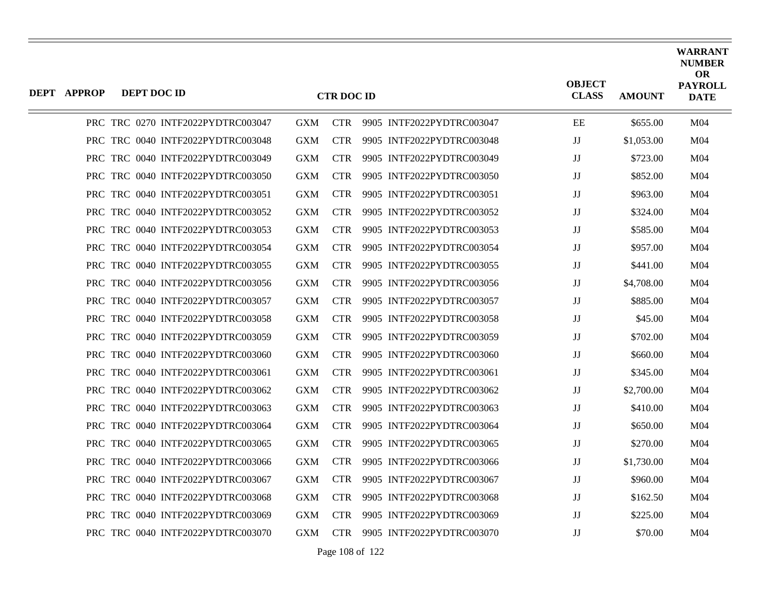| DEPT APPROP | DEPT DOC ID |                                   |            | <b>CTR DOC ID</b> |                           | <b>OBJECT</b><br><b>CLASS</b> | <b>AMOUNT</b> | <b>WARRANT</b><br><b>NUMBER</b><br><b>OR</b><br><b>PAYROLL</b><br><b>DATE</b> |
|-------------|-------------|-----------------------------------|------------|-------------------|---------------------------|-------------------------------|---------------|-------------------------------------------------------------------------------|
|             |             | PRC TRC 0270 INTF2022PYDTRC003047 | <b>GXM</b> | <b>CTR</b>        | 9905 INTF2022PYDTRC003047 | EE                            | \$655.00      | M <sub>04</sub>                                                               |
|             |             | PRC TRC 0040 INTF2022PYDTRC003048 | <b>GXM</b> | <b>CTR</b>        | 9905 INTF2022PYDTRC003048 | IJ                            | \$1,053.00    | M <sub>04</sub>                                                               |
|             |             | PRC TRC 0040 INTF2022PYDTRC003049 | <b>GXM</b> | <b>CTR</b>        | 9905 INTF2022PYDTRC003049 | JJ                            | \$723.00      | M <sub>04</sub>                                                               |
|             |             | PRC TRC 0040 INTF2022PYDTRC003050 | <b>GXM</b> | <b>CTR</b>        | 9905 INTF2022PYDTRC003050 | $_{\rm JJ}$                   | \$852.00      | M <sub>04</sub>                                                               |
|             |             | PRC TRC 0040 INTF2022PYDTRC003051 | <b>GXM</b> | <b>CTR</b>        | 9905 INTF2022PYDTRC003051 | JJ                            | \$963.00      | M <sub>04</sub>                                                               |
|             |             | PRC TRC 0040 INTF2022PYDTRC003052 | <b>GXM</b> | <b>CTR</b>        | 9905 INTF2022PYDTRC003052 | $_{\rm JJ}$                   | \$324.00      | M04                                                                           |
|             |             | PRC TRC 0040 INTF2022PYDTRC003053 | <b>GXM</b> | CTR.              | 9905 INTF2022PYDTRC003053 | $\mathbf{J}\mathbf{J}$        | \$585.00      | M04                                                                           |
|             |             | PRC TRC 0040 INTF2022PYDTRC003054 | <b>GXM</b> | <b>CTR</b>        | 9905 INTF2022PYDTRC003054 | $_{\rm JJ}$                   | \$957.00      | M <sub>04</sub>                                                               |
|             |             | PRC TRC 0040 INTF2022PYDTRC003055 | <b>GXM</b> | <b>CTR</b>        | 9905 INTF2022PYDTRC003055 | JJ                            | \$441.00      | M <sub>04</sub>                                                               |
|             |             | PRC TRC 0040 INTF2022PYDTRC003056 | <b>GXM</b> | <b>CTR</b>        | 9905 INTF2022PYDTRC003056 | $_{\rm JJ}$                   | \$4,708.00    | M <sub>04</sub>                                                               |
|             |             | PRC TRC 0040 INTF2022PYDTRC003057 | <b>GXM</b> | <b>CTR</b>        | 9905 INTF2022PYDTRC003057 | $_{\rm JJ}$                   | \$885.00      | M <sub>04</sub>                                                               |
|             |             | PRC TRC 0040 INTF2022PYDTRC003058 | <b>GXM</b> | <b>CTR</b>        | 9905 INTF2022PYDTRC003058 | $\mathbf{J}\mathbf{J}$        | \$45.00       | M <sub>04</sub>                                                               |
|             |             | PRC TRC 0040 INTF2022PYDTRC003059 | <b>GXM</b> | <b>CTR</b>        | 9905 INTF2022PYDTRC003059 | JJ                            | \$702.00      | M <sub>04</sub>                                                               |
|             |             | PRC TRC 0040 INTF2022PYDTRC003060 | <b>GXM</b> | <b>CTR</b>        | 9905 INTF2022PYDTRC003060 | IJ                            | \$660.00      | M04                                                                           |
|             |             | PRC TRC 0040 INTF2022PYDTRC003061 | <b>GXM</b> | <b>CTR</b>        | 9905 INTF2022PYDTRC003061 | $_{\rm JJ}$                   | \$345.00      | M <sub>04</sub>                                                               |
|             |             | PRC TRC 0040 INTF2022PYDTRC003062 | <b>GXM</b> | <b>CTR</b>        | 9905 INTF2022PYDTRC003062 | $_{\rm JJ}$                   | \$2,700.00    | M <sub>04</sub>                                                               |
|             |             | PRC TRC 0040 INTF2022PYDTRC003063 | <b>GXM</b> | <b>CTR</b>        | 9905 INTF2022PYDTRC003063 | $_{\rm JJ}$                   | \$410.00      | M <sub>04</sub>                                                               |
|             |             | PRC TRC 0040 INTF2022PYDTRC003064 | <b>GXM</b> | <b>CTR</b>        | 9905 INTF2022PYDTRC003064 | $\mathbf{J}\mathbf{J}$        | \$650.00      | M <sub>04</sub>                                                               |
|             |             | PRC TRC 0040 INTF2022PYDTRC003065 | <b>GXM</b> | <b>CTR</b>        | 9905 INTF2022PYDTRC003065 | $\mathbf{J}\mathbf{J}$        | \$270.00      | M <sub>04</sub>                                                               |
|             |             | PRC TRC 0040 INTF2022PYDTRC003066 | <b>GXM</b> | <b>CTR</b>        | 9905 INTF2022PYDTRC003066 | IJ                            | \$1,730.00    | M04                                                                           |
|             |             | PRC TRC 0040 INTF2022PYDTRC003067 | <b>GXM</b> | <b>CTR</b>        | 9905 INTF2022PYDTRC003067 | JJ                            | \$960.00      | M <sub>04</sub>                                                               |
|             |             | PRC TRC 0040 INTF2022PYDTRC003068 | <b>GXM</b> | <b>CTR</b>        | 9905 INTF2022PYDTRC003068 | $\mathbf{J}\mathbf{J}$        | \$162.50      | M <sub>04</sub>                                                               |
|             |             | PRC TRC 0040 INTF2022PYDTRC003069 | <b>GXM</b> | <b>CTR</b>        | 9905 INTF2022PYDTRC003069 | $_{\rm JJ}$                   | \$225.00      | M <sub>04</sub>                                                               |
|             |             | PRC TRC 0040 INTF2022PYDTRC003070 | <b>GXM</b> | <b>CTR</b>        | 9905 INTF2022PYDTRC003070 | JJ                            | \$70.00       | M <sub>04</sub>                                                               |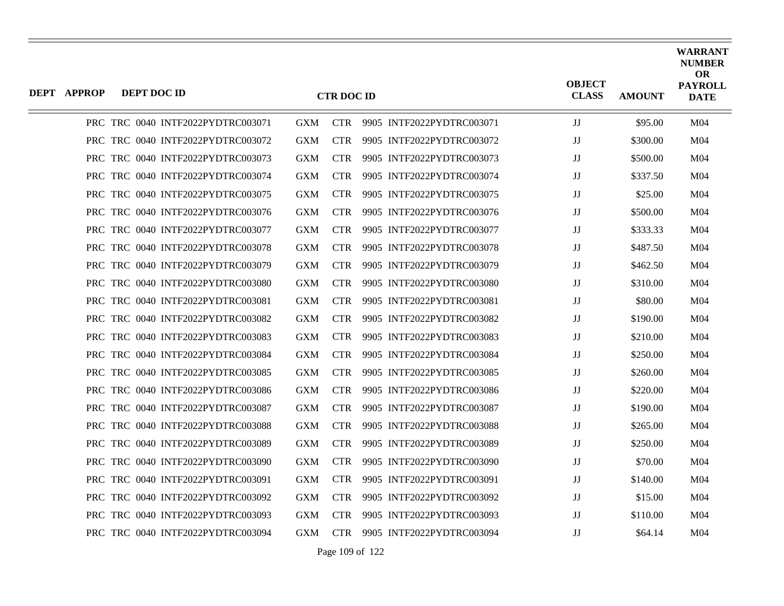| DEPT APPROP | DEPT DOC ID |                                   |            | <b>CTR DOC ID</b> |                           | <b>OBJECT</b><br><b>CLASS</b> | <b>AMOUNT</b> | WARRANT<br><b>NUMBER</b><br><b>OR</b><br><b>PAYROLL</b><br><b>DATE</b> |
|-------------|-------------|-----------------------------------|------------|-------------------|---------------------------|-------------------------------|---------------|------------------------------------------------------------------------|
|             |             | PRC TRC 0040 INTF2022PYDTRC003071 | GXM        | <b>CTR</b>        | 9905 INTF2022PYDTRC003071 | JJ                            | \$95.00       | M <sub>04</sub>                                                        |
|             |             | PRC TRC 0040 INTF2022PYDTRC003072 | GXM        | <b>CTR</b>        | 9905 INTF2022PYDTRC003072 | JJ                            | \$300.00      | M04                                                                    |
|             |             | PRC TRC 0040 INTF2022PYDTRC003073 | GXM        | <b>CTR</b>        | 9905 INTF2022PYDTRC003073 | JJ                            | \$500.00      | M <sub>04</sub>                                                        |
|             |             | PRC TRC 0040 INTF2022PYDTRC003074 | <b>GXM</b> | <b>CTR</b>        | 9905 INTF2022PYDTRC003074 | JJ                            | \$337.50      | M04                                                                    |
|             |             | PRC TRC 0040 INTF2022PYDTRC003075 | <b>GXM</b> | <b>CTR</b>        | 9905 INTF2022PYDTRC003075 | JJ                            | \$25.00       | M <sub>04</sub>                                                        |
|             |             | PRC TRC 0040 INTF2022PYDTRC003076 | GXM        | <b>CTR</b>        | 9905 INTF2022PYDTRC003076 | JJ                            | \$500.00      | M04                                                                    |
|             |             | PRC TRC 0040 INTF2022PYDTRC003077 | <b>GXM</b> | <b>CTR</b>        | 9905 INTF2022PYDTRC003077 | JJ                            | \$333.33      | M <sub>04</sub>                                                        |
|             |             | PRC TRC 0040 INTF2022PYDTRC003078 | <b>GXM</b> | <b>CTR</b>        | 9905 INTF2022PYDTRC003078 | JJ                            | \$487.50      | M04                                                                    |
|             |             | PRC TRC 0040 INTF2022PYDTRC003079 | <b>GXM</b> | CTR.              | 9905 INTF2022PYDTRC003079 | JJ                            | \$462.50      | M <sub>04</sub>                                                        |
|             |             | PRC TRC 0040 INTF2022PYDTRC003080 | <b>GXM</b> | <b>CTR</b>        | 9905 INTF2022PYDTRC003080 | JJ                            | \$310.00      | M04                                                                    |
|             |             | PRC TRC 0040 INTF2022PYDTRC003081 | <b>GXM</b> | <b>CTR</b>        | 9905 INTF2022PYDTRC003081 | JJ                            | \$80.00       | M <sub>04</sub>                                                        |
|             |             | PRC TRC 0040 INTF2022PYDTRC003082 | <b>GXM</b> | <b>CTR</b>        | 9905 INTF2022PYDTRC003082 | JJ                            | \$190.00      | M <sub>04</sub>                                                        |
|             |             | PRC TRC 0040 INTF2022PYDTRC003083 | <b>GXM</b> | CTR.              | 9905 INTF2022PYDTRC003083 | JJ                            | \$210.00      | M <sub>04</sub>                                                        |
|             |             | PRC TRC 0040 INTF2022PYDTRC003084 | <b>GXM</b> | <b>CTR</b>        | 9905 INTF2022PYDTRC003084 | JJ                            | \$250.00      | M <sub>04</sub>                                                        |
|             |             | PRC TRC 0040 INTF2022PYDTRC003085 | <b>GXM</b> | <b>CTR</b>        | 9905 INTF2022PYDTRC003085 | $\rm JJ$                      | \$260.00      | M04                                                                    |
|             |             | PRC TRC 0040 INTF2022PYDTRC003086 | <b>GXM</b> | CTR.              | 9905 INTF2022PYDTRC003086 | JJ                            | \$220.00      | M <sub>04</sub>                                                        |
|             |             | PRC TRC 0040 INTF2022PYDTRC003087 | <b>GXM</b> | <b>CTR</b>        | 9905 INTF2022PYDTRC003087 | JJ                            | \$190.00      | M04                                                                    |
|             |             | PRC TRC 0040 INTF2022PYDTRC003088 | <b>GXM</b> | <b>CTR</b>        | 9905 INTF2022PYDTRC003088 | JJ                            | \$265.00      | M <sub>04</sub>                                                        |
|             |             | PRC TRC 0040 INTF2022PYDTRC003089 | <b>GXM</b> | CTR.              | 9905 INTF2022PYDTRC003089 | JJ                            | \$250.00      | M04                                                                    |
|             |             | PRC TRC 0040 INTF2022PYDTRC003090 | <b>GXM</b> | <b>CTR</b>        | 9905 INTF2022PYDTRC003090 | JJ                            | \$70.00       | M <sub>04</sub>                                                        |
|             |             | PRC TRC 0040 INTF2022PYDTRC003091 | GXM        | <b>CTR</b>        | 9905 INTF2022PYDTRC003091 | JJ                            | \$140.00      | M04                                                                    |
|             |             | PRC TRC 0040 INTF2022PYDTRC003092 | <b>GXM</b> | CTR.              | 9905 INTF2022PYDTRC003092 | JJ                            | \$15.00       | M <sub>04</sub>                                                        |
|             |             | PRC TRC 0040 INTF2022PYDTRC003093 | <b>GXM</b> | <b>CTR</b>        | 9905 INTF2022PYDTRC003093 | JJ                            | \$110.00      | M <sub>04</sub>                                                        |
|             |             | PRC TRC 0040 INTF2022PYDTRC003094 | <b>GXM</b> | <b>CTR</b>        | 9905 INTF2022PYDTRC003094 | JJ                            | \$64.14       | M <sub>04</sub>                                                        |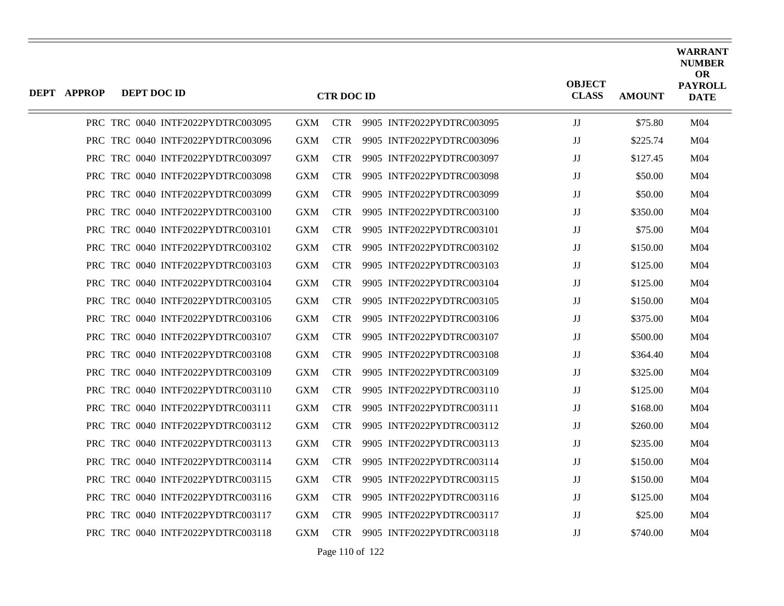| <b>DEPT APPROP</b> | DEPT DOC ID                       |            | <b>CTR DOC ID</b> |                           | <b>OBJECT</b><br><b>CLASS</b> | <b>AMOUNT</b> | <b>WARRANT</b><br><b>NUMBER</b><br><b>OR</b><br><b>PAYROLL</b><br><b>DATE</b> |
|--------------------|-----------------------------------|------------|-------------------|---------------------------|-------------------------------|---------------|-------------------------------------------------------------------------------|
|                    | PRC TRC 0040 INTF2022PYDTRC003095 | <b>GXM</b> | <b>CTR</b>        | 9905 INTF2022PYDTRC003095 | $_{\rm JJ}$                   | \$75.80       | M <sub>04</sub>                                                               |
|                    | PRC TRC 0040 INTF2022PYDTRC003096 | <b>GXM</b> | <b>CTR</b>        | 9905 INTF2022PYDTRC003096 | IJ                            | \$225.74      | M04                                                                           |
|                    | PRC TRC 0040 INTF2022PYDTRC003097 | <b>GXM</b> | <b>CTR</b>        | 9905 INTF2022PYDTRC003097 | $_{\rm JJ}$                   | \$127.45      | M <sub>04</sub>                                                               |
|                    | PRC TRC 0040 INTF2022PYDTRC003098 | GXM        | <b>CTR</b>        | 9905 INTF2022PYDTRC003098 | $_{\rm JJ}$                   | \$50.00       | M04                                                                           |
|                    | PRC TRC 0040 INTF2022PYDTRC003099 | <b>GXM</b> | <b>CTR</b>        | 9905 INTF2022PYDTRC003099 | $_{\rm JJ}$                   | \$50.00       | M <sub>04</sub>                                                               |
|                    | PRC TRC 0040 INTF2022PYDTRC003100 | <b>GXM</b> | <b>CTR</b>        | 9905 INTF2022PYDTRC003100 | $\mathbf{J}\mathbf{J}$        | \$350.00      | M <sub>04</sub>                                                               |
|                    | PRC TRC 0040 INTF2022PYDTRC003101 | <b>GXM</b> | <b>CTR</b>        | 9905 INTF2022PYDTRC003101 | $_{\rm JJ}$                   | \$75.00       | M <sub>04</sub>                                                               |
|                    | PRC TRC 0040 INTF2022PYDTRC003102 | <b>GXM</b> | <b>CTR</b>        | 9905 INTF2022PYDTRC003102 | IJ                            | \$150.00      | M04                                                                           |
|                    | PRC TRC 0040 INTF2022PYDTRC003103 | <b>GXM</b> | <b>CTR</b>        | 9905 INTF2022PYDTRC003103 | $_{\rm JJ}$                   | \$125.00      | M <sub>04</sub>                                                               |
|                    | PRC TRC 0040 INTF2022PYDTRC003104 | GXM        | <b>CTR</b>        | 9905 INTF2022PYDTRC003104 | $_{\rm JJ}$                   | \$125.00      | M04                                                                           |
|                    | PRC TRC 0040 INTF2022PYDTRC003105 | <b>GXM</b> | <b>CTR</b>        | 9905 INTF2022PYDTRC003105 | $_{\rm JJ}$                   | \$150.00      | M <sub>04</sub>                                                               |
|                    | PRC TRC 0040 INTF2022PYDTRC003106 | <b>GXM</b> | <b>CTR</b>        | 9905 INTF2022PYDTRC003106 | $\mathbf{J}\mathbf{J}$        | \$375.00      | M04                                                                           |
|                    | PRC TRC 0040 INTF2022PYDTRC003107 | <b>GXM</b> | <b>CTR</b>        | 9905 INTF2022PYDTRC003107 | $_{\rm JJ}$                   | \$500.00      | M <sub>04</sub>                                                               |
|                    | PRC TRC 0040 INTF2022PYDTRC003108 | <b>GXM</b> | <b>CTR</b>        | 9905 INTF2022PYDTRC003108 | IJ                            | \$364.40      | M04                                                                           |
|                    | PRC TRC 0040 INTF2022PYDTRC003109 | <b>GXM</b> | <b>CTR</b>        | 9905 INTF2022PYDTRC003109 | $_{\rm JJ}$                   | \$325.00      | M <sub>04</sub>                                                               |
|                    | PRC TRC 0040 INTF2022PYDTRC003110 | GXM        | <b>CTR</b>        | 9905 INTF2022PYDTRC003110 | IJ                            | \$125.00      | M04                                                                           |
|                    | PRC TRC 0040 INTF2022PYDTRC003111 | <b>GXM</b> | <b>CTR</b>        | 9905 INTF2022PYDTRC003111 | $_{\rm JJ}$                   | \$168.00      | M <sub>04</sub>                                                               |
|                    | PRC TRC 0040 INTF2022PYDTRC003112 | <b>GXM</b> | <b>CTR</b>        | 9905 INTF2022PYDTRC003112 | $\mathbf{J}\mathbf{J}$        | \$260.00      | M <sub>04</sub>                                                               |
|                    | PRC TRC 0040 INTF2022PYDTRC003113 | <b>GXM</b> | <b>CTR</b>        | 9905 INTF2022PYDTRC003113 | $_{\rm JJ}$                   | \$235.00      | M <sub>04</sub>                                                               |
|                    | PRC TRC 0040 INTF2022PYDTRC003114 | <b>GXM</b> | <b>CTR</b>        | 9905 INTF2022PYDTRC003114 | IJ                            | \$150.00      | M <sub>04</sub>                                                               |
|                    | PRC TRC 0040 INTF2022PYDTRC003115 | <b>GXM</b> | <b>CTR</b>        | 9905 INTF2022PYDTRC003115 | $_{\rm JJ}$                   | \$150.00      | M <sub>04</sub>                                                               |
|                    | PRC TRC 0040 INTF2022PYDTRC003116 | GXM        | <b>CTR</b>        | 9905 INTF2022PYDTRC003116 | $_{\rm JJ}$                   | \$125.00      | M04                                                                           |
|                    | PRC TRC 0040 INTF2022PYDTRC003117 | <b>GXM</b> | <b>CTR</b>        | 9905 INTF2022PYDTRC003117 | $\mathbf{J}\mathbf{J}$        | \$25.00       | M <sub>04</sub>                                                               |
|                    | PRC TRC 0040 INTF2022PYDTRC003118 | GXM        | <b>CTR</b>        | 9905 INTF2022PYDTRC003118 | $_{\rm JJ}$                   | \$740.00      | M <sub>04</sub>                                                               |
|                    |                                   |            |                   |                           |                               |               |                                                                               |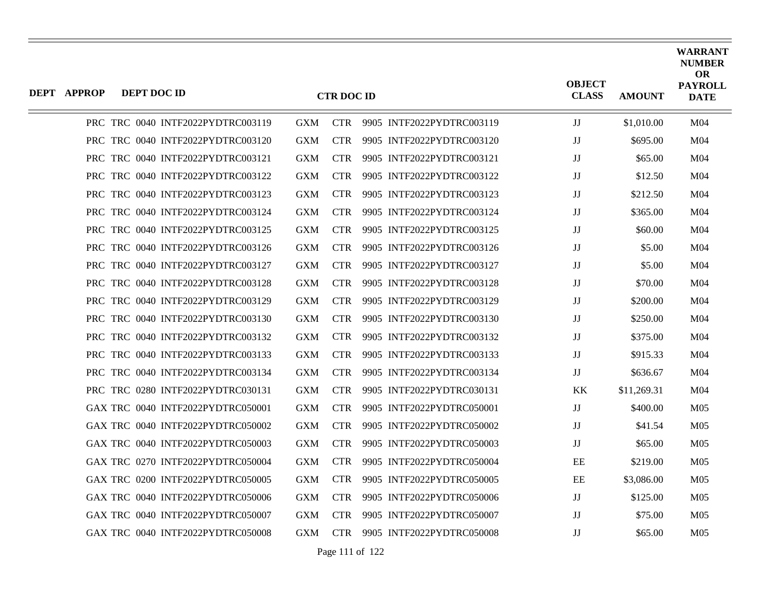| <b>DEPT APPROP</b> | DEPT DOC ID |                                   |            | <b>CTR DOC ID</b> |                           | <b>OBJECT</b><br><b>CLASS</b> | <b>AMOUNT</b> | <b>WARRANT</b><br><b>NUMBER</b><br><b>OR</b><br><b>PAYROLL</b><br><b>DATE</b> |
|--------------------|-------------|-----------------------------------|------------|-------------------|---------------------------|-------------------------------|---------------|-------------------------------------------------------------------------------|
|                    |             | PRC TRC 0040 INTF2022PYDTRC003119 | <b>GXM</b> | <b>CTR</b>        | 9905 INTF2022PYDTRC003119 | JJ                            | \$1,010.00    | M <sub>04</sub>                                                               |
|                    |             | PRC TRC 0040 INTF2022PYDTRC003120 | <b>GXM</b> | <b>CTR</b>        | 9905 INTF2022PYDTRC003120 | JJ                            | \$695.00      | M <sub>04</sub>                                                               |
|                    |             | PRC TRC 0040 INTF2022PYDTRC003121 | GXM        | <b>CTR</b>        | 9905 INTF2022PYDTRC003121 | IJ                            | \$65.00       | M <sub>04</sub>                                                               |
|                    |             | PRC TRC 0040 INTF2022PYDTRC003122 | <b>GXM</b> | <b>CTR</b>        | 9905 INTF2022PYDTRC003122 | $_{\rm JJ}$                   | \$12.50       | M <sub>04</sub>                                                               |
|                    |             | PRC TRC 0040 INTF2022PYDTRC003123 | <b>GXM</b> | <b>CTR</b>        | 9905 INTF2022PYDTRC003123 | $\mathbf{J}\mathbf{J}$        | \$212.50      | M <sub>04</sub>                                                               |
|                    |             | PRC TRC 0040 INTF2022PYDTRC003124 | <b>GXM</b> | CTR.              | 9905 INTF2022PYDTRC003124 | JJ                            | \$365.00      | M <sub>04</sub>                                                               |
|                    |             | PRC TRC 0040 INTF2022PYDTRC003125 | <b>GXM</b> | <b>CTR</b>        | 9905 INTF2022PYDTRC003125 | $\mathbf{J}\mathbf{J}$        | \$60.00       | M <sub>04</sub>                                                               |
|                    |             | PRC TRC 0040 INTF2022PYDTRC003126 | <b>GXM</b> | <b>CTR</b>        | 9905 INTF2022PYDTRC003126 | $_{\rm JJ}$                   | \$5.00        | M <sub>04</sub>                                                               |
|                    |             | PRC TRC 0040 INTF2022PYDTRC003127 | GXM        | <b>CTR</b>        | 9905 INTF2022PYDTRC003127 | JJ                            | \$5.00        | M04                                                                           |
|                    |             | PRC TRC 0040 INTF2022PYDTRC003128 | <b>GXM</b> | CTR.              | 9905 INTF2022PYDTRC003128 | $_{\rm JJ}$                   | \$70.00       | M <sub>04</sub>                                                               |
|                    |             | PRC TRC 0040 INTF2022PYDTRC003129 | <b>GXM</b> | <b>CTR</b>        | 9905 INTF2022PYDTRC003129 | JJ                            | \$200.00      | M <sub>04</sub>                                                               |
|                    |             | PRC TRC 0040 INTF2022PYDTRC003130 | <b>GXM</b> | CTR.              | 9905 INTF2022PYDTRC003130 | $_{\rm JJ}$                   | \$250.00      | M <sub>04</sub>                                                               |
|                    |             | PRC TRC 0040 INTF2022PYDTRC003132 | <b>GXM</b> | <b>CTR</b>        | 9905 INTF2022PYDTRC003132 | JJ                            | \$375.00      | M <sub>04</sub>                                                               |
|                    |             | PRC TRC 0040 INTF2022PYDTRC003133 | <b>GXM</b> | <b>CTR</b>        | 9905 INTF2022PYDTRC003133 | JJ                            | \$915.33      | M <sub>04</sub>                                                               |
|                    |             | PRC TRC 0040 INTF2022PYDTRC003134 | <b>GXM</b> | CTR.              | 9905 INTF2022PYDTRC003134 | JJ                            | \$636.67      | M <sub>04</sub>                                                               |
|                    |             | PRC TRC 0280 INTF2022PYDTRC030131 | <b>GXM</b> | <b>CTR</b>        | 9905 INTF2022PYDTRC030131 | KK                            | \$11,269.31   | M <sub>04</sub>                                                               |
|                    |             | GAX TRC 0040 INTF2022PYDTRC050001 | <b>GXM</b> | <b>CTR</b>        | 9905 INTF2022PYDTRC050001 | JJ                            | \$400.00      | M <sub>05</sub>                                                               |
|                    |             | GAX TRC 0040 INTF2022PYDTRC050002 | GXM        | <b>CTR</b>        | 9905 INTF2022PYDTRC050002 | JJ                            | \$41.54       | M05                                                                           |
|                    |             | GAX TRC 0040 INTF2022PYDTRC050003 | <b>GXM</b> | <b>CTR</b>        | 9905 INTF2022PYDTRC050003 | JJ                            | \$65.00       | M <sub>05</sub>                                                               |
|                    |             | GAX TRC 0270 INTF2022PYDTRC050004 | <b>GXM</b> | <b>CTR</b>        | 9905 INTF2022PYDTRC050004 | EE                            | \$219.00      | M <sub>05</sub>                                                               |
|                    |             | GAX TRC 0200 INTF2022PYDTRC050005 | <b>GXM</b> | <b>CTR</b>        | 9905 INTF2022PYDTRC050005 | EE                            | \$3,086.00    | M <sub>05</sub>                                                               |
|                    |             | GAX TRC 0040 INTF2022PYDTRC050006 | <b>GXM</b> | <b>CTR</b>        | 9905 INTF2022PYDTRC050006 | JJ                            | \$125.00      | M <sub>05</sub>                                                               |
|                    |             | GAX TRC 0040 INTF2022PYDTRC050007 | <b>GXM</b> | <b>CTR</b>        | 9905 INTF2022PYDTRC050007 | IJ                            | \$75.00       | M05                                                                           |
|                    |             | GAX TRC 0040 INTF2022PYDTRC050008 | <b>GXM</b> | <b>CTR</b>        | 9905 INTF2022PYDTRC050008 | $_{\rm JJ}$                   | \$65.00       | M <sub>05</sub>                                                               |

Page 111 of 122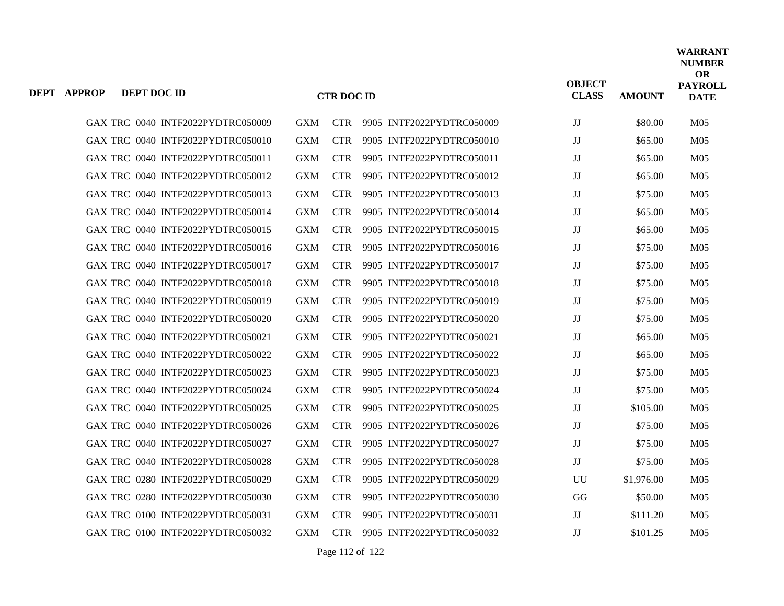| DEPT APPROP | DEPT DOC ID |                                   |            | <b>CTR DOC ID</b> |                               | <b>OBJECT</b><br><b>CLASS</b> | <b>AMOUNT</b> | <b>WARRANT</b><br><b>NUMBER</b><br><b>OR</b><br><b>PAYROLL</b><br><b>DATE</b> |
|-------------|-------------|-----------------------------------|------------|-------------------|-------------------------------|-------------------------------|---------------|-------------------------------------------------------------------------------|
|             |             | GAX TRC 0040 INTF2022PYDTRC050009 | <b>GXM</b> |                   | CTR 9905 INTF2022PYDTRC050009 | JJ                            | \$80.00       | M <sub>05</sub>                                                               |
|             |             | GAX TRC 0040 INTF2022PYDTRC050010 | <b>GXM</b> | <b>CTR</b>        | 9905 INTF2022PYDTRC050010     | IJ                            | \$65.00       | M <sub>05</sub>                                                               |
|             |             | GAX TRC 0040 INTF2022PYDTRC050011 | <b>GXM</b> | <b>CTR</b>        | 9905 INTF2022PYDTRC050011     | $_{\rm JJ}$                   | \$65.00       | M <sub>05</sub>                                                               |
|             |             | GAX TRC 0040 INTF2022PYDTRC050012 | <b>GXM</b> | <b>CTR</b>        | 9905 INTF2022PYDTRC050012     | JJ                            | \$65.00       | M <sub>05</sub>                                                               |
|             |             | GAX TRC 0040 INTF2022PYDTRC050013 | <b>GXM</b> | <b>CTR</b>        | 9905 INTF2022PYDTRC050013     | $_{\rm JJ}$                   | \$75.00       | M <sub>05</sub>                                                               |
|             |             | GAX TRC 0040 INTF2022PYDTRC050014 | <b>GXM</b> | <b>CTR</b>        | 9905 INTF2022PYDTRC050014     | IJ                            | \$65.00       | M <sub>05</sub>                                                               |
|             |             | GAX TRC 0040 INTF2022PYDTRC050015 | <b>GXM</b> | <b>CTR</b>        | 9905 INTF2022PYDTRC050015     | $_{\rm JJ}$                   | \$65.00       | M <sub>05</sub>                                                               |
|             |             | GAX TRC 0040 INTF2022PYDTRC050016 | <b>GXM</b> | <b>CTR</b>        | 9905 INTF2022PYDTRC050016     | JJ                            | \$75.00       | M <sub>05</sub>                                                               |
|             |             | GAX TRC 0040 INTF2022PYDTRC050017 | <b>GXM</b> | <b>CTR</b>        | 9905 INTF2022PYDTRC050017     | $_{\rm JJ}$                   | \$75.00       | M <sub>05</sub>                                                               |
|             |             | GAX TRC 0040 INTF2022PYDTRC050018 | <b>GXM</b> | <b>CTR</b>        | 9905 INTF2022PYDTRC050018     | $\mathbf{J}\mathbf{J}$        | \$75.00       | M <sub>05</sub>                                                               |
|             |             | GAX TRC 0040 INTF2022PYDTRC050019 | <b>GXM</b> | <b>CTR</b>        | 9905 INTF2022PYDTRC050019     | $_{\rm JJ}$                   | \$75.00       | M <sub>05</sub>                                                               |
|             |             | GAX TRC 0040 INTF2022PYDTRC050020 | <b>GXM</b> | <b>CTR</b>        | 9905 INTF2022PYDTRC050020     | JJ                            | \$75.00       | M <sub>05</sub>                                                               |
|             |             | GAX TRC 0040 INTF2022PYDTRC050021 | <b>GXM</b> | <b>CTR</b>        | 9905 INTF2022PYDTRC050021     | $_{\rm JJ}$                   | \$65.00       | M <sub>05</sub>                                                               |
|             |             | GAX TRC 0040 INTF2022PYDTRC050022 | <b>GXM</b> | <b>CTR</b>        | 9905 INTF2022PYDTRC050022     | JJ                            | \$65.00       | M <sub>05</sub>                                                               |
|             |             | GAX TRC 0040 INTF2022PYDTRC050023 | <b>GXM</b> | <b>CTR</b>        | 9905 INTF2022PYDTRC050023     | $\mathbf{J}\mathbf{J}$        | \$75.00       | M <sub>05</sub>                                                               |
|             |             | GAX TRC 0040 INTF2022PYDTRC050024 | <b>GXM</b> | <b>CTR</b>        | 9905 INTF2022PYDTRC050024     | $_{\rm JJ}$                   | \$75.00       | M <sub>05</sub>                                                               |
|             |             | GAX TRC 0040 INTF2022PYDTRC050025 | <b>GXM</b> | <b>CTR</b>        | 9905 INTF2022PYDTRC050025     | JJ                            | \$105.00      | M <sub>05</sub>                                                               |
|             |             | GAX TRC 0040 INTF2022PYDTRC050026 | <b>GXM</b> | <b>CTR</b>        | 9905 INTF2022PYDTRC050026     | $_{\rm JJ}$                   | \$75.00       | M <sub>05</sub>                                                               |
|             |             | GAX TRC 0040 INTF2022PYDTRC050027 | <b>GXM</b> | <b>CTR</b>        | 9905 INTF2022PYDTRC050027     | $\mathbf{J}\mathbf{J}$        | \$75.00       | M <sub>05</sub>                                                               |
|             |             | GAX TRC 0040 INTF2022PYDTRC050028 | <b>GXM</b> | <b>CTR</b>        | 9905 INTF2022PYDTRC050028     | JJ                            | \$75.00       | M <sub>05</sub>                                                               |
|             |             | GAX TRC 0280 INTF2022PYDTRC050029 | <b>GXM</b> | <b>CTR</b>        | 9905 INTF2022PYDTRC050029     | UU                            | \$1,976.00    | M <sub>05</sub>                                                               |
|             |             | GAX TRC 0280 INTF2022PYDTRC050030 | <b>GXM</b> | <b>CTR</b>        | 9905 INTF2022PYDTRC050030     | GG                            | \$50.00       | M <sub>05</sub>                                                               |
|             |             | GAX TRC 0100 INTF2022PYDTRC050031 | <b>GXM</b> | <b>CTR</b>        | 9905 INTF2022PYDTRC050031     | JJ                            | \$111.20      | M <sub>05</sub>                                                               |
|             |             | GAX TRC 0100 INTF2022PYDTRC050032 | <b>GXM</b> | <b>CTR</b>        | 9905 INTF2022PYDTRC050032     | $_{\rm JJ}$                   | \$101.25      | M <sub>05</sub>                                                               |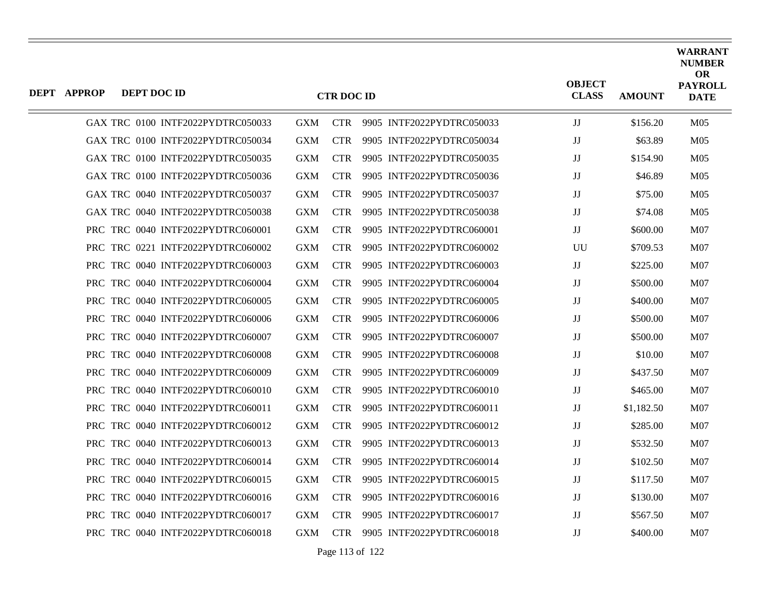| DEPT APPROP | DEPT DOC ID |                                   |            | <b>CTR DOC ID</b> |                           | <b>OBJECT</b><br><b>CLASS</b> | <b>AMOUNT</b> | <b>WARRANT</b><br><b>NUMBER</b><br><b>OR</b><br><b>PAYROLL</b><br><b>DATE</b> |
|-------------|-------------|-----------------------------------|------------|-------------------|---------------------------|-------------------------------|---------------|-------------------------------------------------------------------------------|
|             |             | GAX TRC 0100 INTF2022PYDTRC050033 | <b>GXM</b> | <b>CTR</b>        | 9905 INTF2022PYDTRC050033 | JJ                            | \$156.20      | M <sub>05</sub>                                                               |
|             |             | GAX TRC 0100 INTF2022PYDTRC050034 | <b>GXM</b> | <b>CTR</b>        | 9905 INTF2022PYDTRC050034 | $_{\rm JJ}$                   | \$63.89       | M <sub>05</sub>                                                               |
|             |             | GAX TRC 0100 INTF2022PYDTRC050035 | <b>GXM</b> | <b>CTR</b>        | 9905 INTF2022PYDTRC050035 | JJ                            | \$154.90      | M <sub>05</sub>                                                               |
|             |             | GAX TRC 0100 INTF2022PYDTRC050036 | <b>GXM</b> | <b>CTR</b>        | 9905 INTF2022PYDTRC050036 | JJ                            | \$46.89       | M <sub>05</sub>                                                               |
|             |             | GAX TRC 0040 INTF2022PYDTRC050037 | <b>GXM</b> | <b>CTR</b>        | 9905 INTF2022PYDTRC050037 | IJ                            | \$75.00       | M <sub>05</sub>                                                               |
|             |             | GAX TRC 0040 INTF2022PYDTRC050038 | <b>GXM</b> | <b>CTR</b>        | 9905 INTF2022PYDTRC050038 | JJ                            | \$74.08       | M <sub>05</sub>                                                               |
|             |             | PRC TRC 0040 INTF2022PYDTRC060001 | <b>GXM</b> | <b>CTR</b>        | 9905 INTF2022PYDTRC060001 | IJ                            | \$600.00      | M07                                                                           |
|             |             | PRC TRC 0221 INTF2022PYDTRC060002 | <b>GXM</b> | <b>CTR</b>        | 9905 INTF2022PYDTRC060002 | UU                            | \$709.53      | M <sub>07</sub>                                                               |
|             |             | PRC TRC 0040 INTF2022PYDTRC060003 | <b>GXM</b> | <b>CTR</b>        | 9905 INTF2022PYDTRC060003 | IJ                            | \$225.00      | M07                                                                           |
|             |             | PRC TRC 0040 INTF2022PYDTRC060004 | <b>GXM</b> | <b>CTR</b>        | 9905 INTF2022PYDTRC060004 | JJ                            | \$500.00      | <b>M07</b>                                                                    |
|             |             | PRC TRC 0040 INTF2022PYDTRC060005 | <b>GXM</b> | <b>CTR</b>        | 9905 INTF2022PYDTRC060005 | JJ                            | \$400.00      | M <sub>07</sub>                                                               |
|             |             | PRC TRC 0040 INTF2022PYDTRC060006 | <b>GXM</b> | <b>CTR</b>        | 9905 INTF2022PYDTRC060006 | JJ                            | \$500.00      | <b>M07</b>                                                                    |
|             |             | PRC TRC 0040 INTF2022PYDTRC060007 | <b>GXM</b> | <b>CTR</b>        | 9905 INTF2022PYDTRC060007 | JJ                            | \$500.00      | M <sub>07</sub>                                                               |
|             |             | PRC TRC 0040 INTF2022PYDTRC060008 | <b>GXM</b> | <b>CTR</b>        | 9905 INTF2022PYDTRC060008 | JJ                            | \$10.00       | M <sub>07</sub>                                                               |
|             |             | PRC TRC 0040 INTF2022PYDTRC060009 | <b>GXM</b> | <b>CTR</b>        | 9905 INTF2022PYDTRC060009 | JJ                            | \$437.50      | M07                                                                           |
|             |             | PRC TRC 0040 INTF2022PYDTRC060010 | <b>GXM</b> | <b>CTR</b>        | 9905 INTF2022PYDTRC060010 | JJ                            | \$465.00      | M <sub>07</sub>                                                               |
|             |             | PRC TRC 0040 INTF2022PYDTRC060011 | <b>GXM</b> | <b>CTR</b>        | 9905 INTF2022PYDTRC060011 | JJ                            | \$1,182.50    | M <sub>07</sub>                                                               |
|             |             | PRC TRC 0040 INTF2022PYDTRC060012 | <b>GXM</b> | <b>CTR</b>        | 9905 INTF2022PYDTRC060012 | JJ                            | \$285.00      | M07                                                                           |
|             |             | PRC TRC 0040 INTF2022PYDTRC060013 | <b>GXM</b> | <b>CTR</b>        | 9905 INTF2022PYDTRC060013 | $\mathbf{J}\mathbf{J}$        | \$532.50      | M07                                                                           |
|             |             | PRC TRC 0040 INTF2022PYDTRC060014 | <b>GXM</b> | <b>CTR</b>        | 9905 INTF2022PYDTRC060014 | JJ                            | \$102.50      | M <sub>07</sub>                                                               |
|             |             | PRC TRC 0040 INTF2022PYDTRC060015 | <b>GXM</b> | <b>CTR</b>        | 9905 INTF2022PYDTRC060015 | IJ                            | \$117.50      | M07                                                                           |
|             |             | PRC TRC 0040 INTF2022PYDTRC060016 | <b>GXM</b> | <b>CTR</b>        | 9905 INTF2022PYDTRC060016 | JJ                            | \$130.00      | M <sub>07</sub>                                                               |
|             |             | PRC TRC 0040 INTF2022PYDTRC060017 | <b>GXM</b> | <b>CTR</b>        | 9905 INTF2022PYDTRC060017 | $_{\rm JJ}$                   | \$567.50      | M <sub>07</sub>                                                               |
|             |             | PRC TRC 0040 INTF2022PYDTRC060018 | <b>GXM</b> | <b>CTR</b>        | 9905 INTF2022PYDTRC060018 | IJ                            | \$400.00      | M07                                                                           |

Page 113 of 122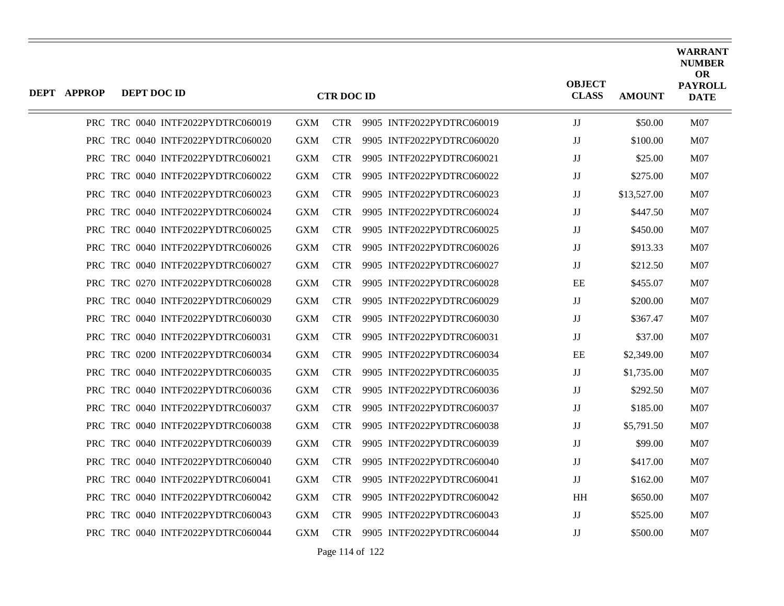| <b>DEPT APPROP</b> | DEPT DOC ID |                                   |            | <b>CTR DOC ID</b> |                           | <b>OBJECT</b><br><b>CLASS</b> | <b>AMOUNT</b> | <b>WARRANT</b><br><b>NUMBER</b><br><b>OR</b><br><b>PAYROLL</b><br><b>DATE</b> |
|--------------------|-------------|-----------------------------------|------------|-------------------|---------------------------|-------------------------------|---------------|-------------------------------------------------------------------------------|
|                    |             | PRC TRC 0040 INTF2022PYDTRC060019 | <b>GXM</b> | <b>CTR</b>        | 9905 INTF2022PYDTRC060019 | JJ                            | \$50.00       | M07                                                                           |
|                    |             | PRC TRC 0040 INTF2022PYDTRC060020 | <b>GXM</b> | <b>CTR</b>        | 9905 INTF2022PYDTRC060020 | JJ                            | \$100.00      | M <sub>07</sub>                                                               |
|                    |             | PRC TRC 0040 INTF2022PYDTRC060021 | <b>GXM</b> | <b>CTR</b>        | 9905 INTF2022PYDTRC060021 | JJ                            | \$25.00       | M <sub>07</sub>                                                               |
|                    |             | PRC TRC 0040 INTF2022PYDTRC060022 | <b>GXM</b> | <b>CTR</b>        | 9905 INTF2022PYDTRC060022 | $_{\rm JJ}$                   | \$275.00      | <b>M07</b>                                                                    |
|                    |             | PRC TRC 0040 INTF2022PYDTRC060023 | <b>GXM</b> | <b>CTR</b>        | 9905 INTF2022PYDTRC060023 | JJ                            | \$13,527.00   | M <sub>07</sub>                                                               |
|                    |             | PRC TRC 0040 INTF2022PYDTRC060024 | <b>GXM</b> | <b>CTR</b>        | 9905 INTF2022PYDTRC060024 | JJ                            | \$447.50      | M <sub>07</sub>                                                               |
|                    |             | PRC TRC 0040 INTF2022PYDTRC060025 | GXM        | <b>CTR</b>        | 9905 INTF2022PYDTRC060025 | $\mathbf{J}\mathbf{J}$        | \$450.00      | <b>M07</b>                                                                    |
|                    |             | PRC TRC 0040 INTF2022PYDTRC060026 | <b>GXM</b> | <b>CTR</b>        | 9905 INTF2022PYDTRC060026 | JJ                            | \$913.33      | M <sub>07</sub>                                                               |
|                    |             | PRC TRC 0040 INTF2022PYDTRC060027 | <b>GXM</b> | <b>CTR</b>        | 9905 INTF2022PYDTRC060027 | JJ                            | \$212.50      | M07                                                                           |
|                    |             | PRC TRC 0270 INTF2022PYDTRC060028 | <b>GXM</b> | <b>CTR</b>        | 9905 INTF2022PYDTRC060028 | EE                            | \$455.07      | M07                                                                           |
|                    |             | PRC TRC 0040 INTF2022PYDTRC060029 | <b>GXM</b> | <b>CTR</b>        | 9905 INTF2022PYDTRC060029 | JJ                            | \$200.00      | M07                                                                           |
|                    |             | PRC TRC 0040 INTF2022PYDTRC060030 | <b>GXM</b> | <b>CTR</b>        | 9905 INTF2022PYDTRC060030 | JJ                            | \$367.47      | M <sub>07</sub>                                                               |
|                    |             | PRC TRC 0040 INTF2022PYDTRC060031 | <b>GXM</b> | <b>CTR</b>        | 9905 INTF2022PYDTRC060031 | JJ                            | \$37.00       | <b>M07</b>                                                                    |
|                    |             | PRC TRC 0200 INTF2022PYDTRC060034 | <b>GXM</b> | <b>CTR</b>        | 9905 INTF2022PYDTRC060034 | EE                            | \$2,349.00    | M07                                                                           |
|                    |             | PRC TRC 0040 INTF2022PYDTRC060035 | <b>GXM</b> | <b>CTR</b>        | 9905 INTF2022PYDTRC060035 | JJ                            | \$1,735.00    | M07                                                                           |
|                    |             | PRC TRC 0040 INTF2022PYDTRC060036 | <b>GXM</b> | <b>CTR</b>        | 9905 INTF2022PYDTRC060036 | $_{\rm JJ}$                   | \$292.50      | M07                                                                           |
|                    |             | PRC TRC 0040 INTF2022PYDTRC060037 | <b>GXM</b> | <b>CTR</b>        | 9905 INTF2022PYDTRC060037 | JJ                            | \$185.00      | M <sub>07</sub>                                                               |
|                    |             | PRC TRC 0040 INTF2022PYDTRC060038 | <b>GXM</b> | <b>CTR</b>        | 9905 INTF2022PYDTRC060038 | JJ                            | \$5,791.50    | M07                                                                           |
|                    |             | PRC TRC 0040 INTF2022PYDTRC060039 | <b>GXM</b> | <b>CTR</b>        | 9905 INTF2022PYDTRC060039 | JJ                            | \$99.00       | M07                                                                           |
|                    |             | PRC TRC 0040 INTF2022PYDTRC060040 | <b>GXM</b> | <b>CTR</b>        | 9905 INTF2022PYDTRC060040 | JJ                            | \$417.00      | M07                                                                           |
|                    |             | PRC TRC 0040 INTF2022PYDTRC060041 | <b>GXM</b> | <b>CTR</b>        | 9905 INTF2022PYDTRC060041 | $\mathbf{J}\mathbf{J}$        | \$162.00      | M07                                                                           |
|                    |             | PRC TRC 0040 INTF2022PYDTRC060042 | <b>GXM</b> | <b>CTR</b>        | 9905 INTF2022PYDTRC060042 | <b>HH</b>                     | \$650.00      | M07                                                                           |
|                    |             | PRC TRC 0040 INTF2022PYDTRC060043 | <b>GXM</b> | <b>CTR</b>        | 9905 INTF2022PYDTRC060043 | IJ                            | \$525.00      | M07                                                                           |
|                    |             | PRC TRC 0040 INTF2022PYDTRC060044 | <b>GXM</b> | <b>CTR</b>        | 9905 INTF2022PYDTRC060044 | JJ                            | \$500.00      | M07                                                                           |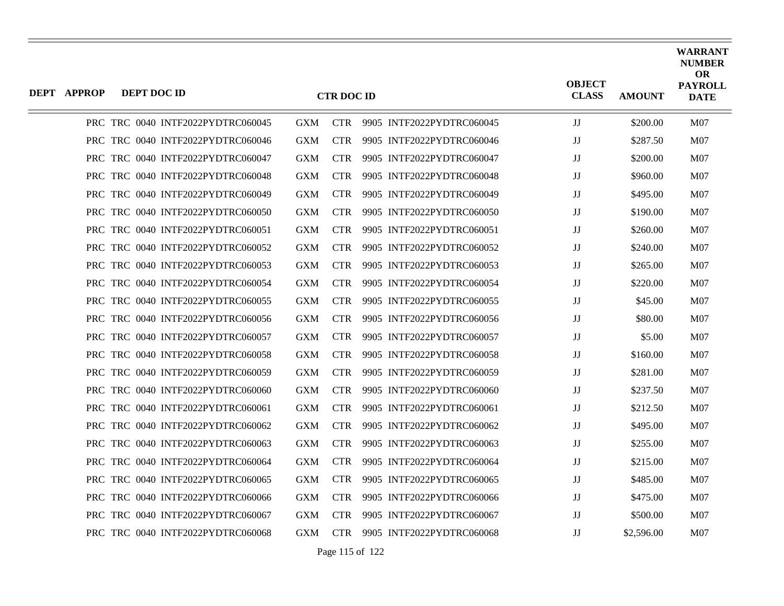| DEPT APPROP | DEPT DOC ID |                                   |            | <b>CTR DOC ID</b> |                           | <b>OBJECT</b><br><b>CLASS</b> | <b>AMOUNT</b> | <b>WARRANT</b><br><b>NUMBER</b><br><b>OR</b><br><b>PAYROLL</b><br><b>DATE</b> |
|-------------|-------------|-----------------------------------|------------|-------------------|---------------------------|-------------------------------|---------------|-------------------------------------------------------------------------------|
|             |             | PRC TRC 0040 INTF2022PYDTRC060045 | <b>GXM</b> | <b>CTR</b>        | 9905 INTF2022PYDTRC060045 | JJ                            | \$200.00      | M07                                                                           |
|             |             | PRC TRC 0040 INTF2022PYDTRC060046 | GXM        | <b>CTR</b>        | 9905 INTF2022PYDTRC060046 | $_{\rm JJ}$                   | \$287.50      | M07                                                                           |
|             |             | PRC TRC 0040 INTF2022PYDTRC060047 | <b>GXM</b> | CTR.              | 9905 INTF2022PYDTRC060047 | JJ                            | \$200.00      | M07                                                                           |
|             |             | PRC TRC 0040 INTF2022PYDTRC060048 | <b>GXM</b> | CTR.              | 9905 INTF2022PYDTRC060048 | JJ                            | \$960.00      | M07                                                                           |
|             |             | PRC TRC 0040 INTF2022PYDTRC060049 | <b>GXM</b> | <b>CTR</b>        | 9905 INTF2022PYDTRC060049 | JJ                            | \$495.00      | M07                                                                           |
|             |             | PRC TRC 0040 INTF2022PYDTRC060050 | GXM        | <b>CTR</b>        | 9905 INTF2022PYDTRC060050 | $_{\rm JJ}$                   | \$190.00      | M07                                                                           |
|             |             | PRC TRC 0040 INTF2022PYDTRC060051 | <b>GXM</b> | CTR.              | 9905 INTF2022PYDTRC060051 | JJ                            | \$260.00      | M07                                                                           |
|             |             | PRC TRC 0040 INTF2022PYDTRC060052 | <b>GXM</b> | <b>CTR</b>        | 9905 INTF2022PYDTRC060052 | $_{\rm JJ}$                   | \$240.00      | M07                                                                           |
|             |             | PRC TRC 0040 INTF2022PYDTRC060053 | <b>GXM</b> | <b>CTR</b>        | 9905 INTF2022PYDTRC060053 | JJ                            | \$265.00      | M07                                                                           |
|             |             | PRC TRC 0040 INTF2022PYDTRC060054 | <b>GXM</b> | CTR.              | 9905 INTF2022PYDTRC060054 | $_{\rm JJ}$                   | \$220.00      | M07                                                                           |
|             |             | PRC TRC 0040 INTF2022PYDTRC060055 | <b>GXM</b> | <b>CTR</b>        | 9905 INTF2022PYDTRC060055 | $_{\rm JJ}$                   | \$45.00       | M07                                                                           |
|             |             | PRC TRC 0040 INTF2022PYDTRC060056 | <b>GXM</b> | <b>CTR</b>        | 9905 INTF2022PYDTRC060056 | $_{\rm JJ}$                   | \$80.00       | M07                                                                           |
|             |             | PRC TRC 0040 INTF2022PYDTRC060057 | <b>GXM</b> | CTR.              | 9905 INTF2022PYDTRC060057 | JJ                            | \$5.00        | M07                                                                           |
|             |             | PRC TRC 0040 INTF2022PYDTRC060058 | <b>GXM</b> | <b>CTR</b>        | 9905 INTF2022PYDTRC060058 | IJ                            | \$160.00      | M07                                                                           |
|             |             | PRC TRC 0040 INTF2022PYDTRC060059 | <b>GXM</b> | <b>CTR</b>        | 9905 INTF2022PYDTRC060059 | $_{\rm JJ}$                   | \$281.00      | M07                                                                           |
|             |             | PRC TRC 0040 INTF2022PYDTRC060060 | GXM        | CTR.              | 9905 INTF2022PYDTRC060060 | JJ                            | \$237.50      | M07                                                                           |
|             |             | PRC TRC 0040 INTF2022PYDTRC060061 | <b>GXM</b> | <b>CTR</b>        | 9905 INTF2022PYDTRC060061 | $_{\rm JJ}$                   | \$212.50      | M07                                                                           |
|             |             | PRC TRC 0040 INTF2022PYDTRC060062 | <b>GXM</b> | <b>CTR</b>        | 9905 INTF2022PYDTRC060062 | $_{\rm JJ}$                   | \$495.00      | M07                                                                           |
|             |             | PRC TRC 0040 INTF2022PYDTRC060063 | <b>GXM</b> | CTR.              | 9905 INTF2022PYDTRC060063 | IJ                            | \$255.00      | M07                                                                           |
|             |             | PRC TRC 0040 INTF2022PYDTRC060064 | GXM        | <b>CTR</b>        | 9905 INTF2022PYDTRC060064 | $_{\rm JJ}$                   | \$215.00      | M07                                                                           |
|             |             | PRC TRC 0040 INTF2022PYDTRC060065 | <b>GXM</b> | <b>CTR</b>        | 9905 INTF2022PYDTRC060065 | JJ                            | \$485.00      | M07                                                                           |
|             |             | PRC TRC 0040 INTF2022PYDTRC060066 | <b>GXM</b> | CTR.              | 9905 INTF2022PYDTRC060066 | JJ                            | \$475.00      | M07                                                                           |
|             |             | PRC TRC 0040 INTF2022PYDTRC060067 | <b>GXM</b> | <b>CTR</b>        | 9905 INTF2022PYDTRC060067 | $_{\rm JJ}$                   | \$500.00      | M07                                                                           |
|             |             | PRC TRC 0040 INTF2022PYDTRC060068 | GXM        | <b>CTR</b>        | 9905 INTF2022PYDTRC060068 | $_{\rm JJ}$                   | \$2,596.00    | M07                                                                           |

Page 115 of 122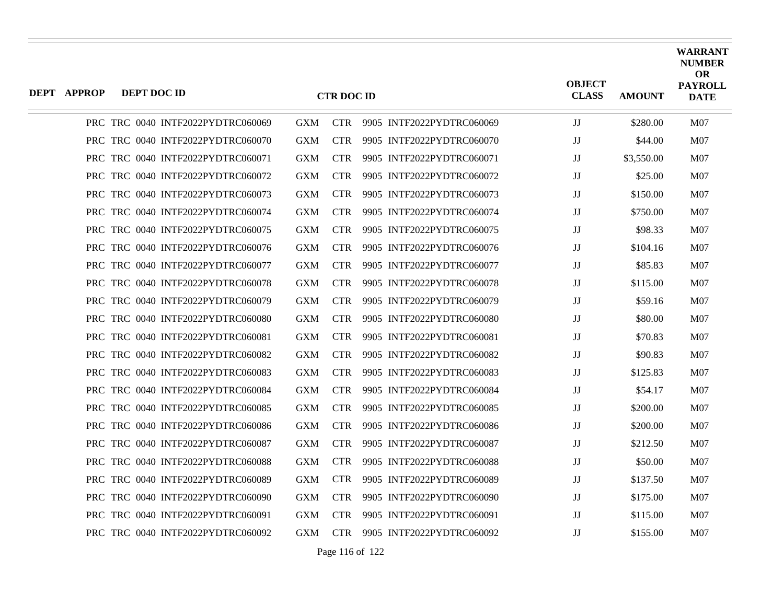| <b>DEPT APPROP</b> | DEPT DOC ID |                                   |            | <b>CTR DOC ID</b> |                           | <b>OBJECT</b><br><b>CLASS</b> | <b>AMOUNT</b> | WARRANT<br><b>NUMBER</b><br><b>OR</b><br><b>PAYROLL</b><br><b>DATE</b> |
|--------------------|-------------|-----------------------------------|------------|-------------------|---------------------------|-------------------------------|---------------|------------------------------------------------------------------------|
|                    |             | PRC TRC 0040 INTF2022PYDTRC060069 | GXM        | <b>CTR</b>        | 9905 INTF2022PYDTRC060069 | JJ                            | \$280.00      | M07                                                                    |
|                    |             | PRC TRC 0040 INTF2022PYDTRC060070 | <b>GXM</b> | <b>CTR</b>        | 9905 INTF2022PYDTRC060070 | JJ                            | \$44.00       | M07                                                                    |
|                    |             | PRC TRC 0040 INTF2022PYDTRC060071 | <b>GXM</b> | <b>CTR</b>        | 9905 INTF2022PYDTRC060071 | JJ                            | \$3,550.00    | M07                                                                    |
|                    |             | PRC TRC 0040 INTF2022PYDTRC060072 | <b>GXM</b> | CTR.              | 9905 INTF2022PYDTRC060072 | JJ                            | \$25.00       | M07                                                                    |
|                    |             | PRC TRC 0040 INTF2022PYDTRC060073 | <b>GXM</b> | <b>CTR</b>        | 9905 INTF2022PYDTRC060073 | JJ                            | \$150.00      | M07                                                                    |
|                    |             | PRC TRC 0040 INTF2022PYDTRC060074 | GXM        | <b>CTR</b>        | 9905 INTF2022PYDTRC060074 | JJ                            | \$750.00      | M07                                                                    |
|                    |             | PRC TRC 0040 INTF2022PYDTRC060075 | <b>GXM</b> | <b>CTR</b>        | 9905 INTF2022PYDTRC060075 | JJ                            | \$98.33       | M07                                                                    |
|                    |             | PRC TRC 0040 INTF2022PYDTRC060076 | <b>GXM</b> | <b>CTR</b>        | 9905 INTF2022PYDTRC060076 | JJ                            | \$104.16      | M07                                                                    |
|                    |             | PRC TRC 0040 INTF2022PYDTRC060077 | <b>GXM</b> | <b>CTR</b>        | 9905 INTF2022PYDTRC060077 | JJ                            | \$85.83       | M07                                                                    |
|                    |             | PRC TRC 0040 INTF2022PYDTRC060078 | <b>GXM</b> | CTR.              | 9905 INTF2022PYDTRC060078 | JJ                            | \$115.00      | M07                                                                    |
|                    |             | PRC TRC 0040 INTF2022PYDTRC060079 | <b>GXM</b> | <b>CTR</b>        | 9905 INTF2022PYDTRC060079 | JJ                            | \$59.16       | M07                                                                    |
|                    |             | PRC TRC 0040 INTF2022PYDTRC060080 | GXM        | <b>CTR</b>        | 9905 INTF2022PYDTRC060080 | $\rm JJ$                      | \$80.00       | M07                                                                    |
|                    |             | PRC TRC 0040 INTF2022PYDTRC060081 | <b>GXM</b> | <b>CTR</b>        | 9905 INTF2022PYDTRC060081 | $_{\rm JJ}$                   | \$70.83       | M07                                                                    |
|                    |             | PRC TRC 0040 INTF2022PYDTRC060082 | <b>GXM</b> | <b>CTR</b>        | 9905 INTF2022PYDTRC060082 | JJ                            | \$90.83       | M07                                                                    |
|                    |             | PRC TRC 0040 INTF2022PYDTRC060083 | <b>GXM</b> | <b>CTR</b>        | 9905 INTF2022PYDTRC060083 | JJ                            | \$125.83      | M07                                                                    |
|                    |             | PRC TRC 0040 INTF2022PYDTRC060084 | <b>GXM</b> | CTR.              | 9905 INTF2022PYDTRC060084 | JJ                            | \$54.17       | M07                                                                    |
|                    |             | PRC TRC 0040 INTF2022PYDTRC060085 | <b>GXM</b> | <b>CTR</b>        | 9905 INTF2022PYDTRC060085 | JJ                            | \$200.00      | M07                                                                    |
|                    |             | PRC TRC 0040 INTF2022PYDTRC060086 | GXM        | <b>CTR</b>        | 9905 INTF2022PYDTRC060086 | JJ                            | \$200.00      | M07                                                                    |
|                    |             | PRC TRC 0040 INTF2022PYDTRC060087 | <b>GXM</b> | <b>CTR</b>        | 9905 INTF2022PYDTRC060087 | JJ                            | \$212.50      | M07                                                                    |
|                    |             | PRC TRC 0040 INTF2022PYDTRC060088 | <b>GXM</b> | <b>CTR</b>        | 9905 INTF2022PYDTRC060088 | JJ                            | \$50.00       | M07                                                                    |
|                    |             | PRC TRC 0040 INTF2022PYDTRC060089 | <b>GXM</b> | CTR.              | 9905 INTF2022PYDTRC060089 | JJ                            | \$137.50      | M07                                                                    |
|                    |             | PRC TRC 0040 INTF2022PYDTRC060090 | <b>GXM</b> | <b>CTR</b>        | 9905 INTF2022PYDTRC060090 | JJ                            | \$175.00      | M07                                                                    |
|                    |             | PRC TRC 0040 INTF2022PYDTRC060091 | <b>GXM</b> | <b>CTR</b>        | 9905 INTF2022PYDTRC060091 | JJ                            | \$115.00      | M07                                                                    |
|                    |             | PRC TRC 0040 INTF2022PYDTRC060092 | GXM        | <b>CTR</b>        | 9905 INTF2022PYDTRC060092 | JJ                            | \$155.00      | M07                                                                    |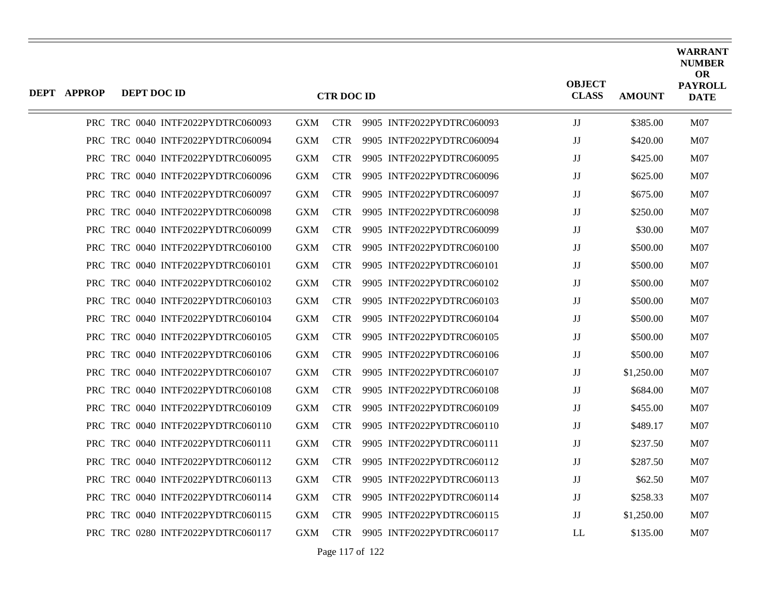| DEPT APPROP | DEPT DOC ID |                                   |            | <b>CTR DOC ID</b> |                           | <b>OBJECT</b><br><b>CLASS</b> | <b>AMOUNT</b> | <b>WARRANT</b><br><b>NUMBER</b><br><b>OR</b><br><b>PAYROLL</b><br><b>DATE</b> |
|-------------|-------------|-----------------------------------|------------|-------------------|---------------------------|-------------------------------|---------------|-------------------------------------------------------------------------------|
|             |             | PRC TRC 0040 INTF2022PYDTRC060093 | <b>GXM</b> | <b>CTR</b>        | 9905 INTF2022PYDTRC060093 | $\mathbf{J}\mathbf{J}$        | \$385.00      | M07                                                                           |
|             |             | PRC TRC 0040 INTF2022PYDTRC060094 | <b>GXM</b> | <b>CTR</b>        | 9905 INTF2022PYDTRC060094 | $_{\rm JJ}$                   | \$420.00      | M07                                                                           |
|             |             | PRC TRC 0040 INTF2022PYDTRC060095 | <b>GXM</b> | <b>CTR</b>        | 9905 INTF2022PYDTRC060095 | IJ                            | \$425.00      | M07                                                                           |
|             |             | PRC TRC 0040 INTF2022PYDTRC060096 | <b>GXM</b> | CTR.              | 9905 INTF2022PYDTRC060096 | JJ                            | \$625.00      | M07                                                                           |
|             |             | PRC TRC 0040 INTF2022PYDTRC060097 | <b>GXM</b> | <b>CTR</b>        | 9905 INTF2022PYDTRC060097 | IJ                            | \$675.00      | M07                                                                           |
|             |             | PRC TRC 0040 INTF2022PYDTRC060098 | <b>GXM</b> | <b>CTR</b>        | 9905 INTF2022PYDTRC060098 | $_{\rm JJ}$                   | \$250.00      | M07                                                                           |
|             |             | PRC TRC 0040 INTF2022PYDTRC060099 | <b>GXM</b> | CTR.              | 9905 INTF2022PYDTRC060099 | $_{\rm JJ}$                   | \$30.00       | M07                                                                           |
|             |             | PRC TRC 0040 INTF2022PYDTRC060100 | <b>GXM</b> | <b>CTR</b>        | 9905 INTF2022PYDTRC060100 | JJ                            | \$500.00      | M07                                                                           |
|             |             | PRC TRC 0040 INTF2022PYDTRC060101 | <b>GXM</b> | <b>CTR</b>        | 9905 INTF2022PYDTRC060101 | $\mathbf{J}\mathbf{J}$        | \$500.00      | M07                                                                           |
|             |             | PRC TRC 0040 INTF2022PYDTRC060102 | <b>GXM</b> | <b>CTR</b>        | 9905 INTF2022PYDTRC060102 | JJ                            | \$500.00      | M07                                                                           |
|             |             | PRC TRC 0040 INTF2022PYDTRC060103 | <b>GXM</b> | <b>CTR</b>        | 9905 INTF2022PYDTRC060103 | IJ                            | \$500.00      | M07                                                                           |
|             |             | PRC TRC 0040 INTF2022PYDTRC060104 | <b>GXM</b> | <b>CTR</b>        | 9905 INTF2022PYDTRC060104 | $_{\rm JJ}$                   | \$500.00      | M07                                                                           |
|             |             | PRC TRC 0040 INTF2022PYDTRC060105 | <b>GXM</b> | CTR.              | 9905 INTF2022PYDTRC060105 | JJ                            | \$500.00      | M07                                                                           |
|             |             | PRC TRC 0040 INTF2022PYDTRC060106 | <b>GXM</b> | <b>CTR</b>        | 9905 INTF2022PYDTRC060106 | IJ                            | \$500.00      | M07                                                                           |
|             |             | PRC TRC 0040 INTF2022PYDTRC060107 | <b>GXM</b> | <b>CTR</b>        | 9905 INTF2022PYDTRC060107 | IJ                            | \$1,250.00    | M07                                                                           |
|             |             | PRC TRC 0040 INTF2022PYDTRC060108 | <b>GXM</b> | <b>CTR</b>        | 9905 INTF2022PYDTRC060108 | IJ                            | \$684.00      | M07                                                                           |
|             |             | PRC TRC 0040 INTF2022PYDTRC060109 | <b>GXM</b> | <b>CTR</b>        | 9905 INTF2022PYDTRC060109 | JJ                            | \$455.00      | <b>M07</b>                                                                    |
|             |             | PRC TRC 0040 INTF2022PYDTRC060110 | <b>GXM</b> | <b>CTR</b>        | 9905 INTF2022PYDTRC060110 | IJ                            | \$489.17      | M07                                                                           |
|             |             | PRC TRC 0040 INTF2022PYDTRC060111 | <b>GXM</b> | <b>CTR</b>        | 9905 INTF2022PYDTRC060111 | JJ                            | \$237.50      | M07                                                                           |
|             |             | PRC TRC 0040 INTF2022PYDTRC060112 | <b>GXM</b> | CTR.              | 9905 INTF2022PYDTRC060112 | IJ                            | \$287.50      | M07                                                                           |
|             |             | PRC TRC 0040 INTF2022PYDTRC060113 | <b>GXM</b> | CTR.              | 9905 INTF2022PYDTRC060113 | $_{\rm JJ}$                   | \$62.50       | M07                                                                           |
|             |             | PRC TRC 0040 INTF2022PYDTRC060114 | <b>GXM</b> | <b>CTR</b>        | 9905 INTF2022PYDTRC060114 | JJ                            | \$258.33      | M07                                                                           |
|             |             | PRC TRC 0040 INTF2022PYDTRC060115 | <b>GXM</b> | CTR.              | 9905 INTF2022PYDTRC060115 | JJ                            | \$1,250.00    | <b>M07</b>                                                                    |
|             |             | PRC TRC 0280 INTF2022PYDTRC060117 | GXM        | <b>CTR</b>        | 9905 INTF2022PYDTRC060117 | LL                            | \$135.00      | M07                                                                           |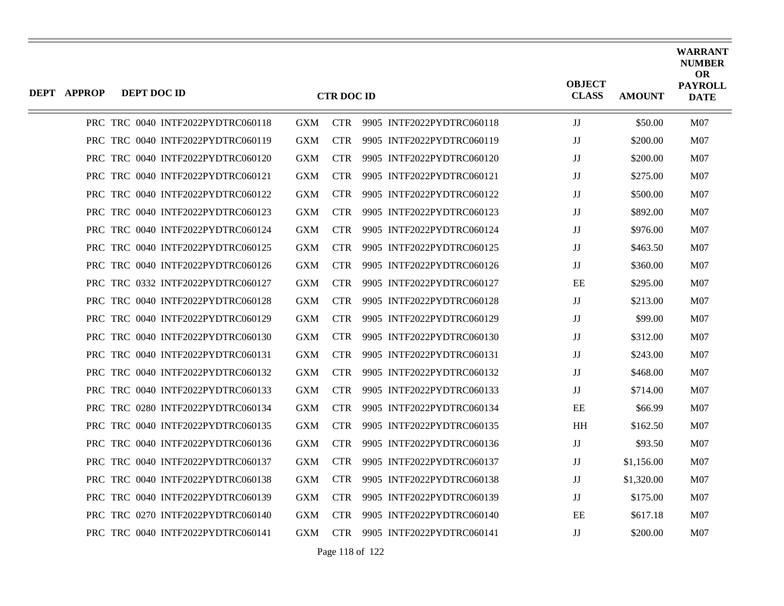| DEPT APPROP | DEPT DOC ID |                                   |            | <b>CTR DOC ID</b> |                           | <b>OBJECT</b><br><b>CLASS</b> | <b>AMOUNT</b> | <b>WARRANT</b><br><b>NUMBER</b><br><b>OR</b><br><b>PAYROLL</b><br><b>DATE</b> |
|-------------|-------------|-----------------------------------|------------|-------------------|---------------------------|-------------------------------|---------------|-------------------------------------------------------------------------------|
|             |             | PRC TRC 0040 INTF2022PYDTRC060118 | <b>GXM</b> | <b>CTR</b>        | 9905 INTF2022PYDTRC060118 | $\mathbf{J}\mathbf{J}$        | \$50.00       | M07                                                                           |
|             |             | PRC TRC 0040 INTF2022PYDTRC060119 | <b>GXM</b> | <b>CTR</b>        | 9905 INTF2022PYDTRC060119 | $_{\rm JJ}$                   | \$200.00      | M07                                                                           |
|             |             | PRC TRC 0040 INTF2022PYDTRC060120 | <b>GXM</b> | <b>CTR</b>        | 9905 INTF2022PYDTRC060120 | IJ                            | \$200.00      | M07                                                                           |
|             |             | PRC TRC 0040 INTF2022PYDTRC060121 | <b>GXM</b> | CTR.              | 9905 INTF2022PYDTRC060121 | JJ                            | \$275.00      | M07                                                                           |
|             |             | PRC TRC 0040 INTF2022PYDTRC060122 | <b>GXM</b> | <b>CTR</b>        | 9905 INTF2022PYDTRC060122 | IJ                            | \$500.00      | M07                                                                           |
|             |             | PRC TRC 0040 INTF2022PYDTRC060123 | <b>GXM</b> | <b>CTR</b>        | 9905 INTF2022PYDTRC060123 | $_{\rm JJ}$                   | \$892.00      | M07                                                                           |
|             |             | PRC TRC 0040 INTF2022PYDTRC060124 | <b>GXM</b> | CTR.              | 9905 INTF2022PYDTRC060124 | JJ                            | \$976.00      | M07                                                                           |
|             |             | PRC TRC 0040 INTF2022PYDTRC060125 | <b>GXM</b> | <b>CTR</b>        | 9905 INTF2022PYDTRC060125 | JJ                            | \$463.50      | M07                                                                           |
|             |             | PRC TRC 0040 INTF2022PYDTRC060126 | <b>GXM</b> | <b>CTR</b>        | 9905 INTF2022PYDTRC060126 | JJ                            | \$360.00      | M07                                                                           |
|             |             | PRC TRC 0332 INTF2022PYDTRC060127 | <b>GXM</b> | <b>CTR</b>        | 9905 INTF2022PYDTRC060127 | EE                            | \$295.00      | M07                                                                           |
|             |             | PRC TRC 0040 INTF2022PYDTRC060128 | <b>GXM</b> | <b>CTR</b>        | 9905 INTF2022PYDTRC060128 | JJ                            | \$213.00      | M07                                                                           |
|             |             | PRC TRC 0040 INTF2022PYDTRC060129 | <b>GXM</b> | <b>CTR</b>        | 9905 INTF2022PYDTRC060129 | $_{\rm JJ}$                   | \$99.00       | M07                                                                           |
|             |             | PRC TRC 0040 INTF2022PYDTRC060130 | <b>GXM</b> | CTR.              | 9905 INTF2022PYDTRC060130 | JJ                            | \$312.00      | M07                                                                           |
|             |             | PRC TRC 0040 INTF2022PYDTRC060131 | <b>GXM</b> | <b>CTR</b>        | 9905 INTF2022PYDTRC060131 | IJ                            | \$243.00      | M07                                                                           |
|             |             | PRC TRC 0040 INTF2022PYDTRC060132 | <b>GXM</b> | <b>CTR</b>        | 9905 INTF2022PYDTRC060132 | $\mathbf{J}\mathbf{J}$        | \$468.00      | M07                                                                           |
|             |             | PRC TRC 0040 INTF2022PYDTRC060133 | <b>GXM</b> | <b>CTR</b>        | 9905 INTF2022PYDTRC060133 | $_{\rm JJ}$                   | \$714.00      | M07                                                                           |
|             |             | PRC TRC 0280 INTF2022PYDTRC060134 | <b>GXM</b> | <b>CTR</b>        | 9905 INTF2022PYDTRC060134 | EE                            | \$66.99       | M07                                                                           |
|             |             | PRC TRC 0040 INTF2022PYDTRC060135 | <b>GXM</b> | <b>CTR</b>        | 9905 INTF2022PYDTRC060135 | $\mathbf{H} \mathbf{H}$       | \$162.50      | M07                                                                           |
|             |             | PRC TRC 0040 INTF2022PYDTRC060136 | <b>GXM</b> | <b>CTR</b>        | 9905 INTF2022PYDTRC060136 | JJ                            | \$93.50       | M07                                                                           |
|             |             | PRC TRC 0040 INTF2022PYDTRC060137 | <b>GXM</b> | <b>CTR</b>        | 9905 INTF2022PYDTRC060137 | JJ                            | \$1,156.00    | M07                                                                           |
|             |             | PRC TRC 0040 INTF2022PYDTRC060138 | <b>GXM</b> | CTR.              | 9905 INTF2022PYDTRC060138 | $_{\rm JJ}$                   | \$1,320.00    | M07                                                                           |
|             |             | PRC TRC 0040 INTF2022PYDTRC060139 | <b>GXM</b> | <b>CTR</b>        | 9905 INTF2022PYDTRC060139 | JJ                            | \$175.00      | M07                                                                           |
|             |             | PRC TRC 0270 INTF2022PYDTRC060140 | <b>GXM</b> | CTR.              | 9905 INTF2022PYDTRC060140 | EE                            | \$617.18      | M07                                                                           |
|             |             | PRC TRC 0040 INTF2022PYDTRC060141 | GXM        | <b>CTR</b>        | 9905 INTF2022PYDTRC060141 | JJ                            | \$200.00      | M07                                                                           |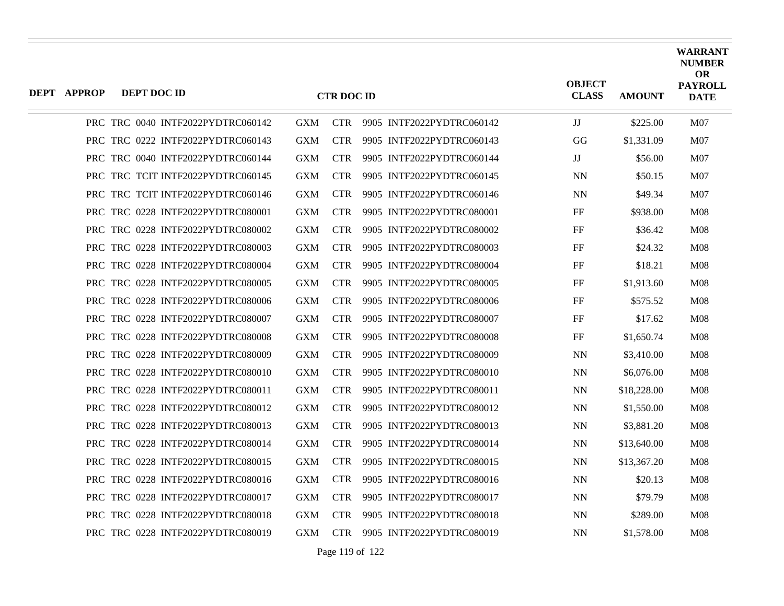| <b>DEPT APPROP</b> | DEPT DOC ID |                                   |            | <b>CTR DOC ID</b> |                           | <b>OBJECT</b><br><b>CLASS</b> | <b>AMOUNT</b> | <b>WARRANT</b><br><b>NUMBER</b><br><b>OR</b><br><b>PAYROLL</b><br><b>DATE</b> |
|--------------------|-------------|-----------------------------------|------------|-------------------|---------------------------|-------------------------------|---------------|-------------------------------------------------------------------------------|
|                    |             | PRC TRC 0040 INTF2022PYDTRC060142 | <b>GXM</b> | <b>CTR</b>        | 9905 INTF2022PYDTRC060142 | JJ                            | \$225.00      | M07                                                                           |
|                    |             | PRC TRC 0222 INTF2022PYDTRC060143 | <b>GXM</b> | <b>CTR</b>        | 9905 INTF2022PYDTRC060143 | GG                            | \$1,331.09    | M <sub>07</sub>                                                               |
|                    |             | PRC TRC 0040 INTF2022PYDTRC060144 | <b>GXM</b> | <b>CTR</b>        | 9905 INTF2022PYDTRC060144 | $_{\rm JJ}$                   | \$56.00       | M <sub>07</sub>                                                               |
|                    |             | PRC TRC TCIT INTF2022PYDTRC060145 | <b>GXM</b> | <b>CTR</b>        | 9905 INTF2022PYDTRC060145 | <b>NN</b>                     | \$50.15       | M07                                                                           |
|                    |             | PRC TRC TCIT INTF2022PYDTRC060146 | <b>GXM</b> | <b>CTR</b>        | 9905 INTF2022PYDTRC060146 | <b>NN</b>                     | \$49.34       | <b>M07</b>                                                                    |
|                    |             | PRC TRC 0228 INTF2022PYDTRC080001 | <b>GXM</b> | <b>CTR</b>        | 9905 INTF2022PYDTRC080001 | FF                            | \$938.00      | M <sub>08</sub>                                                               |
|                    |             | PRC TRC 0228 INTF2022PYDTRC080002 | <b>GXM</b> | <b>CTR</b>        | 9905 INTF2022PYDTRC080002 | FF                            | \$36.42       | M <sub>08</sub>                                                               |
|                    |             | PRC TRC 0228 INTF2022PYDTRC080003 | <b>GXM</b> | <b>CTR</b>        | 9905 INTF2022PYDTRC080003 | FF                            | \$24.32       | <b>M08</b>                                                                    |
|                    |             | PRC TRC 0228 INTF2022PYDTRC080004 | <b>GXM</b> | <b>CTR</b>        | 9905 INTF2022PYDTRC080004 | FF                            | \$18.21       | <b>M08</b>                                                                    |
|                    |             | PRC TRC 0228 INTF2022PYDTRC080005 | <b>GXM</b> | <b>CTR</b>        | 9905 INTF2022PYDTRC080005 | FF                            | \$1,913.60    | M <sub>08</sub>                                                               |
|                    |             | PRC TRC 0228 INTF2022PYDTRC080006 | <b>GXM</b> | <b>CTR</b>        | 9905 INTF2022PYDTRC080006 | FF                            | \$575.52      | <b>M08</b>                                                                    |
|                    |             | PRC TRC 0228 INTF2022PYDTRC080007 | <b>GXM</b> | <b>CTR</b>        | 9905 INTF2022PYDTRC080007 | FF                            | \$17.62       | M08                                                                           |
|                    |             | PRC TRC 0228 INTF2022PYDTRC080008 | <b>GXM</b> | <b>CTR</b>        | 9905 INTF2022PYDTRC080008 | FF                            | \$1,650.74    | M <sub>08</sub>                                                               |
|                    |             | PRC TRC 0228 INTF2022PYDTRC080009 | <b>GXM</b> | <b>CTR</b>        | 9905 INTF2022PYDTRC080009 | <b>NN</b>                     | \$3,410.00    | <b>M08</b>                                                                    |
|                    |             | PRC TRC 0228 INTF2022PYDTRC080010 | <b>GXM</b> | <b>CTR</b>        | 9905 INTF2022PYDTRC080010 | NN.                           | \$6,076.00    | M08                                                                           |
|                    |             | PRC TRC 0228 INTF2022PYDTRC080011 | <b>GXM</b> | <b>CTR</b>        | 9905 INTF2022PYDTRC080011 | NN                            | \$18,228.00   | M08                                                                           |
|                    |             | PRC TRC 0228 INTF2022PYDTRC080012 | <b>GXM</b> | <b>CTR</b>        | 9905 INTF2022PYDTRC080012 | <b>NN</b>                     | \$1,550.00    | M <sub>08</sub>                                                               |
|                    |             | PRC TRC 0228 INTF2022PYDTRC080013 | <b>GXM</b> | <b>CTR</b>        | 9905 INTF2022PYDTRC080013 | <b>NN</b>                     | \$3,881.20    | <b>M08</b>                                                                    |
|                    |             | PRC TRC 0228 INTF2022PYDTRC080014 | <b>GXM</b> | <b>CTR</b>        | 9905 INTF2022PYDTRC080014 | <b>NN</b>                     | \$13,640.00   | M <sub>08</sub>                                                               |
|                    |             | PRC TRC 0228 INTF2022PYDTRC080015 | <b>GXM</b> | <b>CTR</b>        | 9905 INTF2022PYDTRC080015 | NN                            | \$13,367.20   | M08                                                                           |
|                    |             | PRC TRC 0228 INTF2022PYDTRC080016 | <b>GXM</b> | <b>CTR</b>        | 9905 INTF2022PYDTRC080016 | <b>NN</b>                     | \$20.13       | M <sub>08</sub>                                                               |
|                    |             | PRC TRC 0228 INTF2022PYDTRC080017 | <b>GXM</b> | <b>CTR</b>        | 9905 INTF2022PYDTRC080017 | <b>NN</b>                     | \$79.79       | M <sub>08</sub>                                                               |
|                    |             | PRC TRC 0228 INTF2022PYDTRC080018 | <b>GXM</b> | <b>CTR</b>        | 9905 INTF2022PYDTRC080018 | NN                            | \$289.00      | <b>M08</b>                                                                    |
|                    |             | PRC TRC 0228 INTF2022PYDTRC080019 | <b>GXM</b> | <b>CTR</b>        | 9905 INTF2022PYDTRC080019 | NN                            | \$1,578.00    | M08                                                                           |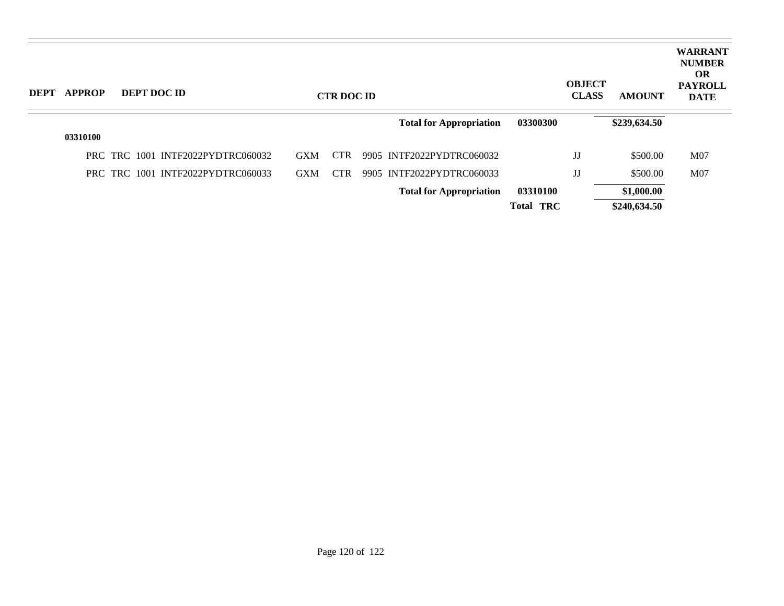| DEPT APPROP | DEPT DOC ID                       |            | <b>CTR DOC ID</b> |                                |                  | <b>OBJECT</b><br><b>CLASS</b> | <b>AMOUNT</b> | <b>WARRANT</b><br><b>NUMBER</b><br><b>OR</b><br><b>PAYROLL</b><br><b>DATE</b> |
|-------------|-----------------------------------|------------|-------------------|--------------------------------|------------------|-------------------------------|---------------|-------------------------------------------------------------------------------|
|             |                                   |            |                   | <b>Total for Appropriation</b> | 03300300         |                               | \$239,634.50  |                                                                               |
| 03310100    |                                   |            |                   |                                |                  |                               |               |                                                                               |
|             | PRC TRC 1001 INTF2022PYDTRC060032 | <b>GXM</b> | <b>CTR</b>        | 9905 INTF2022PYDTRC060032      |                  | $_{\rm JJ}$                   | \$500.00      | M <sub>07</sub>                                                               |
|             | PRC TRC 1001 INTF2022PYDTRC060033 | <b>GXM</b> | <b>CTR</b>        | 9905 INTF2022PYDTRC060033      |                  | $_{\rm JJ}$                   | \$500.00      | M07                                                                           |
|             |                                   |            |                   | <b>Total for Appropriation</b> | 03310100         |                               | \$1,000.00    |                                                                               |
|             |                                   |            |                   |                                | <b>Total TRC</b> |                               | \$240,634.50  |                                                                               |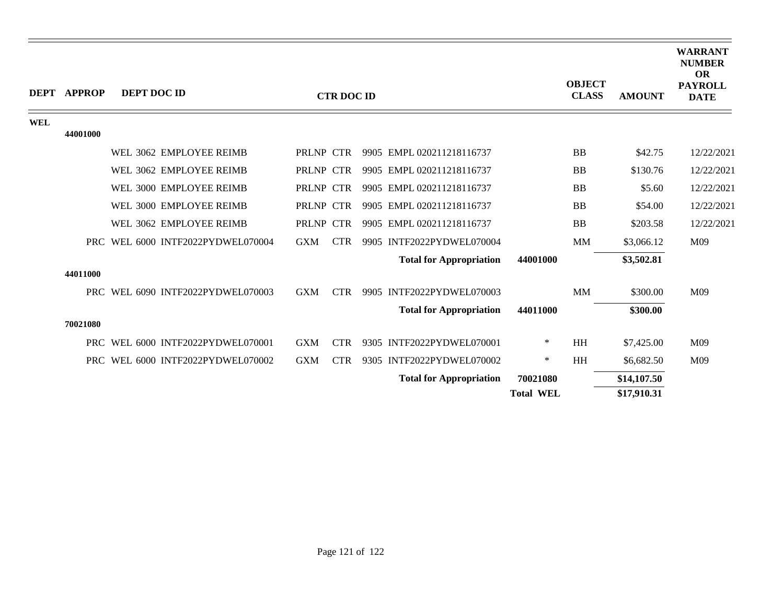|            | <b>DEPT APPROP</b> | DEPT DOC ID |                                   |            | <b>CTR DOC ID</b> |                                |                  | <b>OBJECT</b><br><b>CLASS</b> | <b>AMOUNT</b> | <b>WARRANT</b><br><b>NUMBER</b><br><b>OR</b><br><b>PAYROLL</b><br><b>DATE</b> |
|------------|--------------------|-------------|-----------------------------------|------------|-------------------|--------------------------------|------------------|-------------------------------|---------------|-------------------------------------------------------------------------------|
| <b>WEL</b> |                    |             |                                   |            |                   |                                |                  |                               |               |                                                                               |
|            | 44001000           |             |                                   |            |                   |                                |                  |                               |               |                                                                               |
|            |                    |             | WEL 3062 EMPLOYEE REIMB           | PRLNP CTR  |                   | 9905 EMPL 020211218116737      |                  | <b>BB</b>                     | \$42.75       | 12/22/2021                                                                    |
|            |                    |             | WEL 3062 EMPLOYEE REIMB           | PRLNP CTR  |                   | 9905 EMPL 020211218116737      |                  | <b>BB</b>                     | \$130.76      | 12/22/2021                                                                    |
|            |                    |             | WEL 3000 EMPLOYEE REIMB           | PRLNP CTR  |                   | 9905 EMPL 020211218116737      |                  | <b>BB</b>                     | \$5.60        | 12/22/2021                                                                    |
|            |                    |             | WEL 3000 EMPLOYEE REIMB           | PRLNP CTR  |                   | 9905 EMPL 020211218116737      |                  | <b>BB</b>                     | \$54.00       | 12/22/2021                                                                    |
|            |                    |             | WEL 3062 EMPLOYEE REIMB           | PRLNP CTR  |                   | 9905 EMPL 020211218116737      |                  | <b>BB</b>                     | \$203.58      | 12/22/2021                                                                    |
|            |                    |             | PRC WEL 6000 INTF2022PYDWEL070004 | <b>GXM</b> | <b>CTR</b>        | 9905 INTF2022PYDWEL070004      |                  | MM                            | \$3,066.12    | M09                                                                           |
|            |                    |             |                                   |            |                   | <b>Total for Appropriation</b> | 44001000         |                               | \$3,502.81    |                                                                               |
|            | 44011000           |             |                                   |            |                   |                                |                  |                               |               |                                                                               |
|            |                    |             | PRC WEL 6090 INTF2022PYDWEL070003 | <b>GXM</b> | <b>CTR</b>        | 9905 INTF2022PYDWEL070003      |                  | <b>MM</b>                     | \$300.00      | M09                                                                           |
|            |                    |             |                                   |            |                   | <b>Total for Appropriation</b> | 44011000         |                               | \$300.00      |                                                                               |
|            | 70021080           |             |                                   |            |                   |                                |                  |                               |               |                                                                               |
|            | PRC -              |             | WEL 6000 INTF2022PYDWEL070001     | <b>GXM</b> | <b>CTR</b>        | 9305 INTF2022PYDWEL070001      | $\ast$           | HH                            | \$7,425.00    | M09                                                                           |
|            |                    |             | PRC WEL 6000 INTF2022PYDWEL070002 | <b>GXM</b> | <b>CTR</b>        | 9305 INTF2022PYDWEL070002      | $\ast$           | HH                            | \$6,682.50    | M09                                                                           |
|            |                    |             |                                   |            |                   | <b>Total for Appropriation</b> | 70021080         |                               | \$14,107.50   |                                                                               |
|            |                    |             |                                   |            |                   |                                | <b>Total WEL</b> |                               | \$17,910.31   |                                                                               |